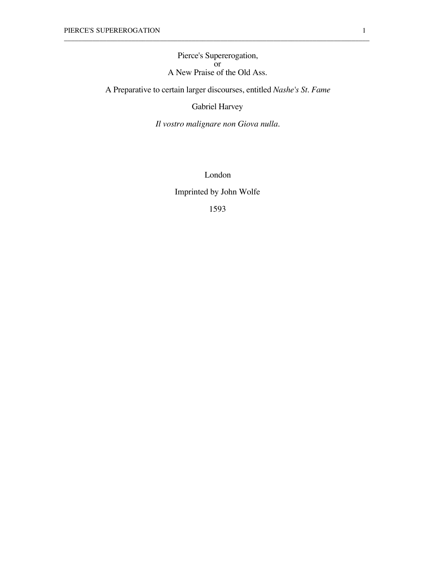Pierce's Supererogation, or A New Praise of the Old Ass.

\_\_\_\_\_\_\_\_\_\_\_\_\_\_\_\_\_\_\_\_\_\_\_\_\_\_\_\_\_\_\_\_\_\_\_\_\_\_\_\_\_\_\_\_\_\_\_\_\_\_\_\_\_\_\_\_\_\_\_\_\_\_\_\_\_\_\_\_\_\_\_\_\_\_\_\_\_\_\_\_\_\_\_\_\_\_

A Preparative to certain larger discourses, entitled *Nashe's St. Fame*

Gabriel Harvey

*Il vostro malignare non Giova nulla.*

London

Imprinted by John Wolfe

1593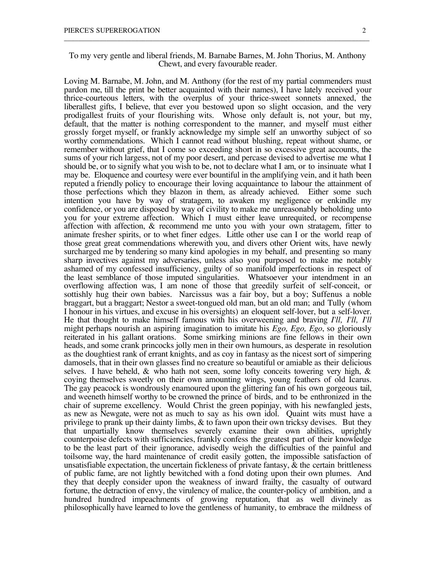## To my very gentle and liberal friends, M. Barnabe Barnes, M. John Thorius, M. Anthony Chewt, and every favourable reader.

\_\_\_\_\_\_\_\_\_\_\_\_\_\_\_\_\_\_\_\_\_\_\_\_\_\_\_\_\_\_\_\_\_\_\_\_\_\_\_\_\_\_\_\_\_\_\_\_\_\_\_\_\_\_\_\_\_\_\_\_\_\_\_\_\_\_\_\_\_\_\_\_\_\_\_\_\_\_\_\_\_\_\_\_\_\_

Loving M. Barnabe, M. John, and M. Anthony (for the rest of my partial commenders must pardon me, till the print be better acquainted with their names), I have lately received your thrice-courteous letters, with the overplus of your thrice-sweet sonnets annexed, the liberallest gifts, I believe, that ever you bestowed upon so slight occasion, and the very prodigallest fruits of your flourishing wits. Whose only default is, not your, but my, default, that the matter is nothing correspondent to the manner, and myself must either grossly forget myself, or frankly acknowledge my simple self an unworthy subject of so worthy commendations. Which I cannot read without blushing, repeat without shame, or remember without grief, that I come so exceeding short in so excessive great accounts, the sums of your rich largess, not of my poor desert, and percase devised to advertise me what I should be, or to signify what you wish to be, not to declare what I am, or to insinuate what I may be. Eloquence and courtesy were ever bountiful in the amplifying vein, and it hath been reputed a friendly policy to encourage their loving acquaintance to labour the attainment of those perfections which they blazon in them, as already achieved. Either some such intention you have by way of stratagem, to awaken my negligence or enkindle my confidence, or you are disposed by way of civility to make me unreasonably beholding unto you for your extreme affection. Which I must either leave unrequited, or recompense affection with affection, & recommend me unto you with your own stratagem, fitter to animate fresher spirits, or to whet finer edges. Little other use can I or the world reap of those great great commendations wherewith you, and divers other Orient wits, have newly surcharged me by tendering so many kind apologies in my behalf, and presenting so many sharp invectives against my adversaries, unless also you purposed to make me notably ashamed of my confessed insufficiency, guilty of so manifold imperfections in respect of the least semblance of those imputed singularities. Whatsoever your intendment in an overflowing affection was, I am none of those that greedily surfeit of self-conceit, or sottishly hug their own babies. Narcissus was a fair boy, but a boy; Suffenus a noble braggart, but a braggart; Nestor a sweet-tongued old man, but an old man; and Tully (whom I honour in his virtues, and excuse in his oversights) an eloquent self-lover, but a self-lover. He that thought to make himself famous with his overweening and braving *I'll, I'll, I'll* might perhaps nourish an aspiring imagination to imitate his *Ego, Ego, Ego*, so gloriously reiterated in his gallant orations. Some smirking minions are fine fellows in their own heads, and some crank princocks jolly men in their own humours, as desperate in resolution as the doughtiest rank of errant knights, and as coy in fantasy as the nicest sort of simpering damosels, that in their own glasses find no creature so beautiful or amiable as their delicious selves. I have beheld, & who hath not seen, some lofty conceits towering very high, & coying themselves sweetly on their own amounting wings, young feathers of old Icarus. The gay peacock is wondrously enamoured upon the glittering fan of his own gorgeous tail, and weeneth himself worthy to be crowned the prince of birds, and to be enthronized in the chair of supreme excellency. Would Christ the green popinjay, with his newfangled jests, as new as Newgate, were not as much to say as his own idol. Quaint wits must have a privilege to prank up their dainty limbs, & to fawn upon their own tricksy devises. But they that unpartially know themselves severely examine their own abilities, uprightly counterpoise defects with sufficiencies, frankly confess the greatest part of their knowledge to be the least part of their ignorance, advisedly weigh the difficulties of the painful and toilsome way, the hard maintenance of credit easily gotten, the impossible satisfaction of unsatisfiable expectation, the uncertain fickleness of private fantasy,  $\&$  the certain brittleness of public fame, are not lightly bewitched with a fond doting upon their own plumes. And they that deeply consider upon the weakness of inward frailty, the casualty of outward fortune, the detraction of envy, the virulency of malice, the counter-policy of ambition, and a hundred hundred impeachments of growing reputation, that as well divinely as philosophically have learned to love the gentleness of humanity, to embrace the mildness of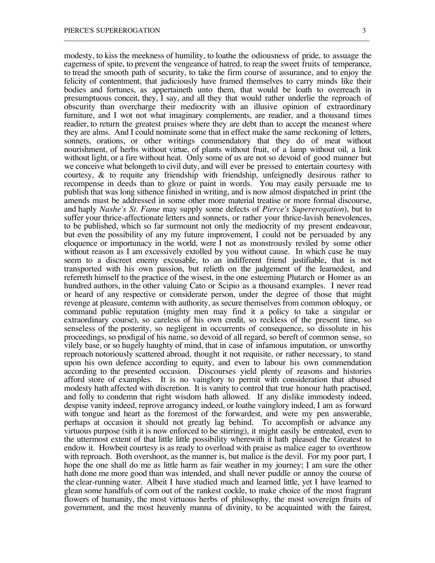modesty, to kiss the meekness of humility, to loathe the odiousness of pride, to assuage the eagerness of spite, to prevent the vengeance of hatred, to reap the sweet fruits of temperance, to tread the smooth path of security, to take the firm course of assurance, and to enjoy the felicity of contentment, that judiciously have framed themselves to carry minds like their bodies and fortunes, as appertaineth unto them, that would be loath to overreach in presumptuous conceit, they, I say, and all they that would rather underlie the reproach of obscurity than overcharge their mediocrity with an illusive opinion of extraordinary furniture, and I wot not what imaginary complements, are readier, and a thousand times readier, to return the greatest praises where they are debt than to accept the meanest where they are alms. And I could nominate some that in effect make the same reckoning of letters, sonnets, orations, or other writings commendatory that they do of meat without nourishment, of herbs without virtue, of plants without fruit, of a lamp without oil, a link without light, or a fire without heat. Only some of us are not so devoid of good manner but we conceive what belongeth to civil duty, and will ever be pressed to entertain courtesy with courtesy, & to requite any friendship with friendship, unfeignedly desirous rather to recompense in deeds than to gloze or paint in words. You may easily persuade me to publish that was long sithence finished in writing, and is now almost dispatched in print (the amends must be addressed in some other more material treatise or more formal discourse, and haply *Nashe's St. Fame* may supply some defects of *Pierce's Supererogation*), but to suffer your thrice-affectionate letters and sonnets, or rather your thrice-lavish benevolences, to be published, which so far surmount not only the mediocrity of my present endeavour, but even the possibility of any my future improvement, I could not be persuaded by any eloquence or importunacy in the world, were I not as monstrously reviled by some other without reason as I am excessively extolled by you without cause. In which case he may seem to a discreet enemy excusable, to an indifferent friend justifiable, that is not transported with his own passion, but relieth on the judgement of the learnedest, and referreth himself to the practice of the wisest, in the one esteeming Plutarch or Homer as an hundred authors, in the other valuing Cato or Scipio as a thousand examples. I never read or heard of any respective or considerate person, under the degree of those that might revenge at pleasure, contemn with authority, as secure themselves from common obloquy, or command public reputation (mighty men may find it a policy to take a singular or extraordinary course), so careless of his own credit, so reckless of the present time, so senseless of the posterity, so negligent in occurrents of consequence, so dissolute in his proceedings, so prodigal of his name, so devoid of all regard, so bereft of common sense, so vilely base, or so hugely haughty of mind, that in case of infamous imputation, or unworthy reproach notoriously scattered abroad, thought it not requisite, or rather necessary, to stand upon his own defence according to equity, and even to labour his own commendation according to the presented occasion. Discourses yield plenty of reasons and histories afford store of examples. It is no vainglory to permit with consideration that abused modesty hath affected with discretion. It is vanity to control that true honour hath practised, and folly to condemn that right wisdom hath allowed. If any dislike immodesty indeed, despise vanity indeed, reprove arrogancy indeed, or loathe vainglory indeed, I am as forward with tongue and heart as the foremost of the forwardest, and were my pen answerable, perhaps at occasion it should not greatly lag behind. To accomplish or advance any virtuous purpose (sith it is now enforced to be stirring), it might easily be entreated, even to the uttermost extent of that little little possibility wherewith it hath pleased the Greatest to endow it. Howbeit courtesy is as ready to overload with praise as malice eager to overthrow with reproach. Both overshoot, as the manner is, but malice is the devil. For my poor part, I hope the one shall do me as little harm as fair weather in my journey; I am sure the other hath done me more good than was intended, and shall never puddle or annoy the course of the clear-running water. Albeit I have studied much and learned little, yet I have learned to glean some handfuls of corn out of the rankest cockle, to make choice of the most fragrant flowers of humanity, the most virtuous herbs of philosophy, the most sovereign fruits of government, and the most heavenly manna of divinity, to be acquainted with the fairest,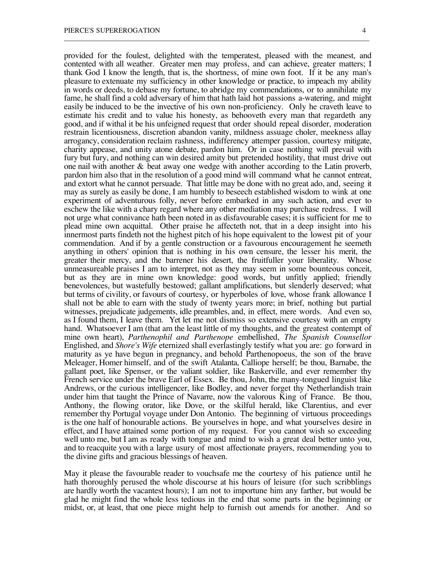provided for the foulest, delighted with the temperatest, pleased with the meanest, and contented with all weather. Greater men may profess, and can achieve, greater matters; I thank God I know the length, that is, the shortness, of mine own foot. If it be any man's pleasure to extenuate my sufficiency in other knowledge or practice, to impeach my ability in words or deeds, to debase my fortune, to abridge my commendations, or to annihilate my fame, he shall find a cold adversary of him that hath laid hot passions a-watering, and might easily be induced to be the invective of his own non-proficiency. Only he craveth leave to estimate his credit and to value his honesty, as behooveth every man that regardeth any good, and if withal it be his unfeigned request that order should repeal disorder, moderation restrain licentiousness, discretion abandon vanity, mildness assuage choler, meekness allay arrogancy, consideration reclaim rashness, indifferency attemper passion, courtesy mitigate, charity appease, and unity atone debate, pardon him. Or in case nothing will prevail with fury but fury, and nothing can win desired amity but pretended hostility, that must drive out one nail with another & beat away one wedge with another according to the Latin proverb, pardon him also that in the resolution of a good mind will command what he cannot entreat, and extort what he cannot persuade. That little may be done with no great ado, and, seeing it may as surely as easily be done, I am humbly to beseech established wisdom to wink at one experiment of adventurous folly, never before embarked in any such action, and ever to eschew the like with a chary regard where any other mediation may purchase redress. I will not urge what connivance hath been noted in as disfavourable cases; it is sufficient for me to plead mine own acquittal. Other praise he affecteth not, that in a deep insight into his innermost parts findeth not the highest pitch of his hope equivalent to the lowest pit of your commendation. And if by a gentle construction or a favourous encouragement he seemeth anything in others' opinion that is nothing in his own censure, the lesser his merit, the greater their mercy, and the barrener his desert, the fruitfuller your liberality. Whose unmeasureable praises I am to interpret, not as they may seem in some bounteous conceit, but as they are in mine own knowledge: good words, but unfitly applied; friendly benevolences, but wastefully bestowed; gallant amplifications, but slenderly deserved; what but terms of civility, or favours of courtesy, or hyperboles of love, whose frank allowance I shall not be able to earn with the study of twenty years more; in brief, nothing but partial witnesses, prejudicate judgements, idle preambles, and, in effect, mere words. And even so, as I found them, I leave them. Yet let me not dismiss so extensive courtesy with an empty hand. Whatsoever I am (that am the least little of my thoughts, and the greatest contempt of mine own heart), *Parthenophil and Parthenope* embellished, *The Spanish Counsellor* Englished, and *Shore's Wife* eternized shall everlastingly testify what you are: go forward in maturity as ye have begun in pregnancy, and behold Parthenopoeus, the son of the brave Meleager, Homer himself, and of the swift Atalanta, Calliope herself; be thou, Barnabe, the gallant poet, like Spenser, or the valiant soldier, like Baskerville, and ever remember thy French service under the brave Earl of Essex. Be thou, John, the many-tongued linguist like Andrews, or the curious intelligencer, like Bodley, and never forget thy Netherlandish train under him that taught the Prince of Navarre, now the valorous King of France. Be thou, Anthony, the flowing orator, like Dove, or the skilful herald, like Clarentius, and ever remember thy Portugal voyage under Don Antonio. The beginning of virtuous proceedings is the one half of honourable actions. Be yourselves in hope, and what yourselves desire in effect, and I have attained some portion of my request. For you cannot wish so exceeding well unto me, but I am as ready with tongue and mind to wish a great deal better unto you, and to reacquite you with a large usury of most affectionate prayers, recommending you to the divine gifts and gracious blessings of heaven.

\_\_\_\_\_\_\_\_\_\_\_\_\_\_\_\_\_\_\_\_\_\_\_\_\_\_\_\_\_\_\_\_\_\_\_\_\_\_\_\_\_\_\_\_\_\_\_\_\_\_\_\_\_\_\_\_\_\_\_\_\_\_\_\_\_\_\_\_\_\_\_\_\_\_\_\_\_\_\_\_\_\_\_\_\_\_

May it please the favourable reader to vouchsafe me the courtesy of his patience until he hath thoroughly perused the whole discourse at his hours of leisure (for such scribblings are hardly worth the vacantest hours); I am not to importune him any farther, but would be glad he might find the whole less tedious in the end that some parts in the beginning or midst, or, at least, that one piece might help to furnish out amends for another. And so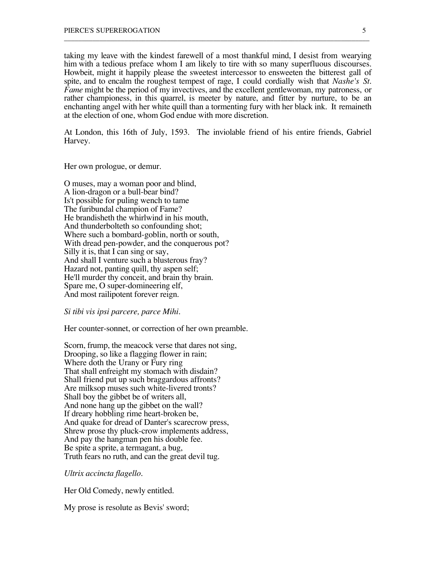taking my leave with the kindest farewell of a most thankful mind, I desist from wearying him with a tedious preface whom I am likely to tire with so many superfluous discourses. Howbeit, might it happily please the sweetest intercessor to ensweeten the bitterest gall of spite, and to encalm the roughest tempest of rage, I could cordially wish that *Nashe's St. Fame* might be the period of my invectives, and the excellent gentlewoman, my patroness, or rather championess, in this quarrel, is meeter by nature, and fitter by nurture, to be an enchanting angel with her white quill than a tormenting fury with her black ink. It remaineth at the election of one, whom God endue with more discretion.

\_\_\_\_\_\_\_\_\_\_\_\_\_\_\_\_\_\_\_\_\_\_\_\_\_\_\_\_\_\_\_\_\_\_\_\_\_\_\_\_\_\_\_\_\_\_\_\_\_\_\_\_\_\_\_\_\_\_\_\_\_\_\_\_\_\_\_\_\_\_\_\_\_\_\_\_\_\_\_\_\_\_\_\_\_\_

At London, this 16th of July, 1593. The inviolable friend of his entire friends, Gabriel Harvey.

Her own prologue, or demur.

O muses, may a woman poor and blind, A lion-dragon or a bull-bear bind? Is't possible for puling wench to tame The furibundal champion of Fame? He brandisheth the whirlwind in his mouth, And thunderbolteth so confounding shot; Where such a bombard-goblin, north or south, With dread pen-powder, and the conquerous pot? Silly it is, that I can sing or say, And shall I venture such a blusterous fray? Hazard not, panting quill, thy aspen self; He'll murder thy conceit, and brain thy brain. Spare me, O super-domineering elf, And most railipotent forever reign.

#### *Si tibi vis ipsi parcere, parce Mihi.*

Her counter-sonnet, or correction of her own preamble.

Scorn, frump, the meacock verse that dares not sing, Drooping, so like a flagging flower in rain; Where doth the Urany or Fury ring That shall enfreight my stomach with disdain? Shall friend put up such braggardous affronts? Are milksop muses such white-livered tronts? Shall boy the gibbet be of writers all, And none hang up the gibbet on the wall? If dreary hobbling rime heart-broken be, And quake for dread of Danter's scarecrow press, Shrew prose thy pluck-crow implements address, And pay the hangman pen his double fee. Be spite a sprite, a termagant, a bug, Truth fears no ruth, and can the great devil tug.

*Ultrix accincta flagello.*

Her Old Comedy, newly entitled.

My prose is resolute as Bevis' sword;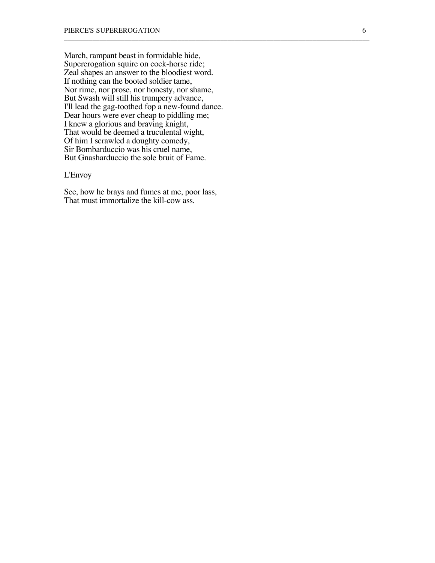March, rampant beast in formidable hide, Supererogation squire on cock-horse ride; Zeal shapes an answer to the bloodiest word. If nothing can the booted soldier tame, Nor rime, nor prose, nor honesty, nor shame, But Swash will still his trumpery advance, I'll lead the gag-toothed fop a new-found dance. Dear hours were ever cheap to piddling me; I knew a glorious and braving knight, That would be deemed a truculental wight, Of him I scrawled a doughty comedy, Sir Bombarduccio was his cruel name, But Gnasharduccio the sole bruit of Fame.

\_\_\_\_\_\_\_\_\_\_\_\_\_\_\_\_\_\_\_\_\_\_\_\_\_\_\_\_\_\_\_\_\_\_\_\_\_\_\_\_\_\_\_\_\_\_\_\_\_\_\_\_\_\_\_\_\_\_\_\_\_\_\_\_\_\_\_\_\_\_\_\_\_\_\_\_\_\_\_\_\_\_\_\_\_\_

### L'Envoy

See, how he brays and fumes at me, poor lass, That must immortalize the kill-cow ass.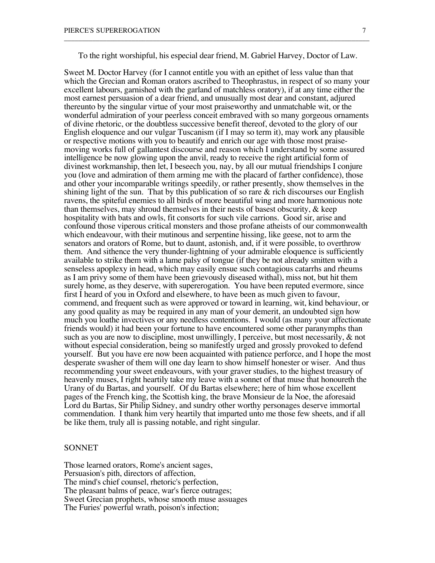To the right worshipful, his especial dear friend, M. Gabriel Harvey, Doctor of Law.

\_\_\_\_\_\_\_\_\_\_\_\_\_\_\_\_\_\_\_\_\_\_\_\_\_\_\_\_\_\_\_\_\_\_\_\_\_\_\_\_\_\_\_\_\_\_\_\_\_\_\_\_\_\_\_\_\_\_\_\_\_\_\_\_\_\_\_\_\_\_\_\_\_\_\_\_\_\_\_\_\_\_\_\_\_\_

Sweet M. Doctor Harvey (for I cannot entitle you with an epithet of less value than that which the Grecian and Roman orators ascribed to Theophrastus, in respect of so many your excellent labours, garnished with the garland of matchless oratory), if at any time either the most earnest persuasion of a dear friend, and unusually most dear and constant, adjured thereunto by the singular virtue of your most praiseworthy and unmatchable wit, or the wonderful admiration of your peerless conceit embraved with so many gorgeous ornaments of divine rhetoric, or the doubtless successive benefit thereof, devoted to the glory of our English eloquence and our vulgar Tuscanism (if I may so term it), may work any plausible or respective motions with you to beautify and enrich our age with those most praisemoving works full of gallantest discourse and reason which I understand by some assured intelligence be now glowing upon the anvil, ready to receive the right artificial form of divinest workmanship, then let, I beseech you, nay, by all our mutual friendships I conjure you (love and admiration of them arming me with the placard of farther confidence), those and other your incomparable writings speedily, or rather presently, show themselves in the shining light of the sun. That by this publication of so rare  $\&$  rich discourses our English ravens, the spiteful enemies to all birds of more beautiful wing and more harmonious note than themselves, may shroud themselves in their nests of basest obscurity, & keep hospitality with bats and owls, fit consorts for such vile carrions. Good sir, arise and confound those viperous critical monsters and those profane atheists of our commonwealth which endeavour, with their mutinous and serpentine hissing, like geese, not to arm the senators and orators of Rome, but to daunt, astonish, and, if it were possible, to overthrow them. And sithence the very thunder-lightning of your admirable eloquence is sufficiently available to strike them with a lame palsy of tongue (if they be not already smitten with a senseless apoplexy in head, which may easily ensue such contagious catarrhs and rheums as I am privy some of them have been grievously diseased withal), miss not, but hit them surely home, as they deserve, with supererogation. You have been reputed evermore, since first I heard of you in Oxford and elsewhere, to have been as much given to favour, commend, and frequent such as were approved or toward in learning, wit, kind behaviour, or any good quality as may be required in any man of your demerit, an undoubted sign how much you loathe invectives or any needless contentions. I would (as many your affectionate friends would) it had been your fortune to have encountered some other paranymphs than such as you are now to discipline, most unwillingly, I perceive, but most necessarily, & not without especial consideration, being so manifestly urged and grossly provoked to defend yourself. But you have ere now been acquainted with patience perforce, and I hope the most desperate swasher of them will one day learn to show himself honester or wiser. And thus recommending your sweet endeavours, with your graver studies, to the highest treasury of heavenly muses, I right heartily take my leave with a sonnet of that muse that honoureth the Urany of du Bartas, and yourself. Of du Bartas elsewhere; here of him whose excellent pages of the French king, the Scottish king, the brave Monsieur de la Noe, the aforesaid Lord du Bartas, Sir Philip Sidney, and sundry other worthy personages deserve immortal commendation. I thank him very heartily that imparted unto me those few sheets, and if all be like them, truly all is passing notable, and right singular.

# **SONNET**

Those learned orators, Rome's ancient sages, Persuasion's pith, directors of affection, The mind's chief counsel, rhetoric's perfection, The pleasant balms of peace, war's fierce outrages; Sweet Grecian prophets, whose smooth muse assuages The Furies' powerful wrath, poison's infection;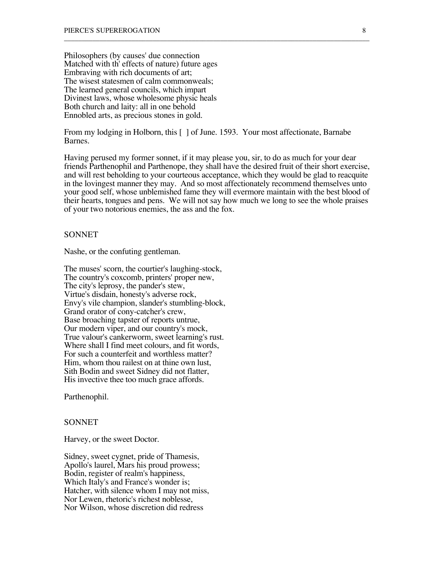Philosophers (by causes' due connection Matched with th' effects of nature) future ages Embraving with rich documents of art; The wisest statesmen of calm commonweals; The learned general councils, which impart Divinest laws, whose wholesome physic heals Both church and laity: all in one behold Ennobled arts, as precious stones in gold.

From my lodging in Holborn, this [ ] of June. 1593. Your most affectionate, Barnabe Barnes.

\_\_\_\_\_\_\_\_\_\_\_\_\_\_\_\_\_\_\_\_\_\_\_\_\_\_\_\_\_\_\_\_\_\_\_\_\_\_\_\_\_\_\_\_\_\_\_\_\_\_\_\_\_\_\_\_\_\_\_\_\_\_\_\_\_\_\_\_\_\_\_\_\_\_\_\_\_\_\_\_\_\_\_\_\_\_

Having perused my former sonnet, if it may please you, sir, to do as much for your dear friends Parthenophil and Parthenope, they shall have the desired fruit of their short exercise, and will rest beholding to your courteous acceptance, which they would be glad to reacquite in the lovingest manner they may. And so most affectionately recommend themselves unto your good self, whose unblemished fame they will evermore maintain with the best blood of their hearts, tongues and pens. We will not say how much we long to see the whole praises of your two notorious enemies, the ass and the fox.

### SONNET

Nashe, or the confuting gentleman.

The muses' scorn, the courtier's laughing-stock, The country's coxcomb, printers' proper new, The city's leprosy, the pander's stew, Virtue's disdain, honesty's adverse rock, Envy's vile champion, slander's stumbling-block, Grand orator of cony-catcher's crew, Base broaching tapster of reports untrue, Our modern viper, and our country's mock, True valour's cankerworm, sweet learning's rust. Where shall I find meet colours, and fit words, For such a counterfeit and worthless matter? Him, whom thou railest on at thine own lust, Sith Bodin and sweet Sidney did not flatter, His invective thee too much grace affords.

Parthenophil.

#### SONNET

Harvey, or the sweet Doctor.

Sidney, sweet cygnet, pride of Thamesis, Apollo's laurel, Mars his proud prowess; Bodin, register of realm's happiness, Which Italy's and France's wonder is; Hatcher, with silence whom I may not miss, Nor Lewen, rhetoric's richest noblesse, Nor Wilson, whose discretion did redress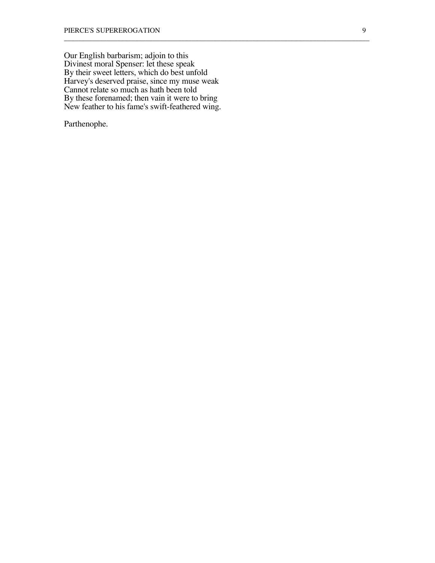Our English barbarism; adjoin to this Divinest moral Spenser: let these speak By their sweet letters, which do best unfold Harvey's deserved praise, since my muse weak Cannot relate so much as hath been told By these forenamed; then vain it were to bring New feather to his fame's swift-feathered wing.

\_\_\_\_\_\_\_\_\_\_\_\_\_\_\_\_\_\_\_\_\_\_\_\_\_\_\_\_\_\_\_\_\_\_\_\_\_\_\_\_\_\_\_\_\_\_\_\_\_\_\_\_\_\_\_\_\_\_\_\_\_\_\_\_\_\_\_\_\_\_\_\_\_\_\_\_\_\_\_\_\_\_\_\_\_\_

Parthenophe.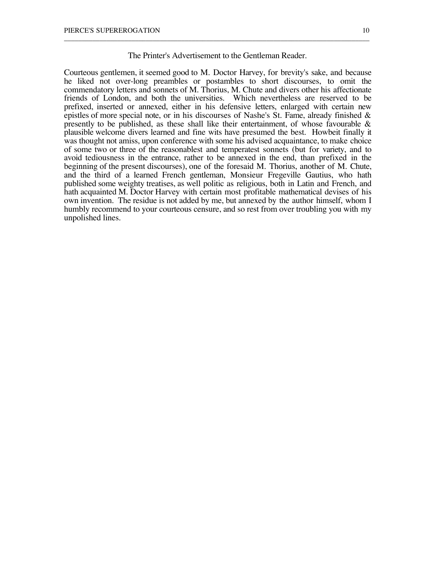## The Printer's Advertisement to the Gentleman Reader.

\_\_\_\_\_\_\_\_\_\_\_\_\_\_\_\_\_\_\_\_\_\_\_\_\_\_\_\_\_\_\_\_\_\_\_\_\_\_\_\_\_\_\_\_\_\_\_\_\_\_\_\_\_\_\_\_\_\_\_\_\_\_\_\_\_\_\_\_\_\_\_\_\_\_\_\_\_\_\_\_\_\_\_\_\_\_

Courteous gentlemen, it seemed good to M. Doctor Harvey, for brevity's sake, and because he liked not over-long preambles or postambles to short discourses, to omit the commendatory letters and sonnets of M. Thorius, M. Chute and divers other his affectionate friends of London, and both the universities. Which nevertheless are reserved to be prefixed, inserted or annexed, either in his defensive letters, enlarged with certain new epistles of more special note, or in his discourses of Nashe's St. Fame, already finished  $\&$ presently to be published, as these shall like their entertainment, of whose favourable  $\&$ plausible welcome divers learned and fine wits have presumed the best. Howbeit finally it was thought not amiss, upon conference with some his advised acquaintance, to make choice of some two or three of the reasonablest and temperatest sonnets (but for variety, and to avoid tediousness in the entrance, rather to be annexed in the end, than prefixed in the beginning of the present discourses), one of the foresaid M. Thorius, another of M. Chute, and the third of a learned French gentleman, Monsieur Fregeville Gautius, who hath published some weighty treatises, as well politic as religious, both in Latin and French, and hath acquainted M. Doctor Harvey with certain most profitable mathematical devises of his own invention. The residue is not added by me, but annexed by the author himself, whom I humbly recommend to your courteous censure, and so rest from over troubling you with my unpolished lines.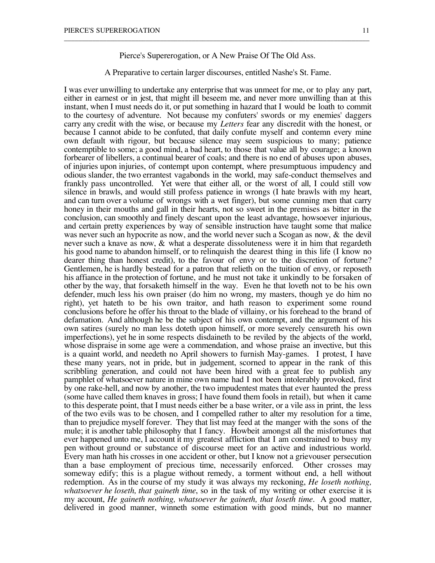Pierce's Supererogation, or A New Praise Of The Old Ass.

\_\_\_\_\_\_\_\_\_\_\_\_\_\_\_\_\_\_\_\_\_\_\_\_\_\_\_\_\_\_\_\_\_\_\_\_\_\_\_\_\_\_\_\_\_\_\_\_\_\_\_\_\_\_\_\_\_\_\_\_\_\_\_\_\_\_\_\_\_\_\_\_\_\_\_\_\_\_\_\_\_\_\_\_\_\_

A Preparative to certain larger discourses, entitled Nashe's St. Fame.

I was ever unwilling to undertake any enterprise that was unmeet for me, or to play any part, either in earnest or in jest, that might ill beseem me, and never more unwilling than at this instant, when I must needs do it, or put something in hazard that I would be loath to commit to the courtesy of adventure. Not because my confuters' swords or my enemies' daggers carry any credit with the wise, or because my *Letters* fear any discredit with the honest, or because I cannot abide to be confuted, that daily confute myself and contemn every mine own default with rigour, but because silence may seem suspicious to many; patience contemptible to some; a good mind, a bad heart, to those that value all by courage; a known forbearer of libellers, a continual bearer of coals; and there is no end of abuses upon abuses, of injuries upon injuries, of contempt upon contempt, where presumptuous impudency and odious slander, the two errantest vagabonds in the world, may safe-conduct themselves and frankly pass uncontrolled. Yet were that either all, or the worst of all, I could still vow silence in brawls, and would still profess patience in wrongs (I hate brawls with my heart, and can turn over a volume of wrongs with a wet finger), but some cunning men that carry honey in their mouths and gall in their hearts, not so sweet in the premises as bitter in the conclusion, can smoothly and finely descant upon the least advantage, howsoever injurious, and certain pretty experiences by way of sensible instruction have taught some that malice was never such an hypocrite as now, and the world never such a Scogan as now, & the devil never such a knave as now, & what a desperate dissoluteness were it in him that regardeth his good name to abandon himself, or to relinquish the dearest thing in this life (I know no dearer thing than honest credit), to the favour of envy or to the discretion of fortune? Gentlemen, he is hardly bestead for a patron that relieth on the tuition of envy, or reposeth his affiance in the protection of fortune, and he must not take it unkindly to be forsaken of other by the way, that forsaketh himself in the way. Even he that loveth not to be his own defender, much less his own praiser (do him no wrong, my masters, though ye do him no right), yet hateth to be his own traitor, and hath reason to experiment some round conclusions before he offer his throat to the blade of villainy, or his forehead to the brand of defamation. And although he be the subject of his own contempt, and the argument of his own satires (surely no man less doteth upon himself, or more severely censureth his own imperfections), yet he in some respects disdaineth to be reviled by the abjects of the world, whose dispraise in some age were a commendation, and whose praise an invective, but this is a quaint world, and needeth no April showers to furnish May-games. I protest, I have these many years, not in pride, but in judgement, scorned to appear in the rank of this scribbling generation, and could not have been hired with a great fee to publish any pamphlet of whatsoever nature in mine own name had I not been intolerably provoked, first by one rake-hell, and now by another, the two impudentest mates that ever haunted the press (some have called them knaves in gross; I have found them fools in retail), but when it came to this desperate point, that I must needs either be a base writer, or a vile ass in print, the less of the two evils was to be chosen, and I compelled rather to alter my resolution for a time, than to prejudice myself forever. They that list may feed at the manger with the sons of the mule; it is another table philosophy that I fancy. Howbeit amongst all the misfortunes that ever happened unto me, I account it my greatest affliction that I am constrained to busy my pen without ground or substance of discourse meet for an active and industrious world. Every man hath his crosses in one accident or other, but I know not a grievouser persecution than a base employment of precious time, necessarily enforced. Other crosses may someway edify; this is a plague without remedy, a torment without end, a hell without redemption. As in the course of my study it was always my reckoning, *He loseth nothing, whatsoever he loseth, that gaineth time*, so in the task of my writing or other exercise it is my account, *He gaineth nothing, whatsoever he gaineth, that loseth time*. A good matter, delivered in good manner, winneth some estimation with good minds, but no manner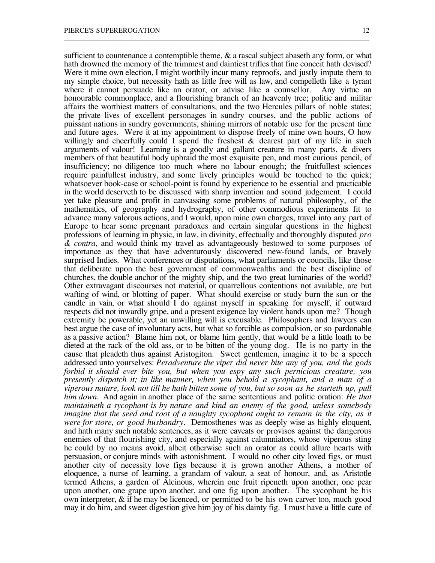sufficient to countenance a contemptible theme,  $\&$  a rascal subject abaseth any form, or what hath drowned the memory of the trimmest and daintiest trifles that fine conceit hath devised? Were it mine own election, I might worthily incur many reproofs, and justly impute them to my simple choice, but necessity hath as little free will as law, and compelleth like a tyrant where it cannot persuade like an orator, or advise like a counsellor. Any virtue an honourable commonplace, and a flourishing branch of an heavenly tree; politic and militar affairs the worthiest matters of consultations, and the two Hercules pillars of noble states; the private lives of excellent personages in sundry courses, and the public actions of puissant nations in sundry governments, shining mirrors of notable use for the present time and future ages. Were it at my appointment to dispose freely of mine own hours, O how willingly and cheerfully could I spend the freshest & dearest part of my life in such arguments of valour! Learning is a goodly and gallant creature in many parts, & divers members of that beautiful body upbraid the most exquisite pen, and most curious pencil, of insufficiency; no diligence too much where no labour enough; the fruitfullest sciences require painfullest industry, and some lively principles would be touched to the quick; whatsoever book-case or school-point is found by experience to be essential and practicable in the world deserveth to be discussed with sharp invention and sound judgement. I could yet take pleasure and profit in canvassing some problems of natural philosophy, of the mathematics, of geography and hydrography, of other commodious experiments fit to advance many valorous actions, and I would, upon mine own charges, travel into any part of Europe to hear some pregnant paradoxes and certain singular questions in the highest professions of learning in physic, in law, in divinity, effectually and thoroughly disputed *pro & contra*, and would think my travel as advantageously bestowed to some purposes of importance as they that have adventurously discovered new-found lands, or bravely surprised Indies. What conferences or disputations, what parliaments or councils, like those that deliberate upon the best government of commonwealths and the best discipline of churches, the double anchor of the mighty ship, and the two great luminaries of the world? Other extravagant discourses not material, or quarrellous contentions not available, are but wafting of wind, or blotting of paper. What should exercise or study burn the sun or the candle in vain, or what should I do against myself in speaking for myself, if outward respects did not inwardly gripe, and a present exigence lay violent hands upon me? Though extremity be powerable, yet an unwilling will is excusable. Philosophers and lawyers can best argue the case of involuntary acts, but what so forcible as compulsion, or so pardonable as a passive action? Blame him not, or blame him gently, that would be a little loath to be dieted at the rack of the old ass, or to be bitten of the young dog. He is no party in the cause that pleadeth thus against Aristogiton. Sweet gentlemen, imagine it to be a speech addressed unto yourselves: *Peradventure the viper did never bite any of you, and the gods forbid it should ever bite you, but when you espy any such pernicious creature, you presently dispatch it; in like manner, when you behold a sycophant, and a man of a viperous nature, look not till he hath bitten some of you, but so soon as he starteth up, pull him down.* And again in another place of the same sententious and politic oration: *He that maintaineth a sycophant is by nature and kind an enemy of the good, unless somebody imagine that the seed and root of a naughty sycophant ought to remain in the city, as it were for store, or good husbandry.* Demosthenes was as deeply wise as highly eloquent, and hath many such notable sentences, as it were caveats or provisos against the dangerous enemies of that flourishing city, and especially against calumniators, whose viperous sting he could by no means avoid, albeit otherwise such an orator as could allure hearts with persuasion, or conjure minds with astonishment. I would no other city loved figs, or must another city of necessity love figs because it is grown another Athens, a mother of eloquence, a nurse of learning, a grandam of valour, a seat of honour, and, as Aristotle termed Athens, a garden of Alcinous, wherein one fruit ripeneth upon another, one pear upon another, one grape upon another, and one fig upon another. The sycophant be his own interpreter, & if he may be licenced, or permitted to be his own carver too, much good may it do him, and sweet digestion give him joy of his dainty fig. I must have a little care of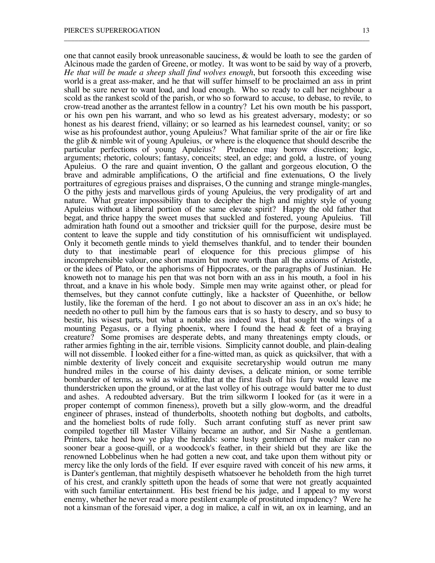one that cannot easily brook unreasonable sauciness, & would be loath to see the garden of Alcinous made the garden of Greene, or motley. It was wont to be said by way of a proverb, *He that will be made a sheep shall find wolves enough*, but forsooth this exceeding wise world is a great ass-maker, and he that will suffer himself to be proclaimed an ass in print shall be sure never to want load, and load enough. Who so ready to call her neighbour a scold as the rankest scold of the parish, or who so forward to accuse, to debase, to revile, to crow-tread another as the arrantest fellow in a country? Let his own mouth be his passport, or his own pen his warrant, and who so lewd as his greatest adversary, modesty; or so honest as his dearest friend, villainy; or so learned as his learnedest counsel, vanity; or so wise as his profoundest author, young Apuleius? What familiar sprite of the air or fire like the glib & nimble wit of young Apuleius, or where is the eloquence that should describe the particular perfections of young Apuleius? Prudence may borrow discretion; logic, arguments; rhetoric, colours; fantasy, conceits; steel, an edge; and gold, a lustre, of young Apuleius. O the rare and quaint invention, O the gallant and gorgeous elocution, O the brave and admirable amplifications, O the artificial and fine extenuations, O the lively portraitures of egregious praises and dispraises, O the cunning and strange mingle-mangles, O the pithy jests and marvellous girds of young Apuleius, the very prodigality of art and nature. What greater impossibility than to decipher the high and mighty style of young Apuleius without a liberal portion of the same elevate spirit? Happy the old father that begat, and thrice happy the sweet muses that suckled and fostered, young Apuleius. Till admiration hath found out a smoother and tricksier quill for the purpose, desire must be content to leave the supple and tidy constitution of his omnisufficient wit undisplayed. Only it becometh gentle minds to yield themselves thankful, and to tender their bounden duty to that inestimable pearl of eloquence for this precious glimpse of his incomprehensible valour, one short maxim but more worth than all the axioms of Aristotle, or the idees of Plato, or the aphorisms of Hippocrates, or the paragraphs of Justinian. He knoweth not to manage his pen that was not born with an ass in his mouth, a fool in his throat, and a knave in his whole body. Simple men may write against other, or plead for themselves, but they cannot confute cuttingly, like a hackster of Queenhithe, or bellow lustily, like the foreman of the herd. I go not about to discover an ass in an ox's hide; he needeth no other to pull him by the famous ears that is so hasty to descry, and so busy to bestir, his wisest parts, but what a notable ass indeed was I, that sought the wings of a mounting Pegasus, or a flying phoenix, where I found the head  $\&$  feet of a braying creature? Some promises are desperate debts, and many threatenings empty clouds, or rather armies fighting in the air, terrible visions. Simplicity cannot double, and plain-dealing will not dissemble. I looked either for a fine-witted man, as quick as quicksilver, that with a nimble dexterity of lively conceit and exquisite secretaryship would outrun me many hundred miles in the course of his dainty devises, a delicate minion, or some terrible bombarder of terms, as wild as wildfire, that at the first flash of his fury would leave me thunderstricken upon the ground, or at the last volley of his outrage would batter me to dust and ashes. A redoubted adversary. But the trim silkworm I looked for (as it were in a proper contempt of common fineness), proveth but a silly glow-worm, and the dreadful engineer of phrases, instead of thunderbolts, shooteth nothing but dogbolts, and catbolts, and the homeliest bolts of rude folly. Such arrant confuting stuff as never print saw compiled together till Master Villainy became an author, and Sir Nashe a gentleman. Printers, take heed how ye play the heralds: some lusty gentlemen of the maker can no sooner bear a goose-quill, or a woodcock's feather, in their shield but they are like the renowned Lobbelinus when he had gotten a new coat, and take upon them without pity or mercy like the only lords of the field. If ever esquire raved with conceit of his new arms, it is Danter's gentleman, that mightily despiseth whatsoever he beholdeth from the high turret of his crest, and crankly spitteth upon the heads of some that were not greatly acquainted with such familiar entertainment. His best friend be his judge, and I appeal to my worst enemy, whether he never read a more pestilent example of prostituted impudency? Were he not a kinsman of the foresaid viper, a dog in malice, a calf in wit, an ox in learning, and an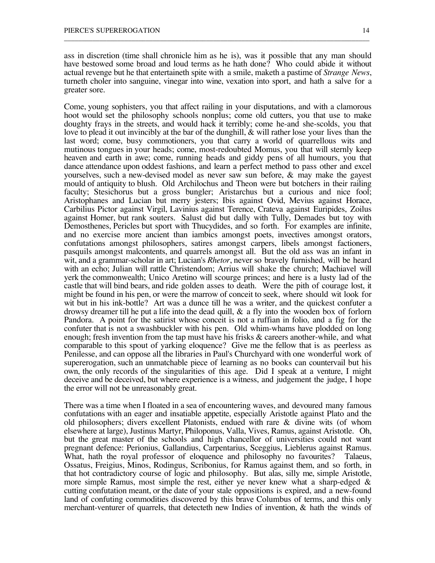ass in discretion (time shall chronicle him as he is), was it possible that any man should have bestowed some broad and loud terms as he hath done? Who could abide it without actual revenge but he that entertaineth spite with a smile, maketh a pastime of *Strange News*, turneth choler into sanguine, vinegar into wine, vexation into sport, and hath a salve for a greater sore.

\_\_\_\_\_\_\_\_\_\_\_\_\_\_\_\_\_\_\_\_\_\_\_\_\_\_\_\_\_\_\_\_\_\_\_\_\_\_\_\_\_\_\_\_\_\_\_\_\_\_\_\_\_\_\_\_\_\_\_\_\_\_\_\_\_\_\_\_\_\_\_\_\_\_\_\_\_\_\_\_\_\_\_\_\_\_

Come, young sophisters, you that affect railing in your disputations, and with a clamorous hoot would set the philosophy schools nonplus; come old cutters, you that use to make doughty frays in the streets, and would hack it terribly; come he-and she-scolds, you that love to plead it out invincibly at the bar of the dunghill, & will rather lose your lives than the last word; come, busy commotioners, you that carry a world of quarrellous wits and mutinous tongues in your heads; come, most-redoubted Momus, you that will sternly keep heaven and earth in awe; come, running heads and giddy pens of all humours, you that dance attendance upon oddest fashions, and learn a perfect method to pass other and excel yourselves, such a new-devised model as never saw sun before, & may make the gayest mould of antiquity to blush. Old Archilochus and Theon were but botchers in their railing faculty; Stesichorus but a gross bungler; Aristarchus but a curious and nice fool; Aristophanes and Lucian but merry jesters; Ibis against Ovid, Mevius against Horace, Carbilius Pictor against Virgil, Lavinius against Terence, Crateva against Euripides, Zoilus against Homer, but rank souters. Salust did but dally with Tully, Demades but toy with Demosthenes, Pericles but sport with Thucydides, and so forth. For examples are infinite, and no exercise more ancient than iambics amongst poets, invectives amongst orators, confutations amongst philosophers, satires amongst carpers, libels amongst factioners, pasquils amongst malcontents, and quarrels amongst all. But the old ass was an infant in wit, and a grammar-scholar in art; Lucian's *Rhetor*, never so bravely furnished, will be heard with an echo; Julian will rattle Christendom; Arrius will shake the church; Machiavel will yerk the commonwealth; Unico Aretino will scourge princes; and here is a lusty lad of the castle that will bind bears, and ride golden asses to death. Were the pith of courage lost, it might be found in his pen, or were the marrow of conceit to seek, where should wit look for wit but in his ink-bottle? Art was a dunce till he was a writer, and the quickest confuter a drowsy dreamer till he put a life into the dead quill, & a fly into the wooden box of forlorn Pandora. A point for the satirist whose conceit is not a ruffian in folio, and a fig for the confuter that is not a swashbuckler with his pen. Old whim-whams have plodded on long enough; fresh invention from the tap must have his frisks & careers another-while, and what comparable to this spout of yarking eloquence? Give me the fellow that is as peerless as Penilesse, and can oppose all the libraries in Paul's Churchyard with one wonderful work of supererogation, such an unmatchable piece of learning as no books can countervail but his own, the only records of the singularities of this age. Did I speak at a venture, I might deceive and be deceived, but where experience is a witness, and judgement the judge, I hope the error will not be unreasonably great.

There was a time when I floated in a sea of encountering waves, and devoured many famous confutations with an eager and insatiable appetite, especially Aristotle against Plato and the old philosophers; divers excellent Platonists, endued with rare & divine wits (of whom elsewhere at large), Justinus Martyr, Philoponus, Valla, Vives, Ramus, against Aristotle. Oh, but the great master of the schools and high chancellor of universities could not want pregnant defence: Perionius, Gallandius, Carpentarius, Sceggius, Lieblerus against Ramus. What, hath the royal professor of eloquence and philosophy no favourites? Ossatus, Freigius, Minos, Rodingus, Scribonius, for Ramus against them, and so forth, in that hot contradictory course of logic and philosophy. But alas, silly me, simple Aristotle, more simple Ramus, most simple the rest, either ye never knew what a sharp-edged  $\&$ cutting confutation meant, or the date of your stale oppositions is expired, and a new-found land of confuting commodities discovered by this brave Columbus of terms, and this only merchant-venturer of quarrels, that detecteth new Indies of invention, & hath the winds of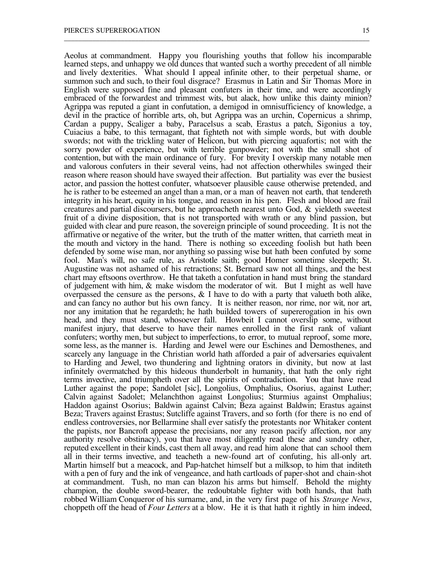Aeolus at commandment. Happy you flourishing youths that follow his incomparable learned steps, and unhappy we old dunces that wanted such a worthy precedent of all nimble and lively dexterities. What should I appeal infinite other, to their perpetual shame, or summon such and such, to their foul disgrace? Erasmus in Latin and Sir Thomas More in English were supposed fine and pleasant confuters in their time, and were accordingly embraced of the forwardest and trimmest wits, but alack, how unlike this dainty minion? Agrippa was reputed a giant in confutation, a demigod in omnisufficiency of knowledge, a devil in the practice of horrible arts, oh, but Agrippa was an urchin, Copernicus a shrimp, Cardan a puppy, Scaliger a baby, Paracelsus a scab, Erastus a patch, Sigonius a toy, Cuiacius a babe, to this termagant, that fighteth not with simple words, but with double swords; not with the trickling water of Helicon, but with piercing aquafortis; not with the sorry powder of experience, but with terrible gunpowder; not with the small shot of contention, but with the main ordinance of fury. For brevity I overskip many notable men and valorous confuters in their several veins, had not affection otherwhiles swinged their reason where reason should have swayed their affection. But partiality was ever the busiest actor, and passion the hottest confuter, whatsoever plausible cause otherwise pretended, and he is rather to be esteemed an angel than a man, or a man of heaven not earth, that tendereth integrity in his heart, equity in his tongue, and reason in his pen. Flesh and blood are frail creatures and partial discoursers, but he approacheth nearest unto God, & yieldeth sweetest fruit of a divine disposition, that is not transported with wrath or any blind passion, but guided with clear and pure reason, the sovereign principle of sound proceeding. It is not the affirmative or negative of the writer, but the truth of the matter written, that carrieth meat in the mouth and victory in the hand. There is nothing so exceeding foolish but hath been defended by some wise man, nor anything so passing wise but hath been confuted by some fool. Man's will, no safe rule, as Aristotle saith; good Homer sometime sleepeth; St. Augustine was not ashamed of his retractions; St. Bernard saw not all things, and the best chart may eftsoons overthrow. He that taketh a confutation in hand must bring the standard of judgement with him, & make wisdom the moderator of wit. But I might as well have overpassed the censure as the persons,  $\&$  I have to do with a party that valueth both alike, and can fancy no author but his own fancy. It is neither reason, nor rime, nor wit, nor art, nor any imitation that he regardeth; he hath builded towers of supererogation in his own head, and they must stand, whosoever fall. Howbeit I cannot overslip some, without manifest injury, that deserve to have their names enrolled in the first rank of valiant confuters; worthy men, but subject to imperfections, to error, to mutual reproof, some more, some less, as the manner is. Harding and Jewel were our Eschines and Demosthenes, and scarcely any language in the Christian world hath afforded a pair of adversaries equivalent to Harding and Jewel, two thundering and lightning orators in divinity, but now at last infinitely overmatched by this hideous thunderbolt in humanity, that hath the only right terms invective, and triumpheth over all the spirits of contradiction. You that have read Luther against the pope; Sandolet [sic], Longolius, Omphalius, Osorius, against Luther; Calvin against Sadolet; Melanchthon against Longolius; Sturmius against Omphalius; Haddon against Osorius; Baldwin against Calvin; Beza against Baldwin; Erastus against Beza; Travers against Erastus; Sutcliffe against Travers, and so forth (for there is no end of endless controversies, nor Bellarmine shall ever satisfy the protestants nor Whitaker content the papists, nor Bancroft appease the precisians, nor any reason pacify affection, nor any authority resolve obstinacy), you that have most diligently read these and sundry other, reputed excellent in their kinds, cast them all away, and read him alone that can school them all in their terms invective, and teacheth a new-found art of confuting, his all-only art. Martin himself but a meacock, and Pap-hatchet himself but a milksop, to him that inditeth with a pen of fury and the ink of vengeance, and hath cartloads of paper-shot and chain-shot at commandment. Tush, no man can blazon his arms but himself. Behold the mighty champion, the double sword-bearer, the redoubtable fighter with both hands, that hath robbed William Conqueror of his surname, and, in the very first page of his *Strange News*, choppeth off the head of *Four Letters* at a blow. He it is that hath it rightly in him indeed,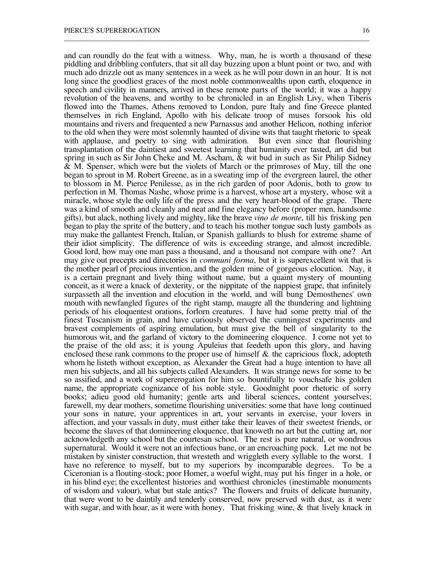and can roundly do the feat with a witness. Why, man, he is worth a thousand of these piddling and dribbling confuters, that sit all day buzzing upon a blunt point or two, and with much ado drizzle out as many sentences in a week as he will pour down in an hour. It is not long since the goodliest graces of the most noble commonwealths upon earth, eloquence in speech and civility in manners, arrived in these remote parts of the world; it was a happy revolution of the heavens, and worthy to be chronicled in an English Livy, when Tiberis flowed into the Thames, Athens removed to London, pure Italy and fine Greece planted themselves in rich England, Apollo with his delicate troop of muses forsook his old mountains and rivers and frequented a new Parnassus and another Helicon, nothing inferior to the old when they were most solemnly haunted of divine wits that taught rhetoric to speak with applause, and poetry to sing with admiration. But even since that flourishing transplantation of the daintiest and sweetest learning that humanity ever tasted, art did but spring in such as Sir John Cheke and M. Ascham,  $\&$  wit bud in such as Sir Philip Sidney & M. Spenser, which were but the violets of March or the primroses of May, till the one began to sprout in M. Robert Greene, as in a sweating imp of the evergreen laurel, the other to blossom in M. Pierce Penilesse, as in the rich garden of poor Adonis, both to grow to perfection in M. Thomas Nashe, whose prime is a harvest, whose art a mystery, whose wit a miracle, whose style the only life of the press and the very heart-blood of the grape. There was a kind of smooth and cleanly and neat and fine elegancy before (proper men, handsome gifts), but alack, nothing lively and mighty, like the brave *vino de monte*, till his frisking pen began to play the sprite of the buttery, and to teach his mother tongue such lusty gambols as may make the gallantest French, Italian, or Spanish galliards to blush for extreme shame of their idiot simplicity. The difference of wits is exceeding strange, and almost incredible. Good lord, how may one man pass a thousand, and a thousand not compare with one? Art may give out precepts and directories in *communi forma*, but it is superexcellent wit that is the mother pearl of precious invention, and the golden mine of gorgeous elocution. Nay, it is a certain pregnant and lively thing without name, but a quaint mystery of mounting conceit, as it were a knack of dexterity, or the nippitate of the nappiest grape, that infinitely surpasseth all the invention and elocution in the world, and will bung Demosthenes' own mouth with newfangled figures of the right stamp, maugre all the thundering and lightning periods of his eloquentest orations, forlorn creatures. I have had some pretty trial of the finest Tuscanism in grain, and have curiously observed the cunningest experiments and bravest complements of aspiring emulation, but must give the bell of singularity to the humorous wit, and the garland of victory to the domineering eloquence. I come not yet to the praise of the old ass; it is young Apuleius that feedeth upon this glory, and having enclosed these rank commons to the proper use of himself & the capricious flock, adopteth whom he listeth without exception, as Alexander the Great had a huge intention to have all men his subjects, and all his subjects called Alexanders. It was strange news for some to be so assified, and a work of supererogation for him so bountifully to vouchsafe his golden name, the appropriate cognizance of his noble style. Goodnight poor rhetoric of sorry books; adieu good old humanity; gentle arts and liberal sciences, content yourselves; farewell, my dear mothers, sometime flourishing universities: some that have long continued your sons in nature, your apprentices in art, your servants in exercise, your lovers in affection, and your vassals in duty, must either take their leaves of their sweetest friends, or become the slaves of that domineering eloquence, that knoweth no art but the cutting art, nor acknowledgeth any school but the courtesan school. The rest is pure natural, or wondrous supernatural. Would it were not an infectious bane, or an encroaching pock. Let me not be mistaken by sinister construction, that wresteth and wriggleth every syllable to the worst. I have no reference to myself, but to my superiors by incomparable degrees. To be a Ciceronian is a flouting-stock; poor Homer, a woeful wight, may put his finger in a hole, or in his blind eye; the excellentest histories and worthiest chronicles (inestimable monuments of wisdom and valour), what but stale antics? The flowers and fruits of delicate humanity, that were wont to be daintily and tenderly conserved, now preserved with dust, as it were with sugar, and with hoar, as it were with honey. That frisking wine, & that lively knack in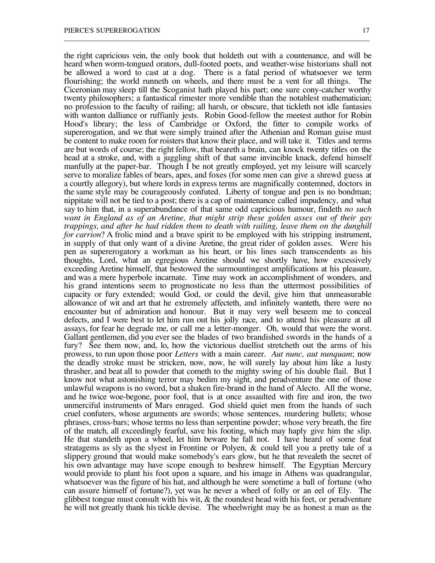the right capricious vein, the only book that holdeth out with a countenance, and will be heard when worm-tongued orators, dull-footed poets, and weather-wise historians shall not be allowed a word to cast at a dog. There is a fatal period of whatsoever we term flourishing; the world runneth on wheels, and there must be a vent for all things. The Ciceronian may sleep till the Scoganist hath played his part; one sure cony-catcher worthy twenty philosophers; a fantastical rimester more vendible than the notablest mathematician; no profession to the faculty of railing; all harsh, or obscure, that tickleth not idle fantasies with wanton dalliance or ruffianly jests. Robin Good-fellow the meetest author for Robin Hood's library; the less of Cambridge or Oxford, the fitter to compile works of supererogation, and we that were simply trained after the Athenian and Roman guise must be content to make room for roisters that know their place, and will take it. Titles and terms are but words of course; the right fellow, that beareth a brain, can knock twenty titles on the head at a stroke, and, with a juggling shift of that same invincible knack, defend himself manfully at the paper-bar. Though I be not greatly employed, yet my leisure will scarcely serve to moralize fables of bears, apes, and foxes (for some men can give a shrewd guess at a courtly allegory), but where lords in express terms are magnifically contemned, doctors in the same style may be courageously confuted. Liberty of tongue and pen is no bondman; nippitate will not be tied to a post; there is a cap of maintenance called impudency, and what say to him that, in a superabundance of that same odd capricious humour, findeth *no such want in England as of an Aretine, that might strip these golden asses out of their gay trappings, and after he had ridden them to death with railing, leave them on the dunghill for carrion*? A frolic mind and a brave spirit to be employed with his stripping instrument, in supply of that only want of a divine Aretine, the great rider of golden asses. Were his pen as supererogatory a workman as his heart, or his lines such transcendents as his thoughts, Lord, what an egregious Aretine should we shortly have, how excessively exceeding Aretine himself, that bestowed the surmountingest amplifications at his pleasure, and was a mere hyperbole incarnate. Time may work an accomplishment of wonders, and his grand intentions seem to prognosticate no less than the uttermost possibilities of capacity or fury extended; would God, or could the devil, give him that unmeasurable allowance of wit and art that he extremely affecteth, and infinitely wanteth, there were no encounter but of admiration and honour. But it may very well beseem me to conceal defects, and I were best to let him run out his jolly race, and to attend his pleasure at all assays, for fear he degrade me, or call me a letter-monger. Oh, would that were the worst. Gallant gentlemen, did you ever see the blades of two brandished swords in the hands of a fury? See them now, and, lo, how the victorious duellist stretcheth out the arms of his prowess, to run upon those poor *Letters* with a main career. *Aut nunc, aut nunquam*; now the deadly stroke must be stricken, now, now, he will surely lay about him like a lusty thrasher, and beat all to powder that cometh to the mighty swing of his double flail. But I know not what astonishing terror may bedim my sight, and peradventure the one of those unlawful weapons is no sword, but a shaken fire-brand in the hand of Alecto. All the worse, and he twice woe-begone, poor fool, that is at once assaulted with fire and iron, the two unmerciful instruments of Mars enraged. God shield quiet men from the hands of such cruel confuters, whose arguments are swords; whose sentences, murdering bullets; whose phrases, cross-bars; whose terms no less than serpentine powder; whose very breath, the fire of the match, all exceedingly fearful, save his footing, which may haply give him the slip. He that standeth upon a wheel, let him beware he fall not. I have heard of some feat stratagems as sly as the slyest in Frontine or Polyen, & could tell you a pretty tale of a slippery ground that would make somebody's ears glow, but he that revealeth the secret of his own advantage may have scope enough to beshrew himself. The Egyptian Mercury would provide to plant his foot upon a square, and his image in Athens was quadrangular, whatsoever was the figure of his hat, and although he were sometime a ball of fortune (who can assure himself of fortune?), yet was he never a wheel of folly or an eel of Ely. The glibbest tongue must consult with his wit,  $\&$  the roundest head with his feet, or peradventure he will not greatly thank his tickle devise. The wheelwright may be as honest a man as the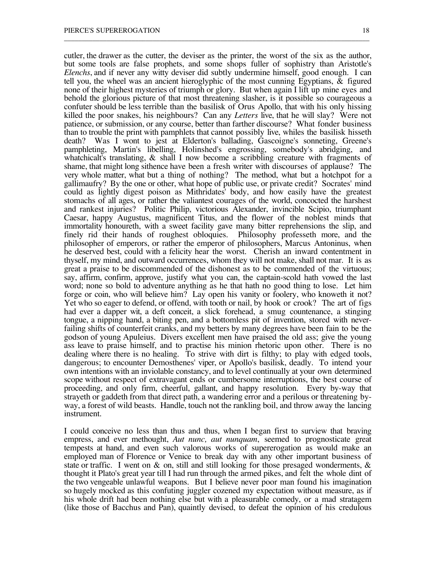cutler, the drawer as the cutter, the deviser as the printer, the worst of the six as the author, but some tools are false prophets, and some shops fuller of sophistry than Aristotle's *Elenchs*, and if never any witty deviser did subtly undermine himself, good enough. I can tell you, the wheel was an ancient hieroglyphic of the most cunning Egyptians, & figured none of their highest mysteries of triumph or glory. But when again I lift up mine eyes and behold the glorious picture of that most threatening slasher, is it possible so courageous a confuter should be less terrible than the basilisk of Orus Apollo, that with his only hissing killed the poor snakes, his neighbours? Can any *Letters* live, that he will slay? Were not patience, or submission, or any course, better than farther discourse? What fonder business than to trouble the print with pamphlets that cannot possibly live, whiles the basilisk hisseth death? Was I wont to jest at Elderton's ballading, Gascoigne's sonneting. Greene's Was I wont to jest at Elderton's ballading, Gascoigne's sonneting, Greene's pamphleting, Martin's libelling, Holinshed's engrossing, somebody's abridging, and whatchicalt's translating,  $\&$  shall I now become a scribbling creature with fragments of shame, that might long sithence have been a fresh writer with discourses of applause? The very whole matter, what but a thing of nothing? The method, what but a hotchpot for a gallimaufry? By the one or other, what hope of public use, or private credit? Socrates' mind could as lightly digest poison as Mithridates' body, and how easily have the greatest stomachs of all ages, or rather the valiantest courages of the world, concocted the harshest and rankest injuries? Politic Philip, victorious Alexander, invincible Scipio, triumphant Caesar, happy Augustus, magnificent Titus, and the flower of the noblest minds that immortality honoureth, with a sweet facility gave many bitter reprehensions the slip, and finely rid their hands of roughest obloquies. Philosophy professeth more, and the philosopher of emperors, or rather the emperor of philosophers, Marcus Antoninus, when he deserved best, could with a felicity hear the worst. Cherish an inward contentment in thyself, my mind, and outward occurrences, whom they will not make, shall not mar. It is as great a praise to be discommended of the dishonest as to be commended of the virtuous; say, affirm, confirm, approve, justify what you can, the captain-scold hath vowed the last word; none so bold to adventure anything as he that hath no good thing to lose. Let him forge or coin, who will believe him? Lay open his vanity or foolery, who knoweth it not? Yet who so eager to defend, or offend, with tooth or nail, by hook or crook? The art of figs had ever a dapper wit, a deft conceit, a slick forehead, a smug countenance, a stinging tongue, a nipping hand, a biting pen, and a bottomless pit of invention, stored with neverfailing shifts of counterfeit cranks, and my betters by many degrees have been fain to be the godson of young Apuleius. Divers excellent men have praised the old ass; give the young ass leave to praise himself, and to practise his minion rhetoric upon other. There is no dealing where there is no healing. To strive with dirt is filthy; to play with edged tools, dangerous; to encounter Demosthenes' viper, or Apollo's basilisk, deadly. To intend your own intentions with an inviolable constancy, and to level continually at your own determined scope without respect of extravagant ends or cumbersome interruptions, the best course of proceeding, and only firm, cheerful, gallant, and happy resolution. Every by-way that strayeth or gaddeth from that direct path, a wandering error and a perilous or threatening byway, a forest of wild beasts. Handle, touch not the rankling boil, and throw away the lancing instrument.

\_\_\_\_\_\_\_\_\_\_\_\_\_\_\_\_\_\_\_\_\_\_\_\_\_\_\_\_\_\_\_\_\_\_\_\_\_\_\_\_\_\_\_\_\_\_\_\_\_\_\_\_\_\_\_\_\_\_\_\_\_\_\_\_\_\_\_\_\_\_\_\_\_\_\_\_\_\_\_\_\_\_\_\_\_\_

I could conceive no less than thus and thus, when I began first to surview that braving empress, and ever methought, *Aut nunc, aut nunquam*, seemed to prognosticate great tempests at hand, and even such valorous works of supererogation as would make an employed man of Florence or Venice to break day with any other important business of state or traffic. I went on & on, still and still looking for those presaged wonderments, & thought it Plato's great year till I had run through the armed pikes, and felt the whole dint of the two vengeable unlawful weapons. But I believe never poor man found his imagination so hugely mocked as this confuting juggler cozened my expectation without measure, as if his whole drift had been nothing else but with a pleasurable comedy, or a mad stratagem (like those of Bacchus and Pan), quaintly devised, to defeat the opinion of his credulous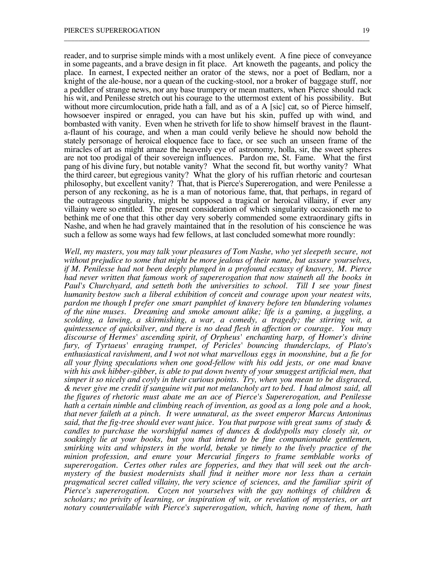reader, and to surprise simple minds with a most unlikely event. A fine piece of conveyance in some pageants, and a brave design in fit place. Art knoweth the pageants, and policy the place. In earnest, I expected neither an orator of the stews, nor a poet of Bedlam, nor a knight of the ale-house, nor a quean of the cucking-stool, nor a broker of baggage stuff, nor a peddler of strange news, nor any base trumpery or mean matters, when Pierce should rack his wit, and Penilesse stretch out his courage to the uttermost extent of his possibility. But without more circumlocution, pride hath a fall, and as of a A [sic] cat, so of Pierce himself, howsoever inspired or enraged, you can have but his skin, puffed up with wind, and bombasted with vanity. Even when he striveth for life to show himself bravest in the flaunta-flaunt of his courage, and when a man could verily believe he should now behold the stately personage of heroical eloquence face to face, or see such an unseen frame of the miracles of art as might amaze the heavenly eye of astronomy, holla, sir, the sweet spheres are not too prodigal of their sovereign influences. Pardon me, St. Fame. What the first pang of his divine fury, but notable vanity? What the second fit, but worthy vanity? What the third career, but egregious vanity? What the glory of his ruffian rhetoric and courtesan philosophy, but excellent vanity? That, that is Pierce's Supererogation, and were Penilesse a person of any reckoning, as he is a man of notorious fame, that, that perhaps, in regard of the outrageous singularity, might be supposed a tragical or heroical villainy, if ever any villainy were so entitled. The present consideration of which singularity occasioneth me to bethink me of one that this other day very soberly commended some extraordinary gifts in Nashe, and when he had gravely maintained that in the resolution of his conscience he was such a fellow as some ways had few fellows, at last concluded somewhat more roundly:

\_\_\_\_\_\_\_\_\_\_\_\_\_\_\_\_\_\_\_\_\_\_\_\_\_\_\_\_\_\_\_\_\_\_\_\_\_\_\_\_\_\_\_\_\_\_\_\_\_\_\_\_\_\_\_\_\_\_\_\_\_\_\_\_\_\_\_\_\_\_\_\_\_\_\_\_\_\_\_\_\_\_\_\_\_\_

*Well, my masters, you may talk your pleasures of Tom Nashe, who yet sleepeth secure, not without prejudice to some that might be more jealous of their name, but assure yourselves, if M. Penilesse had not been deeply plunged in a profound ecstasy of knavery, M. Pierce had never written that famous work of supererogation that now staineth all the books in Paul's Churchyard, and setteth both the universities to school. Till I see your finest humanity bestow such a liberal exhibition of conceit and courage upon your neatest wits, pardon me though I prefer one smart pamphlet of knavery before ten blundering volumes of the nine muses. Dreaming and smoke amount alike; life is a gaming, a juggling, a scolding, a lawing, a skirmishing, a war, a comedy, a tragedy; the stirring wit, a quintessence of quicksilver, and there is no dead flesh in affection or courage. You may discourse of Hermes' ascending spirit, of Orpheus' enchanting harp, of Homer's divine fury, of Tyrtaeus' enraging trumpet, of Pericles' bouncing thunderclaps, of Plato's enthusiastical ravishment, and I wot not what marvellous eggs in moonshine, but a fie for all your flying speculations when one good-fellow with his odd jests, or one mad knave with his awk hibber-gibber, is able to put down twenty of your smuggest artificial men, that simper it so nicely and coyly in their curious points. Try, when you mean to be disgraced, & never give me credit if sanguine wit put not melancholy art to bed. I had almost said, all the figures of rhetoric must abate me an ace of Pierce's Supererogation, and Penilesse hath a certain nimble and climbing reach of invention, as good as a long pole and a hook, that never faileth at a pinch. It were unnatural, as the sweet emperor Marcus Antoninus said, that the fig-tree should ever want juice. You that purpose with great sums of study & candles to purchase the worshipful names of dunces & doddypolls may closely sit, or soakingly lie at your books, but you that intend to be fine companionable gentlemen, smirking wits and whipsters in the world, betake ye timely to the lively practice of the minion profession, and enure your Mercurial fingers to frame semblable works of supererogation. Certes other rules are fopperies, and they that will seek out the archmystery of the busiest modernists shall find it neither more nor less than a certain pragmatical secret called villainy, the very science of sciences, and the familiar spirit of Pierce's supererogation. Cozen not yourselves with the gay nothings of children & scholars; no privity of learning, or inspiration of wit, or revelation of mysteries, or art notary countervailable with Pierce's supererogation, which, having none of them, hath*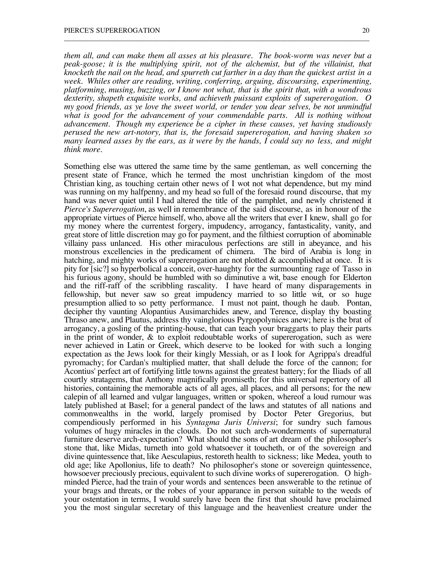*them all, and can make them all asses at his pleasure. The book-worm was never but a peak-goose; it is the multiplying spirit, not of the alchemist, but of the villainist, that knocketh the nail on the head, and spurreth cut farther in a day than the quickest artist in a week. Whiles other are reading, writing, conferring, arguing, discoursing, experimenting, platforming, musing, buzzing, or I know not what, that is the spirit that, with a wondrous dexterity, shapeth exquisite works, and achieveth puissant exploits of supererogation. O my good friends, as ye love the sweet world, or tender you dear selves, be not unmindful what is good for the advancement of your commendable parts. All is nothing without advancement. Though my experience be a cipher in these causes, yet having studiously perused the new art-notory, that is, the foresaid supererogation, and having shaken so many learned asses by the ears, as it were by the hands, I could say no less, and might think more.*

\_\_\_\_\_\_\_\_\_\_\_\_\_\_\_\_\_\_\_\_\_\_\_\_\_\_\_\_\_\_\_\_\_\_\_\_\_\_\_\_\_\_\_\_\_\_\_\_\_\_\_\_\_\_\_\_\_\_\_\_\_\_\_\_\_\_\_\_\_\_\_\_\_\_\_\_\_\_\_\_\_\_\_\_\_\_

Something else was uttered the same time by the same gentleman, as well concerning the present state of France, which he termed the most unchristian kingdom of the most Christian king, as touching certain other news of I wot not what dependence, but my mind was running on my halfpenny, and my head so full of the foresaid round discourse, that my hand was never quiet until I had altered the title of the pamphlet, and newly christened it *Pierce's Supererogation*, as well in remembrance of the said discourse, as in honour of the appropriate virtues of Pierce himself, who, above all the writers that ever I knew, shall go for my money where the currentest forgery, impudency, arrogancy, fantasticality, vanity, and great store of little discretion may go for payment, and the filthiest corruption of abominable villainy pass unlanced. His other miraculous perfections are still in abeyance, and his monstrous excellencies in the predicament of chimera. The bird of Arabia is long in hatching, and mighty works of supererogation are not plotted  $\&$  accomplished at once. It is pity for [sic?] so hyperbolical a conceit, over-haughty for the surmounting rage of Tasso in his furious agony, should be humbled with so diminutive a wit, base enough for Elderton and the riff-raff of the scribbling rascality. I have heard of many disparagements in fellowship, but never saw so great impudency married to so little wit, or so huge presumption allied to so petty performance. I must not paint, though he daub. Pontan, decipher thy vaunting Alopantius Ausimarchides anew, and Terence, display thy boasting Thraso anew, and Plautus, address thy vainglorious Pyrgopolynices anew; here is the brat of arrogancy, a gosling of the printing-house, that can teach your braggarts to play their parts in the print of wonder, & to exploit redoubtable works of supererogation, such as were never achieved in Latin or Greek, which deserve to be looked for with such a longing expectation as the Jews look for their kingly Messiah, or as I look for Agrippa's dreadful pyromachy; for Cardan's multiplied matter, that shall delude the force of the cannon; for Acontius' perfect art of fortifying little towns against the greatest battery; for the Iliads of all courtly stratagems, that Anthony magnifically promiseth; for this universal repertory of all histories, containing the memorable acts of all ages, all places, and all persons; for the new calepin of all learned and vulgar languages, written or spoken, whereof a loud rumour was lately published at Basel; for a general pandect of the laws and statutes of all nations and commonwealths in the world, largely promised by Doctor Peter Gregorius, but compendiously performed in his *Syntagma Juris Universi*; for sundry such famous volumes of hugy miracles in the clouds. Do not such arch-wonderments of supernatural furniture deserve arch-expectation? What should the sons of art dream of the philosopher's stone that, like Midas, turneth into gold whatsoever it toucheth, or of the sovereign and divine quintessence that, like Aesculapius, restoreth health to sickness; like Medea, youth to old age; like Apollonius, life to death? No philosopher's stone or sovereign quintessence, howsoever preciously precious, equivalent to such divine works of supererogation. O highminded Pierce, had the train of your words and sentences been answerable to the retinue of your brags and threats, or the robes of your apparance in person suitable to the weeds of your ostentation in terms, I would surely have been the first that should have proclaimed you the most singular secretary of this language and the heavenliest creature under the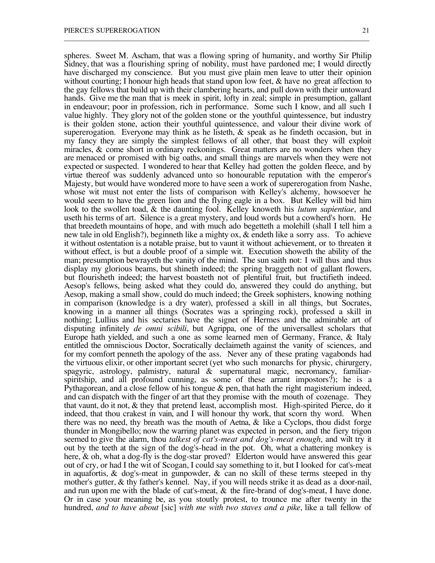spheres. Sweet M. Ascham, that was a flowing spring of humanity, and worthy Sir Philip Sidney, that was a flourishing spring of nobility, must have pardoned me; I would directly have discharged my conscience. But you must give plain men leave to utter their opinion without courting; I honour high heads that stand upon low feet,  $\&$  have no great affection to the gay fellows that build up with their clambering hearts, and pull down with their untoward hands. Give me the man that is meek in spirit, lofty in zeal; simple in presumption, gallant in endeavour; poor in profession, rich in performance. Some such I know, and all such I value highly. They glory not of the golden stone or the youthful quintessence, but industry is their golden stone, action their youthful quintessence, and valour their divine work of supererogation. Everyone may think as he listeth,  $\&$  speak as he findeth occasion, but in my fancy they are simply the simplest fellows of all other, that boast they will exploit miracles, & come short in ordinary reckonings. Great matters are no wonders when they are menaced or promised with big oaths, and small things are marvels when they were not expected or suspected. I wondered to hear that Kelley had gotten the golden fleece, and by virtue thereof was suddenly advanced unto so honourable reputation with the emperor's Majesty, but would have wondered more to have seen a work of supererogation from Nashe, whose wit must not enter the lists of comparison with Kelley's alchemy, howsoever he would seem to have the green lion and the flying eagle in a box. But Kelley will bid him look to the swollen toad, & the daunting fool. Kelley knoweth his *lutum sapientiae*, and useth his terms of art. Silence is a great mystery, and loud words but a cowherd's horn. He that breedeth mountains of hope, and with much ado begetteth a molehill (shall I tell him a new tale in old English?), beginneth like a mighty ox, & endeth like a sorry ass. To achieve it without ostentation is a notable praise, but to vaunt it without achievement, or to threaten it without effect, is but a double proof of a simple wit. Execution showeth the ability of the man; presumption bewrayeth the vanity of the mind. The sun saith not: I will thus and thus display my glorious beams, but shineth indeed; the spring braggeth not of gallant flowers, but flourisheth indeed; the harvest boasteth not of plentiful fruit, but fructifieth indeed. Aesop's fellows, being asked what they could do, answered they could do anything, but Aesop, making a small show, could do much indeed; the Greek sophisters, knowing nothing in comparison (knowledge is a dry water), professed a skill in all things, but Socrates, knowing in a manner all things (Socrates was a springing rock), professed a skill in nothing; Lullius and his sectaries have the signet of Hermes and the admirable art of disputing infinitely *de omni scibili*, but Agrippa, one of the universallest scholars that Europe hath yielded, and such a one as some learned men of Germany, France, & Italy entitled the omniscious Doctor, Socratically declaimeth against the vanity of sciences, and for my comfort penneth the apology of the ass. Never any of these prating vagabonds had the virtuous elixir, or other important secret (yet who such monarchs for physic, chirurgery, spagyric, astrology, palmistry, natural & supernatural magic, necromancy, familiarspiritship, and all profound cunning, as some of these arrant impostors?); he is a Pythagorean, and a close fellow of his tongue  $\&$  pen, that hath the right magisterium indeed, and can dispatch with the finger of art that they promise with the mouth of cozenage. They that vaunt, do it not,  $\&$  they that pretend least, accomplish most. High-spirited Pierce, do it indeed, that thou crakest in vain, and I will honour thy work, that scorn thy word. When there was no need, thy breath was the mouth of Aetna,  $\&$  like a Cyclops, thou didst forge thunder in Mongibello; now the warring planet was expected in person, and the fiery trigon seemed to give the alarm, thou *talkest of cat's-meat and dog's-meat enough*, and wilt try it out by the teeth at the sign of the dog's-head in the pot. Oh, what a chattering monkey is here, & oh, what a dog-fly is the dog-star proved? Elderton would have answered this gear out of cry, or had I the wit of Scogan, I could say something to it, but I looked for cat's-meat in aquafortis, & dog's-meat in gunpowder, & can no skill of these terms steeped in thy mother's gutter, & thy father's kennel. Nay, if you will needs strike it as dead as a door-nail, and run upon me with the blade of cat's-meat, & the fire-brand of dog's-meat, I have done. Or in case your meaning be, as you stoutly protest, to trounce me after twenty in the hundred, *and to have about* [sic] *with me with two staves and a pike*, like a tall fellow of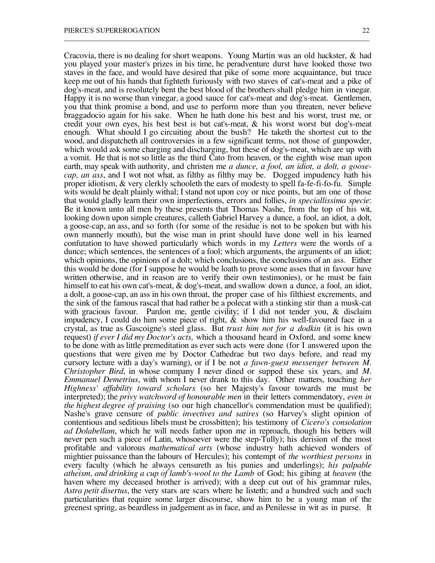Cracovia, there is no dealing for short weapons. Young Martin was an old hackster, & had you played your master's prizes in his time, he peradventure durst have looked those two staves in the face, and would have desired that pike of some more acquaintance, but truce keep me out of his hands that fighteth furiously with two staves of cat's-meat and a pike of dog's-meat, and is resolutely bent the best blood of the brothers shall pledge him in vinegar. Happy it is no worse than vinegar, a good sauce for cat's-meat and dog's-meat. Gentlemen, you that think promise a bond, and use to perform more than you threaten, never believe braggadocio again for his sake. When he hath done his best and his worst, trust me, or credit your own eyes, his best best is but cat's-meat, & his worst worst but dog's-meat enough. What should I go circuiting about the bush? He taketh the shortest cut to the wood, and dispatcheth all controversies in a few significant terms, not those of gunpowder, which would ask some charging and discharging, but these of dog's-meat, which are up with a vomit. He that is not so little as the third Cato from heaven, or the eighth wise man upon earth, may speak with authority, and christen me *a dunce, a fool, an idiot, a dolt, a goosecap, an ass*, and I wot not what, as filthy as filthy may be. Dogged impudency hath his proper idiotism, & very clerkly schooleth the ears of modesty to spell fa-fe-fi-fo-fu. Simple wits would be dealt plainly withal; I stand not upon coy or nice points, but am one of those that would gladly learn their own imperfections, errors and follies, *in speciallissima specie*: Be it known unto all men by these presents that Thomas Nashe, from the top of his wit, looking down upon simple creatures, calleth Gabriel Harvey a dunce, a fool, an idiot, a dolt, a goose-cap, an ass, and so forth (for some of the residue is not to be spoken but with his own mannerly mouth), but the wise man in print should have done well in his learned confutation to have showed particularly which words in my *Letters* were the words of a dunce; which sentences, the sentences of a fool; which arguments, the arguments of an idiot; which opinions, the opinions of a dolt; which conclusions, the conclusions of an ass. Either this would be done (for I suppose he would be loath to prove some asses that in favour have written otherwise, and in reason are to verify their own testimonies), or he must be fain himself to eat his own cat's-meat, & dog's-meat, and swallow down a dunce, a fool, an idiot, a dolt, a goose-cap, an ass in his own throat, the proper case of his filthiest excrements, and the sink of the famous rascal that had rather be a polecat with a stinking stir than a musk-cat with gracious favour. Pardon me, gentle civility; if I did not tender you, & disclaim impudency, I could do him some piece of right,  $\&$  show him his well-favoured face in a crystal, as true as Gascoigne's steel glass. But *trust him not for a dodkin* (it is his own request) *if ever I did my Doctor's acts,* which a thousand heard in Oxford, and some knew to be done with as little premeditation as ever such acts were done (for I answered upon the questions that were given me by Doctor Cathedrae but two days before, and read my cursory lecture with a day's warning), or if I be not *a fawn-guest messenger between M. Christopher Bird*, in whose company I never dined or supped these six years, and *M. Emmanuel Demetrius*, with whom I never drank to this day. Other matters, touching *her Highness' affability toward scholars* (so her Majesty's favour towards me must be interpreted); the *privy watchword of honourable men* in their letters commendatory, *even in the highest degree of praising* (so our high chancellor's commendation must be qualified); Nashe's grave censure of *public invectives and satires* (so Harvey's slight opinion of contentious and seditious libels must be crossbitten); his testimony of *Cicero's consolation ad Dolabellam*, which he will needs father upon me in reproach, though his betters will never pen such a piece of Latin, whosoever were the step-Tully); his derision of the most profitable and valorous *mathematical arts* (whose industry hath achieved wonders of mightier puissance than the labours of Hercules); his contempt of *the worthiest persons* in every faculty (which he always censureth as his punies and underlings); *his palpable atheism, and drinking a cup of lamb's-wool to the Lamb* of God; his gibing at *heaven* (the haven where my deceased brother is arrived); with a deep cut out of his grammar rules, *Astra petit disertus*, the very stars are scars where he listeth; and a hundred such and such particularities that require some larger discourse, show him to be a young man of the greenest spring, as beardless in judgement as in face, and as Penilesse in wit as in purse. It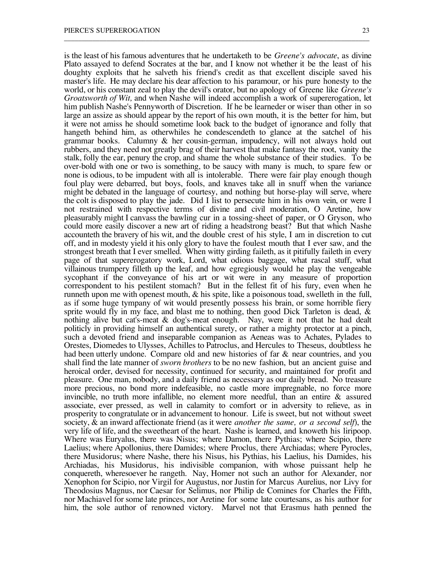is the least of his famous adventures that he undertaketh to be *Greene's advocate*, as divine Plato assayed to defend Socrates at the bar, and I know not whether it be the least of his doughty exploits that he salveth his friend's credit as that excellent disciple saved his master's life. He may declare his dear affection to his paramour, or his pure honesty to the world, or his constant zeal to play the devil's orator, but no apology of Greene like *Greene's Groatsworth of Wit,* and when Nashe will indeed accomplish a work of supererogation, let him publish Nashe's Pennyworth of Discretion. If he be learneder or wiser than other in so large an assize as should appear by the report of his own mouth, it is the better for him, but it were not amiss he should sometime look back to the budget of ignorance and folly that hangeth behind him, as otherwhiles he condescendeth to glance at the satchel of his grammar books. Calumny & her cousin-german, impudency, will not always hold out rubbers, and they need not greatly brag of their harvest that make fantasy the root, vanity the stalk, folly the ear, penury the crop, and shame the whole substance of their studies. To be over-bold with one or two is something, to be saucy with many is much, to spare few or none is odious, to be impudent with all is intolerable. There were fair play enough though foul play were debarred, but boys, fools, and knaves take all in snuff when the variance might be debated in the language of courtesy, and nothing but horse-play will serve, where the colt is disposed to play the jade. Did I list to persecute him in his own vein, or were I not restrained with respective terms of divine and civil moderation, O Aretine, how pleasurably might I canvass the bawling cur in a tossing-sheet of paper, or O Gryson, who could more easily discover a new art of riding a headstrong beast? But that which Nashe accounteth the bravery of his wit, and the double crest of his style, I am in discretion to cut off, and in modesty yield it his only glory to have the foulest mouth that I ever saw, and the strongest breath that I ever smelled. When witty girding faileth, as it pitifully faileth in every page of that supererogatory work, Lord, what odious baggage, what rascal stuff, what villainous trumpery filleth up the leaf, and how egregiously would he play the vengeable sycophant if the conveyance of his art or wit were in any measure of proportion correspondent to his pestilent stomach? But in the fellest fit of his fury, even when he runneth upon me with openest mouth, & his spite, like a poisonous toad, swelleth in the full, as if some huge tympany of wit would presently possess his brain, or some horrible fiery sprite would fly in my face, and blast me to nothing, then good Dick Tarleton is dead,  $\&$ nothing alive but cat's-meat & dog's-meat enough. Nay, were it not that he had dealt politicly in providing himself an authentical surety, or rather a mighty protector at a pinch, such a devoted friend and inseparable companion as Aeneas was to Achates, Pylades to Orestes, Diomedes to Ulysses, Achilles to Patroclus, and Hercules to Theseus, doubtless he had been utterly undone. Compare old and new histories of far & near countries, and you shall find the late manner of *sworn brothers* to be no new fashion, but an ancient guise and heroical order, devised for necessity, continued for security, and maintained for profit and pleasure. One man, nobody, and a daily friend as necessary as our daily bread. No treasure more precious, no bond more indefeasible, no castle more impregnable, no force more invincible, no truth more infallible, no element more needful, than an entire & assured associate, ever pressed, as well in calamity to comfort or in adversity to relieve, as in prosperity to congratulate or in advancement to honour. Life is sweet, but not without sweet society, & an inward affectionate friend (as it were *another the same, or a second self*), the very life of life, and the sweetheart of the heart. Nashe is learned, and knoweth his liripoop. Where was Euryalus, there was Nisus; where Damon, there Pythias; where Scipio, there Laelius; where Apollonius, there Damides; where Proclus, there Archiadas; where Pyrocles, there Musidorus; where Nashe, there his Nisus, his Pythias, his Laelius, his Damides, his Archiadas, his Musidorus, his indivisible companion, with whose puissant help he conquereth, wheresoever he rangeth. Nay, Homer not such an author for Alexander, nor Xenophon for Scipio, nor Virgil for Augustus, nor Justin for Marcus Aurelius, nor Livy for Theodosius Magnus, nor Caesar for Selimus, nor Philip de Comines for Charles the Fifth, nor Machiavel for some late princes, nor Aretine for some late courtesans, as his author for him, the sole author of renowned victory. Marvel not that Erasmus hath penned the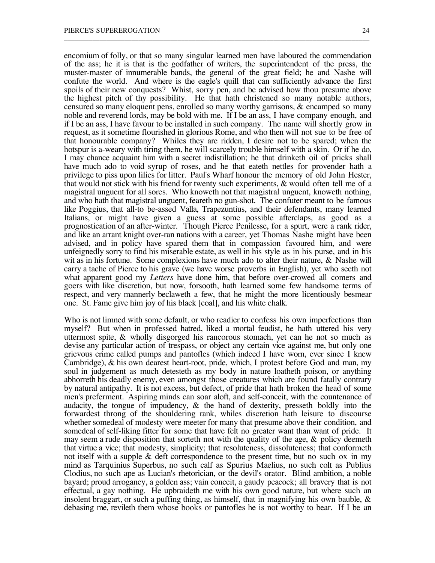encomium of folly, or that so many singular learned men have laboured the commendation of the ass; he it is that is the godfather of writers, the superintendent of the press, the muster-master of innumerable bands, the general of the great field; he and Nashe will confute the world. And where is the eagle's quill that can sufficiently advance the first spoils of their new conquests? Whist, sorry pen, and be advised how thou presume above the highest pitch of thy possibility. He that hath christened so many notable authors, censured so many eloquent pens, enrolled so many worthy garrisons, & encamped so many noble and reverend lords, may be bold with me. If I be an ass, I have company enough, and if I be an ass, I have favour to be installed in such company. The name will shortly grow in request, as it sometime flourished in glorious Rome, and who then will not sue to be free of that honourable company? Whiles they are ridden, I desire not to be spared; when the hotspur is a-weary with tiring them, he will scarcely trouble himself with a skin. Or if he do, I may chance acquaint him with a secret indistillation; he that drinketh oil of pricks shall have much ado to void syrup of roses, and he that eateth nettles for provender hath a privilege to piss upon lilies for litter. Paul's Wharf honour the memory of old John Hester, that would not stick with his friend for twenty such experiments, & would often tell me of a magistral unguent for all sores. Who knoweth not that magistral unguent, knoweth nothing, and who hath that magistral unguent, feareth no gun-shot. The confuter meant to be famous like Poggius, that all-to be-assed Valla, Trapezuntius, and their defendants, many learned Italians, or might have given a guess at some possible afterclaps, as good as a prognostication of an after-winter. Though Pierce Penilesse, for a spurt, were a rank rider, and like an arrant knight over-ran nations with a career, yet Thomas Nashe might have been advised, and in policy have spared them that in compassion favoured him, and were unfeignedly sorry to find his miserable estate, as well in his style as in his purse, and in his wit as in his fortune. Some complexions have much ado to alter their nature, & Nashe will carry a tache of Pierce to his grave (we have worse proverbs in English), yet who seeth not what apparent good my *Letters* have done him, that before over-crowed all comers and goers with like discretion, but now, forsooth, hath learned some few handsome terms of respect, and very mannerly beclaweth a few, that he might the more licentiously besmear one. St. Fame give him joy of his black [coal], and his white chalk.

\_\_\_\_\_\_\_\_\_\_\_\_\_\_\_\_\_\_\_\_\_\_\_\_\_\_\_\_\_\_\_\_\_\_\_\_\_\_\_\_\_\_\_\_\_\_\_\_\_\_\_\_\_\_\_\_\_\_\_\_\_\_\_\_\_\_\_\_\_\_\_\_\_\_\_\_\_\_\_\_\_\_\_\_\_\_

Who is not limned with some default, or who readier to confess his own imperfections than myself? But when in professed hatred, liked a mortal feudist, he hath uttered his very uttermost spite, & wholly disgorged his rancorous stomach, yet can he not so much as devise any particular action of trespass, or object any certain vice against me, but only one grievous crime called pumps and pantofles (which indeed I have worn, ever since I knew Cambridge), & his own dearest heart-root, pride, which, I protest before God and man, my soul in judgement as much detesteth as my body in nature loatheth poison, or anything abhorreth his deadly enemy, even amongst those creatures which are found fatally contrary by natural antipathy. It is not excess, but defect, of pride that hath broken the head of some men's preferment. Aspiring minds can soar aloft, and self-conceit, with the countenance of audacity, the tongue of impudency, & the hand of dexterity, presseth boldly into the forwardest throng of the shouldering rank, whiles discretion hath leisure to discourse whether somedeal of modesty were meeter for many that presume above their condition, and somedeal of self-liking fitter for some that have felt no greater want than want of pride. It may seem a rude disposition that sorteth not with the quality of the age,  $\&$  policy deemeth that virtue a vice; that modesty, simplicity; that resoluteness, dissoluteness; that conformeth not itself with a supple & deft correspondence to the present time, but no such ox in my mind as Tarquinius Superbus, no such calf as Spurius Maelius, no such colt as Publius Clodius, no such ape as Lucian's rhetorician, or the devil's orator. Blind ambition, a noble bayard; proud arrogancy, a golden ass; vain conceit, a gaudy peacock; all bravery that is not effectual, a gay nothing. He upbraideth me with his own good nature, but where such an insolent braggart, or such a puffing thing, as himself, that in magnifying his own bauble, & debasing me, revileth them whose books or pantofles he is not worthy to bear. If I be an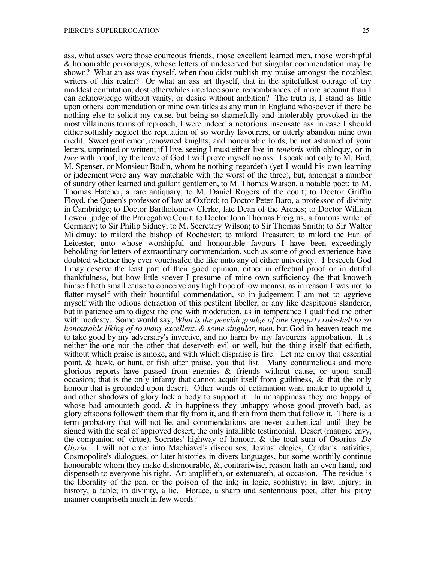ass, what asses were those courteous friends, those excellent learned men, those worshipful & honourable personages, whose letters of undeserved but singular commendation may be shown? What an ass was thyself, when thou didst publish my praise amongst the notablest writers of this realm? Or what an ass art thyself, that in the spitefullest outrage of thy maddest confutation, dost otherwhiles interlace some remembrances of more account than I can acknowledge without vanity, or desire without ambition? The truth is, I stand as little upon others' commendation or mine own titles as any man in England whosoever if there be nothing else to solicit my cause, but being so shamefully and intolerably provoked in the most villainous terms of reproach, I were indeed a notorious insensate ass in case I should either sottishly neglect the reputation of so worthy favourers, or utterly abandon mine own credit. Sweet gentlemen, renowned knights, and honourable lords, be not ashamed of your letters, unprinted or written; if I live, seeing I must either live in *tenebris* with obloquy, or in *luce* with proof, by the leave of God I will prove myself no ass. I speak not only to M. Bird, M. Spenser, or Monsieur Bodin, whom he nothing regardeth (yet I would his own learning or judgement were any way matchable with the worst of the three), but, amongst a number of sundry other learned and gallant gentlemen, to M. Thomas Watson, a notable poet; to M. Thomas Hatcher, a rare antiquary; to M. Daniel Rogers of the court; to Doctor Griffin Floyd, the Queen's professor of law at Oxford; to Doctor Peter Baro, a professor of divinity in Cambridge; to Doctor Bartholomew Clerke, late Dean of the Arches; to Doctor William Lewen, judge of the Prerogative Court; to Doctor John Thomas Freigius, a famous writer of Germany; to Sir Philip Sidney; to M. Secretary Wilson; to Sir Thomas Smith; to Sir Walter Mildmay; to milord the bishop of Rochester; to milord Treasurer; to milord the Earl of Leicester, unto whose worshipful and honourable favours I have been exceedingly beholding for letters of extraordinary commendation, such as some of good experience have doubted whether they ever vouchsafed the like unto any of either university. I beseech God I may deserve the least part of their good opinion, either in effectual proof or in dutiful thankfulness, but how little soever I presume of mine own sufficiency (he that knoweth himself hath small cause to conceive any high hope of low means), as in reason I was not to flatter myself with their bountiful commendation, so in judgement I am not to aggrieve myself with the odious detraction of this pestilent libeller, or any like despiteous slanderer, but in patience am to digest the one with moderation, as in temperance I qualified the other with modesty. Some would say, *What is the peevish grudge of one beggarly rake-hell to so honourable liking of so many excellent, & some singular, men*, but God in heaven teach me to take good by my adversary's invective, and no harm by my favourers' approbation. It is neither the one nor the other that deserveth evil or well, but the thing itself that edifieth, without which praise is smoke, and with which dispraise is fire. Let me enjoy that essential point, & hawk, or hunt, or fish after praise, you that list. Many contumelious and more glorious reports have passed from enemies & friends without cause, or upon small occasion; that is the only infamy that cannot acquit itself from guiltiness, & that the only honour that is grounded upon desert. Other winds of defamation want matter to uphold it, and other shadows of glory lack a body to support it. In unhappiness they are happy of whose bad amounteth good,  $\&$  in happiness they unhappy whose good proveth bad, as glory eftsoons followeth them that fly from it, and flieth from them that follow it. There is a term probatory that will not lie, and commendations are never authentical until they be signed with the seal of approved desert, the only infallible testimonial. Desert (maugre envy, the companion of virtue), Socrates' highway of honour, & the total sum of Osorius' *De Gloria*. I will not enter into Machiavel's discourses, Jovius' elegies, Cardan's nativities, Cosmopolite's dialogues, or later histories in divers languages, but some worthily continue honourable whom they make dishonourable, &, contrariwise, reason hath an even hand, and dispenseth to everyone his right. Art amplifieth, or extenuateth, at occasion. The residue is the liberality of the pen, or the poison of the ink; in logic, sophistry; in law, injury; in history, a fable; in divinity, a lie. Horace, a sharp and sententious poet, after his pithy manner compriseth much in few words: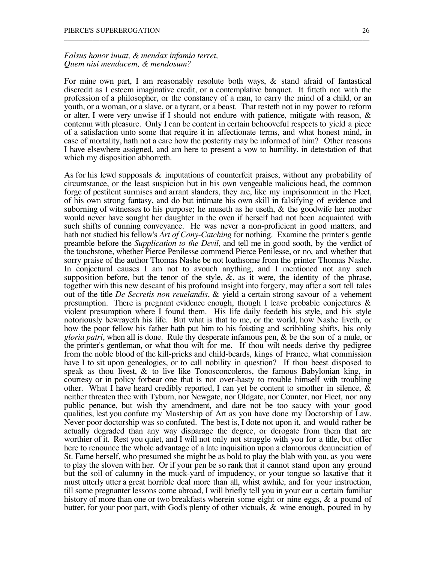*Falsus honor iuuat, & mendax infamia terret, Quem nisi mendacem, & mendosum?*

For mine own part, I am reasonably resolute both ways, & stand afraid of fantastical discredit as I esteem imaginative credit, or a contemplative banquet. It fitteth not with the profession of a philosopher, or the constancy of a man, to carry the mind of a child, or an youth, or a woman, or a slave, or a tyrant, or a beast. That resteth not in my power to reform or alter, I were very unwise if I should not endure with patience, mitigate with reason, & contemn with pleasure. Only I can be content in certain behooveful respects to yield a piece of a satisfaction unto some that require it in affectionate terms, and what honest mind, in case of mortality, hath not a care how the posterity may be informed of him? Other reasons I have elsewhere assigned, and am here to present a vow to humility, in detestation of that which my disposition abhorreth.

\_\_\_\_\_\_\_\_\_\_\_\_\_\_\_\_\_\_\_\_\_\_\_\_\_\_\_\_\_\_\_\_\_\_\_\_\_\_\_\_\_\_\_\_\_\_\_\_\_\_\_\_\_\_\_\_\_\_\_\_\_\_\_\_\_\_\_\_\_\_\_\_\_\_\_\_\_\_\_\_\_\_\_\_\_\_

As for his lewd supposals & imputations of counterfeit praises, without any probability of circumstance, or the least suspicion but in his own vengeable malicious head, the common forge of pestilent surmises and arrant slanders, they are, like my imprisonment in the Fleet, of his own strong fantasy, and do but intimate his own skill in falsifying of evidence and suborning of witnesses to his purpose; he museth as he useth,  $\&$  the goodwife her mother would never have sought her daughter in the oven if herself had not been acquainted with such shifts of cunning conveyance. He was never a non-proficient in good matters, and hath not studied his fellow's *Art of Cony-Catching* for nothing. Examine the printer's gentle preamble before the *Supplication to the Devil*, and tell me in good sooth, by the verdict of the touchstone, whether Pierce Penilesse commend Pierce Penilesse, or no, and whether that sorry praise of the author Thomas Nashe be not loathsome from the printer Thomas Nashe. In conjectural causes I am not to avouch anything, and I mentioned not any such supposition before, but the tenor of the style,  $\&$ , as it were, the identity of the phrase, together with this new descant of his profound insight into forgery, may after a sort tell tales out of the title *De Secretis non reuelandis*, & yield a certain strong savour of a vehement presumption. There is pregnant evidence enough, though I leave probable conjectures  $\&$ violent presumption where I found them. His life daily feedeth his style, and his style notoriously bewrayeth his life. But what is that to me, or the world, how Nashe liveth, or how the poor fellow his father hath put him to his foisting and scribbling shifts, his only *gloria patri*, when all is done. Rule thy desperate infamous pen, & be the son of a mule, or the printer's gentleman, or what thou wilt for me. If thou wilt needs derive thy pedigree from the noble blood of the kill-pricks and child-beards, kings of France, what commission have I to sit upon genealogies, or to call nobility in question? If thou beest disposed to speak as thou livest,  $\&$  to live like Tonosconcoleros, the famous Babylonian king, in courtesy or in policy forbear one that is not over-hasty to trouble himself with troubling other. What I have heard credibly reported, I can yet be content to smother in silence, & neither threaten thee with Tyburn, nor Newgate, nor Oldgate, nor Counter, nor Fleet, nor any public penance, but wish thy amendment, and dare not be too saucy with your good qualities, lest you confute my Mastership of Art as you have done my Doctorship of Law. Never poor doctorship was so confuted. The best is, I dote not upon it, and would rather be actually degraded than any way disparage the degree, or derogate from them that are worthier of it. Rest you quiet, and I will not only not struggle with you for a title, but offer here to renounce the whole advantage of a late inquisition upon a clamorous denunciation of St. Fame herself, who presumed she might be as bold to play the blab with you, as you were to play the sloven with her. Or if your pen be so rank that it cannot stand upon any ground but the soil of calumny in the muck-yard of impudency, or your tongue so laxative that it must utterly utter a great horrible deal more than all, whist awhile, and for your instruction, till some pregnanter lessons come abroad, I will briefly tell you in your ear a certain familiar history of more than one or two breakfasts wherein some eight or nine eggs, & a pound of butter, for your poor part, with God's plenty of other victuals, & wine enough, poured in by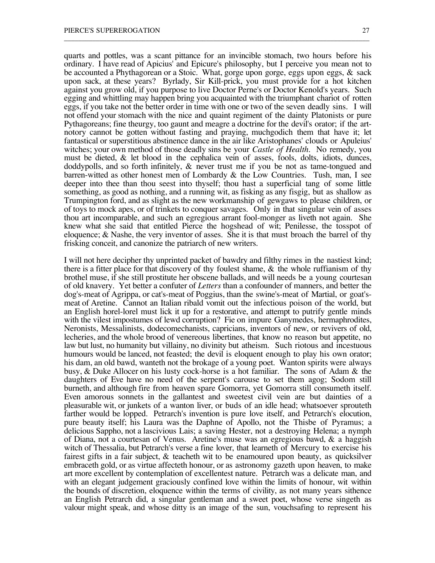quarts and pottles, was a scant pittance for an invincible stomach, two hours before his ordinary. I have read of Apicius' and Epicure's philosophy, but I perceive you mean not to be accounted a Phythagorean or a Stoic. What, gorge upon gorge, eggs upon eggs, & sack upon sack, at these years? Byrlady, Sir Kill-prick, you must provide for a hot kitchen against you grow old, if you purpose to live Doctor Perne's or Doctor Kenold's years. Such egging and whittling may happen bring you acquainted with the triumphant chariot of rotten eggs, if you take not the better order in time with one or two of the seven deadly sins. I will not offend your stomach with the nice and quaint regiment of the dainty Platonists or pure Pythagoreans; fine theurgy, too gaunt and meagre a doctrine for the devil's orator; if the artnotory cannot be gotten without fasting and praying, muchgodich them that have it; let fantastical or superstitious abstinence dance in the air like Aristophanes' clouds or Apuleius' witches; your own method of those deadly sins be your *Castle of Health*. No remedy, you must be dieted, & let blood in the cephalica vein of asses, fools, dolts, idiots, dunces, doddypolls, and so forth infinitely, & never trust me if you be not as tame-tongued and barren-witted as other honest men of Lombardy  $\&$  the Low Countries. Tush, man, I see deeper into thee than thou seest into thyself; thou hast a superficial tang of some little something, as good as nothing, and a running wit, as fisking as any fisgig, but as shallow as Trumpington ford, and as slight as the new workmanship of gewgaws to please children, or of toys to mock apes, or of trinkets to conquer savages. Only in that singular vein of asses thou art incomparable, and such an egregious arrant fool-monger as liveth not again. She knew what she said that entitled Pierce the hogshead of wit; Penilesse, the tosspot of eloquence;  $\&$  Nashe, the very inventor of asses. She it is that must broach the barrel of thy frisking conceit, and canonize the patriarch of new writers.

\_\_\_\_\_\_\_\_\_\_\_\_\_\_\_\_\_\_\_\_\_\_\_\_\_\_\_\_\_\_\_\_\_\_\_\_\_\_\_\_\_\_\_\_\_\_\_\_\_\_\_\_\_\_\_\_\_\_\_\_\_\_\_\_\_\_\_\_\_\_\_\_\_\_\_\_\_\_\_\_\_\_\_\_\_\_

I will not here decipher thy unprinted packet of bawdry and filthy rimes in the nastiest kind; there is a fitter place for that discovery of thy foulest shame,  $\&$  the whole ruffianism of thy brothel muse, if she still prostitute her obscene ballads, and will needs be a young courtesan of old knavery. Yet better a confuter of *Letters* than a confounder of manners, and better the dog's-meat of Agrippa, or cat's-meat of Poggius, than the swine's-meat of Martial, or goat'smeat of Aretine. Cannot an Italian ribald vomit out the infectious poison of the world, but an English horel-lorel must lick it up for a restorative, and attempt to putrify gentle minds with the vilest impostumes of lewd corruption? Fie on impure Ganymedes, hermaphrodites, Neronists, Messalinists, dodecomechanists, capricians, inventors of new, or revivers of old, lecheries, and the whole brood of venereous libertines, that know no reason but appetite, no law but lust, no humanity but villainy, no divinity but atheism. Such riotous and incestuous humours would be lanced, not feasted; the devil is eloquent enough to play his own orator; his dam, an old bawd, wanteth not the brokage of a young poet. Wanton spirits were always busy, & Duke Allocer on his lusty cock-horse is a hot familiar. The sons of Adam & the daughters of Eve have no need of the serpent's carouse to set them agog; Sodom still burneth, and although fire from heaven spare Gomorra, yet Gomorra still consumeth itself. Even amorous sonnets in the gallantest and sweetest civil vein are but dainties of a pleasurable wit, or junkets of a wanton liver, or buds of an idle head; whatsoever sprouteth farther would be lopped. Petrarch's invention is pure love itself, and Petrarch's elocution, pure beauty itself; his Laura was the Daphne of Apollo, not the Thisbe of Pyramus; a delicious Sappho, not a lascivious Lais; a saving Hester, not a destroying Helena; a nymph of Diana, not a courtesan of Venus. Aretine's muse was an egregious bawd, & a haggish witch of Thessalia, but Petrarch's verse a fine lover, that learneth of Mercury to exercise his fairest gifts in a fair subject, & teacheth wit to be enamoured upon beauty, as quicksilver embraceth gold, or as virtue affecteth honour, or as astronomy gazeth upon heaven, to make art more excellent by contemplation of excellentest nature. Petrarch was a delicate man, and with an elegant judgement graciously confined love within the limits of honour, wit within the bounds of discretion, eloquence within the terms of civility, as not many years sithence an English Petrarch did, a singular gentleman and a sweet poet, whose verse singeth as valour might speak, and whose ditty is an image of the sun, vouchsafing to represent his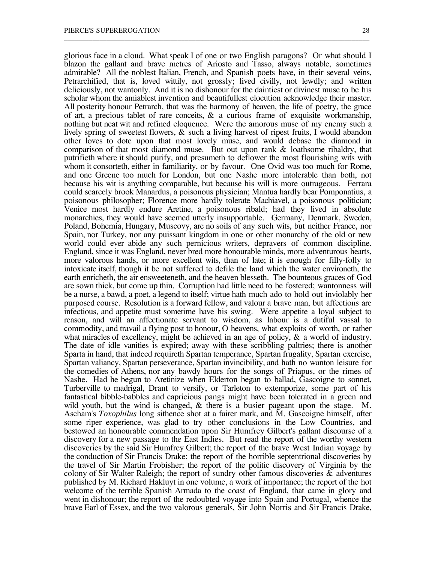glorious face in a cloud. What speak I of one or two English paragons? Or what should I blazon the gallant and brave metres of Ariosto and Tasso, always notable, sometimes admirable? All the noblest Italian, French, and Spanish poets have, in their several veins, Petrarchified, that is, loved wittily, not grossly; lived civilly, not lewdly; and written deliciously, not wantonly. And it is no dishonour for the daintiest or divinest muse to be his scholar whom the amiablest invention and beautifullest elocution acknowledge their master. All posterity honour Petrarch, that was the harmony of heaven, the life of poetry, the grace of art, a precious tablet of rare conceits,  $\&$  a curious frame of exquisite workmanship, nothing but neat wit and refined eloquence. Were the amorous muse of my enemy such a lively spring of sweetest flowers, & such a living harvest of ripest fruits, I would abandon other loves to dote upon that most lovely muse, and would debase the diamond in comparison of that most diamond muse. But out upon rank & loathsome ribaldry, that putrifieth where it should purify, and presumeth to deflower the most flourishing wits with whom it consorteth, either in familiarity, or by favour. One Ovid was too much for Rome, and one Greene too much for London, but one Nashe more intolerable than both, not because his wit is anything comparable, but because his will is more outrageous. Ferrara could scarcely brook Manardus, a poisonous physician; Mantua hardly bear Pomponatius, a poisonous philosopher; Florence more hardly tolerate Machiavel, a poisonous politician; Venice most hardly endure Aretine, a poisonous ribald; had they lived in absolute monarchies, they would have seemed utterly insupportable. Germany, Denmark, Sweden, Poland, Bohemia, Hungary, Muscovy, are no soils of any such wits, but neither France, nor Spain, nor Turkey, nor any puissant kingdom in one or other monarchy of the old or new world could ever abide any such pernicious writers, depravers of common discipline. England, since it was England, never bred more honourable minds, more adventurous hearts, more valorous hands, or more excellent wits, than of late; it is enough for filly-folly to intoxicate itself, though it be not suffered to defile the land which the water environeth, the earth enricheth, the air ensweeteneth, and the heaven blesseth. The bounteous graces of God are sown thick, but come up thin. Corruption had little need to be fostered; wantonness will be a nurse, a bawd, a poet, a legend to itself; virtue hath much ado to hold out inviolably her purposed course. Resolution is a forward fellow, and valour a brave man, but affections are infectious, and appetite must sometime have his swing. Were appetite a loyal subject to reason, and will an affectionate servant to wisdom, as labour is a dutiful vassal to commodity, and travail a flying post to honour, O heavens, what exploits of worth, or rather what miracles of excellency, might be achieved in an age of policy, & a world of industry. The date of idle vanities is expired; away with these scribbling paltries; there is another Sparta in hand, that indeed requireth Spartan temperance, Spartan frugality, Spartan exercise, Spartan valiancy, Spartan perseverance, Spartan invincibility, and hath no wanton leisure for the comedies of Athens, nor any bawdy hours for the songs of Priapus, or the rimes of Nashe. Had he begun to Aretinize when Elderton began to ballad, Gascoigne to sonnet, Turberville to madrigal, Drant to versify, or Tarleton to extemporize, some part of his fantastical bibble-babbles and capricious pangs might have been tolerated in a green and wild youth, but the wind is changed, & there is a busier pageant upon the stage. M. Ascham's *Toxophilus* long sithence shot at a fairer mark, and M. Gascoigne himself, after some riper experience, was glad to try other conclusions in the Low Countries, and bestowed an honourable commendation upon Sir Humfrey Gilbert's gallant discourse of a discovery for a new passage to the East Indies. But read the report of the worthy western discoveries by the said Sir Humfrey Gilbert; the report of the brave West Indian voyage by the conduction of Sir Francis Drake; the report of the horrible septentrional discoveries by the travel of Sir Martin Frobisher; the report of the politic discovery of Virginia by the colony of Sir Walter Raleigh; the report of sundry other famous discoveries  $\&$  adventures published by M. Richard Hakluyt in one volume, a work of importance; the report of the hot welcome of the terrible Spanish Armada to the coast of England, that came in glory and went in dishonour; the report of the redoubted voyage into Spain and Portugal, whence the brave Earl of Essex, and the two valorous generals, Sir John Norris and Sir Francis Drake,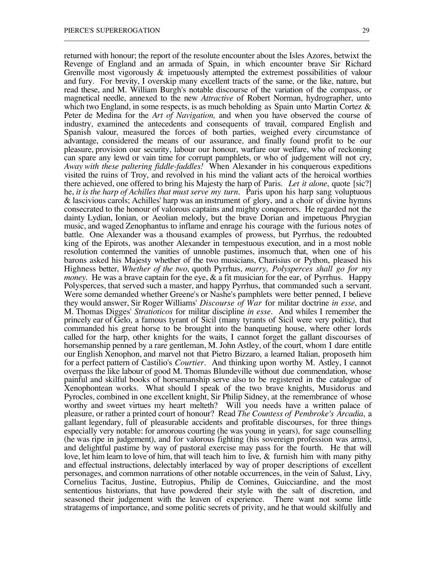returned with honour; the report of the resolute encounter about the Isles Azores, betwixt the Revenge of England and an armada of Spain, in which encounter brave Sir Richard Grenville most vigorously & impetuously attempted the extremest possibilities of valour and fury. For brevity, I overskip many excellent tracts of the same, or the like, nature, but read these, and M. William Burgh's notable discourse of the variation of the compass, or magnetical needle, annexed to the new *Attractive* of Robert Norman, hydrographer, unto which two England, in some respects, is as much beholding as Spain unto Martin Cortez  $\&$ Peter de Medina for the *Art of Navigation,* and when you have observed the course of industry, examined the antecedents and consequents of travail, compared English and Spanish valour, measured the forces of both parties, weighed every circumstance of advantage, considered the means of our assurance, and finally found profit to be our pleasure, provision our security, labour our honour, warfare our welfare, who of reckoning can spare any lewd or vain time for corrupt pamphlets, or who of judgement will not cry, *Away with these paltering fiddle-faddles!* When Alexander in his conquerous expeditions visited the ruins of Troy, and revolved in his mind the valiant acts of the heroical worthies there achieved, one offered to bring his Majesty the harp of Paris. *Let it alone*, quote [sic?] he, *it is the harp of Achilles that must serve my turn*. Paris upon his harp sang voluptuous & lascivious carols; Achilles' harp was an instrument of glory, and a choir of divine hymns consecrated to the honour of valorous captains and mighty conquerors. He regarded not the dainty Lydian, Ionian, or Aeolian melody, but the brave Dorian and impetuous Phrygian music, and waged Zenophantus to inflame and enrage his courage with the furious notes of battle. One Alexander was a thousand examples of prowess, but Pyrrhus, the redoubted king of the Epirots, was another Alexander in tempestuous execution, and in a most noble resolution contemned the vanities of unnoble pastimes, insomuch that, when one of his barons asked his Majesty whether of the two musicians, Charisius or Python, pleased his Highness better, *Whether of the two*, quoth Pyrrhus, *marry, Polysperces shall go for my money*. He was a brave captain for the eye,  $\&$  a fit musician for the ear, of Pyrrhus. Happy Polysperces, that served such a master, and happy Pyrrhus, that commanded such a servant. Were some demanded whether Greene's or Nashe's pamphlets were better penned, I believe they would answer, Sir Roger Williams' *Discourse of War* for militar doctrine *in esse*, and M. Thomas Digges' *Stratioticos* for militar discipline *in esse*. And whiles I remember the princely ear of Gelo, a famous tyrant of Sicil (many tyrants of Sicil were very politic), that commanded his great horse to be brought into the banqueting house, where other lords called for the harp, other knights for the waits, I cannot forget the gallant discourses of horsemanship penned by a rare gentleman, M. John Astley, of the court, whom I dare entitle our English Xenophon, and marvel not that Pietro Bizzaro, a learned Italian, proposeth him for a perfect pattern of Castilio's *Courtier*. And thinking upon worthy M. Astley, I cannot overpass the like labour of good M. Thomas Blundeville without due commendation, whose painful and skilful books of horsemanship serve also to be registered in the catalogue of Xenophontean works. What should I speak of the two brave knights, Musidorus and Pyrocles, combined in one excellent knight, Sir Philip Sidney, at the remembrance of whose worthy and sweet virtues my heart melteth? Will you needs have a written palace of pleasure, or rather a printed court of honour? Read *The Countess of Pembroke's Arcadia*, a gallant legendary, full of pleasurable accidents and profitable discourses, for three things especially very notable: for amorous courting (he was young in years), for sage counselling (he was ripe in judgement), and for valorous fighting (his sovereign profession was arms), and delightful pastime by way of pastoral exercise may pass for the fourth. He that will love, let him learn to love of him, that will teach him to live,  $\&$  furnish him with many pithy and effectual instructions, delectably interlaced by way of proper descriptions of excellent personages, and common narrations of other notable occurrences, in the vein of Salust, Livy, Cornelius Tacitus, Justine, Eutropius, Philip de Comines, Guicciardine, and the most sententious historians, that have powdered their style with the salt of discretion, and seasoned their judgement with the leaven of experience. There want not some little stratagems of importance, and some politic secrets of privity, and he that would skilfully and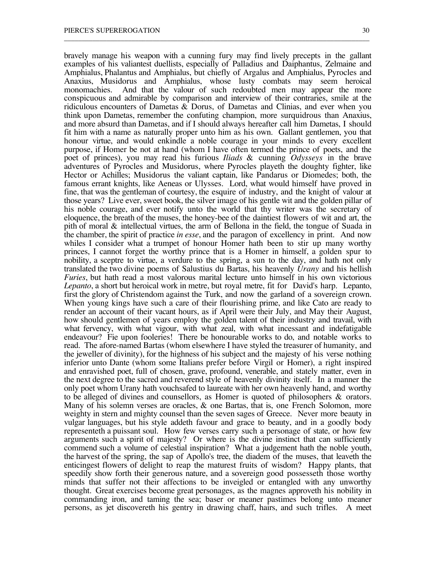bravely manage his weapon with a cunning fury may find lively precepts in the gallant examples of his valiantest duellists, especially of Palladius and Daiphantus, Zelmaine and Amphialus, Phalantus and Amphialus, but chiefly of Argalus and Amphialus, Pyrocles and Anaxius, Musidorus and Amphialus, whose lusty combats may seem heroical And that the valour of such redoubted men may appear the more conspicuous and admirable by comparison and interview of their contraries, smile at the ridiculous encounters of Dametas & Dorus, of Dametas and Clinias, and ever when you think upon Dametas, remember the confuting champion, more surquidrous than Anaxius, and more absurd than Dametas, and if I should always hereafter call him Dametas, I should fit him with a name as naturally proper unto him as his own. Gallant gentlemen, you that honour virtue, and would enkindle a noble courage in your minds to every excellent purpose, if Homer be not at hand (whom I have often termed the prince of poets, and the poet of princes), you may read his furious *Iliads* & cunning *Odysseys* in the brave adventures of Pyrocles and Musidorus, where Pyrocles playeth the doughty fighter, like Hector or Achilles; Musidorus the valiant captain, like Pandarus or Diomedes; both, the famous errant knights, like Aeneas or Ulysses. Lord, what would himself have proved in fine, that was the gentleman of courtesy, the esquire of industry, and the knight of valour at those years? Live ever, sweet book, the silver image of his gentle wit and the golden pillar of his noble courage, and ever notify unto the world that thy writer was the secretary of eloquence, the breath of the muses, the honey-bee of the daintiest flowers of wit and art, the pith of moral & intellectual virtues, the arm of Bellona in the field, the tongue of Suada in the chamber, the spirit of practice *in esse*, and the paragon of excellency in print. And now whiles I consider what a trumpet of honour Homer hath been to stir up many worthy princes, I cannot forget the worthy prince that is a Homer in himself, a golden spur to nobility, a sceptre to virtue, a verdure to the spring, a sun to the day, and hath not only translated the two divine poems of Salustius du Bartas, his heavenly *Urany* and his hellish *Furies*, but hath read a most valorous marital lecture unto himself in his own victorious *Lepanto*, a short but heroical work in metre, but royal metre, fit for David's harp. Lepanto, first the glory of Christendom against the Turk, and now the garland of a sovereign crown. When young kings have such a care of their flourishing prime, and like Cato are ready to render an account of their vacant hours, as if April were their July, and May their August, how should gentlemen of years employ the golden talent of their industry and travail, with what fervency, with what vigour, with what zeal, with what incessant and indefatigable endeavour? Fie upon fooleries! There be honourable works to do, and notable works to read. The afore-named Bartas (whom elsewhere I have styled the treasurer of humanity, and the jeweller of divinity), for the highness of his subject and the majesty of his verse nothing inferior unto Dante (whom some Italians prefer before Virgil or Homer), a right inspired and enravished poet, full of chosen, grave, profound, venerable, and stately matter, even in the next degree to the sacred and reverend style of heavenly divinity itself. In a manner the only poet whom Urany hath vouchsafed to laureate with her own heavenly hand, and worthy to be alleged of divines and counsellors, as Homer is quoted of philosophers & orators. Many of his solemn verses are oracles, & one Bartas, that is, one French Solomon, more weighty in stern and mighty counsel than the seven sages of Greece. Never more beauty in vulgar languages, but his style addeth favour and grace to beauty, and in a goodly body representeth a puissant soul. How few verses carry such a personage of state, or how few arguments such a spirit of majesty? Or where is the divine instinct that can sufficiently commend such a volume of celestial inspiration? What a judgement hath the noble youth, the harvest of the spring, the sap of Apollo's tree, the diadem of the muses, that leaveth the enticingest flowers of delight to reap the maturest fruits of wisdom? Happy plants, that speedily show forth their generous nature, and a sovereign good possesseth those worthy minds that suffer not their affections to be inveigled or entangled with any unworthy thought. Great exercises become great personages, as the magnes approveth his nobility in commanding iron, and taming the sea; baser or meaner pastimes belong unto meaner persons, as jet discovereth his gentry in drawing chaff, hairs, and such trifles. A meet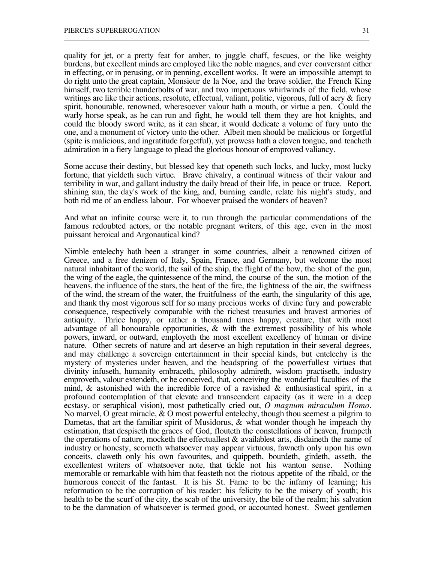quality for jet, or a pretty feat for amber, to juggle chaff, fescues, or the like weighty burdens, but excellent minds are employed like the noble magnes, and ever conversant either in effecting, or in perusing, or in penning, excellent works. It were an impossible attempt to do right unto the great captain, Monsieur de la Noe, and the brave soldier, the French King himself, two terrible thunderbolts of war, and two impetuous whirlwinds of the field, whose writings are like their actions, resolute, effectual, valiant, politic, vigorous, full of aery & fiery spirit, honourable, renowned, wheresoever valour hath a mouth, or virtue a pen. Could the warly horse speak, as he can run and fight, he would tell them they are hot knights, and could the bloody sword write, as it can shear, it would dedicate a volume of fury unto the one, and a monument of victory unto the other. Albeit men should be malicious or forgetful (spite is malicious, and ingratitude forgetful), yet prowess hath a cloven tongue, and teacheth admiration in a fiery language to plead the glorious honour of emproved valiancy.

\_\_\_\_\_\_\_\_\_\_\_\_\_\_\_\_\_\_\_\_\_\_\_\_\_\_\_\_\_\_\_\_\_\_\_\_\_\_\_\_\_\_\_\_\_\_\_\_\_\_\_\_\_\_\_\_\_\_\_\_\_\_\_\_\_\_\_\_\_\_\_\_\_\_\_\_\_\_\_\_\_\_\_\_\_\_

Some accuse their destiny, but blessed key that openeth such locks, and lucky, most lucky fortune, that yieldeth such virtue. Brave chivalry, a continual witness of their valour and terribility in war, and gallant industry the daily bread of their life, in peace or truce. Report, shining sun, the day's work of the king, and, burning candle, relate his night's study, and both rid me of an endless labour. For whoever praised the wonders of heaven?

And what an infinite course were it, to run through the particular commendations of the famous redoubted actors, or the notable pregnant writers, of this age, even in the most puissant heroical and Argonautical kind?

Nimble entelechy hath been a stranger in some countries, albeit a renowned citizen of Greece, and a free denizen of Italy, Spain, France, and Germany, but welcome the most natural inhabitant of the world, the sail of the ship, the flight of the bow, the shot of the gun, the wing of the eagle, the quintessence of the mind, the course of the sun, the motion of the heavens, the influence of the stars, the heat of the fire, the lightness of the air, the swiftness of the wind, the stream of the water, the fruitfulness of the earth, the singularity of this age, and thank thy most vigorous self for so many precious works of divine fury and powerable consequence, respectively comparable with the richest treasuries and bravest armories of antiquity. Thrice happy, or rather a thousand times happy, creature, that with most advantage of all honourable opportunities, & with the extremest possibility of his whole powers, inward, or outward, employeth the most excellent excellency of human or divine nature. Other secrets of nature and art deserve an high reputation in their several degrees, and may challenge a sovereign entertainment in their special kinds, but entelechy is the mystery of mysteries under heaven, and the headspring of the powerfullest virtues that divinity infuseth, humanity embraceth, philosophy admireth, wisdom practiseth, industry emproveth, valour extendeth, or he conceived, that, conceiving the wonderful faculties of the mind,  $\&$  astonished with the incredible force of a ravished  $\&$  enthusiastical spirit, in a profound contemplation of that elevate and transcendent capacity (as it were in a deep ecstasy, or seraphical vision), most pathetically cried out, *O magnum miraculum Homo*. No marvel, O great miracle, & O most powerful entelechy, though thou seemest a pilgrim to Dametas, that art the familiar spirit of Musidorus, & what wonder though he impeach thy estimation, that despiseth the graces of God, flouteth the constellations of heaven, frumpeth the operations of nature, mocketh the effectuallest  $\&$  availablest arts, disdaineth the name of industry or honesty, scorneth whatsoever may appear virtuous, fawneth only upon his own conceits, claweth only his own favourites, and quippeth, bourdeth, girdeth, asseth, the excellentest writers of whatsoever note, that tickle not his wanton sense. memorable or remarkable with him that feasteth not the riotous appetite of the ribald, or the humorous conceit of the fantast. It is his St. Fame to be the infamy of learning; his reformation to be the corruption of his reader; his felicity to be the misery of youth; his health to be the scurf of the city, the scab of the university, the bile of the realm; his salvation to be the damnation of whatsoever is termed good, or accounted honest. Sweet gentlemen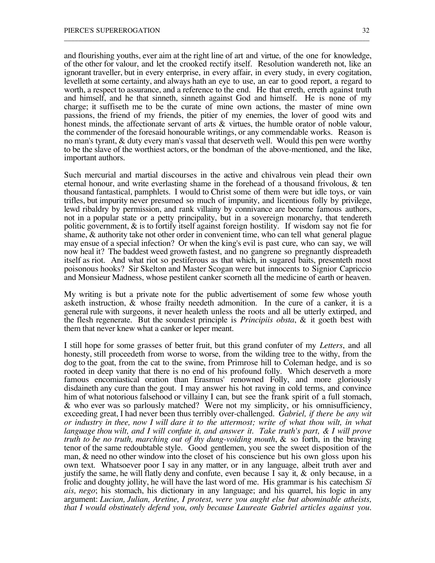and flourishing youths, ever aim at the right line of art and virtue, of the one for knowledge, of the other for valour, and let the crooked rectify itself. Resolution wandereth not, like an ignorant traveller, but in every enterprise, in every affair, in every study, in every cogitation, levelleth at some certainty, and always hath an eye to use, an ear to good report, a regard to worth, a respect to assurance, and a reference to the end. He that erreth, erreth against truth and himself, and he that sinneth, sinneth against God and himself. He is none of my charge; it suffiseth me to be the curate of mine own actions, the master of mine own passions, the friend of my friends, the pitier of my enemies, the lover of good wits and honest minds, the affectionate servant of arts & virtues, the humble orator of noble valour, the commender of the foresaid honourable writings, or any commendable works. Reason is no man's tyrant, & duty every man's vassal that deserveth well. Would this pen were worthy to be the slave of the worthiest actors, or the bondman of the above-mentioned, and the like, important authors.

\_\_\_\_\_\_\_\_\_\_\_\_\_\_\_\_\_\_\_\_\_\_\_\_\_\_\_\_\_\_\_\_\_\_\_\_\_\_\_\_\_\_\_\_\_\_\_\_\_\_\_\_\_\_\_\_\_\_\_\_\_\_\_\_\_\_\_\_\_\_\_\_\_\_\_\_\_\_\_\_\_\_\_\_\_\_

Such mercurial and martial discourses in the active and chivalrous vein plead their own eternal honour, and write everlasting shame in the forehead of a thousand frivolous, & ten thousand fantastical, pamphlets. I would to Christ some of them were but idle toys, or vain trifles, but impurity never presumed so much of impunity, and licentious folly by privilege, lewd ribaldry by permission, and rank villainy by connivance are become famous authors, not in a popular state or a petty principality, but in a sovereign monarchy, that tendereth politic government, & is to fortify itself against foreign hostility. If wisdom say not fie for shame, & authority take not other order in convenient time, who can tell what general plague may ensue of a special infection? Or when the king's evil is past cure, who can say, we will now heal it? The baddest weed groweth fastest, and no gangrene so pregnantly dispreadeth itself as riot. And what riot so pestiferous as that which, in sugared baits, presenteth most poisonous hooks? Sir Skelton and Master Scogan were but innocents to Signior Capriccio and Monsieur Madness, whose pestilent canker scorneth all the medicine of earth or heaven.

My writing is but a private note for the public advertisement of some few whose youth asketh instruction, & whose frailty needeth admonition. In the cure of a canker, it is a general rule with surgeons, it never healeth unless the roots and all be utterly extirped, and the flesh regenerate. But the soundest principle is *Principiis obsta*, & it goeth best with them that never knew what a canker or leper meant.

I still hope for some grasses of better fruit, but this grand confuter of my *Letters*, and all honesty, still proceedeth from worse to worse, from the wilding tree to the withy, from the dog to the goat, from the cat to the swine, from Primrose hill to Coleman hedge, and is so rooted in deep vanity that there is no end of his profound folly. Which deserveth a more famous encomiastical oration than Erasmus' renowned Folly, and more gloriously disdaineth any cure than the gout. I may answer his hot raving in cold terms, and convince him of what notorious falsehood or villainy I can, but see the frank spirit of a full stomach, & who ever was so parlously matched? Were not my simplicity, or his omnisufficiency, exceeding great, I had never been thus terribly over-challenged. *Gabriel, if there be any wit or industry in thee, now I will dare it to the uttermost; write of what thou wilt, in what language thou wilt, and I will confute it, and answer it. Take truth's part, & I will prove truth to be no truth, marching out of thy dung-voiding mouth*, & so forth, in the braving tenor of the same redoubtable style. Good gentlemen, you see the sweet disposition of the man, & need no other window into the closet of his conscience but his own gloss upon his own text. Whatsoever poor I say in any matter, or in any language, albeit truth aver and justify the same, he will flatly deny and confute, even because I say it, & only because, in a frolic and doughty jollity, he will have the last word of me. His grammar is his catechism *Si ais, nego*; his stomach, his dictionary in any language; and his quarrel, his logic in any argument: *Lucian, Julian, Aretine, I protest, were you aught else but abominable atheists, that I would obstinately defend you, only because Laureate Gabriel articles against you*.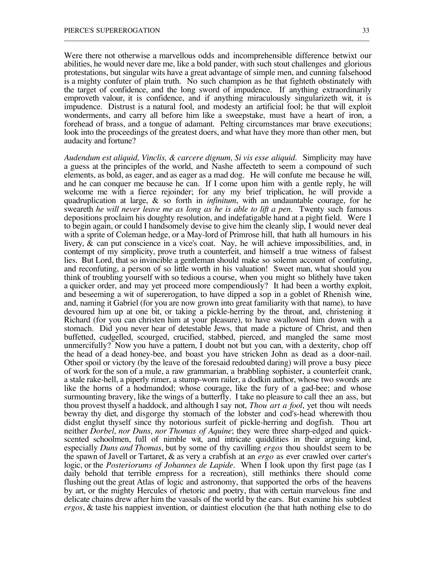Were there not otherwise a marvellous odds and incomprehensible difference betwixt our abilities, he would never dare me, like a bold pander, with such stout challenges and glorious protestations, but singular wits have a great advantage of simple men, and cunning falsehood is a mighty confuter of plain truth. No such champion as he that fighteth obstinately with the target of confidence, and the long sword of impudence. If anything extraordinarily emproveth valour, it is confidence, and if anything miraculously singularizeth wit, it is

impudence. Distrust is a natural fool, and modesty an artificial fool; he that will exploit wonderments, and carry all before him like a sweepstake, must have a heart of iron, a forehead of brass, and a tongue of adamant. Pelting circumstances mar brave executions; look into the proceedings of the greatest doers, and what have they more than other men, but audacity and fortune?

\_\_\_\_\_\_\_\_\_\_\_\_\_\_\_\_\_\_\_\_\_\_\_\_\_\_\_\_\_\_\_\_\_\_\_\_\_\_\_\_\_\_\_\_\_\_\_\_\_\_\_\_\_\_\_\_\_\_\_\_\_\_\_\_\_\_\_\_\_\_\_\_\_\_\_\_\_\_\_\_\_\_\_\_\_\_

*Audendum est aliquid, Vinclis, & carcere dignum, Si vis esse aliquid*. Simplicity may have a guess at the principles of the world, and Nashe affecteth to seem a compound of such elements, as bold, as eager, and as eager as a mad dog. He will confute me because he will, and he can conquer me because he can. If I come upon him with a gentle reply, he will welcome me with a fierce rejoinder; for any my brief triplication, he will provide a quadruplication at large, & so forth in *infinitum*, with an undauntable courage, for he sweareth *he will never leave me as long as he is able to lift a pen*. Twenty such famous depositions proclaim his doughty resolution, and indefatigable hand at a pight field. Were I to begin again, or could I handsomely devise to give him the cleanly slip, I would never deal with a sprite of Coleman hedge, or a May-lord of Primrose hill, that hath all humours in his livery,  $\&$  can put conscience in a vice's coat. Nay, he will achieve impossibilities, and, in contempt of my simplicity, prove truth a counterfeit, and himself a true witness of falsest lies. But Lord, that so invincible a gentleman should make so solemn account of confuting, and reconfuting, a person of so little worth in his valuation! Sweet man, what should you think of troubling yourself with so tedious a course, when you might so blithely have taken a quicker order, and may yet proceed more compendiously? It had been a worthy exploit, and beseeming a wit of supererogation, to have dipped a sop in a goblet of Rhenish wine, and, naming it Gabriel (for you are now grown into great familiarity with that name), to have devoured him up at one bit, or taking a pickle-herring by the throat, and, christening it Richard (for you can christen him at your pleasure), to have swallowed him down with a stomach. Did you never hear of detestable Jews, that made a picture of Christ, and then buffetted, cudgelled, scourged, crucified, stabbed, pierced, and mangled the same most unmercifully? Now you have a pattern, I doubt not but you can, with a dexterity, chop off the head of a dead honey-bee, and boast you have stricken John as dead as a door-nail. Other spoil or victory (by the leave of the foresaid redoubted daring) will prove a busy piece of work for the son of a mule, a raw grammarian, a brabbling sophister, a counterfeit crank, a stale rake-hell, a piperly rimer, a stump-worn railer, a dodkin author, whose two swords are like the horns of a hodmandod; whose courage, like the fury of a gad-bee; and whose surmounting bravery, like the wings of a butterfly. I take no pleasure to call thee an ass, but thou provest thyself a haddock, and although I say not, *Thou art a fool*, yet thou wilt needs bewray thy diet, and disgorge thy stomach of the lobster and cod's-head wherewith thou didst englut thyself since thy notorious surfeit of pickle-herring and dogfish. Thou art neither *Dorbel, nor Duns, nor Thomas of Aquine*; they were three sharp-edged and quickscented schoolmen, full of nimble wit, and intricate quiddities in their arguing kind, especially *Duns and Thomas*, but by some of thy cavilling *ergos* thou shouldst seem to be the spawn of Javell or Tartaret, & as very a crabfish at an *ergo* as ever crawled over carter's logic, or the *Posteriorums of Johannes de Lapide*. When I look upon thy first page (as I daily behold that terrible empress for a recreation), still methinks there should come flushing out the great Atlas of logic and astronomy, that supported the orbs of the heavens by art, or the mighty Hercules of rhetoric and poetry, that with certain marvelous fine and delicate chains drew after him the vassals of the world by the ears. But examine his subtlest *ergos*, & taste his nappiest invention, or daintiest elocution (he that hath nothing else to do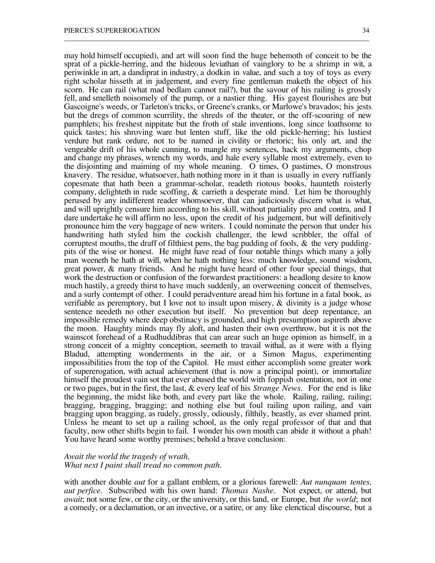may hold himself occupied), and art will soon find the huge behemoth of conceit to be the sprat of a pickle-herring, and the hideous leviathan of vainglory to be a shrimp in wit, a periwinkle in art, a dandiprat in industry, a dodkin in value, and such a toy of toys as every right scholar hisseth at in judgement, and every fine gentleman maketh the object of his scorn. He can rail (what mad bedlam cannot rail?), but the savour of his railing is grossly fell, and smelleth noisomely of the pump, or a nastier thing. His gayest flourishes are but Gascoigne's weeds, or Tarleton's tricks, or Greene's cranks, or Marlowe's bravados; his jests but the dregs of common scurrility, the shreds of the theater, or the off-scouring of new pamphlets; his freshest nippitate but the froth of stale inventions, long since loathsome to quick tastes; his shroving ware but lenten stuff, like the old pickle-herring; his lustiest verdure but rank ordure, not to be named in civility or rhetoric; his only art, and the vengeable drift of his whole cunning, to mangle my sentences, hack my arguments, chop and change my phrases, wrench my words, and hale every syllable most extremely, even to the disjointing and maiming of my whole meaning. O times, O pastimes, O monstrous knavery. The residue, whatsoever, hath nothing more in it than is usually in every ruffianly copesmate that hath been a grammar-scholar, readeth riotous books, haunteth roisterly company, delighteth in rude scoffing, & carrieth a desperate mind. Let him be thoroughly perused by any indifferent reader whomsoever, that can judiciously discern what is what, and will uprightly censure him according to his skill, without partiality pro and contra, and I dare undertake he will affirm no less, upon the credit of his judgement, but will definitively pronounce him the very baggage of new writers. I could nominate the person that under his handwriting hath styled him the cockish challenger, the lewd scribbler, the offal of corruptest mouths, the draff of filthiest pens, the bag pudding of fools,  $\&$  the very puddingpits of the wise or honest. He might have read of four notable things which many a jolly man weeneth he hath at will, when he hath nothing less: much knowledge, sound wisdom, great power, & many friends. And he might have heard of other four special things, that work the destruction or confusion of the forwardest practitioners: a headlong desire to know much hastily, a greedy thirst to have much suddenly, an overweening conceit of themselves, and a surly contempt of other. I could peradventure aread him his fortune in a fatal book, as verifiable as peremptory, but I love not to insult upon misery, & divinity is a judge whose sentence needeth no other execution but itself. No prevention but deep repentance, an impossible remedy where deep obstinacy is grounded, and high presumption aspireth above the moon. Haughty minds may fly aloft, and hasten their own overthrow, but it is not the wainscot forehead of a Rudhuddibras that can arear such an huge opinion as himself, in a strong conceit of a mighty conception, seemeth to travail withal, as it were with a flying Bladud, attempting wonderments in the air, or a Simon Magus, experimenting impossibilities from the top of the Capitol. He must either accomplish some greater work of supererogation, with actual achievement (that is now a principal point), or immortalize himself the proudest vain sot that ever abused the world with foppish ostentation, not in one or two pages, but in the first, the last, & every leaf of his *Strange News*. For the end is like the beginning, the midst like both, and every part like the whole. Railing, railing, railing; bragging, bragging, bragging; and nothing else but foul railing upon railing, and vain bragging upon bragging, as rudely, grossly, odiously, filthily, beastly, as ever shamed print. Unless he meant to set up a railing school, as the only regal professor of that and that faculty, now other shifts begin to fail. I wonder his own mouth can abide it without a phah! You have heard some worthy premises; behold a brave conclusion:

\_\_\_\_\_\_\_\_\_\_\_\_\_\_\_\_\_\_\_\_\_\_\_\_\_\_\_\_\_\_\_\_\_\_\_\_\_\_\_\_\_\_\_\_\_\_\_\_\_\_\_\_\_\_\_\_\_\_\_\_\_\_\_\_\_\_\_\_\_\_\_\_\_\_\_\_\_\_\_\_\_\_\_\_\_\_

## *Await the world the tragedy of wrath, What next I paint shall tread no common path.*

with another double *aut* for a gallant emblem, or a glorious farewell: *Aut nunquam tentes, aut perfice*. Subscribed with his own hand: *Thomas Nashe*. Not expect, or attend, but *await*; not some few, or the city, or the university, or this land, or Europe, but *the world*; not a comedy, or a declamation, or an invective, or a satire, or any like elenctical discourse, but a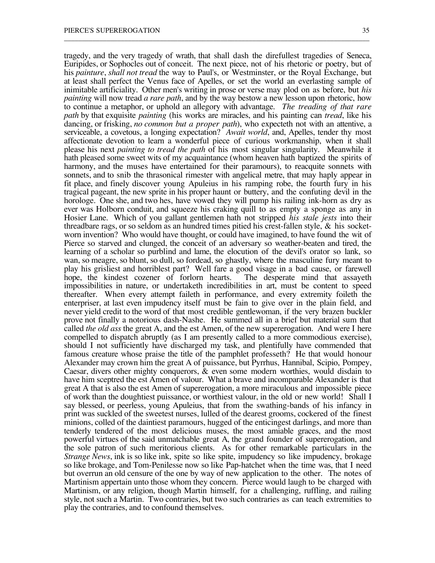tragedy, and the very tragedy of wrath, that shall dash the direfullest tragedies of Seneca, Euripides, or Sophocles out of conceit. The next piece, not of his rhetoric or poetry, but of his *painture*, *shall not tread* the way to Paul's, or Westminster, or the Royal Exchange, but at least shall perfect the Venus face of Apelles, or set the world an everlasting sample of inimitable artificiality. Other men's writing in prose or verse may plod on as before, but *his painting* will now tread *a rare path*, and by the way bestow a new lesson upon rhetoric, how to continue a metaphor, or uphold an allegory with advantage. *The treading of that rare path* by that exquisite *painting* (his works are miracles, and his painting can *tread*, like his dancing, or frisking, *no common but a proper path*), who expecteth not with an attentive, a serviceable, a covetous, a longing expectation? *Await world*, and, Apelles, tender thy most affectionate devotion to learn a wonderful piece of curious workmanship, when it shall please his next *painting to tread the path* of his most singular singularity. Meanwhile it hath pleased some sweet wits of my acquaintance (whom heaven hath baptized the spirits of harmony, and the muses have entertained for their paramours), to reacquite sonnets with sonnets, and to snib the thrasonical rimester with angelical metre, that may haply appear in fit place, and finely discover young Apuleius in his ramping robe, the fourth fury in his tragical pageant, the new sprite in his proper haunt or buttery, and the confuting devil in the horologe. One she, and two hes, have vowed they will pump his railing ink-horn as dry as ever was Holborn conduit, and squeeze his craking quill to as empty a sponge as any in Hosier Lane. Which of you gallant gentlemen hath not stripped *his stale jests* into their threadbare rags, or so seldom as an hundred times pitied his crest-fallen style,  $\&$  his socketworn invention? Who would have thought, or could have imagined, to have found the wit of Pierce so starved and clunged, the conceit of an adversary so weather-beaten and tired, the learning of a scholar so purblind and lame, the elocution of the devil's orator so lank, so wan, so meagre, so blunt, so dull, so fordead, so ghastly, where the masculine fury meant to play his grisliest and horriblest part? Well fare a good visage in a bad cause, or farewell hope, the kindest cozener of forlorn hearts. impossibilities in nature, or undertaketh incredibilities in art, must be content to speed thereafter. When every attempt faileth in performance, and every extremity foileth the enterpriser, at last even impudency itself must be fain to give over in the plain field, and never yield credit to the word of that most credible gentlewoman, if the very brazen buckler prove not finally a notorious dash-Nashe. He summed all in a brief but material sum that called *the old ass* the great A, and the est Amen, of the new supererogation. And were I here compelled to dispatch abruptly (as I am presently called to a more commodious exercise), should I not sufficiently have discharged my task, and plentifully have commended that famous creature whose praise the title of the pamphlet professeth? He that would honour Alexander may crown him the great A of puissance, but Pyrrhus, Hannibal, Scipio, Pompey, Caesar, divers other mighty conquerors, & even some modern worthies, would disdain to have him sceptred the est Amen of valour. What a brave and incomparable Alexander is that great A that is also the est Amen of supererogation, a more miraculous and impossible piece of work than the doughtiest puissance, or worthiest valour, in the old or new world! Shall I say blessed, or peerless, young Apuleius, that from the swathing-bands of his infancy in print was suckled of the sweetest nurses, lulled of the dearest grooms, cockered of the finest minions, colled of the daintiest paramours, hugged of the enticingest darlings, and more than tenderly tendered of the most delicious muses, the most amiable graces, and the most powerful virtues of the said unmatchable great A, the grand founder of supererogation, and the sole patron of such meritorious clients. As for other remarkable particulars in the *Strange News*, ink is so like ink, spite so like spite, impudency so like impudency, brokage so like brokage, and Tom-Penilesse now so like Pap-hatchet when the time was, that I need but overrun an old censure of the one by way of new application to the other. The notes of Martinism appertain unto those whom they concern. Pierce would laugh to be charged with Martinism, or any religion, though Martin himself, for a challenging, ruffling, and railing style, not such a Martin. Two contraries, but two such contraries as can teach extremities to play the contraries, and to confound themselves.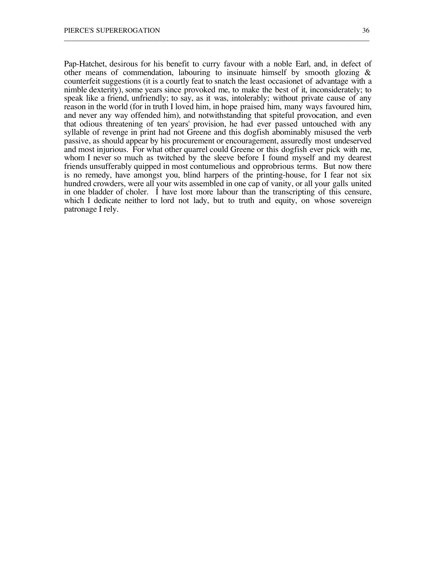Pap-Hatchet, desirous for his benefit to curry favour with a noble Earl, and, in defect of other means of commendation, labouring to insinuate himself by smooth glozing  $\&$ counterfeit suggestions (it is a courtly feat to snatch the least occasionet of advantage with a nimble dexterity), some years since provoked me, to make the best of it, inconsiderately; to speak like a friend, unfriendly; to say, as it was, intolerably; without private cause of any reason in the world (for in truth I loved him, in hope praised him, many ways favoured him, and never any way offended him), and notwithstanding that spiteful provocation, and even that odious threatening of ten years' provision, he had ever passed untouched with any syllable of revenge in print had not Greene and this dogfish abominably misused the verb passive, as should appear by his procurement or encouragement, assuredly most undeserved and most injurious. For what other quarrel could Greene or this dogfish ever pick with me, whom I never so much as twitched by the sleeve before I found myself and my dearest friends unsufferably quipped in most contumelious and opprobrious terms. But now there is no remedy, have amongst you, blind harpers of the printing-house, for I fear not six hundred crowders, were all your wits assembled in one cap of vanity, or all your galls united in one bladder of choler. I have lost more labour than the transcripting of this censure, which I dedicate neither to lord not lady, but to truth and equity, on whose sovereign patronage I rely.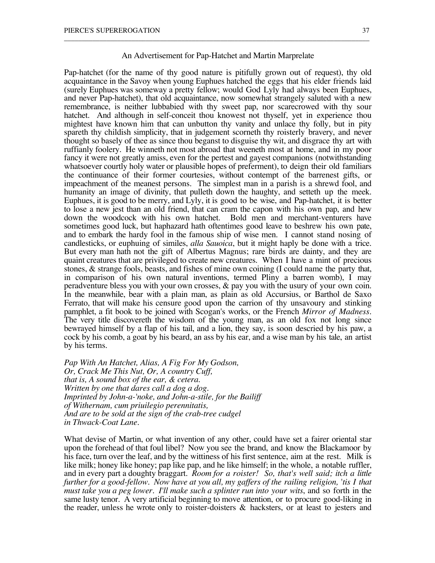\_\_\_\_\_\_\_\_\_\_\_\_\_\_\_\_\_\_\_\_\_\_\_\_\_\_\_\_\_\_\_\_\_\_\_\_\_\_\_\_\_\_\_\_\_\_\_\_\_\_\_\_\_\_\_\_\_\_\_\_\_\_\_\_\_\_\_\_\_\_\_\_\_\_\_\_\_\_\_\_\_\_\_\_\_\_

Pap-hatchet (for the name of thy good nature is pitifully grown out of request), thy old acquaintance in the Savoy when young Euphues hatched the eggs that his elder friends laid (surely Euphues was someway a pretty fellow; would God Lyly had always been Euphues, and never Pap-hatchet), that old acquaintance, now somewhat strangely saluted with a new remembrance, is neither lubbabied with thy sweet pap, nor scarecrowed with thy sour hatchet. And although in self-conceit thou knowest not thyself, yet in experience thou mightest have known him that can unbutton thy vanity and unlace thy folly, but in pity spareth thy childish simplicity, that in judgement scorneth thy roisterly bravery, and never thought so basely of thee as since thou beganst to disguise thy wit, and disgrace thy art with ruffianly foolery. He winneth not most abroad that weeneth most at home, and in my poor fancy it were not greatly amiss, even for the pertest and gayest companions (notwithstanding whatsoever courtly holy water or plausible hopes of preferment), to deign their old familiars the continuance of their former courtesies, without contempt of the barrenest gifts, or impeachment of the meanest persons. The simplest man in a parish is a shrewd fool, and humanity an image of divinity, that pulleth down the haughty, and setteth up the meek. Euphues, it is good to be merry, and Lyly, it is good to be wise, and Pap-hatchet, it is better to lose a new jest than an old friend, that can cram the capon with his own pap, and hew down the woodcock with his own hatchet. Bold men and merchant-venturers have sometimes good luck, but haphazard hath oftentimes good leave to beshrew his own pate, and to embark the hardy fool in the famous ship of wise men. I cannot stand nosing of candlesticks, or euphuing of similes, *alla Sauoica*, but it might haply be done with a trice. But every man hath not the gift of Albertus Magnus; rare birds are dainty, and they are quaint creatures that are privileged to create new creatures. When I have a mint of precious stones, & strange fools, beasts, and fishes of mine own coining (I could name the party that, in comparison of his own natural inventions, termed Pliny a barren womb), I may peradventure bless you with your own crosses, & pay you with the usury of your own coin. In the meanwhile, bear with a plain man, as plain as old Accursius, or Barthol de Saxo Ferrato, that will make his censure good upon the carrion of thy unsavoury and stinking pamphlet, a fit book to be joined with Scogan's works, or the French *Mirror of Madness*. The very title discovereth the wisdom of the young man, as an old fox not long since bewrayed himself by a flap of his tail, and a lion, they say, is soon descried by his paw, a cock by his comb, a goat by his beard, an ass by his ear, and a wise man by his tale, an artist by his terms.

*Pap With An Hatchet, Alias, A Fig For My Godson, Or, Crack Me This Nut, Or, A country Cuff, that is, A sound box of the ear, & cetera. Written by one that dares call a dog a dog. Imprinted by John-a-'noke, and John-a-stile, for the Bailiff of Withernam, cum priuilegio perennitatis, And are to be sold at the sign of the crab-tree cudgel in Thwack-Coat Lane.*

What devise of Martin, or what invention of any other, could have set a fairer oriental star upon the forehead of that foul libel? Now you see the brand, and know the Blackamoor by his face, turn over the leaf, and by the wittiness of his first sentence, aim at the rest. Milk is like milk; honey like honey; pap like pap, and he like himself; in the whole, a notable ruffler, and in every part a doughty braggart. *Room for a roister! So, that's well said; itch a little further for a good-fellow. Now have at you all, my gaffers of the railing religion,* '*tis I that must take you a peg lower. I'll make such a splinter run into your wits*, and so forth in the same lusty tenor. A very artificial beginning to move attention, or to procure good-liking in the reader, unless he wrote only to roister-doisters  $\&$  hacksters, or at least to jesters and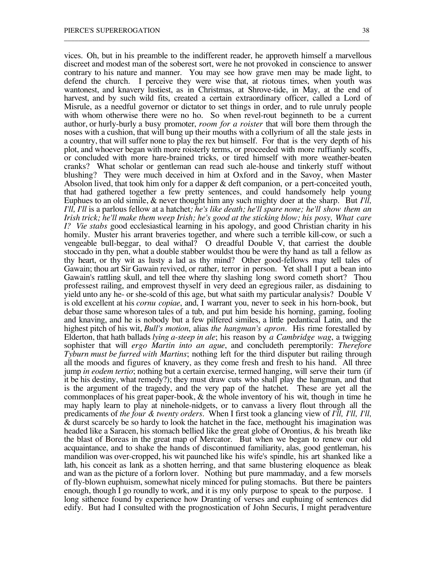vices. Oh, but in his preamble to the indifferent reader, he approveth himself a marvellous discreet and modest man of the soberest sort, were he not provoked in conscience to answer contrary to his nature and manner. You may see how grave men may be made light, to defend the church. I perceive they were wise that, at riotous times, when youth was wantonest, and knavery lustiest, as in Christmas, at Shrove-tide, in May, at the end of harvest, and by such wild fits, created a certain extraordinary officer, called a Lord of Misrule, as a needful governor or dictator to set things in order, and to rule unruly people with whom otherwise there were no ho. So when revel-rout beginneth to be a current author, or hurly-burly a busy promoter, *room for a roister* that will bore them through the noses with a cushion, that will bung up their mouths with a collyrium of all the stale jests in a country, that will suffer none to play the rex but himself. For that is the very depth of his plot, and whoever began with more roisterly terms, or proceeded with more ruffianly scoffs, or concluded with more hare-brained tricks, or tired himself with more weather-beaten cranks? What scholar or gentleman can read such ale-house and tinkerly stuff without blushing? They were much deceived in him at Oxford and in the Savoy, when Master Absolon lived, that took him only for a dapper & deft companion, or a pert-conceited youth, that had gathered together a few pretty sentences, and could handsomely help young Euphues to an old simile, & never thought him any such mighty doer at the sharp. But *I'll, I'll, I'll* is a parlous fellow at a hatchet*; he's like death; he'll spare none; he'll show them an Irish trick; he'll make them weep Irish; he's good at the sticking blow; his posy, What care I? Vie stabs* good ecclesiastical learning in his apology, and good Christian charity in his homily. Muster his arrant braveries together, and where such a terrible kill-cow, or such a vengeable bull-beggar, to deal withal? O dreadful Double V, that carriest the double stoccado in thy pen, what a double stabber wouldst thou be were thy hand as tall a fellow as thy heart, or thy wit as lusty a lad as thy mind? Other good-fellows may tell tales of Gawain; thou art Sir Gawain revived, or rather, terror in person. Yet shall I put a bean into Gawain's rattling skull, and tell thee where thy slashing long sword cometh short? Thou professest railing, and emprovest thyself in very deed an egregious railer, as disdaining to yield unto any he- or she-scold of this age, but what saith my particular analysis? Double V is old excellent at his *cornu copiae*, and, I warrant you, never to seek in his horn-book, but debar those same whoreson tales of a tub, and put him beside his horning, gaming, fooling and knaving, and he is nobody but a few pilfered similes, a little pedantical Latin, and the highest pitch of his wit, *Bull's motion*, alias *the hangman's apron*. His rime forestalled by Elderton, that hath ballads *lying a-steep in ale*; his reason by *a Cambridge wag*, a twigging sophister that will *ergo Martin into an ague*, and concludeth peremptorily: *Therefore Tyburn must be furred with Martins*; nothing left for the third disputer but railing through all the moods and figures of knavery, as they come fresh and fresh to his hand. All three jump *in eodem tertio*; nothing but a certain exercise, termed hanging, will serve their turn (if it be his destiny, what remedy?); they must draw cuts who shall play the hangman, and that is the argument of the tragedy, and the very pap of the hatchet. These are yet all the commonplaces of his great paper-book, & the whole inventory of his wit, though in time he may haply learn to play at ninehole-nidgets, or to canvass a livery flout through all the predicaments of *the four & twenty orders*. When I first took a glancing view of *I'll, I'll, I'll,* & durst scarcely be so hardy to look the hatchet in the face, methought his imagination was headed like a Saracen, his stomach bellied like the great globe of Orontius, & his breath like the blast of Boreas in the great map of Mercator. But when we began to renew our old acquaintance, and to shake the hands of discontinued familiarity, alas, good gentleman, his mandilion was over-cropped, his wit paunched like his wife's spindle, his art shanked like a lath, his conceit as lank as a shotten herring, and that same blustering eloquence as bleak and wan as the picture of a forlorn lover. Nothing but pure mammaday, and a few morsels of fly-blown euphuism, somewhat nicely minced for puling stomachs. But there be painters enough, though I go roundly to work, and it is my only purpose to speak to the purpose. I long sithence found by experience how Dranting of verses and euphuing of sentences did edify. But had I consulted with the prognostication of John Securis, I might peradventure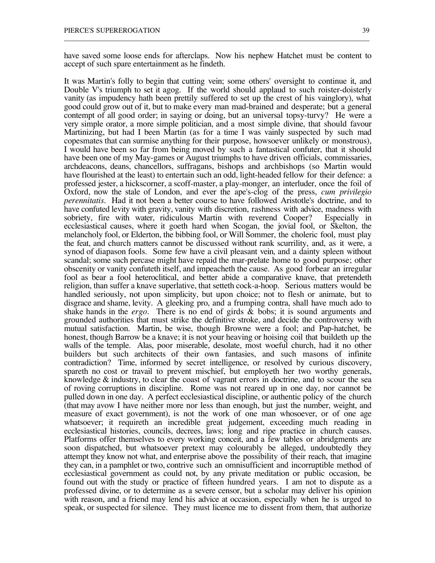have saved some loose ends for afterclaps. Now his nephew Hatchet must be content to accept of such spare entertainment as he findeth.

\_\_\_\_\_\_\_\_\_\_\_\_\_\_\_\_\_\_\_\_\_\_\_\_\_\_\_\_\_\_\_\_\_\_\_\_\_\_\_\_\_\_\_\_\_\_\_\_\_\_\_\_\_\_\_\_\_\_\_\_\_\_\_\_\_\_\_\_\_\_\_\_\_\_\_\_\_\_\_\_\_\_\_\_\_\_

It was Martin's folly to begin that cutting vein; some others' oversight to continue it, and Double V's triumph to set it agog. If the world should applaud to such roister-doisterly vanity (as impudency hath been prettily suffered to set up the crest of his vainglory), what good could grow out of it, but to make every man mad-brained and desperate; but a general contempt of all good order; in saying or doing, but an universal topsy-turvy? He were a very simple orator, a more simple politician, and a most simple divine, that should favour Martinizing, but had I been Martin (as for a time I was vainly suspected by such mad copesmates that can surmise anything for their purpose, howsoever unlikely or monstrous), I would have been so far from being moved by such a fantastical confuter, that it should have been one of my May-games or August triumphs to have driven officials, commissaries, archdeacons, deans, chancellors, suffragans, bishops and archbishops (so Martin would have flourished at the least) to entertain such an odd, light-headed fellow for their defence: a professed jester, a hickscorner, a scoff-master, a play-monger, an interluder, once the foil of Oxford, now the stale of London, and ever the ape's-clog of the press, *cum privilegio perennitatis*. Had it not been a better course to have followed Aristotle's doctrine, and to have confuted levity with gravity, vanity with discretion, rashness with advice, madness with sobriety, fire with water, ridiculous Martin with reverend Cooper? Especially in ecclesiastical causes, where it goeth hard when Scogan, the jovial fool, or Skelton, the melancholy fool, or Elderton, the bibbing fool, or Will Sommer, the choleric fool, must play the feat, and church matters cannot be discussed without rank scurrility, and, as it were, a synod of diapason fools. Some few have a civil pleasant vein, and a dainty spleen without scandal; some such percase might have repaid the mar-prelate home to good purpose; other obscenity or vanity confuteth itself, and impeacheth the cause. As good forbear an irregular fool as bear a fool heteroclitical, and better abide a comparative knave, that pretendeth religion, than suffer a knave superlative, that setteth cock-a-hoop. Serious matters would be handled seriously, not upon simplicity, but upon choice; not to flesh or animate, but to disgrace and shame, levity. A gleeking pro, and a frumping contra, shall have much ado to shake hands in the *ergo*. There is no end of girds  $\&$  bobs; it is sound arguments and grounded authorities that must strike the definitive stroke, and decide the controversy with mutual satisfaction. Martin, be wise, though Browne were a fool; and Pap-hatchet, be honest, though Barrow be a knave; it is not your heaving or hoising coil that buildeth up the walls of the temple. Alas, poor miserable, desolate, most woeful church, had it no other builders but such architects of their own fantasies, and such masons of infinite contradiction? Time, informed by secret intelligence, or resolved by curious discovery, spareth no cost or travail to prevent mischief, but employeth her two worthy generals, knowledge  $\&$  industry, to clear the coast of vagrant errors in doctrine, and to scour the sea of roving corruptions in discipline. Rome was not reared up in one day, nor cannot be pulled down in one day. A perfect ecclesiastical discipline, or authentic policy of the church (that may avow I have neither more nor less than enough, but just the number, weight, and measure of exact government), is not the work of one man whosoever, or of one age whatsoever; it requireth an incredible great judgement, exceeding much reading in ecclesiastical histories, councils, decrees, laws; long and ripe practice in church causes. Platforms offer themselves to every working conceit, and a few tables or abridgments are soon dispatched, but whatsoever pretext may colourably be alleged, undoubtedly they attempt they know not what, and enterprise above the possibility of their reach, that imagine they can, in a pamphlet or two, contrive such an omnisufficient and incorruptible method of ecclesiastical government as could not, by any private meditation or public occasion, be found out with the study or practice of fifteen hundred years. I am not to dispute as a professed divine, or to determine as a severe censor, but a scholar may deliver his opinion with reason, and a friend may lend his advice at occasion, especially when he is urged to speak, or suspected for silence. They must licence me to dissent from them, that authorize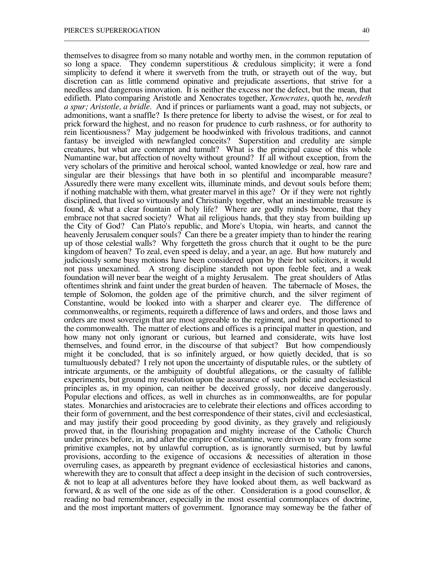themselves to disagree from so many notable and worthy men, in the common reputation of so long a space. They condemn superstitious & credulous simplicity; it were a fond simplicity to defend it where it swerveth from the truth, or strayeth out of the way, but discretion can as little commend opinative and prejudicate assertions, that strive for a needless and dangerous innovation. It is neither the excess nor the defect, but the mean, that edifieth. Plato comparing Aristotle and Xenocrates together, *Xenocrates*, quoth he, *needeth a spur; Aristotle, a bridle*. And if princes or parliaments want a goad, may not subjects, or admonitions, want a snaffle? Is there pretence for liberty to advise the wisest, or for zeal to prick forward the highest, and no reason for prudence to curb rashness, or for authority to rein licentiousness? May judgement be hoodwinked with frivolous traditions, and cannot fantasy be inveigled with newfangled conceits? Superstition and credulity are simple creatures, but what are contempt and tumult? What is the principal cause of this whole Numantine war, but affection of novelty without ground? If all without exception, from the very scholars of the primitive and heroical school, wanted knowledge or zeal, how rare and singular are their blessings that have both in so plentiful and incomparable measure? Assuredly there were many excellent wits, illuminate minds, and devout souls before them; if nothing matchable with them, what greater marvel in this age? Or if they were not rightly disciplined, that lived so virtuously and Christianly together, what an inestimable treasure is found, & what a clear fountain of holy life? Where are godly minds become, that they embrace not that sacred society? What ail religious hands, that they stay from building up the City of God? Can Plato's republic, and More's Utopia, win hearts, and cannot the heavenly Jerusalem conquer souls? Can there be a greater impiety than to hinder the rearing up of those celestial walls? Why forgetteth the gross church that it ought to be the pure kingdom of heaven? To zeal, even speed is delay, and a year, an age. But how maturely and judiciously some busy motions have been considered upon by their hot solicitors, it would not pass unexamined. A strong discipline standeth not upon feeble feet, and a weak foundation will never bear the weight of a mighty Jerusalem. The great shoulders of Atlas oftentimes shrink and faint under the great burden of heaven. The tabernacle of Moses, the temple of Solomon, the golden age of the primitive church, and the silver regiment of Constantine, would be looked into with a sharper and clearer eye. The difference of commonwealths, or regiments, requireth a difference of laws and orders, and those laws and orders are most sovereign that are most agreeable to the regiment, and best proportioned to the commonwealth. The matter of elections and offices is a principal matter in question, and how many not only ignorant or curious, but learned and considerate, wits have lost themselves, and found error, in the discourse of that subject? But how compendiously might it be concluded, that is so infinitely argued, or how quietly decided, that is so tumultuously debated? I rely not upon the uncertainty of disputable rules, or the subtlety of intricate arguments, or the ambiguity of doubtful allegations, or the casualty of fallible experiments, but ground my resolution upon the assurance of such politic and ecclesiastical principles as, in my opinion, can neither be deceived grossly, nor deceive dangerously. Popular elections and offices, as well in churches as in commonwealths, are for popular states. Monarchies and aristocracies are to celebrate their elections and offices according to their form of government, and the best correspondence of their states, civil and ecclesiastical, and may justify their good proceeding by good divinity, as they gravely and religiously proved that, in the flourishing propagation and mighty increase of the Catholic Church under princes before, in, and after the empire of Constantine, were driven to vary from some primitive examples, not by unlawful corruption, as is ignorantly surmised, but by lawful provisions, according to the exigence of occasions  $\&$  necessities of alteration in those overruling cases, as appeareth by pregnant evidence of ecclesiastical histories and canons, wherewith they are to consult that affect a deep insight in the decision of such controversies, & not to leap at all adventures before they have looked about them, as well backward as forward, & as well of the one side as of the other. Consideration is a good counsellor, & reading no bad remembrancer, especially in the most essential commonplaces of doctrine, and the most important matters of government. Ignorance may someway be the father of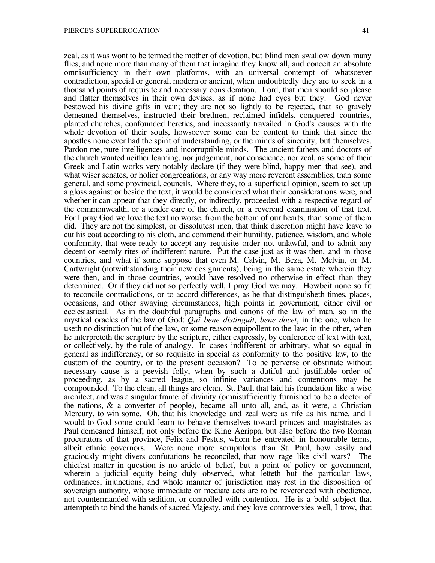zeal, as it was wont to be termed the mother of devotion, but blind men swallow down many flies, and none more than many of them that imagine they know all, and conceit an absolute omnisufficiency in their own platforms, with an universal contempt of whatsoever contradiction, special or general, modern or ancient, when undoubtedly they are to seek in a thousand points of requisite and necessary consideration. Lord, that men should so please and flatter themselves in their own devises, as if none had eyes but they. God never bestowed his divine gifts in vain; they are not so lightly to be rejected, that so gravely demeaned themselves, instructed their brethren, reclaimed infidels, conquered countries, planted churches, confounded heretics, and incessantly travailed in God's causes with the whole devotion of their souls, howsoever some can be content to think that since the apostles none ever had the spirit of understanding, or the minds of sincerity, but themselves. Pardon me, pure intelligences and incorruptible minds. The ancient fathers and doctors of the church wanted neither learning, nor judgement, nor conscience, nor zeal, as some of their Greek and Latin works very notably declare (if they were blind, happy men that see), and what wiser senates, or holier congregations, or any way more reverent assemblies, than some general, and some provincial, councils. Where they, to a superficial opinion, seem to set up a gloss against or beside the text, it would be considered what their considerations were, and whether it can appear that they directly, or indirectly, proceeded with a respective regard of the commonwealth, or a tender care of the church, or a reverend examination of that text. For I pray God we love the text no worse, from the bottom of our hearts, than some of them did. They are not the simplest, or dissolutest men, that think discretion might have leave to cut his coat according to his cloth, and commend their humility, patience, wisdom, and whole conformity, that were ready to accept any requisite order not unlawful, and to admit any decent or seemly rites of indifferent nature. Put the case just as it was then, and in those countries, and what if some suppose that even M. Calvin, M. Beza, M. Melvin, or M. Cartwright (notwithstanding their new designments), being in the same estate wherein they were then, and in those countries, would have resolved no otherwise in effect than they determined. Or if they did not so perfectly well, I pray God we may. Howbeit none so fit to reconcile contradictions, or to accord differences, as he that distinguisheth times, places, occasions, and other swaying circumstances, high points in government, either civil or ecclesiastical. As in the doubtful paragraphs and canons of the law of man, so in the mystical oracles of the law of God: *Qui bene distinguit, bene docet*, in the one, when he useth no distinction but of the law, or some reason equipollent to the law; in the other, when he interpreteth the scripture by the scripture, either expressly, by conference of text with text, or collectively, by the rule of analogy. In cases indifferent or arbitrary, what so equal in general as indifferency, or so requisite in special as conformity to the positive law, to the custom of the country, or to the present occasion? To be perverse or obstinate without necessary cause is a peevish folly, when by such a dutiful and justifiable order of proceeding, as by a sacred league, so infinite variances and contentions may be compounded. To the clean, all things are clean. St. Paul, that laid his foundation like a wise architect, and was a singular frame of divinity (omnisufficiently furnished to be a doctor of the nations, & a converter of people), became all unto all, and, as it were, a Christian Mercury, to win some. Oh, that his knowledge and zeal were as rife as his name, and I would to God some could learn to behave themselves toward princes and magistrates as Paul demeaned himself, not only before the King Agrippa, but also before the two Roman procurators of that province, Felix and Festus, whom he entreated in honourable terms, albeit ethnic governors. Were none more scrupulous than St. Paul, how easily and graciously might divers confutations be reconciled, that now rage like civil wars? The chiefest matter in question is no article of belief, but a point of policy or government, wherein a judicial equity being duly observed, what letteth but the particular laws, ordinances, injunctions, and whole manner of jurisdiction may rest in the disposition of sovereign authority, whose immediate or mediate acts are to be reverenced with obedience, not countermanded with sedition, or controlled with contention. He is a bold subject that attempteth to bind the hands of sacred Majesty, and they love controversies well, I trow, that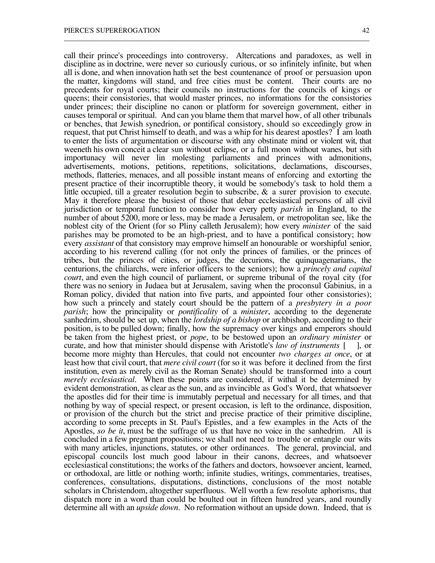call their prince's proceedings into controversy. Altercations and paradoxes, as well in discipline as in doctrine, were never so curiously curious, or so infinitely infinite, but when all is done, and when innovation hath set the best countenance of proof or persuasion upon the matter, kingdoms will stand, and free cities must be content. Their courts are no precedents for royal courts; their councils no instructions for the councils of kings or queens; their consistories, that would master princes, no informations for the consistories under princes; their discipline no canon or platform for sovereign government, either in causes temporal or spiritual. And can you blame them that marvel how, of all other tribunals or benches, that Jewish synedrion, or pontifical consistory, should so exceedingly grow in request, that put Christ himself to death, and was a whip for his dearest apostles? I am loath to enter the lists of argumentation or discourse with any obstinate mind or violent wit, that weeneth his own conceit a clear sun without eclipse, or a full moon without wanes, but sith importunacy will never lin molesting parliaments and princes with admonitions, advertisements, motions, petitions, repetitions, solicitations, declamations, discourses, methods, flatteries, menaces, and all possible instant means of enforcing and extorting the present practice of their incorruptible theory, it would be somebody's task to hold them a little occupied, till a greater resolution begin to subscribe,  $\&$  a surer provision to execute. May it therefore please the busiest of those that debar ecclesiastical persons of all civil jurisdiction or temporal function to consider how every petty *parish* in England, to the number of about 5200, more or less, may be made a Jerusalem, or metropolitan see, like the noblest city of the Orient (for so Pliny calleth Jerusalem); how every *minister* of the said parishes may be promoted to be an high-priest, and to have a pontifical consistory; how every *assistant* of that consistory may emprove himself an honourable or worshipful senior, according to his reverend calling (for not only the princes of families, or the princes of tribes, but the princes of cities, or judges, the decurions, the quinquagenarians, the centurions, the chiliarchs, were inferior officers to the seniors); how a *princely and capital court*, and even the high council of parliament, or supreme tribunal of the royal city (for there was no seniory in Judaea but at Jerusalem, saving when the proconsul Gabinius, in a Roman policy, divided that nation into five parts, and appointed four other consistories); how such a princely and stately court should be the pattern of a *presbytery in a poor parish*; how the principality or *pontificality* of a *minister*, according to the degenerate sanhedrim, should be set up, when the *lordship of a bishop* or archbishop, according to their position, is to be pulled down; finally, how the supremacy over kings and emperors should be taken from the highest priest, or *pope*, to be bestowed upon an *ordinary minister* or curate, and how that minister should dispense with Aristotle's *law of instruments* [ ], or become more mighty than Hercules, that could not encounter *two charges at once*, or at least how that civil court, that *mere civil court* (for so it was before it declined from the first institution, even as merely civil as the Roman Senate) should be transformed into a court *merely ecclesiastical*. When these points are considered, if withal it be determined by evident demonstration, as clear as the sun, and as invincible as God's Word, that whatsoever the apostles did for their time is immutably perpetual and necessary for all times, and that nothing by way of special respect, or present occasion, is left to the ordinance, disposition, or provision of the church but the strict and precise practice of their primitive discipline, according to some precepts in St. Paul's Epistles, and a few examples in the Acts of the Apostles, *so be it*, must be the suffrage of us that have no voice in the sanhedrim. All is concluded in a few pregnant propositions; we shall not need to trouble or entangle our wits with many articles, injunctions, statutes, or other ordinances. The general, provincial, and episcopal councils lost much good labour in their canons, decrees, and whatsoever ecclesiastical constitutions; the works of the fathers and doctors, howsoever ancient, learned, or orthodoxal, are little or nothing worth; infinite studies, writings, commentaries, treatises, conferences, consultations, disputations, distinctions, conclusions of the most notable scholars in Christendom, altogether superfluous. Well worth a few resolute aphorisms, that dispatch more in a word than could be boulted out in fifteen hundred years, and roundly determine all with an *upside down*. No reformation without an upside down. Indeed, that is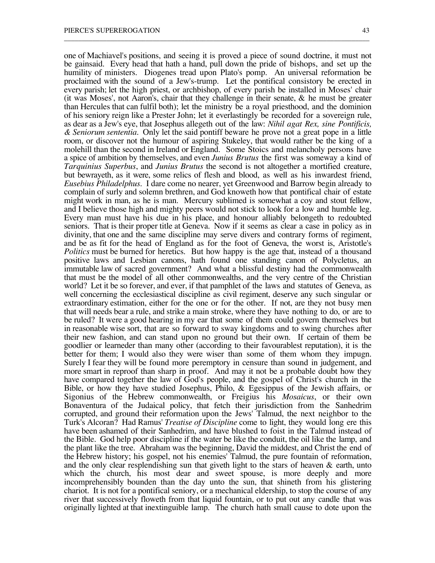one of Machiavel's positions, and seeing it is proved a piece of sound doctrine, it must not be gainsaid. Every head that hath a hand, pull down the pride of bishops, and set up the humility of ministers. Diogenes tread upon Plato's pomp. An universal reformation be proclaimed with the sound of a Jew's-trump. Let the pontifical consistory be erected in every parish; let the high priest, or archbishop, of every parish be installed in Moses' chair (it was Moses', not Aaron's, chair that they challenge in their senate, & he must be greater than Hercules that can fulfil both); let the ministry be a royal priesthood, and the dominion of his seniory reign like a Prester John; let it everlastingly be recorded for a sovereign rule, as dear as a Jew's eye, that Josephus allegeth out of the law: *Nihil agat Rex, sine Pontificis, & Seniorum sententia*. Only let the said pontiff beware he prove not a great pope in a little room, or discover not the humour of aspiring Stukeley, that would rather be the king of a molehill than the second in Ireland or England. Some Stoics and melancholy persons have a spice of ambition by themselves, and even *Junius Brutus* the first was someway a kind of *Tarquinius Superbus*, and *Junius Brutus* the second is not altogether a mortified creature, but bewrayeth, as it were, some relics of flesh and blood, as well as his inwardest friend, *Eusebius Philadelphus*. I dare come no nearer, yet Greenwood and Barrow begin already to complain of surly and solemn brethren, and God knoweth how that pontifical chair of estate might work in man, as he is man. Mercury sublimed is somewhat a coy and stout fellow, and I believe those high and mighty peers would not stick to look for a low and humble leg. Every man must have his due in his place, and honour alliably belongeth to redoubted seniors. That is their proper title at Geneva. Now if it seems as clear a case in policy as in divinity, that one and the same discipline may serve divers and contrary forms of regiment, and be as fit for the head of England as for the foot of Geneva, the worst is, Aristotle's *Politics* must be burned for heretics. But how happy is the age that, instead of a thousand positive laws and Lesbian canons, hath found one standing canon of Polycletus, an immutable law of sacred government? And what a blissful destiny had the commonwealth that must be the model of all other commonwealths, and the very centre of the Christian world? Let it be so forever, and ever, if that pamphlet of the laws and statutes of Geneva, as well concerning the ecclesiastical discipline as civil regiment, deserve any such singular or extraordinary estimation, either for the one or for the other. If not, are they not busy men that will needs bear a rule, and strike a main stroke, where they have nothing to do, or are to be ruled? It were a good hearing in my ear that some of them could govern themselves but in reasonable wise sort, that are so forward to sway kingdoms and to swing churches after their new fashion, and can stand upon no ground but their own. If certain of them be goodlier or learneder than many other (according to their favourablest reputation), it is the better for them; I would also they were wiser than some of them whom they impugn. Surely I fear they will be found more peremptory in censure than sound in judgement, and more smart in reproof than sharp in proof. And may it not be a probable doubt how they have compared together the law of God's people, and the gospel of Christ's church in the Bible, or how they have studied Josephus, Philo, & Egesippus of the Jewish affairs, or Sigonius of the Hebrew commonwealth, or Freigius his *Mosaicus*, or their own Bonaventura of the Judaical policy, that fetch their jurisdiction from the Sanhedrim corrupted, and ground their reformation upon the Jews' Talmud, the next neighbor to the Turk's Alcoran? Had Ramus' *Treatise of Discipline* come to light, they would long ere this have been ashamed of their Sanhedrim, and have blushed to foist in the Talmud instead of the Bible. God help poor discipline if the water be like the conduit, the oil like the lamp, and the plant like the tree. Abraham was the beginning, David the middest, and Christ the end of the Hebrew history; his gospel, not his enemies' Talmud, the pure fountain of reformation, and the only clear resplendishing sun that giveth light to the stars of heaven  $\&$  earth, unto which the church, his most dear and sweet spouse, is more deeply and more incomprehensibly bounden than the day unto the sun, that shineth from his glistering chariot. It is not for a pontifical seniory, or a mechanical eldership, to stop the course of any river that successively floweth from that liquid fountain, or to put out any candle that was originally lighted at that inextinguible lamp. The church hath small cause to dote upon the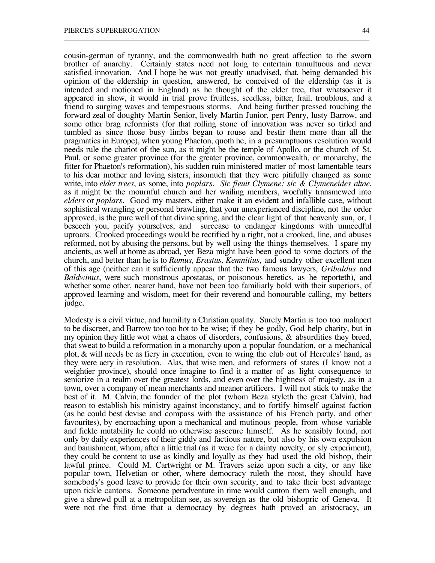cousin-german of tyranny, and the commonwealth hath no great affection to the sworn brother of anarchy. Certainly states need not long to entertain tumultuous and never satisfied innovation. And I hope he was not greatly unadvised, that, being demanded his opinion of the eldership in question, answered, he conceived of the eldership (as it is intended and motioned in England) as he thought of the elder tree, that whatsoever it appeared in show, it would in trial prove fruitless, seedless, bitter, frail, troublous, and a friend to surging waves and tempestuous storms. And being further pressed touching the forward zeal of doughty Martin Senior, lively Martin Junior, pert Penry, lusty Barrow, and some other brag reformists (for that rolling stone of innovation was never so tirled and tumbled as since those busy limbs began to rouse and bestir them more than all the pragmatics in Europe), when young Phaeton, quoth he, in a presumptuous resolution would needs rule the chariot of the sun, as it might be the temple of Apollo, or the church of St. Paul, or some greater province (for the greater province, commonwealth, or monarchy, the fitter for Phaeton's reformation), his sudden ruin ministered matter of most lamentable tears to his dear mother and loving sisters, insomuch that they were pitifully changed as some write, into *elder trees*, as some, into *poplars*. *Sic fleuit Clymene: sic & Clymeneides altae*, as it might be the mournful church and her wailing members, woefully transmewed into *elders* or *poplars*. Good my masters, either make it an evident and infallible case, without sophistical wrangling or personal brawling, that your unexperienced discipline, not the order approved, is the pure well of that divine spring, and the clear light of that heavenly sun, or, I beseech you, pacify yourselves, and surcease to endanger kingdoms with unneedful uproars. Crooked proceedings would be rectified by a right, not a crooked, line, and abuses reformed, not by abusing the persons, but by well using the things themselves. I spare my ancients, as well at home as abroad, yet Beza might have been good to some doctors of the church, and better than he is to *Ramus, Erastus, Kemnitius*, and sundry other excellent men of this age (neither can it sufficiently appear that the two famous lawyers, *Gribaldus* and *Baldwinus*, were such monstrous apostatas, or poisonous heretics, as he reporteth), and whether some other, nearer hand, have not been too familiarly bold with their superiors, of approved learning and wisdom, meet for their reverend and honourable calling, my betters judge.

\_\_\_\_\_\_\_\_\_\_\_\_\_\_\_\_\_\_\_\_\_\_\_\_\_\_\_\_\_\_\_\_\_\_\_\_\_\_\_\_\_\_\_\_\_\_\_\_\_\_\_\_\_\_\_\_\_\_\_\_\_\_\_\_\_\_\_\_\_\_\_\_\_\_\_\_\_\_\_\_\_\_\_\_\_\_

Modesty is a civil virtue, and humility a Christian quality. Surely Martin is too too malapert to be discreet, and Barrow too too hot to be wise; if they be godly, God help charity, but in my opinion they little wot what a chaos of disorders, confusions, & absurdities they breed, that sweat to build a reformation in a monarchy upon a popular foundation, or a mechanical plot, & will needs be as fiery in execution, even to wring the club out of Hercules' hand, as they were aery in resolution. Alas, that wise men, and reformers of states (I know not a weightier province), should once imagine to find it a matter of as light consequence to seniorize in a realm over the greatest lords, and even over the highness of majesty, as in a town, over a company of mean merchants and meaner artificers. I will not stick to make the best of it. M. Calvin, the founder of the plot (whom Beza styleth the great Calvin), had reason to establish his ministry against inconstancy, and to fortify himself against faction (as he could best devise and compass with the assistance of his French party, and other favourites), by encroaching upon a mechanical and mutinous people, from whose variable and fickle mutability he could no otherwise assecure himself. As he sensibly found, not only by daily experiences of their giddy and factious nature, but also by his own expulsion and banishment, whom, after a little trial (as it were for a dainty novelty, or sly experiment), they could be content to use as kindly and loyally as they had used the old bishop, their lawful prince. Could M. Cartwright or M. Travers seize upon such a city, or any like popular town, Helvetian or other, where democracy ruleth the roost, they should have somebody's good leave to provide for their own security, and to take their best advantage upon tickle cantons. Someone peradventure in time would canton them well enough, and give a shrewd pull at a metropolitan see, as sovereign as the old bishopric of Geneva. It were not the first time that a democracy by degrees hath proved an aristocracy, an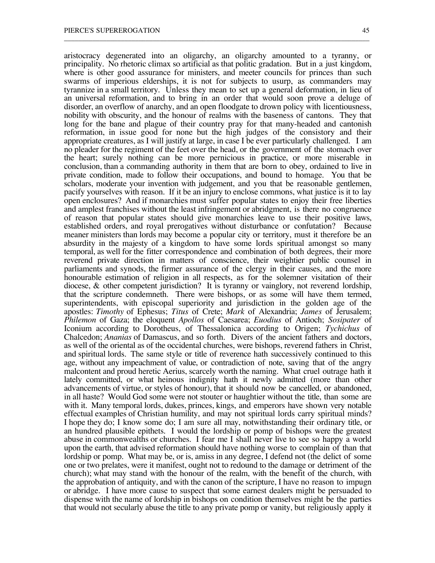aristocracy degenerated into an oligarchy, an oligarchy amounted to a tyranny, or principality. No rhetoric climax so artificial as that politic gradation. But in a just kingdom, where is other good assurance for ministers, and meeter councils for princes than such swarms of imperious elderships, it is not for subjects to usurp, as commanders may tyrannize in a small territory. Unless they mean to set up a general deformation, in lieu of an universal reformation, and to bring in an order that would soon prove a deluge of disorder, an overflow of anarchy, and an open floodgate to drown policy with licentiousness, nobility with obscurity, and the honour of realms with the baseness of cantons. They that long for the bane and plague of their country pray for that many-headed and cantonish reformation, in issue good for none but the high judges of the consistory and their appropriate creatures, as I will justify at large, in case I be ever particularly challenged. I am no pleader for the regiment of the feet over the head, or the government of the stomach over the heart; surely nothing can be more pernicious in practice, or more miserable in conclusion, than a commanding authority in them that are born to obey, ordained to live in private condition, made to follow their occupations, and bound to homage. You that be scholars, moderate your invention with judgement, and you that be reasonable gentlemen, pacify yourselves with reason. If it be an injury to enclose commons, what justice is it to lay open enclosures? And if monarchies must suffer popular states to enjoy their free liberties and amplest franchises without the least infringement or abridgment, is there no congruence of reason that popular states should give monarchies leave to use their positive laws, established orders, and royal prerogatives without disturbance or confutation? Because meaner ministers than lords may become a popular city or territory, must it therefore be an absurdity in the majesty of a kingdom to have some lords spiritual amongst so many temporal, as well for the fitter correspondence and combination of both degrees, their more reverend private direction in matters of conscience, their weightier public counsel in parliaments and synods, the firmer assurance of the clergy in their causes, and the more honourable estimation of religion in all respects, as for the solemner visitation of their diocese, & other competent jurisdiction? It is tyranny or vainglory, not reverend lordship, that the scripture condemneth. There were bishops, or as some will have them termed, superintendents, with episcopal superiority and jurisdiction in the golden age of the apostles: *Timothy* of Ephesus; *Titus* of Crete; *Mark* of Alexandria; *James* of Jerusalem; *Philemon* of Gaza; the eloquent *Apollos* of Caesarea; *Euodius* of Antioch; *Sosipater* of Iconium according to Dorotheus, of Thessalonica according to Origen; *Tychichus* of Chalcedon; *Ananias* of Damascus, and so forth. Divers of the ancient fathers and doctors, as well of the oriental as of the occidental churches, were bishops, reverend fathers in Christ, and spiritual lords. The same style or title of reverence hath successively continued to this age, without any impeachment of value, or contradiction of note, saving that of the angry malcontent and proud heretic Aerius, scarcely worth the naming. What cruel outrage hath it lately committed, or what heinous indignity hath it newly admitted (more than other advancements of virtue, or styles of honour), that it should now be cancelled, or abandoned, in all haste? Would God some were not stouter or haughtier without the title, than some are with it. Many temporal lords, dukes, princes, kings, and emperors have shown very notable effectual examples of Christian humility, and may not spiritual lords carry spiritual minds? I hope they do; I know some do; I am sure all may, notwithstanding their ordinary title, or an hundred plausible epithets. I would the lordship or pomp of bishops were the greatest abuse in commonwealths or churches. I fear me I shall never live to see so happy a world upon the earth, that advised reformation should have nothing worse to complain of than that lordship or pomp. What may be, or is, amiss in any degree, I defend not (the delict of some one or two prelates, were it manifest, ought not to redound to the damage or detriment of the church); what may stand with the honour of the realm, with the benefit of the church, with the approbation of antiquity, and with the canon of the scripture, I have no reason to impugn or abridge. I have more cause to suspect that some earnest dealers might be persuaded to dispense with the name of lordship in bishops on condition themselves might be the parties that would not secularly abuse the title to any private pomp or vanity, but religiously apply it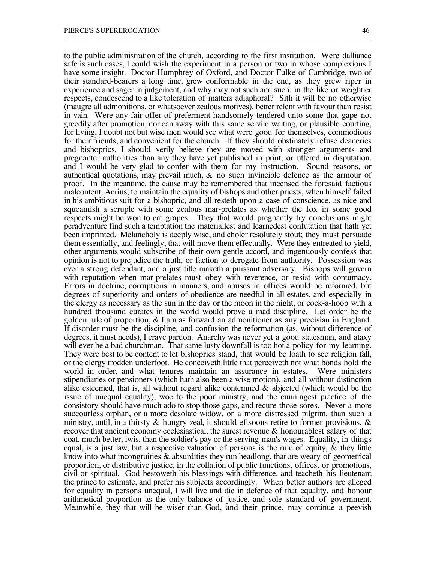to the public administration of the church, according to the first institution. Were dalliance safe is such cases, I could wish the experiment in a person or two in whose complexions I have some insight. Doctor Humphrey of Oxford, and Doctor Fulke of Cambridge, two of their standard-bearers a long time, grew conformable in the end, as they grew riper in experience and sager in judgement, and why may not such and such, in the like or weightier respects, condescend to a like toleration of matters adiaphoral? Sith it will be no otherwise (maugre all admonitions, or whatsoever zealous motives), better relent with favour than resist in vain. Were any fair offer of preferment handsomely tendered unto some that gape not greedily after promotion, nor can away with this same servile waiting, or plausible courting, for living, I doubt not but wise men would see what were good for themselves, commodious for their friends, and convenient for the church. If they should obstinately refuse deaneries and bishoprics, I should verily believe they are moved with stronger arguments and pregnanter authorities than any they have yet published in print, or uttered in disputation, and I would be very glad to confer with them for my instruction. Sound reasons, or authentical quotations, may prevail much,  $\&$  no such invincible defence as the armour of proof. In the meantime, the cause may be remembered that incensed the foresaid factious malcontent, Aerius, to maintain the equality of bishops and other priests, when himself failed in his ambitious suit for a bishopric, and all resteth upon a case of conscience, as nice and squeamish a scruple with some zealous mar-prelates as whether the fox in some good respects might be won to eat grapes. They that would pregnantly try conclusions might peradventure find such a temptation the materiallest and learnedest confutation that hath yet been imprinted. Melancholy is deeply wise, and choler resolutely stout; they must persuade them essentially, and feelingly, that will move them effectually. Were they entreated to yield, other arguments would subscribe of their own gentle accord, and ingenuously confess that opinion is not to prejudice the truth, or faction to derogate from authority. Possession was ever a strong defendant, and a just title maketh a puissant adversary. Bishops will govern with reputation when mar-prelates must obey with reverence, or resist with contumacy. Errors in doctrine, corruptions in manners, and abuses in offices would be reformed, but degrees of superiority and orders of obedience are needful in all estates, and especially in the clergy as necessary as the sun in the day or the moon in the night, or cock-a-hoop with a hundred thousand curates in the world would prove a mad discipline. Let order be the golden rule of proportion, & I am as forward an admonitioner as any precisian in England. If disorder must be the discipline, and confusion the reformation (as, without difference of degrees, it must needs), I crave pardon. Anarchy was never yet a good statesman, and ataxy will ever be a bad churchman. That same lusty downfall is too hot a policy for my learning. They were best to be content to let bishoprics stand, that would be loath to see religion fall, or the clergy trodden underfoot. He conceiveth little that perceiveth not what bonds hold the world in order, and what tenures maintain an assurance in estates. Were ministers stipendiaries or pensioners (which hath also been a wise motion), and all without distinction alike esteemed, that is, all without regard alike contemned & abjected (which would be the issue of unequal equality), woe to the poor ministry, and the cunningest practice of the consistory should have much ado to stop those gaps, and recure those sores. Never a more succourless orphan, or a more desolate widow, or a more distressed pilgrim, than such a ministry, until, in a thirsty  $\&$  hungry zeal, it should eftsoons retire to former provisions,  $\&$ recover that ancient economy ecclesiastical, the surest revenue & honourablest salary of that coat, much better, iwis, than the soldier's pay or the serving-man's wages. Equality, in things equal, is a just law, but a respective valuation of persons is the rule of equity,  $\&$  they little know into what incongruities & absurdities they run headlong, that are weary of geometrical proportion, or distributive justice, in the collation of public functions, offices, or promotions, civil or spiritual. God bestoweth his blessings with difference, and teacheth his lieutenant the prince to estimate, and prefer his subjects accordingly. When better authors are alleged for equality in persons unequal, I will live and die in defence of that equality, and honour arithmetical proportion as the only balance of justice, and sole standard of government. Meanwhile, they that will be wiser than God, and their prince, may continue a peevish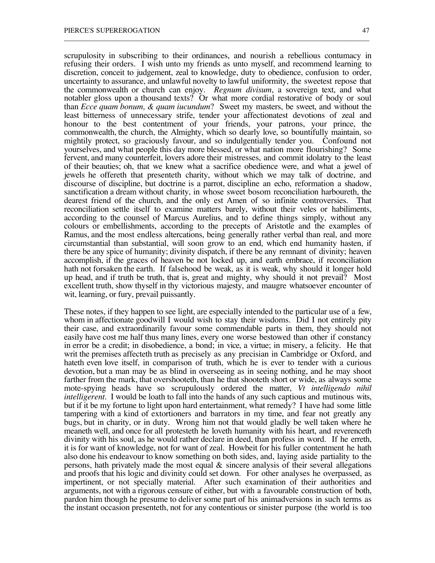scrupulosity in subscribing to their ordinances, and nourish a rebellious contumacy in refusing their orders. I wish unto my friends as unto myself, and recommend learning to discretion, conceit to judgement, zeal to knowledge, duty to obedience, confusion to order, uncertainty to assurance, and unlawful novelty to lawful uniformity, the sweetest repose that the commonwealth or church can enjoy. *Regnum divisum*, a sovereign text, and what notabler gloss upon a thousand texts? Or what more cordial restorative of body or soul than *Ecce quam bonum, & quam iucundum*? Sweet my masters, be sweet, and without the least bitterness of unnecessary strife, tender your affectionatest devotions of zeal and honour to the best contentment of your friends, your patrons, your prince, the commonwealth, the church, the Almighty, which so dearly love, so bountifully maintain, so mightily protect, so graciously favour, and so indulgentially tender you. Confound not yourselves, and what people this day more blessed, or what nation more flourishing? Some fervent, and many counterfeit, lovers adore their mistresses, and commit idolatry to the least of their beauties; oh, that we knew what a sacrifice obedience were, and what a jewel of jewels he offereth that presenteth charity, without which we may talk of doctrine, and discourse of discipline, but doctrine is a parrot, discipline an echo, reformation a shadow, sanctification a dream without charity, in whose sweet bosom reconciliation harboureth, the dearest friend of the church, and the only est Amen of so infinite controversies. That reconciliation settle itself to examine matters barely, without their veles or habiliments, according to the counsel of Marcus Aurelius, and to define things simply, without any colours or embellishments, according to the precepts of Aristotle and the examples of Ramus, and the most endless altercations, being generally rather verbal than real, and more circumstantial than substantial, will soon grow to an end, which end humanity hasten, if there be any spice of humanity; divinity dispatch, if there be any remnant of divinity; heaven accomplish, if the graces of heaven be not locked up, and earth embrace, if reconciliation hath not forsaken the earth. If falsehood be weak, as it is weak, why should it longer hold up head, and if truth be truth, that is, great and mighty, why should it not prevail? Most excellent truth, show thyself in thy victorious majesty, and maugre whatsoever encounter of wit, learning, or fury, prevail puissantly.

\_\_\_\_\_\_\_\_\_\_\_\_\_\_\_\_\_\_\_\_\_\_\_\_\_\_\_\_\_\_\_\_\_\_\_\_\_\_\_\_\_\_\_\_\_\_\_\_\_\_\_\_\_\_\_\_\_\_\_\_\_\_\_\_\_\_\_\_\_\_\_\_\_\_\_\_\_\_\_\_\_\_\_\_\_\_

These notes, if they happen to see light, are especially intended to the particular use of a few, whom in affectionate goodwill I would wish to stay their wisdoms. Did I not entirely pity their case, and extraordinarily favour some commendable parts in them, they should not easily have cost me half thus many lines, every one worse bestowed than other if constancy in error be a credit; in disobedience, a bond; in vice, a virtue; in misery, a felicity. He that writ the premises affecteth truth as precisely as any precisian in Cambridge or Oxford, and hateth even love itself, in comparison of truth, which he is ever to tender with a curious devotion, but a man may be as blind in overseeing as in seeing nothing, and he may shoot farther from the mark, that overshooteth, than he that shooteth short or wide, as always some mote-spying heads have so scrupulously ordered the matter, *Vt intelligendo nihil intelligerent*. I would be loath to fall into the hands of any such captious and mutinous wits, but if it be my fortune to light upon hard entertainment, what remedy? I have had some little tampering with a kind of extortioners and barrators in my time, and fear not greatly any bugs, but in charity, or in duty. Wrong him not that would gladly be well taken where he meaneth well, and once for all protesteth he loveth humanity with his heart, and reverenceth divinity with his soul, as he would rather declare in deed, than profess in word. If he erreth, it is for want of knowledge, not for want of zeal. Howbeit for his fuller contentment he hath also done his endeavour to know something on both sides, and, laying aside partiality to the persons, hath privately made the most equal & sincere analysis of their several allegations and proofs that his logic and divinity could set down. For other analyses he overpassed, as impertinent, or not specially material. After such examination of their authorities and arguments, not with a rigorous censure of either, but with a favourable construction of both, pardon him though he presume to deliver some part of his animadversions in such terms as the instant occasion presenteth, not for any contentious or sinister purpose (the world is too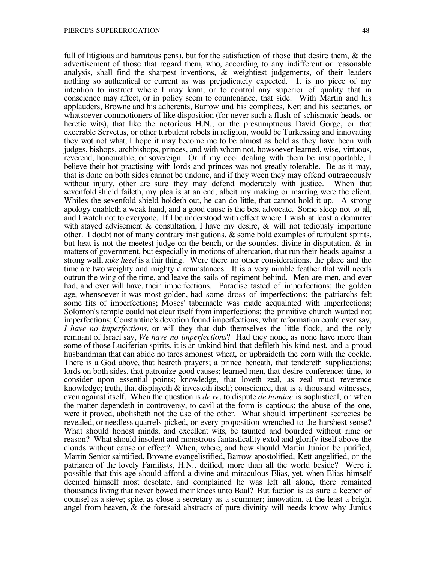full of litigious and barratous pens), but for the satisfaction of those that desire them, & the advertisement of those that regard them, who, according to any indifferent or reasonable analysis, shall find the sharpest inventions, & weightiest judgements, of their leaders nothing so authentical or current as was prejudicately expected. It is no piece of my intention to instruct where I may learn, or to control any superior of quality that in conscience may affect, or in policy seem to countenance, that side. With Martin and his applauders, Browne and his adherents, Barrow and his complices, Kett and his sectaries, or whatsoever commotioners of like disposition (for never such a flush of schismatic heads, or heretic wits), that like the notorious H.N., or the presumptuous David Gorge, or that execrable Servetus, or other turbulent rebels in religion, would be Turkessing and innovating they wot not what, I hope it may become me to be almost as bold as they have been with judges, bishops, archbishops, princes, and with whom not, howsoever learned, wise, virtuous, reverend, honourable, or sovereign. Or if my cool dealing with them be insupportable, I believe their hot practising with lords and princes was not greatly tolerable. Be as it may, that is done on both sides cannot be undone, and if they ween they may offend outrageously without injury, other are sure they may defend moderately with justice. When that without injury, other are sure they may defend moderately with justice. sevenfold shield faileth, my plea is at an end, albeit my making or marring were the client. Whiles the sevenfold shield holdeth out, he can do little, that cannot hold it up. A strong apology enableth a weak hand, and a good cause is the best advocate. Some sleep not to all, and I watch not to everyone. If I be understood with effect where I wish at least a demurrer with stayed advisement  $\&$  consultation, I have my desire,  $\&$  will not tediously importune other. I doubt not of many contrary instigations, & some bold examples of turbulent spirits, but heat is not the meetest judge on the bench, or the soundest divine in disputation,  $\&$  in matters of government, but especially in motions of altercation, that run their heads against a strong wall, *take heed* is a fair thing. Were there no other considerations, the place and the time are two weighty and mighty circumstances. It is a very nimble feather that will needs outrun the wing of the time, and leave the sails of regiment behind. Men are men, and ever had, and ever will have, their imperfections. Paradise tasted of imperfections; the golden age, whensoever it was most golden, had some dross of imperfections; the patriarchs felt some fits of imperfections; Moses' tabernacle was made acquainted with imperfections; Solomon's temple could not clear itself from imperfections; the primitive church wanted not imperfections; Constantine's devotion found imperfections; what reformation could ever say, *I have no imperfections*, or will they that dub themselves the little flock, and the only remnant of Israel say, *We have no imperfections*? Had they none, as none have more than some of those Luciferian spirits, it is an unkind bird that defileth his kind nest, and a proud husbandman that can abide no tares amongst wheat, or upbraideth the corn with the cockle. There is a God above, that heareth prayers; a prince beneath, that tendereth supplications; lords on both sides, that patronize good causes; learned men, that desire conference; time, to consider upon essential points; knowledge, that loveth zeal, as zeal must reverence knowledge; truth, that displayeth  $\&$  investeth itself; conscience, that is a thousand witnesses, even against itself. When the question is *de re*, to dispute *de homine* is sophistical, or when the matter dependeth in controversy, to cavil at the form is captious; the abuse of the one, were it proved, abolisheth not the use of the other. What should impertinent secrecies be revealed, or needless quarrels picked, or every proposition wrenched to the harshest sense? What should honest minds, and excellent wits, be taunted and bourded without rime or reason? What should insolent and monstrous fantasticality extol and glorify itself above the clouds without cause or effect? When, where, and how should Martin Junior be purified, Martin Senior saintified, Browne evangelistified, Barrow apostolified, Kett angelified, or the patriarch of the lovely Familists, H.N., deified, more than all the world beside? Were it possible that this age should afford a divine and miraculous Elias, yet, when Elias himself deemed himself most desolate, and complained he was left all alone, there remained thousands living that never bowed their knees unto Baal? But faction is as sure a keeper of counsel as a sieve; spite, as close a secretary as a scummer; innovation, at the least a bright angel from heaven, & the foresaid abstracts of pure divinity will needs know why Junius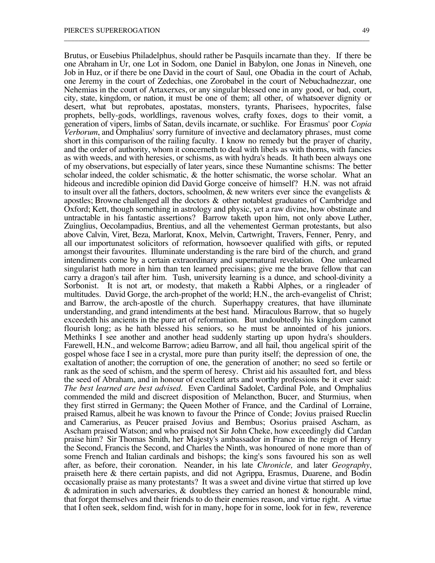Brutus, or Eusebius Philadelphus, should rather be Pasquils incarnate than they. If there be one Abraham in Ur, one Lot in Sodom, one Daniel in Babylon, one Jonas in Nineveh, one Job in Huz, or if there be one David in the court of Saul, one Obadia in the court of Achab, one Jeremy in the court of Zedechias, one Zorobabel in the court of Nebuchadnezzar, one Nehemias in the court of Artaxerxes, or any singular blessed one in any good, or bad, court, city, state, kingdom, or nation, it must be one of them; all other, of whatsoever dignity or desert, what but reprobates, apostatas, monsters, tyrants, Pharisees, hypocrites, false prophets, belly-gods, worldlings, ravenous wolves, crafty foxes, dogs to their vomit, a generation of vipers, limbs of Satan, devils incarnate, or suchlike. For Erasmus' poor *Copia Verborum*, and Omphalius' sorry furniture of invective and declamatory phrases, must come short in this comparison of the railing faculty. I know no remedy but the prayer of charity, and the order of authority, whom it concerneth to deal with libels as with thorns, with fancies as with weeds, and with heresies, or schisms, as with hydra's heads. It hath been always one of my observations, but especially of later years, since these Numantine schisms: The better scholar indeed, the colder schismatic,  $\&$  the hotter schismatic, the worse scholar. What an hideous and incredible opinion did David Gorge conceive of himself? H.N. was not afraid to insult over all the fathers, doctors, schoolmen,  $\&$  new writers ever since the evangelists  $\&$ apostles; Browne challenged all the doctors & other notablest graduates of Cambridge and Oxford; Kett, though something in astrology and physic, yet a raw divine, how obstinate and untractable in his fantastic assertions? Barrow taketh upon him, not only above Luther, Zuinglius, Oecolampadius, Brentius, and all the vehementest German protestants, but also above Calvin, Viret, Beza, Marlorat, Knox, Melvin, Cartwright, Travers, Fenner, Penry, and all our importunatest solicitors of reformation, howsoever qualified with gifts, or reputed amongst their favourites. Illuminate understanding is the rare bird of the church, and grand intendiments come by a certain extraordinary and supernatural revelation. One unlearned singularist hath more in him than ten learned precisians; give me the brave fellow that can carry a dragon's tail after him. Tush, university learning is a dunce, and school-divinity a Sorbonist. It is not art, or modesty, that maketh a Rabbi Alphes, or a ringleader of multitudes. David Gorge, the arch-prophet of the world; H.N., the arch-evangelist of Christ; and Barrow, the arch-apostle of the church. Superhappy creatures, that have illuminate understanding, and grand intendiments at the best hand. Miraculous Barrow, that so hugely exceedeth his ancients in the pure art of reformation. But undoubtedly his kingdom cannot flourish long; as he hath blessed his seniors, so he must be annointed of his juniors. Methinks I see another and another head suddenly starting up upon hydra's shoulders. Farewell, H.N., and welcome Barrow; adieu Barrow, and all hail, thou angelical spirit of the gospel whose face I see in a crystal, more pure than purity itself; the depression of one, the exaltation of another; the corruption of one, the generation of another; no seed so fertile or rank as the seed of schism, and the sperm of heresy. Christ aid his assaulted fort, and bless the seed of Abraham, and in honour of excellent arts and worthy professions be it ever said: *The best learned are best advised*. Even Cardinal Sadolet, Cardinal Pole, and Omphalius commended the mild and discreet disposition of Melancthon, Bucer, and Sturmius, when they first stirred in Germany; the Queen Mother of France, and the Cardinal of Lorraine, praised Ramus, albeit he was known to favour the Prince of Conde; Jovius praised Rueclin and Camerarius, as Peucer praised Jovius and Bembus; Osorius praised Ascham, as Ascham praised Watson; and who praised not Sir John Cheke, how exceedingly did Cardan praise him? Sir Thomas Smith, her Majesty's ambassador in France in the reign of Henry the Second, Francis the Second, and Charles the Ninth, was honoured of none more than of some French and Italian cardinals and bishops; the king's sons favoured his son as well after, as before, their coronation. Neander, in his late *Chronicle*, and later *Geography*, praiseth here & there certain papists, and did not Agrippa, Erasmus, Duarene, and Bodin occasionally praise as many protestants? It was a sweet and divine virtue that stirred up love & admiration in such adversaries, & doubtless they carried an honest & honourable mind, that forgot themselves and their friends to do their enemies reason, and virtue right. A virtue that I often seek, seldom find, wish for in many, hope for in some, look for in few, reverence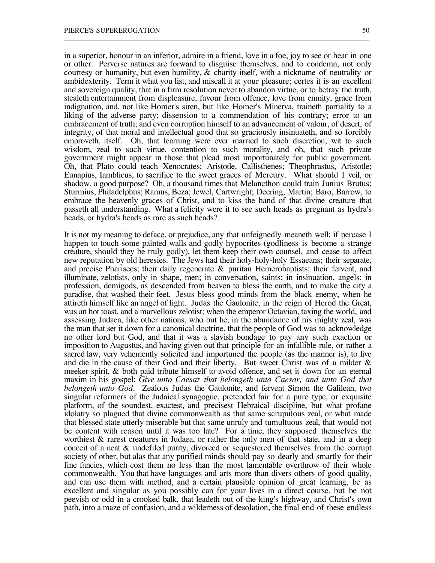in a superior, honour in an inferior, admire in a friend, love in a foe, joy to see or hear in one or other. Perverse natures are forward to disguise themselves, and to condemn, not only courtesy or humanity, but even humility, & charity itself, with a nickname of neutrality or ambidexterity. Term it what you list, and miscall it at your pleasure; certes it is an excellent and sovereign quality, that in a firm resolution never to abandon virtue, or to betray the truth, stealeth entertainment from displeasure, favour from offence, love from enmity, grace from indignation, and, not like Homer's siren, but like Homer's Minerva, traineth partiality to a liking of the adverse party; dissension to a commendation of his contrary; error to an embracement of truth; and even corruption himself to an advancement of valour, of desert, of integrity, of that moral and intellectual good that so graciously insinuateth, and so forcibly emproveth, itself. Oh, that learning were ever married to such discretion, wit to such wisdom, zeal to such virtue, contention to such morality, and oh, that such private government might appear in those that plead most importunately for public government. Oh, that Plato could teach Xenocrates; Aristotle, Callisthenes; Theophrastus, Aristotle; Eunapius, Iamblicus, to sacrifice to the sweet graces of Mercury. What should I veil, or shadow, a good purpose? Oh, a thousand times that Melancthon could train Junius Brutus; Sturmius, Philadelphus; Ramus, Beza; Jewel, Cartwright; Deering, Martin; Baro, Barrow, to embrace the heavenly graces of Christ, and to kiss the hand of that divine creature that passeth all understanding. What a felicity were it to see such heads as pregnant as hydra's heads, or hydra's heads as rare as such heads?

\_\_\_\_\_\_\_\_\_\_\_\_\_\_\_\_\_\_\_\_\_\_\_\_\_\_\_\_\_\_\_\_\_\_\_\_\_\_\_\_\_\_\_\_\_\_\_\_\_\_\_\_\_\_\_\_\_\_\_\_\_\_\_\_\_\_\_\_\_\_\_\_\_\_\_\_\_\_\_\_\_\_\_\_\_\_

It is not my meaning to deface, or prejudice, any that unfeignedly meaneth well; if percase I happen to touch some painted walls and godly hypocrites (godliness is become a strange creature, should they be truly godly), let them keep their own counsel, and cease to affect new reputation by old heresies. The Jews had their holy-holy-holy Essaeans; their separate, and precise Pharisees; their daily regenerate & puritan Hemerobaptists; their fervent, and illuminate, zelotists, only in shape, men; in conversation, saints; in insinuation, angels; in profession, demigods, as descended from heaven to bless the earth, and to make the city a paradise, that washed their feet. Jesus bless good minds from the black enemy, when he attireth himself like an angel of light. Judas the Gaulonite, in the reign of Herod the Great, was an hot toast, and a marvellous zelotist; when the emperor Octavian, taxing the world, and assessing Judaea, like other nations, who but he, in the abundance of his mighty zeal, was the man that set it down for a canonical doctrine, that the people of God was to acknowledge no other lord but God, and that it was a slavish bondage to pay any such exaction or imposition to Augustus, and having given out that principle for an infallible rule, or rather a sacred law, very vehemently solicited and importuned the people (as the manner is), to live and die in the cause of their God and their liberty. But sweet Christ was of a milder & meeker spirit, & both paid tribute himself to avoid offence, and set it down for an eternal maxim in his gospel: *Give unto Caesar that belongeth unto Caesar, and unto God that belongeth unto God*. Zealous Judas the Gaulonite, and fervent Simon the Galilean, two singular reformers of the Judaical synagogue, pretended fair for a pure type, or exquisite platform, of the soundest, exactest, and precisest Hebraical discipline, but what profane idolatry so plagued that divine commonwealth as that same scrupulous zeal, or what made that blessed state utterly miserable but that same unruly and tumultuous zeal, that would not be content with reason until it was too late? For a time, they supposed themselves the worthiest & rarest creatures in Judaea, or rather the only men of that state, and in a deep conceit of a neat & undefiled purity, divorced or sequestered themselves from the corrupt society of other, but alas that any purified minds should pay so dearly and smartly for their fine fancies, which cost them no less than the most lamentable overthrow of their whole commonwealth. You that have languages and arts more than divers others of good quality, and can use them with method, and a certain plausible opinion of great learning, be as excellent and singular as you possibly can for your lives in a direct course, but be not peevish or odd in a crooked balk, that leadeth out of the king's highway, and Christ's own path, into a maze of confusion, and a wilderness of desolation, the final end of these endless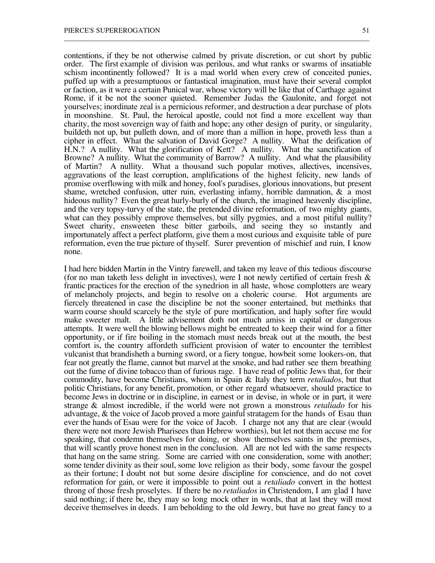contentions, if they be not otherwise calmed by private discretion, or cut short by public order. The first example of division was perilous, and what ranks or swarms of insatiable schism incontinently followed? It is a mad world when every crew of conceited punies, puffed up with a presumptuous or fantastical imagination, must have their several complot or faction, as it were a certain Punical war, whose victory will be like that of Carthage against Rome, if it be not the sooner quieted. Remember Judas the Gaulonite, and forget not yourselves; inordinate zeal is a pernicious reformer, and destruction a dear purchase of plots in moonshine. St. Paul, the heroical apostle, could not find a more excellent way than charity, the most sovereign way of faith and hope; any other design of purity, or singularity, buildeth not up, but pulleth down, and of more than a million in hope, proveth less than a cipher in effect. What the salvation of David Gorge? A nullity. What the deification of H.N.? A nullity. What the glorification of Kett? A nullity. What the sanctification of Browne? A nullity. What the community of Barrow? A nullity. And what the plausibility of Martin? A nullity. What a thousand such popular motives, allectives, incensives, aggravations of the least corruption, amplifications of the highest felicity, new lands of promise overflowing with milk and honey, fool's paradises, glorious innovations, but present shame, wretched confusion, utter ruin, everlasting infamy, horrible damnation, & a most hideous nullity? Even the great hurly-burly of the church, the imagined heavenly discipline, and the very topsy-turvy of the state, the pretended divine reformation, of two mighty giants, what can they possibly emprove themselves, but silly pygmies, and a most pitiful nullity? Sweet charity, ensweeten these bitter garboils, and seeing they so instantly and importunately affect a perfect platform, give them a most curious and exquisite table of pure reformation, even the true picture of thyself. Surer prevention of mischief and ruin, I know none.

\_\_\_\_\_\_\_\_\_\_\_\_\_\_\_\_\_\_\_\_\_\_\_\_\_\_\_\_\_\_\_\_\_\_\_\_\_\_\_\_\_\_\_\_\_\_\_\_\_\_\_\_\_\_\_\_\_\_\_\_\_\_\_\_\_\_\_\_\_\_\_\_\_\_\_\_\_\_\_\_\_\_\_\_\_\_

I had here bidden Martin in the Vintry farewell, and taken my leave of this tedious discourse (for no man taketh less delight in invectives), were I not newly certified of certain fresh  $\&$ frantic practices for the erection of the synedrion in all haste, whose complotters are weary of melancholy projects, and begin to resolve on a choleric course. Hot arguments are fiercely threatened in case the discipline be not the sooner entertained, but methinks that warm course should scarcely be the style of pure mortification, and haply softer fire would make sweeter malt. A little advisement doth not much amiss in capital or dangerous attempts. It were well the blowing bellows might be entreated to keep their wind for a fitter opportunity, or if fire boiling in the stomach must needs break out at the mouth, the best comfort is, the country affordeth sufficient provision of water to encounter the terriblest vulcanist that brandisheth a burning sword, or a fiery tongue, howbeit some lookers-on, that fear not greatly the flame, cannot but marvel at the smoke, and had rather see them breathing out the fume of divine tobacco than of furious rage. I have read of politic Jews that, for their commodity, have become Christians, whom in Spain & Italy they term *retaliados*, but that politic Christians, for any benefit, promotion, or other regard whatsoever, should practice to become Jews in doctrine or in discipline, in earnest or in devise, in whole or in part, it were strange & almost incredible, if the world were not grown a monstrous *retaliado* for his advantage, & the voice of Jacob proved a more gainful stratagem for the hands of Esau than ever the hands of Esau were for the voice of Jacob. I charge not any that are clear (would there were not more Jewish Pharisees than Hebrew worthies), but let not them accuse me for speaking, that condemn themselves for doing, or show themselves saints in the premises, that will scantly prove honest men in the conclusion. All are not led with the same respects that hang on the same string. Some are carried with one consideration, some with another; some tender divinity as their soul, some love religion as their body, some favour the gospel as their fortune; I doubt not but some desire discipline for conscience, and do not covet reformation for gain, or were it impossible to point out a *retaliado* convert in the hottest throng of those fresh proselytes. If there be no *retaliados* in Christendom, I am glad I have said nothing; if there be, they may so long mock other in words, that at last they will most deceive themselves in deeds. I am beholding to the old Jewry, but have no great fancy to a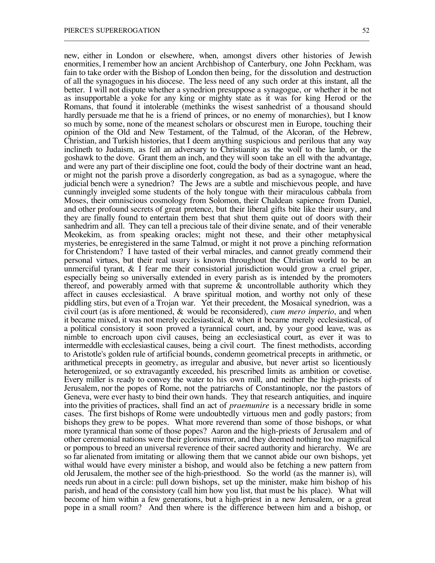new, either in London or elsewhere, when, amongst divers other histories of Jewish enormities, I remember how an ancient Archbishop of Canterbury, one John Peckham, was fain to take order with the Bishop of London then being, for the dissolution and destruction of all the synagogues in his diocese. The less need of any such order at this instant, all the better. I will not dispute whether a synedrion presuppose a synagogue, or whether it be not as insupportable a yoke for any king or mighty state as it was for king Herod or the Romans, that found it intolerable (methinks the wisest sanhedrist of a thousand should hardly persuade me that he is a friend of princes, or no enemy of monarchies), but I know so much by some, none of the meanest scholars or obscurest men in Europe, touching their opinion of the Old and New Testament, of the Talmud, of the Alcoran, of the Hebrew, Christian, and Turkish histories, that I deem anything suspicious and perilous that any way inclineth to Judaism, as fell an adversary to Christianity as the wolf to the lamb, or the goshawk to the dove. Grant them an inch, and they will soon take an ell with the advantage, and were any part of their discipline one foot, could the body of their doctrine want an head, or might not the parish prove a disorderly congregation, as bad as a synagogue, where the judicial bench were a synedrion? The Jews are a subtle and mischievous people, and have cunningly inveigled some students of the holy tongue with their miraculous cabbala from Moses, their omniscious cosmology from Solomon, their Chaldean sapience from Daniel, and other profound secrets of great pretence, but their liberal gifts bite like their usury, and they are finally found to entertain them best that shut them quite out of doors with their sanhedrim and all. They can tell a precious tale of their divine senate, and of their venerable Meokekim, as from speaking oracles; might not these, and their other metaphysical mysteries, be enregistered in the same Talmud, or might it not prove a pinching reformation for Christendom? I have tasted of their verbal miracles, and cannot greatly commend their personal virtues, but their real usury is known throughout the Christian world to be an unmerciful tyrant,  $\&$  I fear me their consistorial jurisdiction would grow a cruel griper, especially being so universally extended in every parish as is intended by the promoters thereof, and powerably armed with that supreme & uncontrollable authority which they affect in causes ecclesiastical. A brave spiritual motion, and worthy not only of these piddling stirs, but even of a Trojan war. Yet their precedent, the Mosaical synedrion, was a civil court (as is afore mentioned, & would be reconsidered), *cum mero imperio*, and when it became mixed, it was not merely ecclesiastical, & when it became merely ecclesiastical, of a political consistory it soon proved a tyrannical court, and, by your good leave, was as nimble to encroach upon civil causes, being an ecclesiastical court, as ever it was to intermeddle with ecclesiastical causes, being a civil court. The finest methodists, according to Aristotle's golden rule of artificial bounds, condemn geometrical precepts in arithmetic, or arithmetical precepts in geometry, as irregular and abusive, but never artist so licentiously heterogenized, or so extravagantly exceeded, his prescribed limits as ambition or covetise. Every miller is ready to convey the water to his own mill, and neither the high-priests of Jerusalem, nor the popes of Rome, not the patriarchs of Constantinople, nor the pastors of Geneva, were ever hasty to bind their own hands. They that research antiquities, and inquire into the privities of practices, shall find an act of *praemunire* is a necessary bridle in some cases. The first bishops of Rome were undoubtedly virtuous men and godly pastors; from bishops they grew to be popes. What more reverend than some of those bishops, or what more tyrannical than some of those popes? Aaron and the high-priests of Jerusalem and of other ceremonial nations were their glorious mirror, and they deemed nothing too magnifical or pompous to breed an universal reverence of their sacred authority and hierarchy. We are so far alienated from imitating or allowing them that we cannot abide our own bishops, yet withal would have every minister a bishop, and would also be fetching a new pattern from old Jerusalem, the mother see of the high-priesthood. So the world (as the manner is), will needs run about in a circle: pull down bishops, set up the minister, make him bishop of his parish, and head of the consistory (call him how you list, that must be his place). What will become of him within a few generations, but a high-priest in a new Jerusalem, or a great pope in a small room? And then where is the difference between him and a bishop, or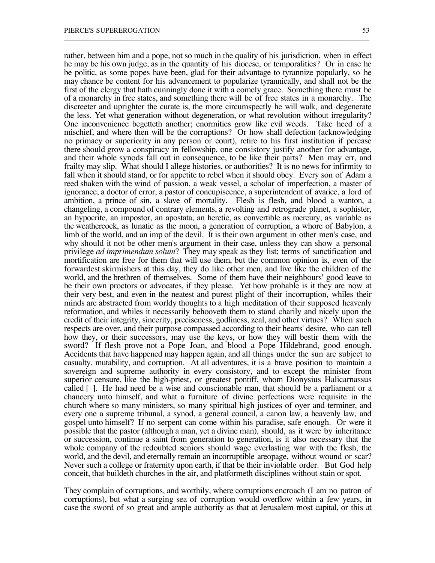rather, between him and a pope, not so much in the quality of his jurisdiction, when in effect he may be his own judge, as in the quantity of his diocese, or temporalities? Or in case he be politic, as some popes have been, glad for their advantage to tyrannize popularly, so he may chance be content for his advancement to popularize tyrannically, and shall not be the first of the clergy that hath cunningly done it with a comely grace. Something there must be of a monarchy in free states, and something there will be of free states in a monarchy. The discreeter and uprighter the curate is, the more circumspectly he will walk, and degenerate the less. Yet what generation without degeneration, or what revolution without irregularity? One inconvenience begetteth another; enormities grow like evil weeds. Take heed of a mischief, and where then will be the corruptions? Or how shall defection (acknowledging no primacy or superiority in any person or court), retire to his first institution if percase there should grow a conspiracy in fellowship, one consistory justify another for advantage, and their whole synods fall out in consequence, to be like their parts? Men may err, and frailty may slip. What should I allege histories, or authorities? It is no news for infirmity to fall when it should stand, or for appetite to rebel when it should obey. Every son of Adam a reed shaken with the wind of passion, a weak vessel, a scholar of imperfection, a master of ignorance, a doctor of error, a pastor of concupiscence, a superintendent of avarice, a lord of ambition, a prince of sin, a slave of mortality. Flesh is flesh, and blood a wanton, a changeling, a compound of contrary elements, a revolting and retrograde planet, a sophister, an hypocrite, an impostor, an apostata, an heretic, as convertible as mercury, as variable as the weathercock, as lunatic as the moon, a generation of corruption, a whore of Babylon, a limb of the world, and an imp of the devil. It is their own argument in other men's case, and why should it not be other men's argument in their case, unless they can show a personal privilege *ad imprimendum solum*? They may speak as they list; terms of sanctification and mortification are free for them that will use them, but the common opinion is, even of the forwardest skirmishers at this day, they do like other men, and live like the children of the world, and the brethren of themselves. Some of them have their neighbours' good leave to be their own proctors or advocates, if they please. Yet how probable is it they are now at their very best, and even in the neatest and purest plight of their incorruption, whiles their minds are abstracted from worldy thoughts to a high meditation of their supposed heavenly reformation, and whiles it necessarily behooveth them to stand charily and nicely upon the credit of their integrity, sincerity, preciseness, godliness, zeal, and other virtues? When such respects are over, and their purpose compassed according to their hearts' desire, who can tell how they, or their successors, may use the keys, or how they will bestir them with the sword? If flesh prove not a Pope Joan, and blood a Pope Hildebrand, good enough. Accidents that have happened may happen again, and all things under the sun are subject to casualty, mutability, and corruption. At all adventures, it is a brave position to maintain a sovereign and supreme authority in every consistory, and to except the minister from superior censure, like the high-priest, or greatest pontiff, whom Dionysius Halicarnassus called [ ]. He had need be a wise and conscionable man, that should be a parliament or a chancery unto himself, and what a furniture of divine perfections were requisite in the church where so many ministers, so many spiritual high justices of oyer and terminer, and every one a supreme tribunal, a synod, a general council, a canon law, a heavenly law, and gospel unto himself? If no serpent can come within his paradise, safe enough. Or were it possible that the pastor (although a man, yet a divine man), should, as it were by inheritance or succession, continue a saint from generation to generation, is it also necessary that the whole company of the redoubted seniors should wage everlasting war with the flesh, the world, and the devil, and eternally remain an incorruptible areopage, without wound or scar? Never such a college or fraternity upon earth, if that be their inviolable order. But God help conceit, that buildeth churches in the air, and platformeth disciplines without stain or spot.

\_\_\_\_\_\_\_\_\_\_\_\_\_\_\_\_\_\_\_\_\_\_\_\_\_\_\_\_\_\_\_\_\_\_\_\_\_\_\_\_\_\_\_\_\_\_\_\_\_\_\_\_\_\_\_\_\_\_\_\_\_\_\_\_\_\_\_\_\_\_\_\_\_\_\_\_\_\_\_\_\_\_\_\_\_\_

They complain of corruptions, and worthily, where corruptions encroach (I am no patron of corruptions), but what a surging sea of corruption would overflow within a few years, in case the sword of so great and ample authority as that at Jerusalem most capital, or this at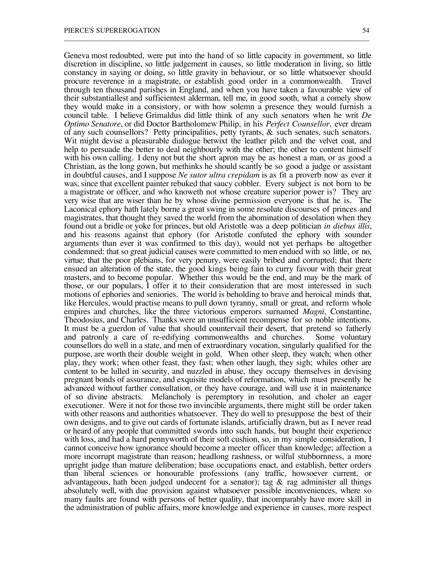Geneva most redoubted, were put into the hand of so little capacity in government, so little discretion in discipline, so little judgement in causes, so little moderation in living, so little constancy in saying or doing, so little gravity in behaviour, or so little whatsoever should procure reverence in a magistrate, or establish good order in a commonwealth. Travel through ten thousand parishes in England, and when you have taken a favourable view of their substantiallest and sufficientest alderman, tell me, in good sooth, what a comely show they would make in a consistory, or with how solemn a presence they would furnish a council table. I believe Grimaldus did little think of any such senators when he writ *De Optimo Senatore*, or did Doctor Bartholomew Philip, in his *Perfect Counsellor,* ever dream of any such counsellors? Petty principalities, petty tyrants, & such senates, such senators. Wit might devise a pleasurable dialogue betwixt the leather pilch and the velvet coat, and help to persuade the better to deal neighbourly with the other; the other to content himself with his own calling. I deny not but the short apron may be as honest a man, or as good a Christian, as the long gown, but methinks he should scantly be so good a judge or assistant in doubtful causes, and I suppose *Ne sutor ultra crepidam* is as fit a proverb now as ever it was, since that excellent painter rebuked that saucy cobbler. Every subject is not born to be a magistrate or officer, and who knoweth not whose creature superior power is? They are very wise that are wiser than he by whose divine permission everyone is that he is. The Laconical ephory hath lately borne a great swing in some resolute discourses of princes and magistrates, that thought they saved the world from the abomination of desolation when they found out a bridle or yoke for princes, but old Aristotle was a deep politician *in diebus illis*, and his reasons against that ephory (for Aristotle confuted the ephory with sounder arguments than ever it was confirmed to this day), would not yet perhaps be altogether condemned: that so great judicial causes were committed to men endued with so little, or no, virtue; that the poor plebians, for very penury, were easily bribed and corrupted; that there ensued an alteration of the state, the good kings being fain to curry favour with their great masters, and to become popular. Whether this would be the end, and may be the mark of those, or our populars, I offer it to their consideration that are most interessed in such motions of ephories and seniories. The world is beholding to brave and heroical minds that, like Hercules, would practise means to pull down tyranny, small or great, and reform whole empires and churches, like the three victorious emperors surnamed *Magni*, Constantine, Theodosius, and Charles. Thanks were an unsufficient recompense for so noble intentions. It must be a guerdon of value that should countervail their desert, that pretend so fatherly and patronly a care of re-edifying commonwealths and churches. Some voluntary and patronly a care of re-edifying commonwealths and churches. counsellors do well in a state, and men of extraordinary vocation, singularly qualified for the purpose, are worth their double weight in gold. When other sleep, they watch; when other play, they work; when other feast, they fast; when other laugh, they sigh; whiles other are content to be lulled in security, and nuzzled in abuse, they occupy themselves in devising pregnant bonds of assurance, and exquisite models of reformation, which must presently be advanced without farther consultation, or they have courage, and will use it in maintenance of so divine abstracts. Melancholy is peremptory in resolution, and choler an eager executioner. Were it not for those two invincible arguments, there might still be order taken with other reasons and authorities whatsoever. They do well to presuppose the best of their own designs, and to give out cards of fortunate islands, artificially drawn, but as I never read or heard of any people that committed swords into such hands, but bought their experience with loss, and had a hard pennyworth of their soft cushion, so, in my simple consideration, I cannot conceive how ignorance should become a meeter officer than knowledge; affection a more incorrupt magistrate than reason; headlong rashness, or wilful stubbornness, a more upright judge than mature deliberation; base occupations enact, and establish, better orders than liberal sciences or honourable professions (any traffic, howsoever current, or advantageous, hath been judged undecent for a senator); tag  $\&$  rag administer all things absolutely well, with due provision against whatsoever possible inconveniences, where so many faults are found with persons of better quality, that incomparably have more skill in the administration of public affairs, more knowledge and experience in causes, more respect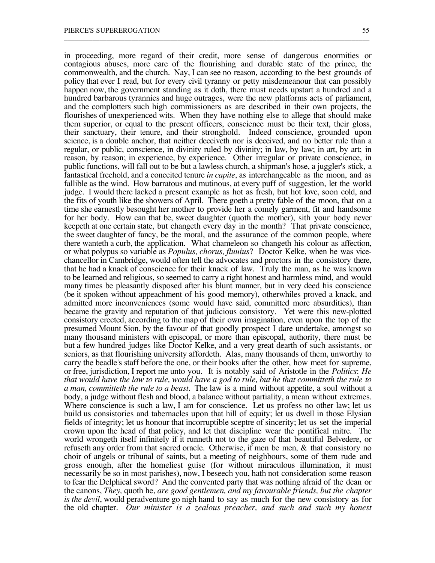in proceeding, more regard of their credit, more sense of dangerous enormities or contagious abuses, more care of the flourishing and durable state of the prince, the commonwealth, and the church. Nay, I can see no reason, according to the best grounds of policy that ever I read, but for every civil tyranny or petty misdemeanour that can possibly happen now, the government standing as it doth, there must needs upstart a hundred and a hundred barbarous tyrannies and huge outrages, were the new platforms acts of parliament, and the complotters such high commissioners as are described in their own projects, the flourishes of unexperienced wits. When they have nothing else to allege that should make them superior, or equal to the present officers, conscience must be their text, their gloss, their sanctuary, their tenure, and their stronghold. Indeed conscience, grounded upon science, is a double anchor, that neither deceiveth nor is deceived, and no better rule than a regular, or public, conscience, in divinity ruled by divinity; in law, by law; in art, by art; in reason, by reason; in experience, by experience. Other irregular or private conscience, in public functions, will fall out to be but a lawless church, a shipman's hose, a juggler's stick, a fantastical freehold, and a conceited tenure *in capite*, as interchangeable as the moon, and as fallible as the wind. How barratous and mutinous, at every puff of suggestion, let the world judge. I would there lacked a present example as hot as fresh, but hot love, soon cold, and the fits of youth like the showers of April. There goeth a pretty fable of the moon, that on a time she earnestly besought her mother to provide her a comely garment, fit and handsome for her body. How can that be, sweet daughter (quoth the mother), sith your body never keepeth at one certain state, but changeth every day in the month? That private conscience, the sweet daughter of fancy, be the moral, and the assurance of the common people, where there wanteth a curb, the application. What chameleon so changeth his colour as affection, or what polypus so variable as *Populus, chorus, fluuius*? Doctor Kelke, when he was vicechancellor in Cambridge, would often tell the advocates and proctors in the consistory there, that he had a knack of conscience for their knack of law. Truly the man, as he was known to be learned and religious, so seemed to carry a right honest and harmless mind, and would many times be pleasantly disposed after his blunt manner, but in very deed his conscience (be it spoken without appeachment of his good memory), otherwhiles proved a knack, and admitted more inconveniences (some would have said, committed more absurdities), than became the gravity and reputation of that judicious consistory. Yet were this new-plotted consistory erected, according to the map of their own imagination, even upon the top of the presumed Mount Sion, by the favour of that goodly prospect I dare undertake, amongst so many thousand ministers with episcopal, or more than episcopal, authority, there must be but a few hundred judges like Doctor Kelke, and a very great dearth of such assistants, or seniors, as that flourishing university affordeth. Alas, many thousands of them, unworthy to carry the beadle's staff before the one, or their books after the other, how meet for supreme, or free, jurisdiction, I report me unto you. It is notably said of Aristotle in the *Politics*: *He that would have the law to rule, would have a god to rule, but he that committeth the rule to a man, committeth the rule to a beast.* The law is a mind without appetite, a soul without a body, a judge without flesh and blood, a balance without partiality, a mean without extremes. Where conscience is such a law, I am for conscience. Let us profess no other law; let us build us consistories and tabernacles upon that hill of equity; let us dwell in those Elysian fields of integrity; let us honour that incorruptible sceptre of sincerity; let us set the imperial crown upon the head of that policy, and let that discipline wear the pontifical mitre. The world wrongeth itself infinitely if it runneth not to the gaze of that beautiful Belvedere, or refuseth any order from that sacred oracle. Otherwise, if men be men, & that consistory no choir of angels or tribunal of saints, but a meeting of neighbours, some of them rude and gross enough, after the homeliest guise (for without miraculous illumination, it must necessarily be so in most parishes), now, I beseech you, hath not consideration some reason to fear the Delphical sword? And the convented party that was nothing afraid of the dean or the canons, *They,* quoth he, *are good gentlemen, and my favourable friends, but the chapter is the devil*, would peradventure go nigh hand to say as much for the new consistory as for the old chapter. *Our minister is a zealous preacher, and such and such my honest*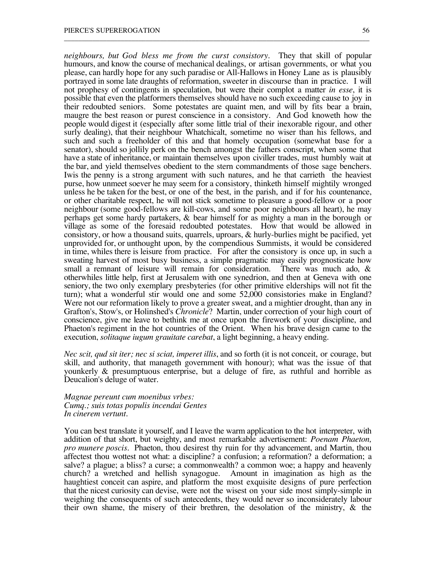*neighbours, but God bless me from the curst consistory*. They that skill of popular humours, and know the course of mechanical dealings, or artisan governments, or what you please, can hardly hope for any such paradise or All-Hallows in Honey Lane as is plausibly portrayed in some late draughts of reformation, sweeter in discourse than in practice. I will not prophesy of contingents in speculation, but were their complot a matter *in esse*, it is possible that even the platformers themselves should have no such exceeding cause to joy in their redoubted seniors. Some potestates are quaint men, and will by fits bear a brain, maugre the best reason or purest conscience in a consistory. And God knoweth how the people would digest it (especially after some little trial of their inexorable rigour, and other surly dealing), that their neighbour Whatchicalt, sometime no wiser than his fellows, and such and such a freeholder of this and that homely occupation (somewhat base for a senator), should so jollily perk on the bench amongst the fathers conscript, when some that have a state of inheritance, or maintain themselves upon civiller trades, must humbly wait at the bar, and yield themselves obedient to the stern commandments of those sage benchers. Iwis the penny is a strong argument with such natures, and he that carrieth the heaviest purse, how unmeet soever he may seem for a consistory, thinketh himself mightily wronged unless he be taken for the best, or one of the best, in the parish, and if for his countenance, or other charitable respect, he will not stick sometime to pleasure a good-fellow or a poor neighbour (some good-fellows are kill-cows, and some poor neighbours all heart), he may perhaps get some hardy partakers, & bear himself for as mighty a man in the borough or village as some of the foresaid redoubted potestates. How that would be allowed in consistory, or how a thousand suits, quarrels, uproars, & hurly-burlies might be pacified, yet unprovided for, or unthought upon, by the compendious Summists, it would be considered in time, whiles there is leisure from practice. For after the consistory is once up, in such a sweating harvest of most busy business, a simple pragmatic may easily prognosticate how small a remnant of leisure will remain for consideration. There was much ado, & otherwhiles little help, first at Jerusalem with one synedrion, and then at Geneva with one seniory, the two only exemplary presbyteries (for other primitive elderships will not fit the turn); what a wonderful stir would one and some 52,000 consistories make in England? Were not our reformation likely to prove a greater sweat, and a mightier drought, than any in Grafton's, Stow's, or Holinshed's *Chronicle*? Martin, under correction of your high court of conscience, give me leave to bethink me at once upon the firework of your discipline, and Phaeton's regiment in the hot countries of the Orient. When his brave design came to the execution, *solitaque iugum grauitate carebat*, a light beginning, a heavy ending.

\_\_\_\_\_\_\_\_\_\_\_\_\_\_\_\_\_\_\_\_\_\_\_\_\_\_\_\_\_\_\_\_\_\_\_\_\_\_\_\_\_\_\_\_\_\_\_\_\_\_\_\_\_\_\_\_\_\_\_\_\_\_\_\_\_\_\_\_\_\_\_\_\_\_\_\_\_\_\_\_\_\_\_\_\_\_

*Nec scit, qud sit iter; nec si sciat, imperet illis*, and so forth (it is not conceit, or courage, but skill, and authority, that manageth government with honour); what was the issue of that younkerly & presumptuous enterprise, but a deluge of fire, as ruthful and horrible as Deucalion's deluge of water.

*Magnae pereunt cum moenibus vrbes: Cumq.; suis totas populis incendai Gentes In cinerem vertunt.*

You can best translate it yourself, and I leave the warm application to the hot interpreter, with addition of that short, but weighty, and most remarkable advertisement: *Poenam Phaeton, pro munere poscis.* Phaeton, thou desirest thy ruin for thy advancement, and Martin, thou affectest thou wottest not what: a discipline? a confusion; a reformation? a deformation; a salve? a plague; a bliss? a curse; a commonwealth? a common woe; a happy and heavenly church? a wretched and hellish synagogue. Amount in imagination as high as the haughtiest conceit can aspire, and platform the most exquisite designs of pure perfection that the nicest curiosity can devise, were not the wisest on your side most simply-simple in weighing the consequents of such antecedents, they would never so inconsiderately labour their own shame, the misery of their brethren, the desolation of the ministry, & the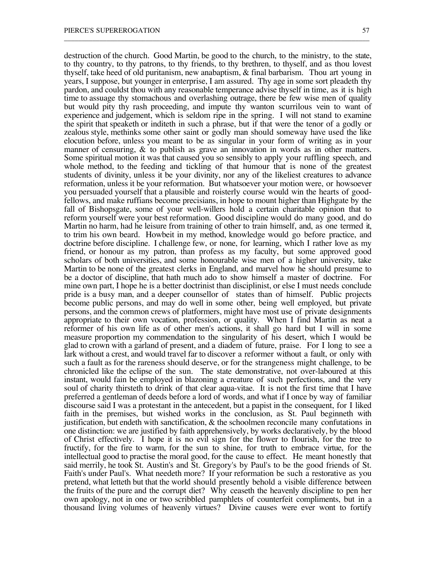destruction of the church. Good Martin, be good to the church, to the ministry, to the state, to thy country, to thy patrons, to thy friends, to thy brethren, to thyself, and as thou lovest thyself, take heed of old puritanism, new anabaptism, & final barbarism. Thou art young in years, I suppose, but younger in enterprise, I am assured. Thy age in some sort pleadeth thy pardon, and couldst thou with any reasonable temperance advise thyself in time, as it is high time to assuage thy stomachous and overlashing outrage, there be few wise men of quality but would pity thy rash proceeding, and impute thy wanton scurrilous vein to want of experience and judgement, which is seldom ripe in the spring. I will not stand to examine the spirit that speaketh or inditeth in such a phrase, but if that were the tenor of a godly or zealous style, methinks some other saint or godly man should someway have used the like elocution before, unless you meant to be as singular in your form of writing as in your manner of censuring, & to publish as grave an innovation in words as in other matters. Some spiritual motion it was that caused you so sensibly to apply your ruffling speech, and whole method, to the feeding and tickling of that humour that is none of the greatest students of divinity, unless it be your divinity, nor any of the likeliest creatures to advance reformation, unless it be your reformation. But whatsoever your motion were, or howsoever you persuaded yourself that a plausible and roisterly course would win the hearts of goodfellows, and make ruffians become precisians, in hope to mount higher than Highgate by the fall of Bishopsgate, some of your well-willers hold a certain charitable opinion that to reform yourself were your best reformation. Good discipline would do many good, and do Martin no harm, had he leisure from training of other to train himself, and, as one termed it, to trim his own beard. Howbeit in my method, knowledge would go before practice, and doctrine before discipline. I challenge few, or none, for learning, which I rather love as my friend, or honour as my patron, than profess as my faculty, but some approved good scholars of both universities, and some honourable wise men of a higher university, take Martin to be none of the greatest clerks in England, and marvel how he should presume to be a doctor of discipline, that hath much ado to show himself a master of doctrine. For mine own part, I hope he is a better doctrinist than disciplinist, or else I must needs conclude pride is a busy man, and a deeper counsellor of states than of himself. Public projects become public persons, and may do well in some other, being well employed, but private persons, and the common crews of platformers, might have most use of private designments appropriate to their own vocation, profession, or quality. When I find Martin as neat a reformer of his own life as of other men's actions, it shall go hard but I will in some measure proportion my commendation to the singularity of his desert, which I would be glad to crown with a garland of present, and a diadem of future, praise. For I long to see a lark without a crest, and would travel far to discover a reformer without a fault, or only with such a fault as for the rareness should deserve, or for the strangeness might challenge, to be chronicled like the eclipse of the sun. The state demonstrative, not over-laboured at this instant, would fain be employed in blazoning a creature of such perfections, and the very soul of charity thirsteth to drink of that clear aqua-vitae. It is not the first time that I have preferred a gentleman of deeds before a lord of words, and what if I once by way of familiar discourse said I was a protestant in the antecedent, but a papist in the consequent, for I liked faith in the premises, but wished works in the conclusion, as St. Paul beginneth with justification, but endeth with sanctification,  $\&$  the schoolmen reconcile many confutations in one distinction: we are justified by faith apprehensively, by works declaratively, by the blood of Christ effectively. I hope it is no evil sign for the flower to flourish, for the tree to fructify, for the fire to warm, for the sun to shine, for truth to embrace virtue, for the intellectual good to practise the moral good, for the cause to effect. He meant honestly that said merrily, he took St. Austin's and St. Gregory's by Paul's to be the good friends of St. Faith's under Paul's. What needeth more? If your reformation be such a restorative as you pretend, what letteth but that the world should presently behold a visible difference between the fruits of the pure and the corrupt diet? Why ceaseth the heavenly discipline to pen her own apology, not in one or two scribbled pamphlets of counterfeit compliments, but in a thousand living volumes of heavenly virtues? Divine causes were ever wont to fortify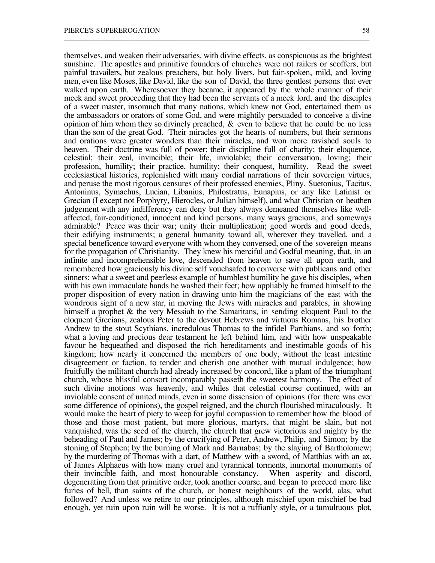themselves, and weaken their adversaries, with divine effects, as conspicuous as the brightest sunshine. The apostles and primitive founders of churches were not railers or scoffers, but painful travailers, but zealous preachers, but holy livers, but fair-spoken, mild, and loving men, even like Moses, like David, like the son of David, the three gentlest persons that ever walked upon earth. Wheresoever they became, it appeared by the whole manner of their meek and sweet proceeding that they had been the servants of a meek lord, and the disciples of a sweet master, insomuch that many nations, which knew not God, entertained them as the ambassadors or orators of some God, and were mightily persuaded to conceive a divine opinion of him whom they so divinely preached, & even to believe that he could be no less than the son of the great God. Their miracles got the hearts of numbers, but their sermons and orations were greater wonders than their miracles, and won more ravished souls to heaven. Their doctrine was full of power; their discipline full of charity; their eloquence, celestial; their zeal, invincible; their life, inviolable; their conversation, loving; their profession, humility; their practice, humility; their conquest, humility. Read the sweet ecclesiastical histories, replenished with many cordial narrations of their sovereign virtues, and peruse the most rigorous censures of their professed enemies, Pliny, Suetonius, Tacitus, Antoninus, Symachus, Lucian, Libanius, Philostratus, Eunapius, or any like Latinist or Grecian (I except not Porphyry, Hierocles, or Julian himself), and what Christian or heathen judgement with any indifferency can deny but they always demeaned themselves like wellaffected, fair-conditioned, innocent and kind persons, many ways gracious, and someways admirable? Peace was their war; unity their multiplication; good words and good deeds, their edifying instruments; a general humanity toward all, wherever they travelled, and a special beneficence toward everyone with whom they conversed, one of the sovereign means for the propagation of Christianity. They knew his merciful and Godful meaning, that, in an infinite and incomprehensible love, descended from heaven to save all upon earth, and remembered how graciously his divine self vouchsafed to converse with publicans and other sinners; what a sweet and peerless example of humblest humility he gave his disciples, when with his own immaculate hands he washed their feet; how appliably he framed himself to the proper disposition of every nation in drawing unto him the magicians of the east with the wondrous sight of a new star, in moving the Jews with miracles and parables, in showing himself a prophet & the very Messiah to the Samaritans, in sending eloquent Paul to the eloquent Grecians, zealous Peter to the devout Hebrews and virtuous Romans, his brother Andrew to the stout Scythians, incredulous Thomas to the infidel Parthians, and so forth; what a loving and precious dear testament he left behind him, and with how unspeakable favour he bequeathed and disposed the rich hereditaments and inestimable goods of his kingdom; how nearly it concerned the members of one body, without the least intestine disagreement or faction, to tender and cherish one another with mutual indulgence; how fruitfully the militant church had already increased by concord, like a plant of the triumphant church, whose blissful consort incomparably passeth the sweetest harmony. The effect of such divine motions was heavenly, and whiles that celestial course continued, with an inviolable consent of united minds, even in some dissension of opinions (for there was ever some difference of opinions), the gospel reigned, and the church flourished miraculously. It would make the heart of piety to weep for joyful compassion to remember how the blood of those and those most patient, but more glorious, martyrs, that might be slain, but not vanquished, was the seed of the church, the church that grew victorious and mighty by the beheading of Paul and James; by the crucifying of Peter, Andrew, Philip, and Simon; by the stoning of Stephen; by the burning of Mark and Barnabas; by the slaying of Bartholomew; by the murdering of Thomas with a dart, of Matthew with a sword, of Matthias with an ax, of James Alphaeus with how many cruel and tyrannical torments, immortal monuments of their invincible faith, and most honourable constancy. When asperity and discord, their invincible faith, and most honourable constancy. degenerating from that primitive order, took another course, and began to proceed more like furies of hell, than saints of the church, or honest neighbours of the world, alas, what followed? And unless we retire to our principles, although mischief upon mischief be bad enough, yet ruin upon ruin will be worse. It is not a ruffianly style, or a tumultuous plot,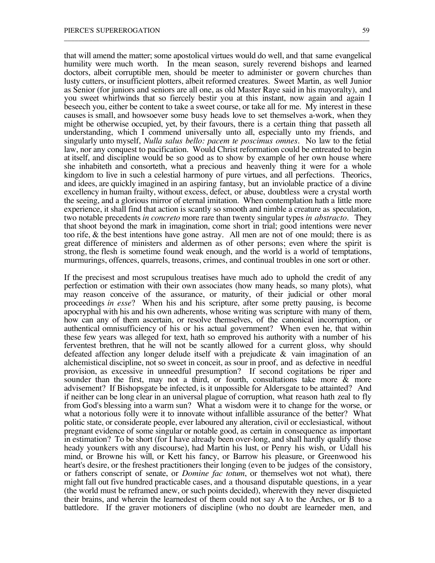that will amend the matter; some apostolical virtues would do well, and that same evangelical humility were much worth. In the mean season, surely reverend bishops and learned doctors, albeit corruptible men, should be meeter to administer or govern churches than lusty cutters, or insufficient plotters, albeit reformed creatures. Sweet Martin, as well Junior as Senior (for juniors and seniors are all one, as old Master Raye said in his mayoralty), and you sweet whirlwinds that so fiercely bestir you at this instant, now again and again I beseech you, either be content to take a sweet course, or take all for me. My interest in these causes is small, and howsoever some busy heads love to set themselves a-work, when they might be otherwise occupied, yet, by their favours, there is a certain thing that passeth all understanding, which I commend universally unto all, especially unto my friends, and singularly unto myself, *Nulla salus bello: pacem te poscimus omnes*. No law to the fetial law, nor any conquest to pacification. Would Christ reformation could be entreated to begin at itself, and discipline would be so good as to show by example of her own house where she inhabiteth and consorteth, what a precious and heavenly thing it were for a whole kingdom to live in such a celestial harmony of pure virtues, and all perfections. Theorics, and idees, are quickly imagined in an aspiring fantasy, but an inviolable practice of a divine excellency in human frailty, without excess, defect, or abuse, doubtless were a crystal worth the seeing, and a glorious mirror of eternal imitation. When contemplation hath a little more experience, it shall find that action is scantly so smooth and nimble a creature as speculation, two notable precedents *in concreto* more rare than twenty singular types *in abstracto*. They that shoot beyond the mark in imagination, come short in trial; good intentions were never too rife, & the best intentions have gone astray. All men are not of one mould; there is as great difference of ministers and aldermen as of other persons; even where the spirit is strong, the flesh is sometime found weak enough, and the world is a world of temptations, murmurings, offences, quarrels, treasons, crimes, and continual troubles in one sort or other.

\_\_\_\_\_\_\_\_\_\_\_\_\_\_\_\_\_\_\_\_\_\_\_\_\_\_\_\_\_\_\_\_\_\_\_\_\_\_\_\_\_\_\_\_\_\_\_\_\_\_\_\_\_\_\_\_\_\_\_\_\_\_\_\_\_\_\_\_\_\_\_\_\_\_\_\_\_\_\_\_\_\_\_\_\_\_

If the precisest and most scrupulous treatises have much ado to uphold the credit of any perfection or estimation with their own associates (how many heads, so many plots), what may reason conceive of the assurance, or maturity, of their judicial or other moral proceedings *in esse*? When his and his scripture, after some pretty pausing, is become apocryphal with his and his own adherents, whose writing was scripture with many of them, how can any of them ascertain, or resolve themselves, of the canonical incorruption, or authentical omnisufficiency of his or his actual government? When even he, that within these few years was alleged for text, hath so emproved his authority with a number of his ferventest brethren, that he will not be scantly allowed for a current gloss, why should defeated affection any longer delude itself with a prejudicate & vain imagination of an alchemistical discipline, not so sweet in conceit, as sour in proof, and as defective in needful provision, as excessive in unneedful presumption? If second cogitations be riper and sounder than the first, may not a third, or fourth, consultations take more  $\&$  more advisement? If Bishopsgate be infected, is it unpossible for Aldersgate to be attainted? And if neither can be long clear in an universal plague of corruption, what reason hath zeal to fly from God's blessing into a warm sun? What a wisdom were it to change for the worse, or what a notorious folly were it to innovate without infallible assurance of the better? What politic state, or considerate people, ever laboured any alteration, civil or ecclesiastical, without pregnant evidence of some singular or notable good, as certain in consequence as important in estimation? To be short (for I have already been over-long, and shall hardly qualify those heady younkers with any discourse), had Martin his lust, or Penry his wish, or Udall his mind, or Browne his will, or Kett his fancy, or Barrow his pleasure, or Greenwood his heart's desire, or the freshest practitioners their longing (even to be judges of the consistory, or fathers conscript of senate, or *Domine fac totum*, or themselves wot not what), there might fall out five hundred practicable cases, and a thousand disputable questions, in a year (the world must be reframed anew, or such points decided), wherewith they never disquieted their brains, and wherein the learnedest of them could not say A to the Arches, or B to a battledore. If the graver motioners of discipline (who no doubt are learneder men, and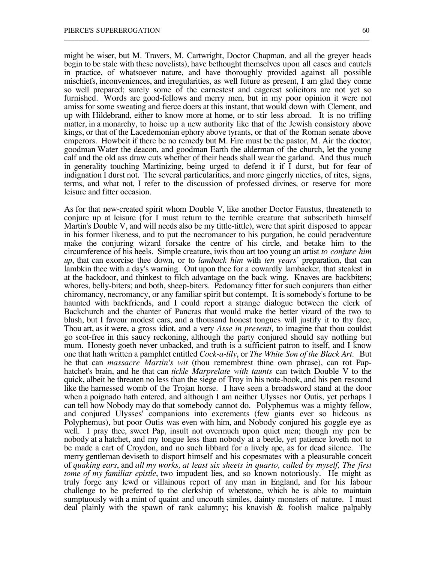might be wiser, but M. Travers, M. Cartwright, Doctor Chapman, and all the greyer heads begin to be stale with these novelists), have bethought themselves upon all cases and cautels in practice, of whatsoever nature, and have thoroughly provided against all possible mischiefs, inconveniences, and irregularities, as well future as present, I am glad they come so well prepared; surely some of the earnestest and eagerest solicitors are not yet so furnished. Words are good-fellows and merry men, but in my poor opinion it were not amiss for some sweating and fierce doers at this instant, that would down with Clement, and up with Hildebrand, either to know more at home, or to stir less abroad. It is no trifling matter, in a monarchy, to hoise up a new authority like that of the Jewish consistory above kings, or that of the Lacedemonian ephory above tyrants, or that of the Roman senate above emperors. Howbeit if there be no remedy but M. Fire must be the pastor, M. Air the doctor, goodman Water the deacon, and goodman Earth the alderman of the church, let the young calf and the old ass draw cuts whether of their heads shall wear the garland. And thus much in generality touching Martinizing, being urged to defend it if I durst, but for fear of indignation I durst not. The several particularities, and more gingerly niceties, of rites, signs, terms, and what not, I refer to the discussion of professed divines, or reserve for more leisure and fitter occasion.

\_\_\_\_\_\_\_\_\_\_\_\_\_\_\_\_\_\_\_\_\_\_\_\_\_\_\_\_\_\_\_\_\_\_\_\_\_\_\_\_\_\_\_\_\_\_\_\_\_\_\_\_\_\_\_\_\_\_\_\_\_\_\_\_\_\_\_\_\_\_\_\_\_\_\_\_\_\_\_\_\_\_\_\_\_\_

As for that new-created spirit whom Double V, like another Doctor Faustus, threateneth to conjure up at leisure (for I must return to the terrible creature that subscribeth himself Martin's Double V, and will needs also be my tittle-tittle), were that spirit disposed to appear in his former likeness, and to put the necromancer to his purgation, he could peradventure make the conjuring wizard forsake the centre of his circle, and betake him to the circumference of his heels. Simple creature, iwis thou art too young an artist *to conjure him up*, that can exorcise thee down, or to *lamback him* with *ten years'* preparation, that can lambkin thee with a day's warning. Out upon thee for a cowardly lambacker, that stealest in at the backdoor, and thinkest to filch advantage on the back wing. Knaves are backbiters; whores, belly-biters; and both, sheep-biters. Pedomancy fitter for such conjurers than either chiromancy, necromancy, or any familiar spirit but contempt. It is somebody's fortune to be haunted with backfriends, and I could report a strange dialogue between the clerk of Backchurch and the chanter of Pancras that would make the better vizard of the two to blush, but I favour modest ears, and a thousand honest tongues will justify it to thy face, Thou art, as it were, a gross idiot, and a very *Asse in presenti,* to imagine that thou couldst go scot-free in this saucy reckoning, although the party conjured should say nothing but mum. Honesty goeth never unbacked, and truth is a sufficient patron to itself, and I know one that hath written a pamphlet entitled *Cock-a-lily*, or *The White Son of the Black Art.* But he that can *massacre Martin's wit* (thou remembrest thine own phrase), can rot Paphatchet's brain, and he that can *tickle Marprelate with taunts* can twitch Double V to the quick, albeit he threaten no less than the siege of Troy in his note-book, and his pen resound like the harnessed womb of the Trojan horse. I have seen a broadsword stand at the door when a poignado hath entered, and although I am neither Ulysses nor Outis, yet perhaps I can tell how Nobody may do that somebody cannot do. Polyphemus was a mighty fellow, and conjured Ulysses' companions into excrements (few giants ever so hideous as Polyphemus), but poor Outis was even with him, and Nobody conjured his goggle eye as well. I pray thee, sweet Pap, insult not overmuch upon quiet men; though my pen be nobody at a hatchet, and my tongue less than nobody at a beetle, yet patience loveth not to be made a cart of Croydon, and no such libbard for a lively ape, as for dead silence. The merry gentleman deviseth to disport himself and his copesmates with a pleasurable conceit of *quaking ears*, and *all my works, at least six sheets in quarto, called by myself, The first tome of my familiar epistle*, two impudent lies, and so known notoriously. He might as truly forge any lewd or villainous report of any man in England, and for his labour challenge to be preferred to the clerkship of whetstone, which he is able to maintain sumptuously with a mint of quaint and uncouth similes, dainty monsters of nature. I must deal plainly with the spawn of rank calumny; his knavish & foolish malice palpably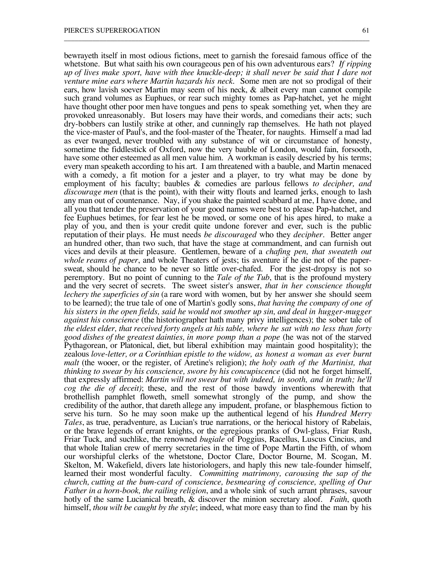bewrayeth itself in most odious fictions, meet to garnish the foresaid famous office of the whetstone. But what saith his own courageous pen of his own adventurous ears? *If ripping up of lives make sport, have with thee knuckle-deep; it shall never be said that I dare not venture mine ears where Martin hazards his neck.* Some men are not so prodigal of their ears, how lavish soever Martin may seem of his neck, & albeit every man cannot compile such grand volumes as Euphues, or rear such mighty tomes as Pap-hatchet, yet he might have thought other poor men have tongues and pens to speak something yet, when they are provoked unreasonably. But losers may have their words, and comedians their acts; such dry-bobbers can lustily strike at other, and cunningly rap themselves. He hath not played the vice-master of Paul's, and the fool-master of the Theater, for naughts. Himself a mad lad as ever twanged, never troubled with any substance of wit or circumstance of honesty, sometime the fiddlestick of Oxford, now the very bauble of London, would fain, forsooth, have some other esteemed as all men value him. A workman is easily descried by his terms; every man speaketh according to his art. I am threatened with a bauble, and Martin menaced with a comedy, a fit motion for a jester and a player, to try what may be done by employment of his faculty; baubles & comedies are parlous fellows *to decipher, and discourage men* (that is the point), with their witty flouts and learned jerks, enough to lash any man out of countenance. Nay, if you shake the painted scabbard at me, I have done, and all you that tender the preservation of your good names were best to please Pap-hatchet, and fee Euphues betimes, for fear lest he be moved, or some one of his apes hired, to make a play of you, and then is your credit quite undone forever and ever, such is the public reputation of their plays. He must needs *be discouraged* who they *decipher*. Better anger an hundred other, than two such, that have the stage at commandment, and can furnish out vices and devils at their pleasure. Gentlemen, beware of a *chafing pen, that sweateth out whole reams of paper*, and whole Theaters of jests; tis aventure if he die not of the papersweat, should he chance to be never so little over-chafed. For the jest-dropsy is not so peremptory. But no point of cunning to the *Tale of the Tub*, that is the profound mystery and the very secret of secrets. The sweet sister's answer, *that in her conscience thought lechery the superficies of sin* (a rare word with women, but by her answer she should seem to be learned); the true tale of one of Martin's godly sons, *that having the company of one of his sisters in the open fields, said he would not smother up sin, and deal in hugger-mugger against his conscience* (the historiographer hath many privy intelligences); the sober tale of *the eldest elder, that received forty angels at his table, where he sat with no less than forty good dishes of the greatest dainties, in more pomp than a pope* (he was not of the starved Pythagorean, or Platonical, diet, but liberal exhibition may maintain good hospitality); the zealous *love-letter, or a Corinthian epistle to the widow, as honest a woman as ever burnt malt* (the wooer, or the register, of Aretine's religion); *the holy oath of the Martinist, that thinking to swear by his conscience, swore by his concupiscence* (did not he forget himself, that expressly affirmed: *Martin will not swear but with indeed, in sooth, and in truth; he'll cog the die of deceit)*; these, and the rest of those bawdy inventions wherewith that brothellish pamphlet floweth, smell somewhat strongly of the pump, and show the credibility of the author, that dareth allege any impudent, profane, or blasphemous fiction to serve his turn. So he may soon make up the authentical legend of his *Hundred Merry Tales*, as true, peradventure, as Lucian's true narrations, or the heriocal history of Rabelais, or the brave legends of errant knights, or the egregious pranks of Owl-glass, Friar Rush, Friar Tuck, and suchlike, the renowned *bugiale* of Poggius, Racellus, Luscus Cincius, and that whole Italian crew of merry secretaries in the time of Pope Martin the Fifth, of whom our worshipful clerks of the whetstone, Doctor Clare, Doctor Bourne, M. Scogan, M. Skelton, M. Wakefield, divers late historiologers, and haply this new tale-founder himself, learned their most wonderful faculty. *Committing matrimony, carousing the sap of the church, cutting at the bum-card of conscience, besmearing of conscience, spelling of Our Father in a horn-book, the railing religion*, and a whole sink of such arrant phrases, savour hotly of the same Lucianical breath, & discover the minion secretary aloof. *Faith*, quoth himself, *thou wilt be caught by the style*; indeed, what more easy than to find the man by his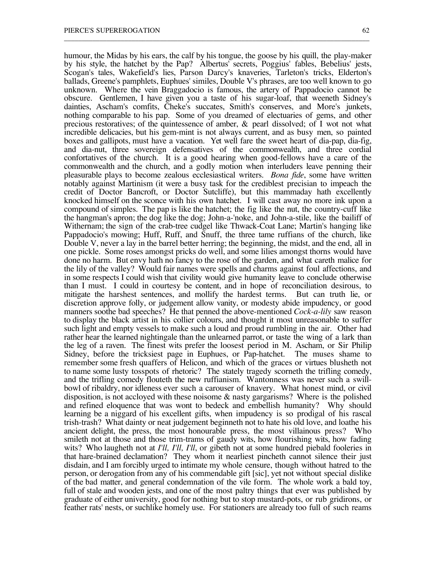humour, the Midas by his ears, the calf by his tongue, the goose by his quill, the play-maker by his style, the hatchet by the Pap? Albertus' secrets, Poggius' fables, Bebelius' jests, Scogan's tales, Wakefield's lies, Parson Darcy's knaveries, Tarleton's tricks, Elderton's ballads, Greene's pamphlets, Euphues' similes, Double V's phrases, are too well known to go unknown. Where the vein Braggadocio is famous, the artery of Pappadocio cannot be obscure. Gentlemen, I have given you a taste of his sugar-loaf, that weeneth Sidney's dainties, Ascham's comfits, Cheke's succates, Smith's conserves, and More's junkets, nothing comparable to his pap. Some of you dreamed of electuaries of gems, and other precious restoratives; of the quintessence of amber, & pearl dissolved; of I wot not what incredible delicacies, but his gem-mint is not always current, and as busy men, so painted boxes and gallipots, must have a vacation. Yet well fare the sweet heart of dia-pap, dia-fig, and dia-nut, three sovereign defensatives of the commonwealth, and three cordial confortatives of the church. It is a good hearing when good-fellows have a care of the commonwealth and the church, and a godly motion when interluders leave penning their pleasurable plays to become zealous ecclesiastical writers. *Bona fide*, some have written notably against Martinism (it were a busy task for the crediblest precisian to impeach the credit of Doctor Bancroft, or Doctor Sutcliffe), but this mammaday hath excellently knocked himself on the sconce with his own hatchet. I will cast away no more ink upon a compound of simples. The pap is like the hatchet; the fig like the nut, the country-cuff like the hangman's apron; the dog like the dog; John-a-'noke, and John-a-stile, like the bailiff of Withernam; the sign of the crab-tree cudgel like Thwack-Coat Lane; Martin's hanging like Pappadocio's mowing; Huff, Ruff, and Snuff, the three tame ruffians of the church, like Double V, never a lay in the barrel better herring; the beginning, the midst, and the end, all in one pickle. Some roses amongst pricks do well, and some lilies amongst thorns would have done no harm. But envy hath no fancy to the rose of the garden, and what careth malice for the lily of the valley? Would fair names were spells and charms against foul affections, and in some respects I could wish that civility would give humanity leave to conclude otherwise than I must. I could in courtesy be content, and in hope of reconciliation desirous, to mitigate the harshest sentences, and mollify the hardest terms. But can truth lie, or discretion approve folly, or judgement allow vanity, or modesty abide impudency, or good manners soothe bad speeches? He that penned the above-mentioned *Cock-a-lily* saw reason to display the black artist in his collier colours, and thought it most unreasonable to suffer such light and empty vessels to make such a loud and proud rumbling in the air. Other had rather hear the learned nightingale than the unlearned parrot, or taste the wing of a lark than the leg of a raven. The finest wits prefer the loosest period in M. Ascham, or Sir Philip Sidney, before the tricksiest page in Euphues, or Pap-hatchet. The muses shame to Sidney, before the tricksiest page in Euphues, or Pap-hatchet. remember some fresh quaffers of Helicon, and which of the graces or virtues blusheth not to name some lusty tosspots of rhetoric? The stately tragedy scorneth the trifling comedy, and the trifling comedy flouteth the new ruffianism. Wantonness was never such a swillbowl of ribaldry, nor idleness ever such a carouser of knavery. What honest mind, or civil disposition, is not accloyed with these noisome  $\&$  nasty gargarisms? Where is the polished and refined eloquence that was wont to bedeck and embellish humanity? Why should learning be a niggard of his excellent gifts, when impudency is so prodigal of his rascal trish-trash? What dainty or neat judgement beginneth not to hate his old love, and loathe his ancient delight, the press, the most honourable press, the most villainous press? Who smileth not at those and those trim-trams of gaudy wits, how flourishing wits, how fading wits? Who laugheth not at *I'll, I'll, I'll*, or gibeth not at some hundred piebald fooleries in that hare-brained declamation? They whom it nearliest pincheth cannot silence their just disdain, and I am forcibly urged to intimate my whole censure, though without hatred to the person, or derogation from any of his commendable gift [sic], yet not without special dislike of the bad matter, and general condemnation of the vile form. The whole work a bald toy, full of stale and wooden jests, and one of the most paltry things that ever was published by graduate of either university, good for nothing but to stop mustard-pots, or rub gridirons, or feather rats' nests, or suchlike homely use. For stationers are already too full of such reams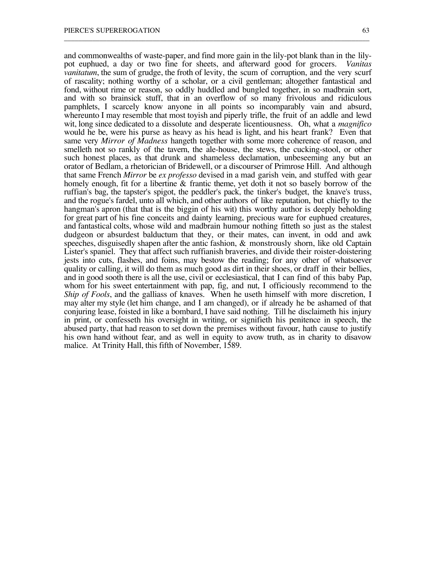and commonwealths of waste-paper, and find more gain in the lily-pot blank than in the lilypot euphued, a day or two fine for sheets, and afterward good for grocers. *Vanitas vanitatum*, the sum of grudge, the froth of levity, the scum of corruption, and the very scurf of rascality; nothing worthy of a scholar, or a civil gentleman; altogether fantastical and fond, without rime or reason, so oddly huddled and bungled together, in so madbrain sort, and with so brainsick stuff, that in an overflow of so many frivolous and ridiculous pamphlets, I scarcely know anyone in all points so incomparably vain and absurd, whereunto I may resemble that most toyish and piperly trifle, the fruit of an addle and lewd wit, long since dedicated to a dissolute and desperate licentiousness. Oh, what a *magnifico* would he be, were his purse as heavy as his head is light, and his heart frank? Even that same very *Mirror of Madness* hangeth together with some more coherence of reason, and smelleth not so rankly of the tavern, the ale-house, the stews, the cucking-stool, or other such honest places, as that drunk and shameless declamation, unbeseeming any but an orator of Bedlam, a rhetorician of Bridewell, or a discourser of Primrose Hill. And although that same French *Mirror* be *ex professo* devised in a mad garish vein, and stuffed with gear homely enough, fit for a libertine & frantic theme, yet doth it not so basely borrow of the ruffian's bag, the tapster's spigot, the peddler's pack, the tinker's budget, the knave's truss, and the rogue's fardel, unto all which, and other authors of like reputation, but chiefly to the hangman's apron (that that is the biggin of his wit) this worthy author is deeply beholding for great part of his fine conceits and dainty learning, precious ware for euphued creatures, and fantastical colts, whose wild and madbrain humour nothing fitteth so just as the stalest dudgeon or absurdest balductum that they, or their mates, can invent, in odd and awk speeches, disguisedly shapen after the antic fashion,  $\&$  monstrously shorn, like old Captain Lister's spaniel. They that affect such ruffianish braveries, and divide their roister-doistering jests into cuts, flashes, and foins, may bestow the reading; for any other of whatsoever quality or calling, it will do them as much good as dirt in their shoes, or draff in their bellies, and in good sooth there is all the use, civil or ecclesiastical, that I can find of this baby Pap, whom for his sweet entertainment with pap, fig, and nut, I officiously recommend to the *Ship of Fools*, and the galliass of knaves. When he useth himself with more discretion, I may alter my style (let him change, and I am changed), or if already he be ashamed of that conjuring lease, foisted in like a bombard, I have said nothing. Till he disclaimeth his injury in print, or confesseth his oversight in writing, or signifieth his penitence in speech, the abused party, that had reason to set down the premises without favour, hath cause to justify his own hand without fear, and as well in equity to avow truth, as in charity to disavow malice. At Trinity Hall, this fifth of November, 1589.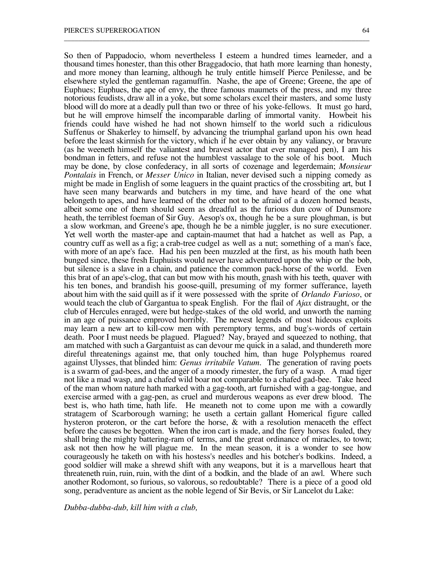So then of Pappadocio, whom nevertheless I esteem a hundred times learneder, and a thousand times honester, than this other Braggadocio, that hath more learning than honesty, and more money than learning, although he truly entitle himself Pierce Penilesse, and be elsewhere styled the gentleman ragamuffin. Nashe, the ape of Greene; Greene, the ape of Euphues; Euphues, the ape of envy, the three famous maumets of the press, and my three notorious feudists, draw all in a yoke, but some scholars excel their masters, and some lusty blood will do more at a deadly pull than two or three of his yoke-fellows. It must go hard, but he will emprove himself the incomparable darling of immortal vanity. Howbeit his friends could have wished he had not shown himself to the world such a ridiculous Suffenus or Shakerley to himself, by advancing the triumphal garland upon his own head before the least skirmish for the victory, which if he ever obtain by any valiancy, or bravure (as he weeneth himself the valiantest and bravest actor that ever managed pen), I am his bondman in fetters, and refuse not the humblest vassalage to the sole of his boot. Much may be done, by close confederacy, in all sorts of cozenage and legerdemain; *Monsieur Pontalais* in French, or *Messer Unico* in Italian, never devised such a nipping comedy as might be made in English of some leaguers in the quaint practics of the crossbiting art, but I have seen many bearwards and butchers in my time, and have heard of the one what belongeth to apes, and have learned of the other not to be afraid of a dozen horned beasts, albeit some one of them should seem as dreadful as the furious dun cow of Dunsmore heath, the terriblest foeman of Sir Guy. Aesop's ox, though he be a sure ploughman, is but a slow workman, and Greene's ape, though he be a nimble juggler, is no sure executioner. Yet well worth the master-ape and captain-maumet that had a hatchet as well as Pap, a country cuff as well as a fig; a crab-tree cudgel as well as a nut; something of a man's face, with more of an ape's face. Had his pen been muzzled at the first, as his mouth hath been bunged since, these fresh Euphuists would never have adventured upon the whip or the bob, but silence is a slave in a chain, and patience the common pack-horse of the world. Even this brat of an ape's-clog, that can but mow with his mouth, gnash with his teeth, quaver with his ten bones, and brandish his goose-quill, presuming of my former sufferance, layeth about him with the said quill as if it were possessed with the sprite of *Orlando Furioso*, or would teach the club of Gargantua to speak English. For the flail of *Ajax* distraught, or the club of Hercules enraged, were but hedge-stakes of the old world, and unworth the naming in an age of puissance emproved horribly. The newest legends of most hideous exploits may learn a new art to kill-cow men with peremptory terms, and bug's-words of certain death. Poor I must needs be plagued. Plagued? Nay, brayed and squeezed to nothing, that am matched with such a Gargantuist as can devour me quick in a salad, and thundereth more direful threatenings against me, that only touched him, than huge Polyphemus roared against Ulysses, that blinded him: *Genus irritabile Vatum.* The generation of raving poets is a swarm of gad-bees, and the anger of a moody rimester, the fury of a wasp. A mad tiger not like a mad wasp, and a chafed wild boar not comparable to a chafed gad-bee. Take heed of the man whom nature hath marked with a gag-tooth, art furnished with a gag-tongue, and exercise armed with a gag-pen, as cruel and murderous weapons as ever drew blood. The best is, who hath time, hath life. He meaneth not to come upon me with a cowardly stratagem of Scarborough warning; he useth a certain gallant Homerical figure called hysteron proteron, or the cart before the horse,  $\&$  with a resolution menaceth the effect before the causes be begotten. When the iron cart is made, and the fiery horses foaled, they shall bring the mighty battering-ram of terms, and the great ordinance of miracles, to town; ask not then how he will plague me. In the mean season, it is a wonder to see how courageously he taketh on with his hostess's needles and his botcher's bodkins. Indeed, a good soldier will make a shrewd shift with any weapons, but it is a marvellous heart that threateneth ruin, ruin, ruin, with the dint of a bodkin, and the blade of an awl. Where such another Rodomont, so furious, so valorous, so redoubtable? There is a piece of a good old song, peradventure as ancient as the noble legend of Sir Bevis, or Sir Lancelot du Lake:

\_\_\_\_\_\_\_\_\_\_\_\_\_\_\_\_\_\_\_\_\_\_\_\_\_\_\_\_\_\_\_\_\_\_\_\_\_\_\_\_\_\_\_\_\_\_\_\_\_\_\_\_\_\_\_\_\_\_\_\_\_\_\_\_\_\_\_\_\_\_\_\_\_\_\_\_\_\_\_\_\_\_\_\_\_\_

*Dubba-dubba-dub, kill him with a club,*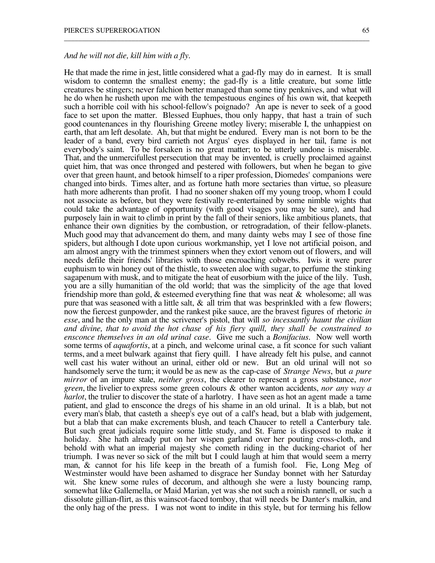## *And he will not die, kill him with a fly.*

He that made the rime in jest, little considered what a gad-fly may do in earnest. It is small wisdom to contemn the smallest enemy; the gad-fly is a little creature, but some little creatures be stingers; never falchion better managed than some tiny penknives, and what will he do when he rusheth upon me with the tempestuous engines of his own wit, that keepeth such a horrible coil with his school-fellow's poignado? An ape is never to seek of a good face to set upon the matter. Blessed Euphues, thou only happy, that hast a train of such good countenances in thy flourishing Greene motley livery; miserable I, the unhappiest on earth, that am left desolate. Ah, but that might be endured. Every man is not born to be the leader of a band, every bird carrieth not Argus' eyes displayed in her tail, fame is not everybody's saint. To be forsaken is no great matter; to be utterly undone is miserable. That, and the unmercifullest persecution that may be invented, is cruelly proclaimed against quiet him, that was once thronged and pestered with followers, but when he began to give over that green haunt, and betook himself to a riper profession, Diomedes' companions were changed into birds. Times alter, and as fortune hath more sectaries than virtue, so pleasure hath more adherents than profit. I had no sooner shaken off my young troop, whom I could not associate as before, but they were festivally re-entertained by some nimble wights that could take the advantage of opportunity (with good visages you may be sure), and had purposely lain in wait to climb in print by the fall of their seniors, like ambitious planets, that enhance their own dignities by the combustion, or retrogradation, of their fellow-planets. Much good may that advancement do them, and many dainty webs may I see of those fine spiders, but although I dote upon curious workmanship, yet I love not artificial poison, and am almost angry with the trimmest spinners when they extort venom out of flowers, and will needs defile their friends' libraries with those encroaching cobwebs. Iwis it were purer euphuism to win honey out of the thistle, to sweeten aloe with sugar, to perfume the stinking sagapenum with musk, and to mitigate the heat of eusorbium with the juice of the lily. Tush, you are a silly humanitian of the old world; that was the simplicity of the age that loved friendship more than gold,  $\&$  esteemed everything fine that was neat  $\&$  wholesome; all was pure that was seasoned with a little salt,  $\&$  all trim that was besprinkled with a few flowers; now the fiercest gunpowder, and the rankest pike sauce, are the bravest figures of rhetoric *in esse*, and he the only man at the scrivener's pistol, that will *so incessantly haunt the civilian and divine, that to avoid the hot chase of his fiery quill, they shall be constrained to ensconce themselves in an old urinal case*. Give me such a *Bonifacius*. Now well worth some terms of *aquafortis*, at a pinch, and welcome urinal case, a fit sconce for such valiant terms, and a meet bulwark against that fiery quill. I have already felt his pulse, and cannot well cast his water without an urinal, either old or new. But an old urinal will not so handsomely serve the turn; it would be as new as the cap-case of *Strange News*, but *a pure mirror* of an impure stale, *neither gross*, the clearer to represent a gross substance, *nor green*, the livelier to express some green colours & other wanton accidents, *nor any way a harlot*, the trulier to discover the state of a harlotry. I have seen as hot an agent made a tame patient, and glad to ensconce the dregs of his shame in an old urinal. It is a blab, but not every man's blab, that casteth a sheep's eye out of a calf's head, but a blab with judgement, but a blab that can make excrements blush, and teach Chaucer to retell a Canterbury tale. But such great judicials require some little study, and St. Fame is disposed to make it holiday. She hath already put on her wispen garland over her pouting cross-cloth, and behold with what an imperial majesty she cometh riding in the ducking-chariot of her triumph. I was never so sick of the milt but I could laugh at him that would seem a merry man, & cannot for his life keep in the breath of a fumish fool. Fie, Long Meg of Westminster would have been ashamed to disgrace her Sunday bonnet with her Saturday wit. She knew some rules of decorum, and although she were a lusty bouncing ramp, somewhat like Gallemella, or Maid Marian, yet was she not such a roinish rannell, or such a dissolute gillian-flirt, as this wainscot-faced tomboy, that will needs be Danter's malkin, and the only hag of the press. I was not wont to indite in this style, but for terming his fellow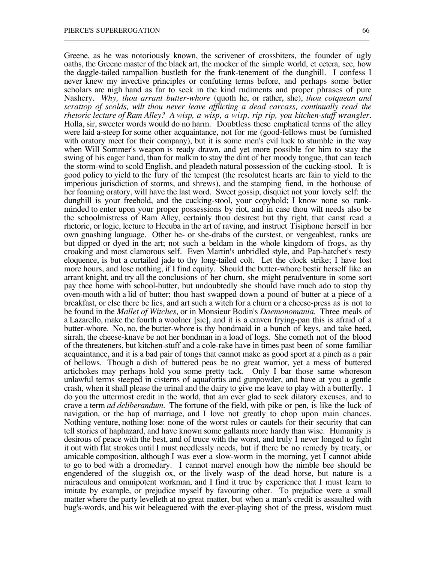Greene, as he was notoriously known, the scrivener of crossbiters, the founder of ugly oaths, the Greene master of the black art, the mocker of the simple world, et cetera, see, how the daggle-tailed rampallion bustleth for the frank-tenement of the dunghill. I confess I never knew my invective principles or confuting terms before, and perhaps some better scholars are nigh hand as far to seek in the kind rudiments and proper phrases of pure Nashery. *Why, thou arrant butter-whore* (quoth he, or rather, she), *thou cotquean and scrattop of scolds, wilt thou never leave afflicting a dead carcass, continually read the rhetoric lecture of Ram Alley? A wisp, a wisp, a wisp, rip rip, you kitchen-stuff wrangler.* Holla, sir, sweeter words would do no harm. Doubtless these emphatical terms of the alley were laid a-steep for some other acquaintance, not for me (good-fellows must be furnished with oratory meet for their company), but it is some men's evil luck to stumble in the way when Will Sommer's weapon is ready drawn, and yet more possible for him to stay the swing of his eager hand, than for malkin to stay the dint of her moody tongue, that can teach the storm-wind to scold English, and pleadeth natural possession of the cucking-stool. It is good policy to yield to the fury of the tempest (the resolutest hearts are fain to yield to the imperious jurisdiction of storms, and shrews), and the stamping fiend, in the hothouse of her foaming oratory, will have the last word. Sweet gossip, disquiet not your lovely self: the dunghill is your freehold, and the cucking-stool, your copyhold; I know none so rankminded to enter upon your proper possessions by riot, and in case thou wilt needs also be the schoolmistress of Ram Alley, certainly thou desirest but thy right, that canst read a rhetoric, or logic, lecture to Hecuba in the art of raving, and instruct Tisiphone herself in her own gnashing language. Other he- or she-drabs of the curstest, or vengeablest, ranks are but dipped or dyed in the art; not such a beldam in the whole kingdom of frogs, as thy croaking and most clamorous self. Even Martin's unbridled style, and Pap-hatchet's resty eloquence, is but a curtailed jade to thy long-tailed colt. Let the clock strike; I have lost more hours, and lose nothing, if I find equity. Should the butter-whore bestir herself like an arrant knight, and try all the conclusions of her churn, she might peradventure in some sort pay thee home with school-butter, but undoubtedly she should have much ado to stop thy oven-mouth with a lid of butter; thou hast swapped down a pound of butter at a piece of a breakfast, or else there be lies, and art such a witch for a churn or a cheese-press as is not to be found in the *Mallet of Witches*, or in Monsieur Bodin's *Daemonomania*. Three meals of a Lazarello, make the fourth a woolner [sic], and it is a craven frying-pan this is afraid of a butter-whore. No, no, the butter-whore is thy bondmaid in a bunch of keys, and take heed, sirrah, the cheese-knave be not her bondman in a load of logs. She cometh not of the blood of the threateners, but kitchen-stuff and a cole-rake have in times past been of some familiar acquaintance, and it is a bad pair of tongs that cannot make as good sport at a pinch as a pair of bellows. Though a dish of buttered peas be no great warrior, yet a mess of buttered artichokes may perhaps hold you some pretty tack. Only I bar those same whoreson unlawful terms steeped in cisterns of aquafortis and gunpowder, and have at you a gentle crash, when it shall please the urinal and the dairy to give me leave to play with a butterfly. I do you the uttermost credit in the world, that am ever glad to seek dilatory excuses, and to crave a term *ad deliberandum.* The fortune of the field, with pike or pen, is like the luck of navigation, or the hap of marriage, and I love not greatly to chop upon main chances. Nothing venture, nothing lose: none of the worst rules or cautels for their security that can tell stories of haphazard, and have known some gallants more hardy than wise. Humanity is desirous of peace with the best, and of truce with the worst, and truly I never longed to fight it out with flat strokes until I must needlessly needs, but if there be no remedy by treaty, or amicable composition, although I was ever a slow-worm in the morning, yet I cannot abide to go to bed with a dromedary. I cannot marvel enough how the nimble bee should be engendered of the sluggish ox, or the lively wasp of the dead horse, but nature is a miraculous and omnipotent workman, and I find it true by experience that I must learn to imitate by example, or prejudice myself by favouring other. To prejudice were a small matter where the party levelleth at no great matter, but when a man's credit is assaulted with bug's-words, and his wit beleaguered with the ever-playing shot of the press, wisdom must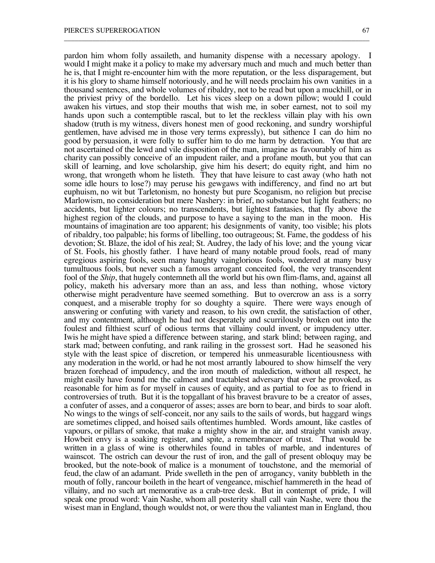pardon him whom folly assaileth, and humanity dispense with a necessary apology. I would I might make it a policy to make my adversary much and much and much better than he is, that I might re-encounter him with the more reputation, or the less disparagement, but it is his glory to shame himself notoriously, and he will needs proclaim his own vanities in a thousand sentences, and whole volumes of ribaldry, not to be read but upon a muckhill, or in the priviest privy of the bordello. Let his vices sleep on a down pillow; would I could awaken his virtues, and stop their mouths that wish me, in sober earnest, not to soil my hands upon such a contemptible rascal, but to let the reckless villain play with his own shadow (truth is my witness, divers honest men of good reckoning, and sundry worshipful gentlemen, have advised me in those very terms expressly), but sithence I can do him no good by persuasion, it were folly to suffer him to do me harm by detraction. You that are not ascertained of the lewd and vile disposition of the man, imagine as favourably of him as charity can possibly conceive of an impudent railer, and a profane mouth, but you that can skill of learning, and love scholarship, give him his desert; do equity right, and him no wrong, that wrongeth whom he listeth. They that have leisure to cast away (who hath not some idle hours to lose?) may peruse his gewgaws with indifferency, and find no art but euphuism, no wit but Tarletonism, no honesty but pure Scoganism, no religion but precise Marlowism, no consideration but mere Nashery: in brief, no substance but light feathers; no accidents, but lighter colours; no transcendents, but lightest fantasies, that fly above the highest region of the clouds, and purpose to have a saying to the man in the moon. His mountains of imagination are too apparent; his designments of vanity, too visible; his plots of ribaldry, too palpable; his forms of libelling, too outrageous; St. Fame, the goddess of his devotion; St. Blaze, the idol of his zeal; St. Audrey, the lady of his love; and the young vicar of St. Fools, his ghostly father. I have heard of many notable proud fools, read of many egregious aspiring fools, seen many haughty vainglorious fools, wondered at many busy tumultuous fools, but never such a famous arrogant conceited fool, the very transcendent fool of the *Ship*, that hugely contemneth all the world but his own flim-flams, and, against all policy, maketh his adversary more than an ass, and less than nothing, whose victory otherwise might peradventure have seemed something. But to overcrow an ass is a sorry conquest, and a miserable trophy for so doughty a squire. There were ways enough of answering or confuting with variety and reason, to his own credit, the satisfaction of other, and my contentment, although he had not desperately and scurrilously broken out into the foulest and filthiest scurf of odious terms that villainy could invent, or impudency utter. Iwis he might have spied a difference between staring, and stark blind; between raging, and stark mad; between confuting, and rank railing in the grossest sort. Had he seasoned his style with the least spice of discretion, or tempered his unmeasurable licentiousness with any moderation in the world, or had he not most arrantly laboured to show himself the very brazen forehead of impudency, and the iron mouth of malediction, without all respect, he might easily have found me the calmest and tractablest adversary that ever he provoked, as reasonable for him as for myself in causes of equity, and as partial to foe as to friend in controversies of truth. But it is the topgallant of his bravest bravure to be a creator of asses, a confuter of asses, and a conqueror of asses; asses are born to bear, and birds to soar aloft. No wings to the wings of self-conceit, nor any sails to the sails of words, but haggard wings are sometimes clipped, and hoised sails oftentimes humbled. Words amount, like castles of vapours, or pillars of smoke, that make a mighty show in the air, and straight vanish away. Howbeit envy is a soaking register, and spite, a remembrancer of trust. That would be written in a glass of wine is otherwhiles found in tables of marble, and indentures of wainscot. The ostrich can devour the rust of iron, and the gall of present obloquy may be brooked, but the note-book of malice is a monument of touchstone, and the memorial of feud, the claw of an adamant. Pride swelleth in the pen of arrogancy, vanity bubbleth in the mouth of folly, rancour boileth in the heart of vengeance, mischief hammereth in the head of villainy, and no such art memorative as a crab-tree desk. But in contempt of pride, I will speak one proud word: Vain Nashe, whom all posterity shall call vain Nashe, were thou the wisest man in England, though wouldst not, or were thou the valiantest man in England, thou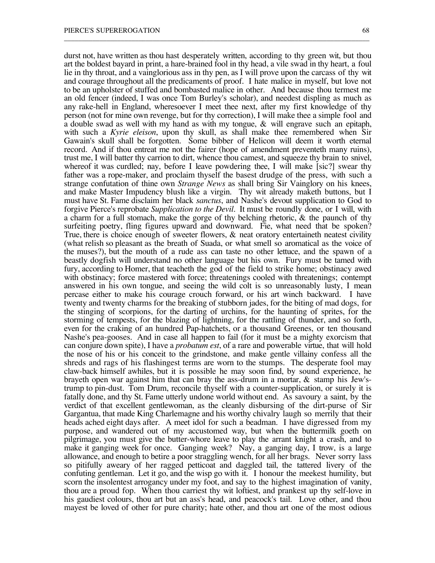durst not, have written as thou hast desperately written, according to thy green wit, but thou art the boldest bayard in print, a hare-brained fool in thy head, a vile swad in thy heart, a foul lie in thy throat, and a vainglorious ass in thy pen, as I will prove upon the carcass of thy wit and courage throughout all the predicaments of proof. I hate malice in myself, but love not to be an upholster of stuffed and bombasted malice in other. And because thou termest me an old fencer (indeed, I was once Tom Burley's scholar), and needest displing as much as any rake-hell in England, wheresoever I meet thee next, after my first knowledge of thy person (not for mine own revenge, but for thy correction), I will make thee a simple fool and a double swad as well with my hand as with my tongue, & will engrave such an epitaph, with such a *Kyrie eleison*, upon thy skull, as shall make thee remembered when Sir Gawain's skull shall be forgotten. Some bibber of Helicon will deem it worth eternal record. And if thou entreat me not the fairer (hope of amendment preventeth many ruins), trust me, I will batter thy carrion to dirt, whence thou camest, and squeeze thy brain to snivel, whereof it was curdled; nay, before I leave powdering thee, I will make [sic?] swear thy father was a rope-maker, and proclaim thyself the basest drudge of the press, with such a strange confutation of thine own *Strange News* as shall bring Sir Vainglory on his knees, and make Master Impudency blush like a virgin. Thy wit already maketh buttons, but I must have St. Fame disclaim her black *sanctus*, and Nashe's devout supplication to God to forgive Pierce's reprobate *Supplication to the Devil*. It must be roundly done, or I will, with a charm for a full stomach, make the gorge of thy belching rhetoric,  $\&$  the paunch of thy surfeiting poetry, fling figures upward and downward. Fie, what need that be spoken? True, there is choice enough of sweeter flowers,  $\&$  neat oratory entertaineth neatest civility (what relish so pleasant as the breath of Suada, or what smell so aromatical as the voice of the muses?), but the mouth of a rude ass can taste no other lettuce, and the spawn of a beastly dogfish will understand no other language but his own. Fury must be tamed with fury, according to Homer, that teacheth the god of the field to strike home; obstinacy awed with obstinacy; force mastered with force; threatenings cooled with threatenings; contempt answered in his own tongue, and seeing the wild colt is so unreasonably lusty, I mean percase either to make his courage crouch forward, or his art winch backward. I have twenty and twenty charms for the breaking of stubborn jades, for the biting of mad dogs, for the stinging of scorpions, for the darting of urchins, for the haunting of sprites, for the storming of tempests, for the blazing of lightning, for the rattling of thunder, and so forth, even for the craking of an hundred Pap-hatchets, or a thousand Greenes, or ten thousand Nashe's pea-gooses. And in case all happen to fail (for it must be a mighty exorcism that can conjure down spite), I have a *probatum est*, of a rare and powerable virtue, that will hold the nose of his or his conceit to the grindstone, and make gentle villainy confess all the shreds and rags of his flashingest terms are worn to the stumps. The desperate fool may claw-back himself awhiles, but it is possible he may soon find, by sound experience, he brayeth open war against him that can bray the ass-drum in a mortar, & stamp his Jew'strump to pin-dust. Tom Drum, reconcile thyself with a counter-supplication, or surely it is fatally done, and thy St. Fame utterly undone world without end. As savoury a saint, by the verdict of that excellent gentlewoman, as the cleanly disbursing of the dirt-purse of Sir Gargantua, that made King Charlemagne and his worthy chivalry laugh so merrily that their heads ached eight days after. A meet idol for such a beadman. I have digressed from my purpose, and wandered out of my accustomed way, but when the buttermilk goeth on pilgrimage, you must give the butter-whore leave to play the arrant knight a crash, and to make it ganging week for once. Ganging week? Nay, a ganging day, I trow, is a large allowance, and enough to betire a poor straggling wench, for all her brags. Never sorry lass so pitifully aweary of her ragged petticoat and daggled tail, the tattered livery of the confuting gentleman. Let it go, and the wisp go with it. I honour the meekest humility, but scorn the insolentest arrogancy under my foot, and say to the highest imagination of vanity, thou are a proud fop. When thou carriest thy wit loftiest, and prankest up thy self-love in his gaudiest colours, thou art but an ass's head, and peacock's tail. Love other, and thou mayest be loved of other for pure charity; hate other, and thou art one of the most odious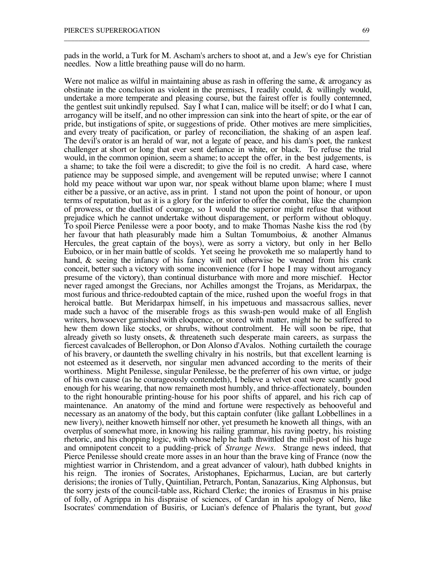pads in the world, a Turk for M. Ascham's archers to shoot at, and a Jew's eye for Christian needles. Now a little breathing pause will do no harm.

\_\_\_\_\_\_\_\_\_\_\_\_\_\_\_\_\_\_\_\_\_\_\_\_\_\_\_\_\_\_\_\_\_\_\_\_\_\_\_\_\_\_\_\_\_\_\_\_\_\_\_\_\_\_\_\_\_\_\_\_\_\_\_\_\_\_\_\_\_\_\_\_\_\_\_\_\_\_\_\_\_\_\_\_\_\_

Were not malice as wilful in maintaining abuse as rash in offering the same,  $\&$  arrogancy as obstinate in the conclusion as violent in the premises, I readily could, & willingly would, undertake a more temperate and pleasing course, but the fairest offer is foully contemned, the gentlest suit unkindly repulsed. Say I what I can, malice will be itself; or do I what I can, arrogancy will be itself, and no other impression can sink into the heart of spite, or the ear of pride, but instigations of spite, or suggestions of pride. Other motives are mere simplicities, and every treaty of pacification, or parley of reconciliation, the shaking of an aspen leaf. The devil's orator is an herald of war, not a legate of peace, and his dam's poet, the rankest challenger at short or long that ever sent defiance in white, or black. To refuse the trial would, in the common opinion, seem a shame; to accept the offer, in the best judgements, is a shame; to take the foil were a discredit; to give the foil is no credit. A hard case, where patience may be supposed simple, and avengement will be reputed unwise; where I cannot hold my peace without war upon war, nor speak without blame upon blame; where I must either be a passive, or an active, ass in print. I stand not upon the point of honour, or upon terms of reputation, but as it is a glory for the inferior to offer the combat, like the champion of prowess, or the duellist of courage, so I would the superior might refuse that without prejudice which he cannot undertake without disparagement, or perform without obloquy. To spoil Pierce Penilesse were a poor booty, and to make Thomas Nashe kiss the rod (by her favour that hath pleasurably made him a Sultan Tomumboius, & another Almanus Hercules, the great captain of the boys), were as sorry a victory, but only in her Bello Euboico, or in her main battle of scolds. Yet seeing he provoketh me so malapertly hand to hand, & seeing the infancy of his fancy will not otherwise be weaned from his crank conceit, better such a victory with some inconvenience (for I hope I may without arrogancy presume of the victory), than continual disturbance with more and more mischief. Hector never raged amongst the Grecians, nor Achilles amongst the Trojans, as Meridarpax, the most furious and thrice-redoubted captain of the mice, rushed upon the woeful frogs in that heroical battle. But Meridarpax himself, in his impetuous and massacrous sallies, never made such a havoc of the miserable frogs as this swash-pen would make of all English writers, howsoever garnished with eloquence, or stored with matter, might he be suffered to hew them down like stocks, or shrubs, without controlment. He will soon be ripe, that already giveth so lusty onsets, & threateneth such desperate main careers, as surpass the fiercest cavalcades of Bellerophon, or Don Alonso d'Avalos. Nothing curtaileth the courage of his bravery, or daunteth the swelling chivalry in his nostrils, but that excellent learning is not esteemed as it deserveth, nor singular men advanced according to the merits of their worthiness. Might Penilesse, singular Penilesse, be the preferrer of his own virtue, or judge of his own cause (as he courageously contendeth), I believe a velvet coat were scantly good enough for his wearing, that now remaineth most humbly, and thrice-affectionately, bounden to the right honourable printing-house for his poor shifts of apparel, and his rich cap of maintenance. An anatomy of the mind and fortune were respectively as behooveful and necessary as an anatomy of the body, but this captain confuter (like gallant Lobbellines in a new livery), neither knoweth himself nor other, yet presumeth he knoweth all things, with an overplus of somewhat more, in knowing his railing grammar, his raving poetry, his roisting rhetoric, and his chopping logic, with whose help he hath thwittled the mill-post of his huge and omnipotent conceit to a pudding-prick of *Strange News*. Strange news indeed, that Pierce Penilesse should create more asses in an hour than the brave king of France (now the mightiest warrior in Christendom, and a great advancer of valour), hath dubbed knights in his reign. The ironies of Socrates, Aristophanes, Epicharmus, Lucian, are but carterly derisions; the ironies of Tully, Quintilian, Petrarch, Pontan, Sanazarius, King Alphonsus, but the sorry jests of the council-table ass, Richard Clerke; the ironies of Erasmus in his praise of folly, of Agrippa in his dispraise of sciences, of Cardan in his apology of Nero, like Isocrates' commendation of Busiris, or Lucian's defence of Phalaris the tyrant, but *good*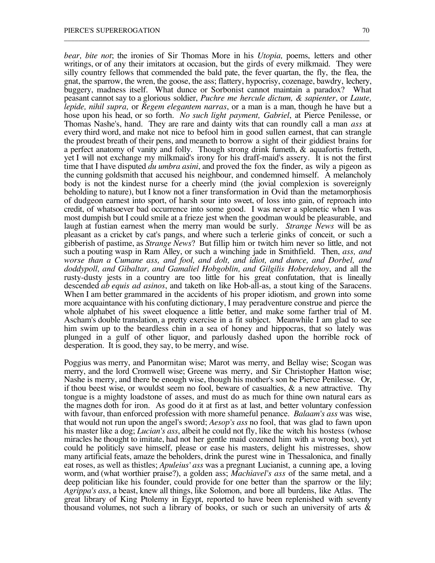*bear, bite not*; the ironies of Sir Thomas More in his *Utopia,* poems, letters and other writings, or of any their imitators at occasion, but the girds of every milkmaid. They were silly country fellows that commended the bald pate, the fever quartan, the fly, the flea, the gnat, the sparrow, the wren, the goose, the ass; flattery, hypocrisy, cozenage, bawdry, lechery, buggery, madness itself. What dunce or Sorbonist cannot maintain a paradox? What peasant cannot say to a glorious soldier, *Puchre me hercule dictum, & sapienter*, or *Laute, lepide, nihil supra,* or *Regem elegantem narras*, or a man is a man, though he have but a hose upon his head, or so forth. *No such light payment, Gabriel*, at Pierce Penilesse, or Thomas Nashe's, hand. They are rare and dainty wits that can roundly call a man *ass* at every third word, and make not nice to befool him in good sullen earnest, that can strangle the proudest breath of their pens, and meaneth to borrow a sight of their giddiest brains for a perfect anatomy of vanity and folly. Though strong drink fumeth, & aquafortis fretteth, yet I will not exchange my milkmaid's irony for his draff-maid's assery. It is not the first time that I have disputed *du umbra asini*, and proved the fox the finder, as wily a pigeon as the cunning goldsmith that accused his neighbour, and condemned himself. A melancholy body is not the kindest nurse for a cheerly mind (the jovial complexion is sovereignly beholding to nature), but I know not a finer transformation in Ovid than the metamorphosis of dudgeon earnest into sport, of harsh sour into sweet, of loss into gain, of reproach into credit, of whatsoever bad occurrence into some good. I was never a splenetic when I was most dumpish but I could smile at a frieze jest when the goodman would be pleasurable, and laugh at fustian earnest when the merry man would be surly. *Strange News* will be as pleasant as a cricket by cat's pangs, and where such a terlerie ginks of conceit, or such a gibberish of pastime, as *Strange News*? But fillip him or twitch him never so little, and not such a pouting wasp in Ram Alley, or such a winching jade in Smithfield. Then, *ass, and worse than a Cumane ass, and fool, and dolt, and idiot, and dunce, and Dorbel, and doddypoll, and Gibaltar, and Gamaliel Hobgoblin, and Gilgilis Hoberdehoy*, and all the rusty-dusty jests in a country are too little for his great confutation, that is lineally descended *ab equis ad asinos*, and taketh on like Hob-all-as, a stout king of the Saracens. When I am better grammared in the accidents of his proper idiotism, and grown into some more acquaintance with his confuting dictionary, I may peradventure construe and pierce the whole alphabet of his sweet eloquence a little better, and make some farther trial of M. Ascham's double translation, a pretty exercise in a fit subject. Meanwhile I am glad to see him swim up to the beardless chin in a sea of honey and hippocras, that so lately was plunged in a gulf of other liquor, and parlously dashed upon the horrible rock of desperation. It is good, they say, to be merry, and wise.

\_\_\_\_\_\_\_\_\_\_\_\_\_\_\_\_\_\_\_\_\_\_\_\_\_\_\_\_\_\_\_\_\_\_\_\_\_\_\_\_\_\_\_\_\_\_\_\_\_\_\_\_\_\_\_\_\_\_\_\_\_\_\_\_\_\_\_\_\_\_\_\_\_\_\_\_\_\_\_\_\_\_\_\_\_\_

Poggius was merry, and Panormitan wise; Marot was merry, and Bellay wise; Scogan was merry, and the lord Cromwell wise; Greene was merry, and Sir Christopher Hatton wise; Nashe is merry, and there be enough wise, though his mother's son be Pierce Penilesse. Or, if thou beest wise, or wouldst seem no fool, beware of casualties, & a new attractive. Thy tongue is a mighty loadstone of asses, and must do as much for thine own natural ears as the magnes doth for iron. As good do it at first as at last, and better voluntary confession with favour, than enforced profession with more shameful penance. *Balaam's ass* was wise, that would not run upon the angel's sword; *Aesop's ass* no fool, that was glad to fawn upon his master like a dog; *Lucian's ass*, albeit he could not fly, like the witch his hostess (whose miracles he thought to imitate, had not her gentle maid cozened him with a wrong box), yet could he politicly save himself, please or ease his masters, delight his mistresses, show many artificial feats, amaze the beholders, drink the purest wine in Thessalonica, and finally eat roses, as well as thistles; *Apuleius' ass* was a pregnant Lucianist, a cunning ape, a loving worm, and (what worthier praise?), a golden ass; *Machiavel's ass* of the same metal, and a deep politician like his founder, could provide for one better than the sparrow or the lily; *Agrippa's ass*, a beast, knew all things, like Solomon, and bore all burdens, like Atlas. The great library of King Ptolemy in Egypt, reported to have been replenished with seventy thousand volumes, not such a library of books, or such or such an university of arts  $\&$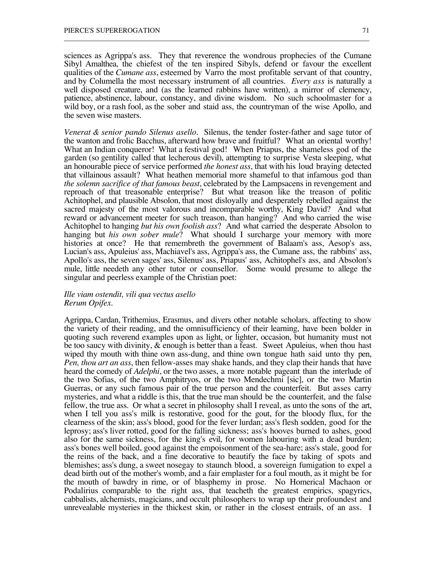sciences as Agrippa's ass. They that reverence the wondrous prophecies of the Cumane Sibyl Amalthea, the chiefest of the ten inspired Sibyls, defend or favour the excellent qualities of the *Cumane ass*, esteemed by Varro the most profitable servant of that country, and by Columella the most necessary instrument of all countries. *Every ass* is naturally a well disposed creature, and (as the learned rabbins have written), a mirror of clemency, patience, abstinence, labour, constancy, and divine wisdom. No such schoolmaster for a wild boy, or a rash fool, as the sober and staid ass, the countryman of the wise Apollo, and the seven wise masters.

\_\_\_\_\_\_\_\_\_\_\_\_\_\_\_\_\_\_\_\_\_\_\_\_\_\_\_\_\_\_\_\_\_\_\_\_\_\_\_\_\_\_\_\_\_\_\_\_\_\_\_\_\_\_\_\_\_\_\_\_\_\_\_\_\_\_\_\_\_\_\_\_\_\_\_\_\_\_\_\_\_\_\_\_\_\_

*Venerat & senior pando Silenus asello*. Silenus, the tender foster-father and sage tutor of the wanton and frolic Bacchus, afterward how brave and fruitful? What an oriental worthy! What an Indian conqueror! What a festival god! When Priapus, the shameless god of the garden (so gentility called that lecherous devil), attempting to surprise Vesta sleeping, what an honourable piece of service performed *the honest ass*, that with his loud braying detected that villainous assault? What heathen memorial more shameful to that infamous god than *the solemn sacrifice of that famous beast*, celebrated by the Lampsacens in revengement and reproach of that treasonable enterprise? But what treason like the treason of politic Achitophel, and plausible Absolon, that most disloyally and desperately rebelled against the sacred majesty of the most valorous and incomparable worthy, King David? And what reward or advancement meeter for such treason, than hanging? And who carried the wise Achitophel to hanging *but his own foolish ass*? And what carried the desperate Absolon to hanging but *his own sober mule*? What should I surcharge your memory with more histories at once? He that remembreth the government of Balaam's ass, Aesop's ass, Lucian's ass, Apuleius' ass, Machiavel's ass, Agrippa's ass, the Cumane ass, the rabbins' ass, Apollo's ass, the seven sages' ass, Silenus' ass, Priapus' ass, Achitophel's ass, and Absolon's mule, little needeth any other tutor or counsellor. Some would presume to allege the singular and peerless example of the Christian poet:

## *Ille viam ostendit, vili qua vectus asello Rerum Opifex.*

Agrippa, Cardan, Trithemius, Erasmus, and divers other notable scholars, affecting to show the variety of their reading, and the omnisufficiency of their learning, have been bolder in quoting such reverend examples upon as light, or lighter, occasion, but humanity must not be too saucy with divinity, & enough is better than a feast. Sweet Apuleius, when thou hast wiped thy mouth with thine own ass-dung, and thine own tongue hath said unto thy pen, *Pen, thou art an ass*, then fellow-asses may shake hands, and they clap their hands that have heard the comedy of *Adelphi*, or the two asses, a more notable pageant than the interlude of the two Sofias, of the two Amphitryos, or the two Mendechmi [sic], or the two Martin Guerras, or any such famous pair of the true person and the counterfeit. But asses carry mysteries, and what a riddle is this, that the true man should be the counterfeit, and the false fellow, the true ass. Or what a secret in philosophy shall I reveal, as unto the sons of the art, when I tell you ass's milk is restorative, good for the gout, for the bloody flux, for the clearness of the skin; ass's blood, good for the fever lurdan; ass's flesh sodden, good for the leprosy; ass's liver rotted, good for the falling sickness; ass's hooves burned to ashes, good also for the same sickness, for the king's evil, for women labouring with a dead burden; ass's bones well boiled, good against the empoisonment of the sea-hare; ass's stale, good for the reins of the back, and a fine decorative to beautify the face by taking of spots and blemishes; ass's dung, a sweet nosegay to staunch blood, a sovereign fumigation to expel a dead birth out of the mother's womb, and a fair emplaster for a foul mouth, as it might be for the mouth of bawdry in rime, or of blasphemy in prose. No Homerical Machaon or Podalirius comparable to the right ass, that teacheth the greatest empirics, spagyrics, cabbalists, alchemists, magicians, and occult philosophers to wrap up their profoundest and unrevealable mysteries in the thickest skin, or rather in the closest entrails, of an ass. I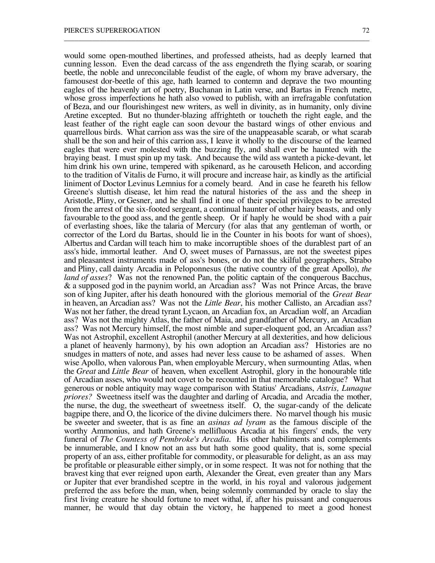would some open-mouthed libertines, and professed atheists, had as deeply learned that cunning lesson. Even the dead carcass of the ass engendreth the flying scarab, or soaring beetle, the noble and unreconcilable feudist of the eagle, of whom my brave adversary, the famousest dor-beetle of this age, hath learned to contemn and deprave the two mounting eagles of the heavenly art of poetry, Buchanan in Latin verse, and Bartas in French metre, whose gross imperfections he hath also vowed to publish, with an irrefragable confutation of Beza, and our flourishingest new writers, as well in divinity, as in humanity, only divine Aretine excepted. But no thunder-blazing affrighteth or toucheth the right eagle, and the least feather of the right eagle can soon devour the bastard wings of other envious and quarrellous birds. What carrion ass was the sire of the unappeasable scarab, or what scarab shall be the son and heir of this carrion ass, I leave it wholly to the discourse of the learned eagles that were ever molested with the buzzing fly, and shall ever be haunted with the braying beast. I must spin up my task. And because the wild ass wanteth a picke-devant, let him drink his own urine, tempered with spikenard, as he carouseth Helicon, and according to the tradition of Vitalis de Furno, it will procure and increase hair, as kindly as the artificial liniment of Doctor Levinus Lemnius for a comely beard. And in case he feareth his fellow Greene's sluttish disease, let him read the natural histories of the ass and the sheep in Aristotle, Pliny, or Gesner, and he shall find it one of their special privileges to be arrested from the arrest of the six-footed sergeant, a continual haunter of other hairy beasts, and only favourable to the good ass, and the gentle sheep. Or if haply he would be shod with a pair of everlasting shoes, like the talaria of Mercury (for alas that any gentleman of worth, or corrector of the Lord du Bartas, should lie in the Counter in his boots for want of shoes), Albertus and Cardan will teach him to make incorruptible shoes of the durablest part of an ass's hide, immortal leather. And O, sweet muses of Parnassus, are not the sweetest pipes and pleasantest instruments made of ass's bones, or do not the skilful geographers, Strabo and Pliny, call dainty Arcadia in Peloponnesus (the native country of the great Apollo), *the land of asses*? Was not the renowned Pan, the politic captain of the conquerous Bacchus, & a supposed god in the paynim world, an Arcadian ass? Was not Prince Arcas, the brave son of king Jupiter, after his death honoured with the glorious memorial of the *Great Bear* in heaven, an Arcadian ass? Was not the *Little Bear*, his mother Callisto, an Arcadian ass? Was not her father, the dread tyrant Lycaon, an Arcadian fox, an Arcadian wolf, an Arcadian ass? Was not the mighty Atlas, the father of Maia, and grandfather of Mercury, an Arcadian ass? Was not Mercury himself, the most nimble and super-eloquent god, an Arcadian ass? Was not Astrophil, excellent Astrophil (another Mercury at all dexterities, and how delicious a planet of heavenly harmony), by his own adoption an Arcadian ass? Histories are no snudges in matters of note, and asses had never less cause to be ashamed of asses. When wise Apollo, when valorous Pan, when employable Mercury, when surmounting Atlas, when the *Great* and *Little Bear* of heaven, when excellent Astrophil, glory in the honourable title of Arcadian asses, who would not covet to be recounted in that memorable catalogue? What generous or noble antiquity may wage comparison with Statius' Arcadians, *Astris, Lunaque priores?* Sweetness itself was the daughter and darling of Arcadia, and Arcadia the mother, the nurse, the dug, the sweetheart of sweetness itself. O, the sugar-candy of the delicate bagpipe there, and O, the licorice of the divine dulcimers there. No marvel though his music be sweeter and sweeter, that is as fine an *asinas ad lyram* as the famous disciple of the worthy Ammonius, and hath Greene's mellifluous Arcadia at his fingers' ends, the very funeral of *The Countess of Pembroke's Arcadia*. His other habiliments and complements be innumerable, and I know not an ass but hath some good quality, that is, some special property of an ass, either profitable for commodity, or pleasurable for delight, as an ass may be profitable or pleasurable either simply, or in some respect. It was not for nothing that the bravest king that ever reigned upon earth, Alexander the Great, even greater than any Mars or Jupiter that ever brandished sceptre in the world, in his royal and valorous judgement preferred the ass before the man, when, being solemnly commanded by oracle to slay the first living creature he should fortune to meet withal, if, after his puissant and conquerous manner, he would that day obtain the victory, he happened to meet a good honest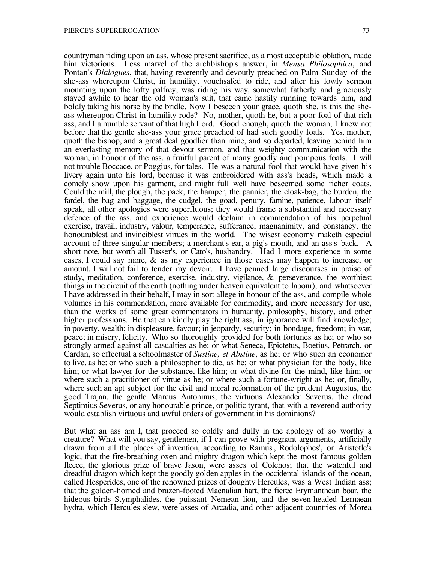countryman riding upon an ass, whose present sacrifice, as a most acceptable oblation, made him victorious. Less marvel of the archbishop's answer, in *Mensa Philosophica*, and Pontan's *Dialogues*, that, having reverently and devoutly preached on Palm Sunday of the she-ass whereupon Christ, in humility, vouchsafed to ride, and after his lowly sermon mounting upon the lofty palfrey, was riding his way, somewhat fatherly and graciously stayed awhile to hear the old woman's suit, that came hastily running towards him, and boldly taking his horse by the bridle, Now I beseech your grace, quoth she, is this the sheass whereupon Christ in humility rode? No, mother, quoth he, but a poor foal of that rich ass, and I a humble servant of that high Lord. Good enough, quoth the woman, I knew not before that the gentle she-ass your grace preached of had such goodly foals. Yes, mother, quoth the bishop, and a great deal goodlier than mine, and so departed, leaving behind him an everlasting memory of that devout sermon, and that weighty communication with the woman, in honour of the ass, a fruitful parent of many goodly and pompous foals. I will not trouble Boccace, or Poggius, for tales. He was a natural fool that would have given his livery again unto his lord, because it was embroidered with ass's heads, which made a comely show upon his garment, and might full well have beseemed some richer coats. Could the mill, the plough, the pack, the hamper, the pannier, the cloak-bag, the burden, the fardel, the bag and baggage, the cudgel, the goad, penury, famine, patience, labour itself speak, all other apologies were superfluous; they would frame a substantial and necessary defence of the ass, and experience would declaim in commendation of his perpetual exercise, travail, industry, valour, temperance, sufferance, magnanimity, and constancy, the honourablest and invinciblest virtues in the world. The wisest economy maketh especial account of three singular members; a merchant's ear, a pig's mouth, and an ass's back. A short note, but worth all Tusser's, or Cato's, husbandry. Had I more experience in some cases, I could say more, & as my experience in those cases may happen to increase, or amount, I will not fail to tender my devoir. I have penned large discourses in praise of study, meditation, conference, exercise, industry, vigilance, & perseverance, the worthiest things in the circuit of the earth (nothing under heaven equivalent to labour), and whatsoever I have addressed in their behalf, I may in sort allege in honour of the ass, and compile whole volumes in his commendation, more available for commodity, and more necessary for use, than the works of some great commentators in humanity, philosophy, history, and other higher professions. He that can kindly play the right ass, in ignorance will find knowledge; in poverty, wealth; in displeasure, favour; in jeopardy, security; in bondage, freedom; in war, peace; in misery, felicity. Who so thoroughly provided for both fortunes as he; or who so strongly armed against all casualties as he; or what Seneca, Epictetus, Boetius, Petrarch, or Cardan, so effectual a schoolmaster of *Sustine, et Abstine*, as he; or who such an economer to live, as he; or who such a philosopher to die, as he; or what physician for the body, like him; or what lawyer for the substance, like him; or what divine for the mind, like him; or where such a practitioner of virtue as he; or where such a fortune-wright as he; or, finally, where such an apt subject for the civil and moral reformation of the prudent Augustus, the good Trajan, the gentle Marcus Antoninus, the virtuous Alexander Severus, the dread Septimius Severus, or any honourable prince, or politic tyrant, that with a reverend authority would establish virtuous and awful orders of government in his dominions?

\_\_\_\_\_\_\_\_\_\_\_\_\_\_\_\_\_\_\_\_\_\_\_\_\_\_\_\_\_\_\_\_\_\_\_\_\_\_\_\_\_\_\_\_\_\_\_\_\_\_\_\_\_\_\_\_\_\_\_\_\_\_\_\_\_\_\_\_\_\_\_\_\_\_\_\_\_\_\_\_\_\_\_\_\_\_

But what an ass am I, that proceed so coldly and dully in the apology of so worthy a creature? What will you say, gentlemen, if I can prove with pregnant arguments, artificially drawn from all the places of invention, according to Ramus', Rodolophes', or Aristotle's logic, that the fire-breathing oxen and mighty dragon which kept the most famous golden fleece, the glorious prize of brave Jason, were asses of Colchos; that the watchful and dreadful dragon which kept the goodly golden apples in the occidental islands of the ocean, called Hesperides, one of the renowned prizes of doughty Hercules, was a West Indian ass; that the golden-horned and brazen-footed Maenalian hart, the fierce Erymanthean boar, the hideous birds Stymphalides, the puissant Nemean lion, and the seven-headed Lernaean hydra, which Hercules slew, were asses of Arcadia, and other adjacent countries of Morea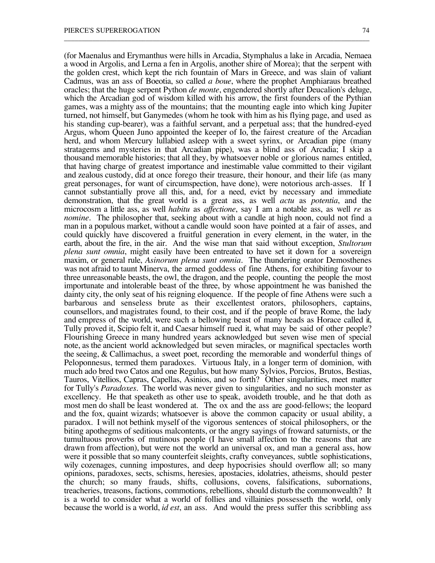(for Maenalus and Erymanthus were hills in Arcadia, Stymphalus a lake in Arcadia, Nemaea a wood in Argolis, and Lerna a fen in Argolis, another shire of Morea); that the serpent with the golden crest, which kept the rich fountain of Mars in Greece, and was slain of valiant Cadmus, was an ass of Boeotia, so called *a boue*, where the prophet Amphiaraus breathed oracles; that the huge serpent Python *de monte*, engendered shortly after Deucalion's deluge, which the Arcadian god of wisdom killed with his arrow, the first founders of the Pythian games, was a mighty ass of the mountains; that the mounting eagle into which king Jupiter turned, not himself, but Ganymedes (whom he took with him as his flying page, and used as his standing cup-bearer), was a faithful servant, and a perpetual ass; that the hundred-eyed Argus, whom Queen Juno appointed the keeper of Io, the fairest creature of the Arcadian herd, and whom Mercury lullabied asleep with a sweet syrinx, or Arcadian pipe (many stratagems and mysteries in that Arcadian pipe), was a blind ass of Arcadia; I skip a thousand memorable histories; that all they, by whatsoever noble or glorious names entitled, that having charge of greatest importance and inestimable value committed to their vigilant and zealous custody, did at once forego their treasure, their honour, and their life (as many great personages, for want of circumspection, have done), were notorious arch-asses. If I cannot substantially prove all this, and, for a need, evict by necessary and immediate demonstration, that the great world is a great ass, as well *actu* as *potentia*, and the microcosm a little ass, as well *habitu* as *affectione*, say I am a notable ass, as well *re* as *nomine*. The philosopher that, seeking about with a candle at high noon, could not find a man in a populous market, without a candle would soon have pointed at a fair of asses, and could quickly have discovered a fruitful generation in every element, in the water, in the earth, about the fire, in the air. And the wise man that said without exception, *Stultorum plena sunt omnia*, might easily have been entreated to have set it down for a sovereign maxim, or general rule, *Asinorum plena sunt omnia*. The thundering orator Demosthenes was not afraid to taunt Minerva, the armed goddess of fine Athens, for exhibiting favour to three unreasonable beasts, the owl, the dragon, and the people, counting the people the most importunate and intolerable beast of the three, by whose appointment he was banished the dainty city, the only seat of his reigning eloquence. If the people of fine Athens were such a barbarous and senseless brute as their excellentest orators, philosophers, captains, counsellors, and magistrates found, to their cost, and if the people of brave Rome, the lady and empress of the world, were such a bellowing beast of many heads as Horace called it, Tully proved it, Scipio felt it, and Caesar himself rued it, what may be said of other people? Flourishing Greece in many hundred years acknowledged but seven wise men of special note, as the ancient world acknowledged but seven miracles, or magnifical spectacles worth the seeing, & Callimachus, a sweet poet, recording the memorable and wonderful things of Peloponnesus, termed them paradoxes. Virtuous Italy, in a longer term of dominion, with much ado bred two Catos and one Regulus, but how many Sylvios, Porcios, Brutos, Bestias, Tauros, Vitellios, Capras, Capellas, Asinios, and so forth? Other singularities, meet matter for Tully's *Paradoxes*. The world was never given to singularities, and no such monster as excellency. He that speaketh as other use to speak, avoideth trouble, and he that doth as most men do shall be least wondered at. The ox and the ass are good-fellows; the leopard and the fox, quaint wizards; whatsoever is above the common capacity or usual ability, a paradox. I will not bethink myself of the vigorous sentences of stoical philosophers, or the biting apothegms of seditious malcontents, or the angry sayings of froward saturnists, or the tumultuous proverbs of mutinous people (I have small affection to the reasons that are drawn from affection), but were not the world an universal ox, and man a general ass, how were it possible that so many counterfeit sleights, crafty conveyances, subtle sophistications, wily cozenages, cunning impostures, and deep hypocrisies should overflow all; so many opinions, paradoxes, sects, schisms, heresies, apostacies, idolatries, atheisms, should pester the church; so many frauds, shifts, collusions, covens, falsifications, subornations, treacheries, treasons, factions, commotions, rebellions, should disturb the commonwealth? It is a world to consider what a world of follies and villainies possesseth the world, only because the world is a world, *id est*, an ass. And would the press suffer this scribbling ass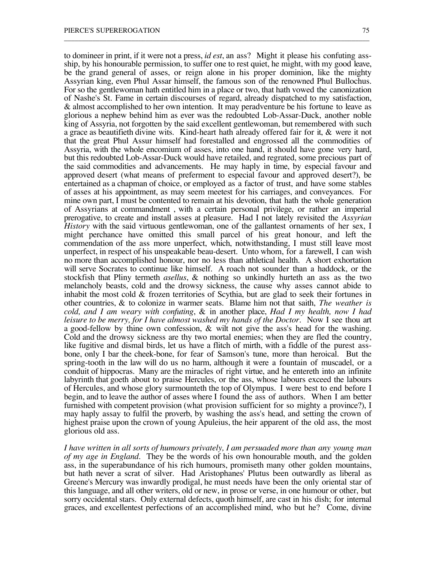to domineer in print, if it were not a press, *id est*, an ass? Might it please his confuting assship, by his honourable permission, to suffer one to rest quiet, he might, with my good leave, be the grand general of asses, or reign alone in his proper dominion, like the mighty Assyrian king, even Phul Assar himself, the famous son of the renowned Phul Bullochus. For so the gentlewoman hath entitled him in a place or two, that hath vowed the canonization of Nashe's St. Fame in certain discourses of regard, already dispatched to my satisfaction, & almost accomplished to her own intention. It may peradventure be his fortune to leave as glorious a nephew behind him as ever was the redoubted Lob-Assar-Duck, another noble king of Assyria, not forgotten by the said excellent gentlewoman, but remembered with such a grace as beautifieth divine wits. Kind-heart hath already offered fair for it, & were it not that the great Phul Assur himself had forestalled and engrossed all the commodities of Assyria, with the whole encomium of asses, into one hand, it should have gone very hard, but this redoubted Lob-Assar-Duck would have retailed, and regrated, some precious part of the said commodities and advancements. He may haply in time, by especial favour and approved desert (what means of preferment to especial favour and approved desert?), be entertained as a chapman of choice, or employed as a factor of trust, and have some stables of asses at his appointment, as may seem meetest for his carriages, and conveyances. For mine own part, I must be contented to remain at his devotion, that hath the whole generation of Assyrians at commandment , with a certain personal privilege, or rather an imperial prerogative, to create and install asses at pleasure. Had I not lately revisited the *Assyrian History* with the said virtuous gentlewoman, one of the gallantest ornaments of her sex, I might perchance have omitted this small parcel of his great honour, and left the commendation of the ass more unperfect, which, notwithstanding, I must still leave most unperfect, in respect of his unspeakable beau-desert. Unto whom, for a farewell, I can wish no more than accomplished honour, nor no less than athletical health. A short exhortation will serve Socrates to continue like himself. A roach not sounder than a haddock, or the stockfish that Pliny termeth *asellus*, & nothing so unkindly hurteth an ass as the two melancholy beasts, cold and the drowsy sickness, the cause why asses cannot abide to inhabit the most cold & frozen territories of Scythia, but are glad to seek their fortunes in other countries, & to colonize in warmer seats. Blame him not that saith, *The weather is cold, and I am weary with confuting*, & in another place, *Had I my health, now I had leisure to be merry, for I have almost washed my hands of the Doctor.* Now I see thou art a good-fellow by thine own confession, & wilt not give the ass's head for the washing. Cold and the drowsy sickness are thy two mortal enemies; when they are fled the country, like fugitive and dismal birds, let us have a flitch of mirth, with a fiddle of the purest assbone, only I bar the cheek-bone, for fear of Samson's tune, more than heroical. But the spring-tooth in the law will do us no harm, although it were a fountain of muscadel, or a conduit of hippocras. Many are the miracles of right virtue, and he entereth into an infinite labyrinth that goeth about to praise Hercules, or the ass, whose labours exceed the labours of Hercules, and whose glory surmounteth the top of Olympus. I were best to end before I begin, and to leave the author of asses where I found the ass of authors. When I am better furnished with competent provision (what provision sufficient for so mighty a province?), I may haply assay to fulfil the proverb, by washing the ass's head, and setting the crown of highest praise upon the crown of young Apuleius, the heir apparent of the old ass, the most glorious old ass.

\_\_\_\_\_\_\_\_\_\_\_\_\_\_\_\_\_\_\_\_\_\_\_\_\_\_\_\_\_\_\_\_\_\_\_\_\_\_\_\_\_\_\_\_\_\_\_\_\_\_\_\_\_\_\_\_\_\_\_\_\_\_\_\_\_\_\_\_\_\_\_\_\_\_\_\_\_\_\_\_\_\_\_\_\_\_

*I have written in all sorts of humours privately, I am persuaded more than any young man of my age in England*. They be the words of his own honourable mouth, and the golden ass, in the superabundance of his rich humours, promiseth many other golden mountains, but hath never a scrat of silver. Had Aristophanes' Plutus been outwardly as liberal as Greene's Mercury was inwardly prodigal, he must needs have been the only oriental star of this language, and all other writers, old or new, in prose or verse, in one humour or other, but sorry occidental stars. Only external defects, quoth himself, are cast in his dish; for internal graces, and excellentest perfections of an accomplished mind, who but he? Come, divine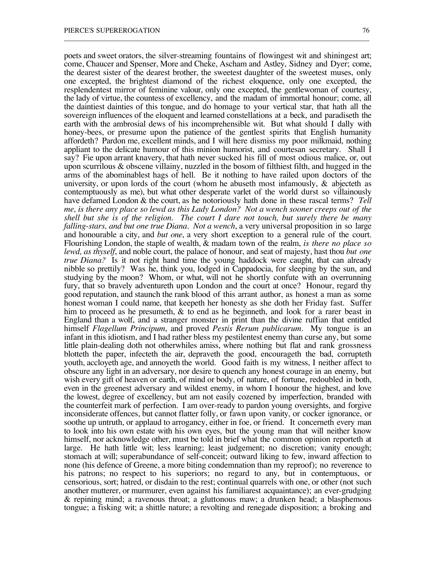poets and sweet orators, the silver-streaming fountains of flowingest wit and shiningest art; come, Chaucer and Spenser, More and Cheke, Ascham and Astley, Sidney and Dyer; come, the dearest sister of the dearest brother, the sweetest daughter of the sweetest muses, only one excepted, the brightest diamond of the richest eloquence, only one excepted, the resplendentest mirror of feminine valour, only one excepted, the gentlewoman of courtesy, the lady of virtue, the countess of excellency, and the madam of immortal honour; come, all the daintiest dainties of this tongue, and do homage to your vertical star, that hath all the sovereign influences of the eloquent and learned constellations at a beck, and paradiseth the earth with the ambrosial dews of his incomprehensible wit. But what should I dally with honey-bees, or presume upon the patience of the gentlest spirits that English humanity affordeth? Pardon me, excellent minds, and I will here dismiss my poor milkmaid, nothing appliant to the delicate humour of this minion humorist, and courtesan secretary. Shall I say? Fie upon arrant knavery, that hath never sucked his fill of most odious malice, or, out upon scurrilous  $\&$  obscene villainy, nuzzled in the bosom of filthiest filth, and hugged in the arms of the abominablest hags of hell. Be it nothing to have railed upon doctors of the university, or upon lords of the court (whom he abuseth most infamously, & abjecteth as contemptuously as me), but what other desperate varlet of the world durst so villainously have defamed London & the court, as he notoriously hath done in these rascal terms? *Tell me, is there any place so lewd as this Lady London? Not a wench sooner creeps out of the shell but she is of the religion. The court I dare not touch, but surely there be many falling-stars, and but one true Diana. Not a wench*, a very universal proposition in so large and honourable a city, and *but one*, a very short exception to a general rule of the court. Flourishing London, the staple of wealth, & madam town of the realm, *is there no place so lewd, as thyself*, and noble court, the palace of honour, and seat of majesty, hast thou *but one true Diana?* Is it not right hand time the young haddock were caught, that can already nibble so prettily? Was he, think you, lodged in Cappadocia, for sleeping by the sun, and studying by the moon? Whom, or what, will not he shortly confute with an overrunning fury, that so bravely adventureth upon London and the court at once? Honour, regard thy good reputation, and staunch the rank blood of this arrant author, as honest a man as some honest woman I could name, that keepeth her honesty as she doth her Friday fast. Suffer him to proceed as he presumeth, & to end as he beginneth, and look for a rarer beast in England than a wolf, and a stranger monster in print than the divine ruffian that entitled himself *Flagellum Principum*, and proved *Pestis Rerum publicarum*. My tongue is an infant in this idiotism, and I had rather bless my pestilentest enemy than curse any, but some little plain-dealing doth not otherwhiles amiss, where nothing but flat and rank grossness blotteth the paper, infecteth the air, depraveth the good, encourageth the bad, corrupteth youth, accloyeth age, and annoyeth the world. Good faith is my witness, I neither affect to obscure any light in an adversary, nor desire to quench any honest courage in an enemy, but wish every gift of heaven or earth, of mind or body, of nature, of fortune, redoubled in both, even in the greenest adversary and wildest enemy, in whom I honour the highest, and love the lowest, degree of excellency, but am not easily cozened by imperfection, branded with the counterfeit mark of perfection. I am over-ready to pardon young oversights, and forgive inconsiderate offences, but cannot flatter folly, or fawn upon vanity, or cocker ignorance, or soothe up untruth, or applaud to arrogancy, either in foe, or friend. It concerneth every man to look into his own estate with his own eyes, but the young man that will neither know himself, nor acknowledge other, must be told in brief what the common opinion reporteth at large. He hath little wit; less learning; least judgement; no discretion; vanity enough; stomach at will; superabundance of self-conceit; outward liking to few, inward affection to none (his defence of Greene, a more biting condemnation than my reproof); no reverence to his patrons; no respect to his superiors; no regard to any, but in contemptuous, or censorious, sort; hatred, or disdain to the rest; continual quarrels with one, or other (not such another mutterer, or murmurer, even against his familiarest acquaintance); an ever-grudging & repining mind; a ravenous throat; a gluttonous maw; a drunken head; a blasphemous tongue; a fisking wit; a shittle nature; a revolting and renegade disposition; a broking and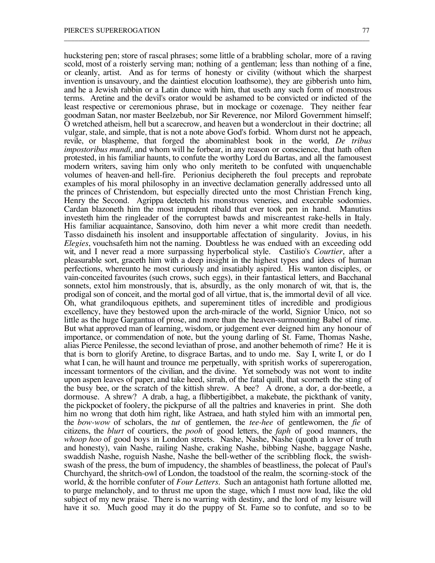huckstering pen; store of rascal phrases; some little of a brabbling scholar, more of a raving scold, most of a roisterly serving man; nothing of a gentleman; less than nothing of a fine, or cleanly, artist. And as for terms of honesty or civility (without which the sharpest invention is unsavoury, and the daintiest elocution loathsome), they are gibberish unto him, and he a Jewish rabbin or a Latin dunce with him, that useth any such form of monstrous terms. Aretine and the devil's orator would be ashamed to be convicted or indicted of the least respective or ceremonious phrase, but in mockage or cozenage. They neither fear goodman Satan, nor master Beelzebub, nor Sir Reverence, nor Milord Government himself; O wretched atheism, hell but a scarecrow, and heaven but a wonderclout in their doctrine; all vulgar, stale, and simple, that is not a note above God's forbid. Whom durst not he appeach, revile, or blaspheme, that forged the abominablest book in the world, *De tribus impostoribus mundi*, and whom will he forbear, in any reason or conscience, that hath often protested, in his familiar haunts, to confute the worthy Lord du Bartas, and all the famousest modern writers, saving him only who only meriteth to be confuted with unquenchable volumes of heaven-and hell-fire. Perionius deciphereth the foul precepts and reprobate examples of his moral philosophy in an invective declamation generally addressed unto all the princes of Christendom, but especially directed unto the most Christian French king, Henry the Second. Agrippa detecteth his monstrous veneries, and execrable sodomies. Cardan blazoneth him the most impudent ribald that ever took pen in hand. Manutius investeth him the ringleader of the corruptest bawds and miscreantest rake-hells in Italy. His familiar acquaintance, Sansovino, doth him never a whit more credit than needeth. Tasso disdaineth his insolent and insupportable affectation of singularity. Jovius, in his *Elegies*, vouchsafeth him not the naming. Doubtless he was endued with an exceeding odd wit, and I never read a more surpassing hyperbolical style. Castilio's *Courtier*, after a pleasurable sort, graceth him with a deep insight in the highest types and idees of human perfections, whereunto he most curiously and insatiably aspired. His wanton disciples, or vain-conceited favourites (such crows, such eggs), in their fantastical letters, and Bacchanal sonnets, extol him monstrously, that is, absurdly, as the only monarch of wit, that is, the prodigal son of conceit, and the mortal god of all virtue, that is, the immortal devil of all vice. Oh, what grandiloquous epithets, and supereminent titles of incredible and prodigious excellency, have they bestowed upon the arch-miracle of the world, Signior Unico, not so little as the huge Gargantua of prose, and more than the heaven-surmounting Babel of rime. But what approved man of learning, wisdom, or judgement ever deigned him any honour of importance, or commendation of note, but the young darling of St. Fame, Thomas Nashe, alias Pierce Penilesse, the second leviathan of prose, and another behemoth of rime? He it is that is born to glorify Aretine, to disgrace Bartas, and to undo me. Say I, write I, or do I what I can, he will haunt and trounce me perpetually, with spritish works of supererogation, incessant tormentors of the civilian, and the divine. Yet somebody was not wont to indite upon aspen leaves of paper, and take heed, sirrah, of the fatal quill, that scorneth the sting of the busy bee, or the scratch of the kittish shrew. A bee?  $\overrightarrow{A}$  drone, a dor, a dor-beetle, a dormouse. A shrew? A drab, a hag, a flibbertigibbet, a makebate, the pickthank of vanity, the pickpocket of foolery, the pickpurse of all the paltries and knaveries in print. She doth him no wrong that doth him right, like Astraea, and hath styled him with an immortal pen, the *bow-wow* of scholars, the *tut* of gentlemen, the *tee-hee* of gentlewomen, the *fie* of citizens, the *blurt* of courtiers, the *pooh* of good letters, the *faph* of good manners, the whoop hoo of good boys in London streets. Nashe, Nashe, Nashe (quoth a lover of truth and honesty), vain Nashe, railing Nashe, craking Nashe, bibbing Nashe, baggage Nashe, swaddish Nashe, roguish Nashe, Nashe the bell-wether of the scribbling flock, the swishswash of the press, the bum of impudency, the shambles of beastliness, the polecat of Paul's Churchyard, the shritch-owl of London, the toadstool of the realm, the scorning-stock of the world, & the horrible confuter of *Four Letters*. Such an antagonist hath fortune allotted me, to purge melancholy, and to thrust me upon the stage, which I must now load, like the old subject of my new praise. There is no warring with destiny, and the lord of my leisure will have it so. Much good may it do the puppy of St. Fame so to confute, and so to be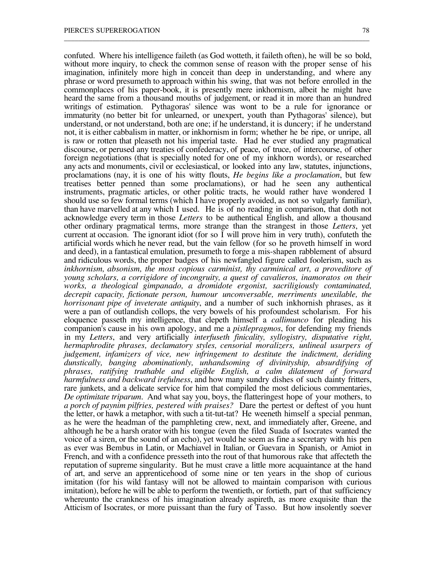confuted. Where his intelligence faileth (as God wotteth, it faileth often), he will be so bold, without more inquiry, to check the common sense of reason with the proper sense of his imagination, infinitely more high in conceit than deep in understanding, and where any phrase or word presumeth to approach within his swing, that was not before enrolled in the commonplaces of his paper-book, it is presently mere inkhornism, albeit he might have heard the same from a thousand mouths of judgement, or read it in more than an hundred writings of estimation. Pythagoras' silence was wont to be a rule for ignorance or immaturity (no better bit for unlearned, or unexpert, youth than Pythagoras' silence), but understand, or not understand, both are one; if he understand, it is duncery; if he understand not, it is either cabbalism in matter, or inkhornism in form; whether he be ripe, or unripe, all is raw or rotten that pleaseth not his imperial taste. Had he ever studied any pragmatical discourse, or perused any treaties of confederacy, of peace, of truce, of intercourse, of other foreign negotiations (that is specially noted for one of my inkhorn words), or researched any acts and monuments, civil or ecclesiastical, or looked into any law, statutes, injunctions, proclamations (nay, it is one of his witty flouts, *He begins like a proclamation*, but few treatises better penned than some proclamations), or had he seen any authentical instruments, pragmatic articles, or other politic tracts, he would rather have wondered I should use so few formal terms (which I have properly avoided, as not so vulgarly familiar), than have marvelled at any which I used. He is of no reading in comparison, that doth not acknowledge every term in those *Letters* to be authentical English, and allow a thousand other ordinary pragmatical terms, more strange than the strangest in those *Letters*, yet current at occasion. The ignorant idiot (for so I will prove him in very truth), confuteth the artificial words which he never read, but the vain fellow (for so he proveth himself in word and deed), in a fantastical emulation, presumeth to forge a mis-shapen rabblement of absurd and ridiculous words, the proper badges of his newfangled figure called foolerism, such as *inkhornism, absonism, the most copious carminist, thy carminical art, a proveditore of young scholars, a corrigidore of incongruity, a quest of cavalieros, inamoratos on their works, a theological gimpanado, a dromidote ergonist, sacriligiously contaminated, decrepit capacity, fictionate person, humour unconversable, merriments unexilable, the horrisonant pipe of inveterate antiquity*, and a number of such inkhornish phrases, as it were a pan of outlandish collops, the very bowels of his profoundest scholarism. For his eloquence passeth my intelligence, that clepeth himself a *callimunco* for pleading his companion's cause in his own apology, and me a *pistlepragmos*, for defending my friends in my *Letters*, and very artificially *interfuseth finicality, syllogistry, disputative right, hermaphrodite phrases, declamatory styles, censorial moralizers, unlineal usurpers of judgement, infamizers of vice, new infringement to destitute the indictment, deriding dunstically, banging abominationly, unhandsoming of divinityship, absurdifying of phrases, ratifying truthable and eligible English, a calm dilatement of forward harmfulness and backward irefulness*, and how many sundry dishes of such dainty fritters, rare junkets, and a delicate service for him that compiled the most delicious commentaries, *De optimitate triparum*. And what say you, boys, the flatteringest hope of your mothers, to *a porch of paynim pilfries, pestered with praises?* Dare the pertest or deftest of you hunt the letter, or hawk a metaphor, with such a tit-tut-tat? He weeneth himself a special penman, as he were the headman of the pamphleting crew, next, and immediately after, Greene, and although he be a harsh orator with his tongue (even the filed Suada of Isocrates wanted the voice of a siren, or the sound of an echo), yet would he seem as fine a secretary with his pen as ever was Bembus in Latin, or Machiavel in Italian, or Guevara in Spanish, or Amiot in French, and with a confidence presseth into the rout of that humorous rake that affecteth the reputation of supreme singularity. But he must crave a little more acquaintance at the hand of art, and serve an apprenticehood of some nine or ten years in the shop of curious imitation (for his wild fantasy will not be allowed to maintain comparison with curious imitation), before he will be able to perform the twentieth, or fortieth, part of that sufficiency whereunto the crankness of his imagination already aspireth, as more exquisite than the Atticism of Isocrates, or more puissant than the fury of Tasso. But how insolently soever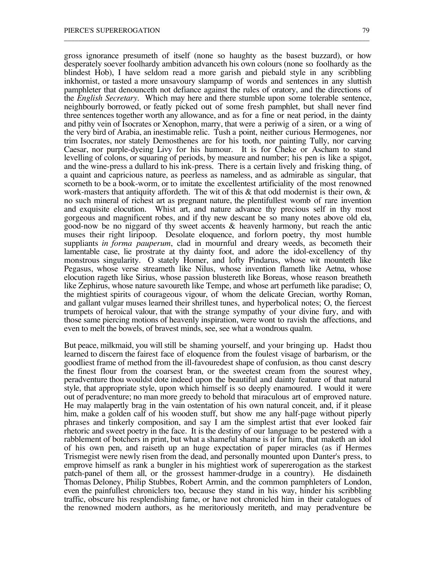gross ignorance presumeth of itself (none so haughty as the basest buzzard), or how desperately soever foolhardy ambition advanceth his own colours (none so foolhardy as the blindest Hob), I have seldom read a more garish and piebald style in any scribbling inkhornist, or tasted a more unsavoury slampamp of words and sentences in any sluttish pamphleter that denounceth not defiance against the rules of oratory, and the directions of the *English Secretary*. Which may here and there stumble upon some tolerable sentence, neighbourly borrowed, or featly picked out of some fresh pamphlet, but shall never find three sentences together worth any allowance, and as for a fine or neat period, in the dainty and pithy vein of Isocrates or Xenophon, marry, that were a periwig of a siren, or a wing of the very bird of Arabia, an inestimable relic. Tush a point, neither curious Hermogenes, nor trim Isocrates, nor stately Demosthenes are for his tooth, nor painting Tully, nor carving Caesar, nor purple-dyeing Livy for his humour. It is for Cheke or Ascham to stand levelling of colons, or squaring of periods, by measure and number; his pen is like a spigot, and the wine-press a dullard to his ink-press. There is a certain lively and frisking thing, of a quaint and capricious nature, as peerless as nameless, and as admirable as singular, that scorneth to be a book-worm, or to imitate the excellentest artificiality of the most renowned work-masters that antiquity affordeth. The wit of this  $\&$  that odd modernist is their own,  $\&$ no such mineral of richest art as pregnant nature, the plentifullest womb of rare invention and exquisite elocution. Whist art, and nature advance thy precious self in thy most gorgeous and magnificent robes, and if thy new descant be so many notes above old ela, good-now be no niggard of thy sweet accents & heavenly harmony, but reach the antic muses their right liripoop. Desolate eloquence, and forlorn poetry, thy most humble suppliants *in forma pauperum*, clad in mournful and dreary weeds, as becometh their lamentable case, lie prostrate at thy dainty foot, and adore the idol-excellency of thy monstrous singularity. O stately Homer, and lofty Pindarus, whose wit mounteth like Pegasus, whose verse streameth like Nilus, whose invention flameth like Aetna, whose elocution rageth like Sirius, whose passion blustereth like Boreas, whose reason breatheth like Zephirus, whose nature savoureth like Tempe, and whose art perfumeth like paradise; O, the mightiest spirits of courageous vigour, of whom the delicate Grecian, worthy Roman, and gallant vulgar muses learned their shrillest tunes, and hyperbolical notes; O, the fiercest trumpets of heroical valour, that with the strange sympathy of your divine fury, and with those same piercing motions of heavenly inspiration, were wont to ravish the affections, and even to melt the bowels, of bravest minds, see, see what a wondrous qualm.

\_\_\_\_\_\_\_\_\_\_\_\_\_\_\_\_\_\_\_\_\_\_\_\_\_\_\_\_\_\_\_\_\_\_\_\_\_\_\_\_\_\_\_\_\_\_\_\_\_\_\_\_\_\_\_\_\_\_\_\_\_\_\_\_\_\_\_\_\_\_\_\_\_\_\_\_\_\_\_\_\_\_\_\_\_\_

But peace, milkmaid, you will still be shaming yourself, and your bringing up. Hadst thou learned to discern the fairest face of eloquence from the foulest visage of barbarism, or the goodliest frame of method from the ill-favouredest shape of confusion, as thou canst descry the finest flour from the coarsest bran, or the sweetest cream from the sourest whey, peradventure thou wouldst dote indeed upon the beautiful and dainty feature of that natural style, that appropriate style, upon which himself is so deeply enamoured. I would it were out of peradventure; no man more greedy to behold that miraculous art of emproved nature. He may malapertly brag in the vain ostentation of his own natural conceit, and, if it please him, make a golden calf of his wooden stuff, but show me any half-page without piperly phrases and tinkerly composition, and say I am the simplest artist that ever looked fair rhetoric and sweet poetry in the face. It is the destiny of our language to be pestered with a rabblement of botchers in print, but what a shameful shame is it for him, that maketh an idol of his own pen, and raiseth up an huge expectation of paper miracles (as if Hermes Trismegist were newly risen from the dead, and personally mounted upon Danter's press, to emprove himself as rank a bungler in his mightiest work of supererogation as the starkest patch-panel of them all, or the grossest hammer-drudge in a country). He disdaineth Thomas Deloney, Philip Stubbes, Robert Armin, and the common pamphleters of London, even the painfullest chroniclers too, because they stand in his way, hinder his scribbling traffic, obscure his resplendishing fame, or have not chronicled him in their catalogues of the renowned modern authors, as he meritoriously meriteth, and may peradventure be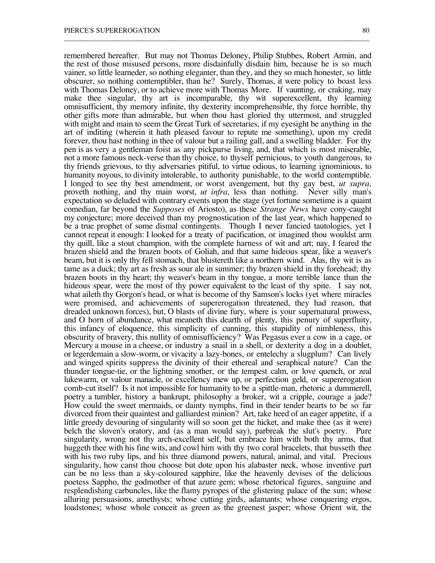remembered hereafter. But may not Thomas Deloney, Philip Stubbes, Robert Armin, and the rest of those misused persons, more disdainfully disdain him, because he is so much vainer, so little learneder, so nothing eleganter, than they, and they so much honester, so little obscurer, so nothing contemptibler, than he? Surely, Thomas, it were policy to boast less with Thomas Deloney, or to achieve more with Thomas More. If vaunting, or craking, may make thee singular, thy art is incomparable, thy wit superexcellent, thy learning omnisufficient, thy memory infinite, thy dexterity incomprehensible, thy force horrible, thy other gifts more than admirable, but when thou hast gloried thy uttermost, and struggled with might and main to seem the Great Turk of secretaries, if my eyesight be anything in the art of inditing (wherein it hath pleased favour to repute me something), upon my credit forever, thou hast nothing in thee of valour but a railing gall, and a swelling bladder. For thy pen is as very a gentleman foist as any pickpurse living, and, that which is most miserable, not a more famous neck-verse than thy choice, to thyself pernicious, to youth dangerous, to thy friends grievous, to thy adversaries pitiful, to virtue odious, to learning ignominious, to humanity noyous, to divinity intolerable, to authority punishable, to the world contemptible. I longed to see thy best amendment, or worst avengement, but thy gay best, *ut supra,* proveth nothing, and thy main worst, *ut infra,* less than nothing. Never silly man's expectation so deluded with contrary events upon the stage (yet fortune sometime is a quaint comedian, far beyond the *Supposes* of Ariosto), as these *Strange News* have cony-caught my conjecture; more deceived than my prognostication of the last year, which happened to be a true prophet of some dismal contingents. Though I never fancied tautologies, yet I cannot repeat it enough: I looked for a treaty of pacification, or imagined thou wouldst arm thy quill, like a stout champion, with the complete harness of wit and art; nay, I feared the brazen shield and the brazen boots of Goliah, and that same hideous spear, like a weaver's beam, but it is only thy fell stomach, that blustereth like a northern wind. Alas, thy wit is as tame as a duck; thy art as fresh as sour ale in summer; thy brazen shield in thy forehead; thy brazen boots in thy heart; thy weaver's beam in thy tongue, a more terrible lance than the hideous spear, were the most of thy power equivalent to the least of thy spite. I say not, what aileth thy Gorgon's head, or what is become of thy Samson's locks (yet where miracles were promised, and achievements of supererogation threatened, they had reason, that dreaded unknown forces), but, O blasts of divine fury, where is your supernatural prowess, and O horn of abundance, what meaneth this dearth of plenty, this penury of superfluity, this infancy of eloquence, this simplicity of cunning, this stupidity of nimbleness, this obscurity of bravery, this nullity of omnisufficiency? Was Pegasus ever a cow in a cage, or Mercury a mouse in a cheese, or industry a snail in a shell, or dexterity a dog in a doublet, or legerdemain a slow-worm, or vivacity a lazy-bones, or entelechy a slugplum? Can lively and winged spirits suppress the divinity of their ethereal and seraphical nature? Can the thunder tongue-tie, or the lightning smother, or the tempest calm, or love quench, or zeal lukewarm, or valour manacle, or excellency mew up, or perfection geld, or supererogation comb-cut itself? Is it not impossible for humanity to be a spittle-man, rhetoric a dummerell, poetry a tumbler, history a bankrupt, philosophy a broker, wit a cripple, courage a jade? How could the sweet mermaids, or dainty nymphs, find in their tender hearts to be so far divorced from their quaintest and galliardest minion? Art, take heed of an eager appetite, if a little greedy devouring of singularity will so soon get the hicket, and make thee (as it were) belch the sloven's oratory, and (as a man would say), parbreak the slut's poetry. Pure singularity, wrong not thy arch-excellent self, but embrace him with both thy arms, that huggeth thee with his fine wits, and cowl him with thy two coral bracelets, that busseth thee with his two ruby lips, and his three diamond powers, natural, animal, and vital. Precious singularity, how canst thou choose but dote upon his alabaster neck, whose inventive part can be no less than a sky-coloured sapphire, like the heavenly devises of the delicious poetess Sappho, the godmother of that azure gem; whose rhetorical figures, sanguine and resplendishing carbuncles, like the flamy pyropes of the glistering palace of the sun; whose alluring persuasions, amethysts; whose cutting girds, adamants; whose conquering ergos, loadstones; whose whole conceit as green as the greenest jasper; whose Orient wit, the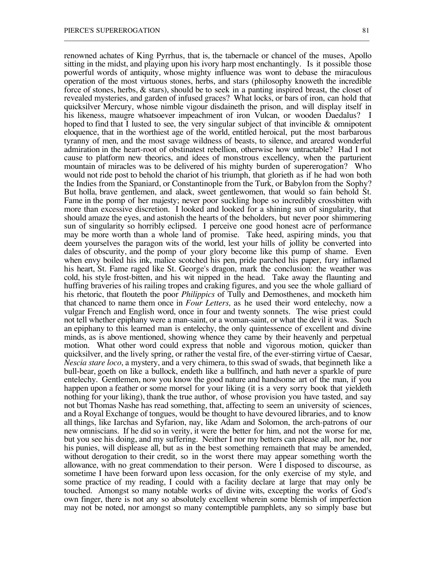renowned achates of King Pyrrhus, that is, the tabernacle or chancel of the muses, Apollo sitting in the midst, and playing upon his ivory harp most enchantingly. Is it possible those powerful words of antiquity, whose mighty influence was wont to debase the miraculous operation of the most virtuous stones, herbs, and stars (philosophy knoweth the incredible force of stones, herbs, & stars), should be to seek in a panting inspired breast, the closet of revealed mysteries, and garden of infused graces? What locks, or bars of iron, can hold that quicksilver Mercury, whose nimble vigour disdaineth the prison, and will display itself in his likeness, maugre whatsoever impeachment of iron Vulcan, or wooden Daedalus? I hoped to find that I lusted to see, the very singular subject of that invincible  $\&$  omnipotent eloquence, that in the worthiest age of the world, entitled heroical, put the most barbarous tyranny of men, and the most savage wildness of beasts, to silence, and areared wonderful admiration in the heart-root of obstinatest rebellion, otherwise how untractable? Had I not cause to platform new theorics, and idees of monstrous excellency, when the parturient mountain of miracles was to be delivered of his mighty burden of supererogation? Who would not ride post to behold the chariot of his triumph, that glorieth as if he had won both the Indies from the Spaniard, or Constantinople from the Turk, or Babylon from the Sophy? But holla, brave gentlemen, and alack, sweet gentlewomen, that would so fain behold St. Fame in the pomp of her majesty; never poor suckling hope so incredibly crossbitten with more than excessive discretion. I looked and looked for a shining sun of singularity, that should amaze the eyes, and astonish the hearts of the beholders, but never poor shimmering sun of singularity so horribly eclipsed. I perceive one good honest acre of performance may be more worth than a whole land of promise. Take heed, aspiring minds, you that deem yourselves the paragon wits of the world, lest your hills of jollity be converted into dales of obscurity, and the pomp of your glory become like this pump of shame. Even when envy boiled his ink, malice scotched his pen, pride parched his paper, fury inflamed his heart, St. Fame raged like St. George's dragon, mark the conclusion: the weather was cold, his style frost-bitten, and his wit nipped in the head. Take away the flaunting and huffing braveries of his railing tropes and craking figures, and you see the whole galliard of his rhetoric, that flouteth the poor *Philippics* of Tully and Demosthenes, and mocketh him that chanced to name them once in *Four Letters,* as he used their word entelechy, now a vulgar French and English word, once in four and twenty sonnets. The wise priest could not tell whether epiphany were a man-saint, or a woman-saint, or what the devil it was. Such an epiphany to this learned man is entelechy, the only quintessence of excellent and divine minds, as is above mentioned, showing whence they came by their heavenly and perpetual motion. What other word could express that noble and vigorous motion, quicker than quicksilver, and the lively spring, or rather the vestal fire, of the ever-stirring virtue of Caesar, *Nescia stare loco*, a mystery, and a very chimera, to this swad of swads, that beginneth like a bull-bear, goeth on like a bullock, endeth like a bullfinch, and hath never a sparkle of pure entelechy. Gentlemen, now you know the good nature and handsome art of the man, if you happen upon a feather or some morsel for your liking (it is a very sorry book that yieldeth nothing for your liking), thank the true author, of whose provision you have tasted, and say not but Thomas Nashe has read something, that, affecting to seem an university of sciences, and a Royal Exchange of tongues, would be thought to have devoured libraries, and to know all things, like Iarchas and Syfarion, nay, like Adam and Solomon, the arch-patrons of our new omniscians. If he did so in verity, it were the better for him, and not the worse for me, but you see his doing, and my suffering. Neither I nor my betters can please all, nor he, nor his punies, will displease all, but as in the best something remaineth that may be amended, without derogation to their credit, so in the worst there may appear something worth the allowance, with no great commendation to their person. Were I disposed to discourse, as sometime I have been forward upon less occasion, for the only exercise of my style, and some practice of my reading, I could with a facility declare at large that may only be touched. Amongst so many notable works of divine wits, excepting the works of God's own finger, there is not any so absolutely excellent wherein some blemish of imperfection may not be noted, nor amongst so many contemptible pamphlets, any so simply base but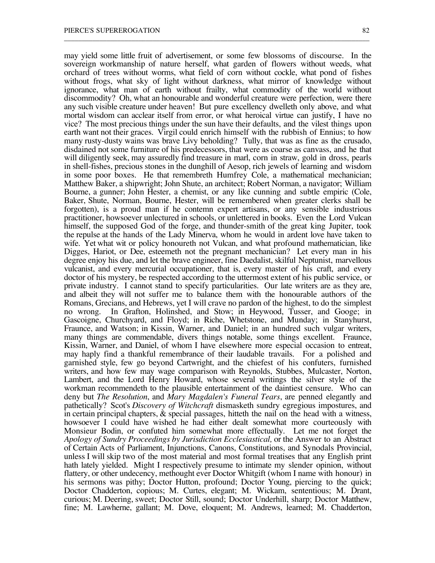may yield some little fruit of advertisement, or some few blossoms of discourse. In the sovereign workmanship of nature herself, what garden of flowers without weeds, what orchard of trees without worms, what field of corn without cockle, what pond of fishes without frogs, what sky of light without darkness, what mirror of knowledge without ignorance, what man of earth without frailty, what commodity of the world without discommodity? Oh, what an honourable and wonderful creature were perfection, were there any such visible creature under heaven! But pure excellency dwelleth only above, and what mortal wisdom can acclear itself from error, or what heroical virtue can justify, I have no vice? The most precious things under the sun have their defaults, and the vilest things upon earth want not their graces. Virgil could enrich himself with the rubbish of Ennius; to how many rusty-dusty wains was brave Livy beholding? Tully, that was as fine as the crusado, disdained not some furniture of his predecessors, that were as coarse as canvass, and he that will diligently seek, may assuredly find treasure in marl, corn in straw, gold in dross, pearls in shell-fishes, precious stones in the dunghill of Aesop, rich jewels of learning and wisdom in some poor boxes. He that remembreth Humfrey Cole, a mathematical mechanician; Matthew Baker, a shipwright; John Shute, an architect; Robert Norman, a navigator; William Bourne, a gunner; John Hester, a chemist, or any like cunning and subtle empiric (Cole, Baker, Shute, Norman, Bourne, Hester, will be remembered when greater clerks shall be forgotten), is a proud man if he contemn expert artisans, or any sensible industrious practitioner, howsoever unlectured in schools, or unlettered in books. Even the Lord Vulcan himself, the supposed God of the forge, and thunder-smith of the great king Jupiter, took the repulse at the hands of the Lady Minerva, whom he would in ardent love have taken to wife. Yet what wit or policy honoureth not Vulcan, and what profound mathematician, like Digges, Hariot, or Dee, esteemeth not the pregnant mechanician? Let every man in his degree enjoy his due, and let the brave engineer, fine Daedalist, skilful Neptunist, marvellous vulcanist, and every mercurial occupationer, that is, every master of his craft, and every doctor of his mystery, be respected according to the uttermost extent of his public service, or private industry. I cannot stand to specify particularities. Our late writers are as they are, and albeit they will not suffer me to balance them with the honourable authors of the Romans, Grecians, and Hebrews, yet I will crave no pardon of the highest, to do the simplest no wrong. In Grafton, Holinshed, and Stow; in Heywood, Tusser, and Googe; in In Grafton, Holinshed, and Stow; in Heywood, Tusser, and Googe; in Gascoigne, Churchyard, and Floyd; in Riche, Whetstone, and Munday; in Stanyhurst, Fraunce, and Watson; in Kissin, Warner, and Daniel; in an hundred such vulgar writers, many things are commendable, divers things notable, some things excellent. Fraunce, Kissin, Warner, and Daniel, of whom I have elsewhere more especial occasion to entreat, may haply find a thankful remembrance of their laudable travails. For a polished and garnished style, few go beyond Cartwright, and the chiefest of his confuters, furnished writers, and how few may wage comparison with Reynolds, Stubbes, Mulcaster, Norton, Lambert, and the Lord Henry Howard, whose several writings the silver style of the workman recommendeth to the plausible entertainment of the daintiest censure. Who can deny but *The Resolution*, and *Mary Magdalen's Funeral Tears*, are penned elegantly and pathetically? Scot's *Discovery of Witchcraft* dismasketh sundry egregious impostures, and in certain principal chapters,  $\&$  special passages, hitteth the nail on the head with a witness, howsoever I could have wished he had either dealt somewhat more courteously with Monsieur Bodin, or confuted him somewhat more effectually. Let me not forget the *Apology of Sundry Proceedings by Jurisdiction Ecclesiastical,* or the Answer to an Abstract of Certain Acts of Parliament, Injunctions, Canons, Constitutions, and Synodals Provincial, unless I will skip two of the most material and most formal treatises that any English print hath lately yielded. Might I respectively presume to intimate my slender opinion, without flattery, or other undecency, methought ever Doctor Whitgift (whom I name with honour) in his sermons was pithy; Doctor Hutton, profound; Doctor Young, piercing to the quick; Doctor Chadderton, copious; M. Curtes, elegant; M. Wickam, sententious; M. Drant, curious; M. Deering, sweet; Doctor Still, sound; Doctor Underhill, sharp; Doctor Matthew, fine; M. Lawherne, gallant; M. Dove, eloquent; M. Andrews, learned; M. Chadderton,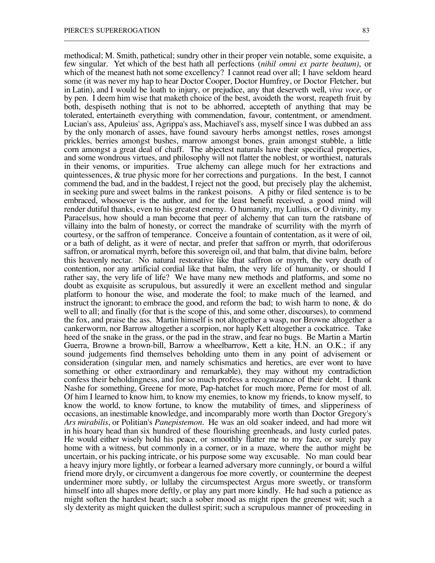methodical; M. Smith, pathetical; sundry other in their proper vein notable, some exquisite, a few singular. Yet which of the best hath all perfections (*nihil omni ex parte beatum)*, or which of the meanest hath not some excellency? I cannot read over all; I have seldom heard some (it was never my hap to hear Doctor Cooper, Doctor Humfrey, or Doctor Fletcher, but in Latin), and I would be loath to injury, or prejudice, any that deserveth well, *viva voce*, or by pen. I deem him wise that maketh choice of the best, avoideth the worst, reapeth fruit by both, despiseth nothing that is not to be abhorred, accepteth of anything that may be tolerated, entertaineth everything with commendation, favour, contentment, or amendment. Lucian's ass, Apuleius' ass, Agrippa's ass, Machiavel's ass, myself since I was dubbed an ass by the only monarch of asses, have found savoury herbs amongst nettles, roses amongst prickles, berries amongst bushes, marrow amongst bones, grain amongst stubble, a little corn amongst a great deal of chaff. The abjectest naturals have their specifical properties, and some wondrous virtues, and philosophy will not flatter the noblest, or worthiest, naturals in their venoms, or impurities. True alchemy can allege much for her extractions and quintessences,  $\&$  true physic more for her corrections and purgations. In the best, I cannot commend the bad, and in the baddest, I reject not the good, but precisely play the alchemist, in seeking pure and sweet balms in the rankest poisons. A pithy or filed sentence is to be embraced, whosoever is the author, and for the least benefit received, a good mind will render dutiful thanks, even to his greatest enemy. O humanity, my Lullius, or O divinity, my Paracelsus, how should a man become that peer of alchemy that can turn the ratsbane of villainy into the balm of honesty, or correct the mandrake of scurrility with the myrrh of courtesy, or the saffron of temperance. Conceive a fountain of contentation, as it were of oil, or a bath of delight, as it were of nectar, and prefer that saffron or myrrh, that odoriferous saffron, or aromatical myrrh, before this sovereign oil, and that balm, that divine balm, before this heavenly nectar. No natural restorative like that saffron or myrrh, the very death of contention, nor any artificial cordial like that balm, the very life of humanity, or should I rather say, the very life of life? We have many new methods and platforms, and some no doubt as exquisite as scrupulous, but assuredly it were an excellent method and singular platform to honour the wise, and moderate the fool; to make much of the learned, and instruct the ignorant; to embrace the good, and reform the bad; to wish harm to none, & do well to all; and finally (for that is the scope of this, and some other, discourses), to commend the fox, and praise the ass. Martin himself is not altogether a wasp, nor Browne altogether a cankerworm, nor Barrow altogether a scorpion, nor haply Kett altogether a cockatrice. Take heed of the snake in the grass, or the pad in the straw, and fear no bugs. Be Martin a Martin Guerra, Browne a brown-bill, Barrow a wheelbarrow, Kett a kite, H.N. an O.K.; if any sound judgements find themselves beholding unto them in any point of advisement or consideration (singular men, and namely schismatics and heretics, are ever wont to have something or other extraordinary and remarkable), they may without my contradiction confess their beholdingness, and for so much profess a recognizance of their debt. I thank Nashe for something, Greene for more, Pap-hatchet for much more, Perne for most of all. Of him I learned to know him, to know my enemies, to know my friends, to know myself, to know the world, to know fortune, to know the mutability of times, and slipperiness of occasions, an inestimable knowledge, and incomparably more worth than Doctor Gregory's *Ars mirabilis*, or Politian's *Panepistemon*. He was an old soaker indeed, and had more wit in his hoary head than six hundred of these flourishing greenheads, and lusty curled pates. He would either wisely hold his peace, or smoothly flatter me to my face, or surely pay home with a witness, but commonly in a corner, or in a maze, where the author might be uncertain, or his packing intricate, or his purpose some way excusable. No man could bear a heavy injury more lightly, or forbear a learned adversary more cunningly, or bourd a wilful friend more dryly, or circumvent a dangerous foe more covertly, or countermine the deepest underminer more subtly, or lullaby the circumspectest Argus more sweetly, or transform himself into all shapes more deftly, or play any part more kindly. He had such a patience as might soften the hardest heart; such a sober mood as might ripen the greenest wit; such a sly dexterity as might quicken the dullest spirit; such a scrupulous manner of proceeding in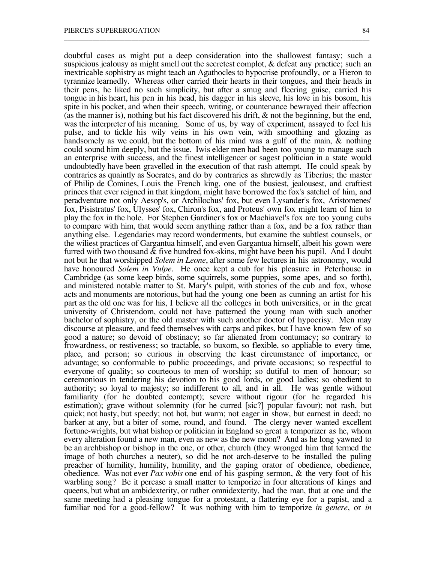doubtful cases as might put a deep consideration into the shallowest fantasy; such a suspicious jealousy as might smell out the secretest complot, & defeat any practice; such an inextricable sophistry as might teach an Agathocles to hypocrise profoundly, or a Hieron to tyrannize learnedly. Whereas other carried their hearts in their tongues, and their heads in their pens, he liked no such simplicity, but after a smug and fleering guise, carried his tongue in his heart, his pen in his head, his dagger in his sleeve, his love in his bosom, his spite in his pocket, and when their speech, writing, or countenance bewrayed their affection (as the manner is), nothing but his fact discovered his drift, & not the beginning, but the end, was the interpreter of his meaning. Some of us, by way of experiment, assayed to feel his pulse, and to tickle his wily veins in his own vein, with smoothing and glozing as handsomely as we could, but the bottom of his mind was a gulf of the main,  $\&$  nothing could sound him deeply, but the issue. Iwis elder men had been too young to manage such an enterprise with success, and the finest intelligencer or sagest politician in a state would undoubtedly have been gravelled in the execution of that rash attempt. He could speak by contraries as quaintly as Socrates, and do by contraries as shrewdly as Tiberius; the master of Philip de Comines, Louis the French king, one of the busiest, jealousest, and craftiest princes that ever reigned in that kingdom, might have borrowed the fox's satchel of him, and peradventure not only Aesop's, or Archilochus' fox, but even Lysander's fox, Aristomenes' fox, Pisistratus' fox, Ulysses' fox, Chiron's fox, and Proteus' own fox might learn of him to play the fox in the hole. For Stephen Gardiner's fox or Machiavel's fox are too young cubs to compare with him, that would seem anything rather than a fox, and be a fox rather than anything else. Legendaries may record wonderments, but examine the subtlest counsels, or the wiliest practices of Gargantua himself, and even Gargantua himself, albeit his gown were furred with two thousand & five hundred fox-skins, might have been his pupil. And I doubt not but he that worshipped *Solem in Leone*, after some few lectures in his astronomy, would have honoured *Solem in Vulpe*. He once kept a cub for his pleasure in Peterhouse in Cambridge (as some keep birds, some squirrels, some puppies, some apes, and so forth), and ministered notable matter to St. Mary's pulpit, with stories of the cub and fox, whose acts and monuments are notorious, but had the young one been as cunning an artist for his part as the old one was for his, I believe all the colleges in both universities, or in the great university of Christendom, could not have patterned the young man with such another bachelor of sophistry, or the old master with such another doctor of hypocrisy. Men may discourse at pleasure, and feed themselves with carps and pikes, but I have known few of so good a nature; so devoid of obstinacy; so far alienated from contumacy; so contrary to frowardness, or restiveness; so tractable, so buxom, so flexible, so appliable to every time, place, and person; so curious in observing the least circumstance of importance, or advantage; so conformable to public proceedings, and private occasions; so respectful to everyone of quality; so courteous to men of worship; so dutiful to men of honour; so ceremonious in tendering his devotion to his good lords, or good ladies; so obedient to authority; so loyal to majesty; so indifferent to all, and in all. He was gentle without familiarity (for he doubted contempt); severe without rigour (for he regarded his estimation); grave without solemnity (for he curred [sic?] popular favour); not rash, but quick; not hasty, but speedy; not hot, but warm; not eager in show, but earnest in deed; no barker at any, but a biter of some, round, and found. The clergy never wanted excellent fortune-wrights, but what bishop or politician in England so great a temporizer as he, whom every alteration found a new man, even as new as the new moon? And as he long yawned to be an archbishop or bishop in the one, or other, church (they wronged him that termed the image of both churches a neuter), so did he not arch-deserve to be installed the puling preacher of humility, humility, humility, and the gaping orator of obedience, obedience, obedience. Was not ever *Pax vobis* one end of his gasping sermon, & the very foot of his warbling song? Be it percase a small matter to temporize in four alterations of kings and queens, but what an ambidexterity, or rather omnidexterity, had the man, that at one and the same meeting had a pleasing tongue for a protestant, a flattering eye for a papist, and a familiar nod for a good-fellow? It was nothing with him to temporize *in genere*, or *in*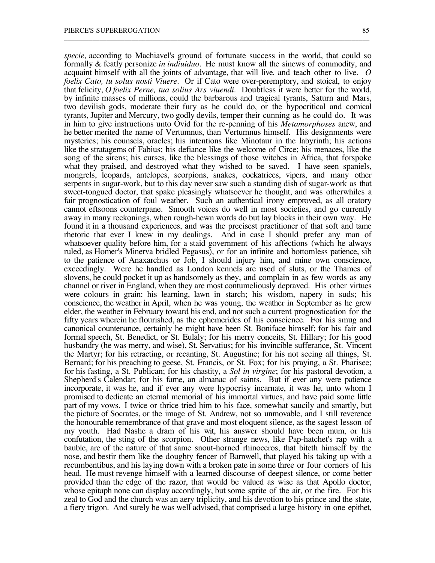*specie*, according to Machiavel's ground of fortunate success in the world, that could so formally & featly personize *in indiuiduo*. He must know all the sinews of commodity, and acquaint himself with all the joints of advantage, that will live, and teach other to live. *O foelix Cato, tu solus nosti Viuere*. Or if Cato were over-peremptory, and stoical, to enjoy that felicity, *O foelix Perne, tua solius Ars viuendi*. Doubtless it were better for the world, by infinite masses of millions, could the barbarous and tragical tyrants, Saturn and Mars, two devilish gods, moderate their fury as he could do, or the hypocritical and comical tyrants, Jupiter and Mercury, two godly devils, temper their cunning as he could do. It was in him to give instructions unto Ovid for the re-penning of his *Metamorphoses* anew, and he better merited the name of Vertumnus, than Vertumnus himself. His designments were mysteries; his counsels, oracles; his intentions like Minotaur in the labyrinth; his actions like the stratagems of Fabius; his defiance like the welcome of Circe; his menaces, like the song of the sirens; his curses, like the blessings of those witches in Africa, that forspoke what they praised, and destroyed what they wished to be saved. I have seen spaniels, mongrels, leopards, antelopes, scorpions, snakes, cockatrices, vipers, and many other serpents in sugar-work, but to this day never saw such a standing dish of sugar-work as that sweet-tongued doctor, that spake pleasingly whatsoever he thought, and was otherwhiles a fair prognostication of foul weather. Such an authentical irony emproved, as all oratory cannot eftsoons counterpane. Smooth voices do well in most societies, and go currently away in many reckonings, when rough-hewn words do but lay blocks in their own way. He found it in a thousand experiences, and was the precisest practitioner of that soft and tame rhetoric that ever I knew in my dealings. And in case I should prefer any man of whatsoever quality before him, for a staid government of his affections (which he always ruled, as Homer's Minerva bridled Pegasus), or for an infinite and bottomless patience, sib to the patience of Anaxarchus or Job, I should injury him, and mine own conscience, exceedingly. Were he handled as London kennels are used of sluts, or the Thames of slovens, he could pocket it up as handsomely as they, and complain in as few words as any channel or river in England, when they are most contumeliously depraved. His other virtues were colours in grain: his learning, lawn in starch; his wisdom, napery in suds; his conscience, the weather in April, when he was young, the weather in September as he grew elder, the weather in February toward his end, and not such a current prognostication for the fifty years wherein he flourished, as the ephemerides of his conscience. For his smug and canonical countenance, certainly he might have been St. Boniface himself; for his fair and formal speech, St. Benedict, or St. Eulaly; for his merry conceits, St. Hillary; for his good husbandry (he was merry, and wise), St. Servatius; for his invincible sufferance, St. Vincent the Martyr; for his retracting, or recanting, St. Augustine; for his not seeing all things, St. Bernard; for his preaching to geese, St. Francis, or St. Fox; for his praying, a St. Pharisee; for his fasting, a St. Publican; for his chastity, a *Sol in virgine*; for his pastoral devotion, a Shepherd's Calendar; for his fame, an almanac of saints. But if ever any were patience incorporate, it was he, and if ever any were hypocrisy incarnate, it was he, unto whom I promised to dedicate an eternal memorial of his immortal virtues, and have paid some little part of my vows. I twice or thrice tried him to his face, somewhat saucily and smartly, but the picture of Socrates, or the image of St. Andrew, not so unmovable, and I still reverence the honourable remembrance of that grave and most eloquent silence, as the sagest lesson of my youth. Had Nashe a dram of his wit, his answer should have been mum, or his confutation, the sting of the scorpion. Other strange news, like Pap-hatchet's rap with a bauble, are of the nature of that same snout-horned rhinoceros, that biteth himself by the nose, and bestir them like the doughty fencer of Barnwell, that played his taking up with a recumbentibus, and his laying down with a broken pate in some three or four corners of his head. He must revenge himself with a learned discourse of deepest silence, or come better provided than the edge of the razor, that would be valued as wise as that Apollo doctor, whose epitaph none can display accordingly, but some sprite of the air, or the fire. For his zeal to God and the church was an aery triplicity, and his devotion to his prince and the state, a fiery trigon. And surely he was well advised, that comprised a large history in one epithet,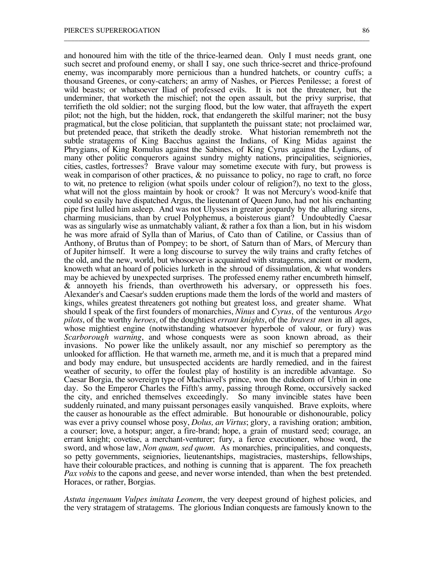and honoured him with the title of the thrice-learned dean. Only I must needs grant, one such secret and profound enemy, or shall I say, one such thrice-secret and thrice-profound enemy, was incomparably more pernicious than a hundred hatchets, or country cuffs; a thousand Greenes, or cony-catchers; an army of Nashes, or Pierces Penilesse; a forest of wild beasts; or whatsoever Iliad of professed evils. It is not the threatener, but the underminer, that worketh the mischief; not the open assault, but the privy surprise, that terrifieth the old soldier; not the surging flood, but the low water, that affrayeth the expert pilot; not the high, but the hidden, rock, that endangereth the skilful mariner; not the busy pragmatical, but the close politician, that supplanteth the puissant state; not proclaimed war, but pretended peace, that striketh the deadly stroke. What historian remembreth not the subtle stratagems of King Bacchus against the Indians, of King Midas against the Phrygians, of King Romulus against the Sabines, of King Cyrus against the Lydians, of many other politic conquerors against sundry mighty nations, principalities, seigniories, cities, castles, fortresses? Brave valour may sometime execute with fury, but prowess is weak in comparison of other practices,  $\&$  no puissance to policy, no rage to craft, no force to wit, no pretence to religion (what spoils under colour of religion?), no text to the gloss, what will not the gloss maintain by hook or crook? It was not Mercury's wood-knife that could so easily have dispatched Argus, the lieutenant of Queen Juno, had not his enchanting pipe first lulled him asleep. And was not Ulysses in greater jeopardy by the alluring sirens, charming musicians, than by cruel Polyphemus, a boisterous giant? Undoubtedly Caesar was as singularly wise as unmatchably valiant, & rather a fox than a lion, but in his wisdom he was more afraid of Sylla than of Marius, of Cato than of Catiline, or Cassius than of Anthony, of Brutus than of Pompey; to be short, of Saturn than of Mars, of Mercury than of Jupiter himself. It were a long discourse to survey the wily trains and crafty fetches of the old, and the new, world, but whosoever is acquainted with stratagems, ancient or modern, knoweth what an hoard of policies lurketh in the shroud of dissimulation, & what wonders may be achieved by unexpected surprises. The professed enemy rather encumbreth himself, & annoyeth his friends, than overthroweth his adversary, or oppresseth his foes. Alexander's and Caesar's sudden eruptions made them the lords of the world and masters of kings, whiles greatest threateners got nothing but greatest loss, and greater shame. What should I speak of the first founders of monarchies, *Ninus* and *Cyrus*, of the venturous *Argo pilots*, of the worthy *heroes*, of the doughtiest *errant knights*, of the *bravest men* in all ages, whose mightiest engine (notwithstanding whatsoever hyperbole of valour, or fury) was *Scarborough warning*, and whose conquests were as soon known abroad, as their invasions. No power like the unlikely assault, nor any mischief so peremptory as the unlooked for affliction. He that warneth me, armeth me, and it is much that a prepared mind and body may endure, but unsuspected accidents are hardly remedied, and in the fairest weather of security, to offer the foulest play of hostility is an incredible advantage. So Caesar Borgia, the sovereign type of Machiavel's prince, won the dukedom of Urbin in one day. So the Emperor Charles the Fifth's army, passing through Rome, occursively sacked the city, and enriched themselves exceedingly. So many invincible states have been suddenly ruinated, and many puissant personages easily vanquished. Brave exploits, where the causer as honourable as the effect admirable. But honourable or dishonourable, policy was ever a privy counsel whose posy, *Dolus, an Virtus*; glory, a ravishing oration; ambition, a courser; love, a hotspur; anger, a fire-brand; hope, a grain of mustard seed; courage, an errant knight; covetise, a merchant-venturer; fury, a fierce executioner, whose word, the sword, and whose law, *Non quam, sed quom*. As monarchies, principalities, and conquests, so petty governments, seigniories, lieutenantships, magistracies, masterships, fellowships, have their colourable practices, and nothing is cunning that is apparent. The fox preacheth *Pax vobis* to the capons and geese, and never worse intended, than when the best pretended. Horaces, or rather, Borgias.

\_\_\_\_\_\_\_\_\_\_\_\_\_\_\_\_\_\_\_\_\_\_\_\_\_\_\_\_\_\_\_\_\_\_\_\_\_\_\_\_\_\_\_\_\_\_\_\_\_\_\_\_\_\_\_\_\_\_\_\_\_\_\_\_\_\_\_\_\_\_\_\_\_\_\_\_\_\_\_\_\_\_\_\_\_\_

*Astuta ingenuum Vulpes imitata Leonem*, the very deepest ground of highest policies, and the very stratagem of stratagems. The glorious Indian conquests are famously known to the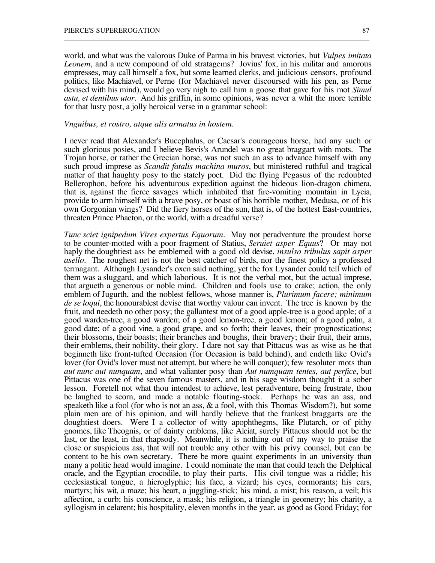world, and what was the valorous Duke of Parma in his bravest victories, but *Vulpes imitata Leonem*, and a new compound of old stratagems? Jovius' fox, in his militar and amorous empresses, may call himself a fox, but some learned clerks, and judicious censors, profound politics, like Machiavel, or Perne (for Machiavel never discoursed with his pen, as Perne devised with his mind), would go very nigh to call him a goose that gave for his mot *Simul astu, et dentibus utor*. And his griffin, in some opinions, was never a whit the more terrible for that lusty post, a jolly heroical verse in a grammar school:

\_\_\_\_\_\_\_\_\_\_\_\_\_\_\_\_\_\_\_\_\_\_\_\_\_\_\_\_\_\_\_\_\_\_\_\_\_\_\_\_\_\_\_\_\_\_\_\_\_\_\_\_\_\_\_\_\_\_\_\_\_\_\_\_\_\_\_\_\_\_\_\_\_\_\_\_\_\_\_\_\_\_\_\_\_\_

#### *Vnguibus, et rostro, atque alis armatus in hostem.*

I never read that Alexander's Bucephalus, or Caesar's courageous horse, had any such or such glorious posies, and I believe Bevis's Arundel was no great braggart with mots. The Trojan horse, or rather the Grecian horse, was not such an ass to advance himself with any such proud imprese as *Scandit fatalis machina muros*, but ministered ruthful and tragical matter of that haughty posy to the stately poet. Did the flying Pegasus of the redoubted Bellerophon, before his adventurous expedition against the hideous lion-dragon chimera, that is, against the fierce savages which inhabited that fire-vomiting mountain in Lycia, provide to arm himself with a brave posy, or boast of his horrible mother, Medusa, or of his own Gorgonian wings? Did the fiery horses of the sun, that is, of the hottest East-countries, threaten Prince Phaeton, or the world, with a dreadful verse?

*Tunc sciet ignipedum Vires expertus Equorum*. May not peradventure the proudest horse to be counter-motted with a poor fragment of Statius, *Seruiet asper Equus*? Or may not haply the doughtiest ass be emblemed with a good old devise, *insulso tribulus sapit asper asello*. The roughest net is not the best catcher of birds, nor the finest policy a professed termagant. Although Lysander's oxen said nothing, yet the fox Lysander could tell which of them was a sluggard, and which laborious. It is not the verbal mot, but the actual imprese, that argueth a generous or noble mind. Children and fools use to crake; action, the only emblem of Jugurth, and the noblest fellows, whose manner is, *Plurimum facere; minimum de se loqui*, the honourablest devise that worthy valour can invent. The tree is known by the fruit, and needeth no other posy; the gallantest mot of a good apple-tree is a good apple; of a good warden-tree, a good warden; of a good lemon-tree, a good lemon; of a good palm, a good date; of a good vine, a good grape, and so forth; their leaves, their prognostications; their blossoms, their boasts; their branches and boughs, their bravery; their fruit, their arms, their emblems, their nobility, their glory. I dare not say that Pittacus was as wise as he that beginneth like front-tufted Occasion (for Occasion is bald behind), and endeth like Ovid's lover (for Ovid's lover must not attempt, but where he will conquer); few resoluter mots than *aut nunc aut nunquam*, and what valianter posy than *Aut numquam tentes, aut perfice*, but Pittacus was one of the seven famous masters, and in his sage wisdom thought it a sober lesson. Foretell not what thou intendest to achieve, lest peradventure, being frustrate, thou be laughed to scorn, and made a notable flouting-stock. Perhaps he was an ass, and speaketh like a fool (for who is not an ass,  $\&$  a fool, with this Thomas Wisdom?), but some plain men are of his opinion, and will hardly believe that the frankest braggarts are the doughtiest doers. Were I a collector of witty apophthegms, like Plutarch, or of pithy gnomes, like Theognis, or of dainty emblems, like Alciat, surely Pittacus should not be the last, or the least, in that rhapsody. Meanwhile, it is nothing out of my way to praise the close or suspicious ass, that will not trouble any other with his privy counsel, but can be content to be his own secretary. There be more quaint experiments in an university than many a politic head would imagine. I could nominate the man that could teach the Delphical oracle, and the Egyptian crocodile, to play their parts. His civil tongue was a riddle; his ecclesiastical tongue, a hieroglyphic; his face, a vizard; his eyes, cormorants; his ears, martyrs; his wit, a maze; his heart, a juggling-stick; his mind, a mist; his reason, a veil; his affection, a curb; his conscience, a mask; his religion, a triangle in geometry; his charity, a syllogism in celarent; his hospitality, eleven months in the year, as good as Good Friday; for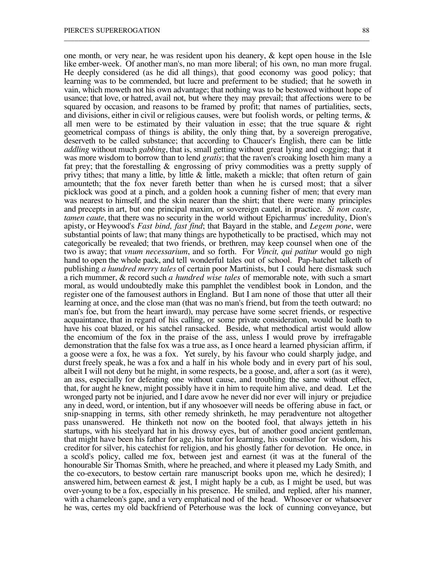one month, or very near, he was resident upon his deanery,  $\&$  kept open house in the Isle like ember-week. Of another man's, no man more liberal; of his own, no man more frugal. He deeply considered (as he did all things), that good economy was good policy; that learning was to be commended, but lucre and preferment to be studied; that he soweth in vain, which moweth not his own advantage; that nothing was to be bestowed without hope of usance; that love, or hatred, avail not, but where they may prevail; that affections were to be squared by occasion, and reasons to be framed by profit; that names of partialities, sects, and divisions, either in civil or religious causes, were but foolish words, or pelting terms, & all men were to be estimated by their valuation in esse; that the true square & right geometrical compass of things is ability, the only thing that, by a sovereign prerogative, deserveth to be called substance; that according to Chaucer's English, there can be little *addling* without much *gabbing*, that is, small getting without great lying and cogging; that it was more wisdom to borrow than to lend *gratis*; that the raven's croaking loseth him many a fat prey; that the forestalling & engrossing of privy commodities was a pretty supply of privy tithes; that many a little, by little  $\&$  little, maketh a mickle; that often return of gain amounteth; that the fox never fareth better than when he is cursed most; that a silver picklock was good at a pinch, and a golden hook a cunning fisher of men; that every man was nearest to himself, and the skin nearer than the shirt; that there were many principles and precepts in art, but one principal maxim, or sovereign cautel, in practice. *Si non caste, tamen caute*, that there was no security in the world without Epicharmus' incredulity, Dion's apisty, or Heywood's *Fast bind, fast find*; that Bayard in the stable, and *Legem pone*, were substantial points of law; that many things are hypothetically to be practised, which may not categorically be revealed; that two friends, or brethren, may keep counsel when one of the two is away; that *vnum necessarium*, and so forth. For *Vincit, qui patitur* would go nigh hand to open the whole pack, and tell wonderful tales out of school. Pap-hatchet talketh of publishing *a hundred merry tales* of certain poor Martinists, but I could here dismask such a rich mummer, & record such *a hundred wise tales* of memorable note, with such a smart moral, as would undoubtedly make this pamphlet the vendiblest book in London, and the register one of the famousest authors in England. But I am none of those that utter all their learning at once, and the close man (that was no man's friend, but from the teeth outward; no man's foe, but from the heart inward), may percase have some secret friends, or respective acquaintance, that in regard of his calling, or some private consideration, would be loath to have his coat blazed, or his satchel ransacked. Beside, what methodical artist would allow the encomium of the fox in the praise of the ass, unless I would prove by irrefragable demonstration that the false fox was a true ass, as I once heard a learned physician affirm, if a goose were a fox, he was a fox. Yet surely, by his favour who could sharply judge, and durst freely speak, he was a fox and a half in his whole body and in every part of his soul, albeit I will not deny but he might, in some respects, be a goose, and, after a sort (as it were), an ass, especially for defeating one without cause, and troubling the same without effect, that, for aught he knew, might possibly have it in him to requite him alive, and dead. Let the wronged party not be injuried, and I dare avow he never did nor ever will injury or prejudice any in deed, word, or intention, but if any whosoever will needs be offering abuse in fact, or snip-snapping in terms, sith other remedy shrinketh, he may peradventure not altogether pass unanswered. He thinketh not now on the booted fool, that always jetteth in his startups, with his steelyard hat in his drowsy eyes, but of another good ancient gentleman, that might have been his father for age, his tutor for learning, his counsellor for wisdom, his creditor for silver, his catechist for religion, and his ghostly father for devotion. He once, in a scold's policy, called me fox, between jest and earnest (it was at the funeral of the honourable Sir Thomas Smith, where he preached, and where it pleased my Lady Smith, and the co-executors, to bestow certain rare manuscript books upon me, which he desired); I answered him, between earnest  $\&$  jest, I might haply be a cub, as I might be used, but was over-young to be a fox, especially in his presence. He smiled, and replied, after his manner, with a chameleon's gape, and a very emphatical nod of the head. Whosoever or whatsoever he was, certes my old backfriend of Peterhouse was the lock of cunning conveyance, but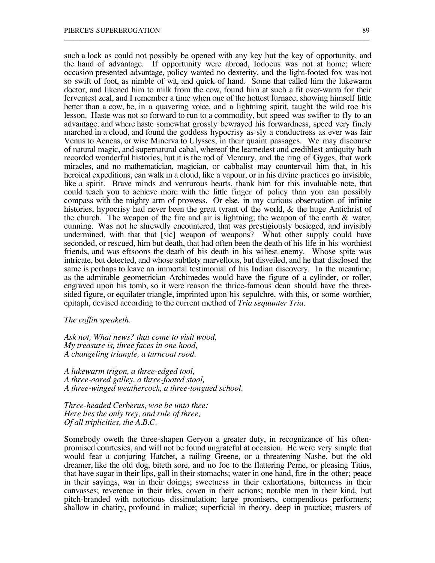such a lock as could not possibly be opened with any key but the key of opportunity, and the hand of advantage. If opportunity were abroad, Iodocus was not at home; where occasion presented advantage, policy wanted no dexterity, and the light-footed fox was not so swift of foot, as nimble of wit, and quick of hand. Some that called him the lukewarm doctor, and likened him to milk from the cow, found him at such a fit over-warm for their ferventest zeal, and I remember a time when one of the hottest furnace, showing himself little better than a cow, he, in a quavering voice, and a lightning spirit, taught the wild roe his lesson. Haste was not so forward to run to a commodity, but speed was swifter to fly to an advantage, and where haste somewhat grossly bewrayed his forwardness, speed very finely marched in a cloud, and found the goddess hypocrisy as sly a conductress as ever was fair Venus to Aeneas, or wise Minerva to Ulysses, in their quaint passages. We may discourse of natural magic, and supernatural cabal, whereof the learnedest and crediblest antiquity hath recorded wonderful histories, but it is the rod of Mercury, and the ring of Gyges, that work miracles, and no mathematician, magician, or cabbalist may countervail him that, in his heroical expeditions, can walk in a cloud, like a vapour, or in his divine practices go invisible, like a spirit. Brave minds and venturous hearts, thank him for this invaluable note, that could teach you to achieve more with the little finger of policy than you can possibly compass with the mighty arm of prowess. Or else, in my curious observation of infinite histories, hypocrisy had never been the great tyrant of the world, & the huge Antichrist of the church. The weapon of the fire and air is lightning; the weapon of the earth  $\&$  water, cunning. Was not he shrewdly encountered, that was prestigiously besieged, and invisibly undermined, with that that [sic] weapon of weapons? What other supply could have seconded, or rescued, him but death, that had often been the death of his life in his worthiest friends, and was eftsoons the death of his death in his wiliest enemy. Whose spite was intricate, but detected, and whose subtlety marvellous, but disveiled, and he that disclosed the same is perhaps to leave an immortal testimonial of his Indian discovery. In the meantime, as the admirable geometrician Archimedes would have the figure of a cylinder, or roller, engraved upon his tomb, so it were reason the thrice-famous dean should have the threesided figure, or equilater triangle, imprinted upon his sepulchre, with this, or some worthier, epitaph, devised according to the current method of *Tria sequunter Tria*.

\_\_\_\_\_\_\_\_\_\_\_\_\_\_\_\_\_\_\_\_\_\_\_\_\_\_\_\_\_\_\_\_\_\_\_\_\_\_\_\_\_\_\_\_\_\_\_\_\_\_\_\_\_\_\_\_\_\_\_\_\_\_\_\_\_\_\_\_\_\_\_\_\_\_\_\_\_\_\_\_\_\_\_\_\_\_

# *The coffin speaketh.*

*Ask not, What news? that come to visit wood, My treasure is, three faces in one hood, A changeling triangle, a turncoat rood.*

*A lukewarm trigon, a three-edged tool, A three-oared galley, a three-footed stool, A three-winged weathercock, a three-tongued school.*

*Three-headed Cerberus, woe be unto thee: Here lies the only trey, and rule of three, Of all triplicities, the A.B.C.*

Somebody oweth the three-shapen Geryon a greater duty, in recognizance of his oftenpromised courtesies, and will not be found ungrateful at occasion. He were very simple that would fear a conjuring Hatchet, a railing Greene, or a threatening Nashe, but the old dreamer, like the old dog, biteth sore, and no foe to the flattering Perne, or pleasing Titius, that have sugar in their lips, gall in their stomachs; water in one hand, fire in the other; peace in their sayings, war in their doings; sweetness in their exhortations, bitterness in their canvasses; reverence in their titles, coven in their actions; notable men in their kind, but pitch-branded with notorious dissimulation; large promisers, compendious performers; shallow in charity, profound in malice; superficial in theory, deep in practice; masters of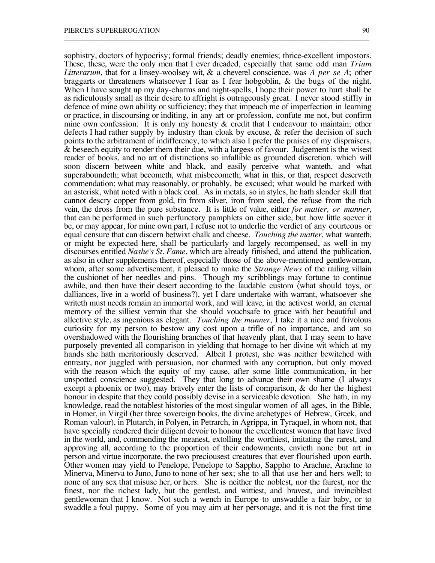sophistry, doctors of hypocrisy; formal friends; deadly enemies; thrice-excellent impostors. These, these, were the only men that I ever dreaded, especially that same odd man *Trium Litterarum*, that for a linsey-woolsey wit, & a cheverel conscience, was *A per se A*; other braggarts or threateners whatsoever I fear as I fear hobgoblin, & the bugs of the night. When I have sought up my day-charms and night-spells, I hope their power to hurt shall be as ridiculously small as their desire to affright is outrageously great. I never stood stiffly in defence of mine own ability or sufficiency; they that impeach me of imperfection in learning or practice, in discoursing or inditing, in any art or profession, confute me not, but confirm mine own confession. It is only my honesty  $\&$  credit that I endeavour to maintain; other defects I had rather supply by industry than cloak by excuse, & refer the decision of such points to the arbitrament of indifferency, to which also I prefer the praises of my dispraisers, & beseech equity to render them their due, with a largess of favour. Judgement is the wisest reader of books, and no art of distinctions so infallible as grounded discretion, which will soon discern between white and black, and easily perceive what wanteth, and what superaboundeth; what becometh, what misbecometh; what in this, or that, respect deserveth commendation; what may reasonably, or probably, be excused; what would be marked with an asterisk, what noted with a black coal. As in metals, so in styles, he hath slender skill that cannot descry copper from gold, tin from silver, iron from steel, the refuse from the rich vein, the dross from the pure substance. It is little of value, either *for matter*, *or manner*, that can be performed in such perfunctory pamphlets on either side, but how little soever it be, or may appear, for mine own part, I refuse not to underlie the verdict of any courteous or equal censure that can discern betwixt chalk and cheese. *Touching the matter*, what wanteth, or might be expected here, shall be particularly and largely recompensed, as well in my discourses entitled *Nashe's St. Fame*, which are already finished, and attend the publication, as also in other supplements thereof, especially those of the above-mentioned gentlewoman, whom, after some advertisement, it pleased to make the *Strange News* of the railing villain the cushionet of her needles and pins. Though my scribblings may fortune to continue awhile, and then have their desert according to the laudable custom (what should toys, or dalliances, live in a world of business?), yet I dare undertake with warrant, whatsoever she writeth must needs remain an immortal work, and will leave, in the activest world, an eternal memory of the silliest vermin that she should vouchsafe to grace with her beautiful and allective style, as ingenious as elegant. *Touching the manner*, I take it a nice and frivolous curiosity for my person to bestow any cost upon a trifle of no importance, and am so overshadowed with the flourishing branches of that heavenly plant, that I may seem to have purposely prevented all comparison in yielding that homage to her divine wit which at my hands she hath meritoriously deserved. Albeit I protest, she was neither bewitched with entreaty, nor juggled with persuasion, nor charmed with any corruption, but only moved with the reason which the equity of my cause, after some little communication, in her unspotted conscience suggested. They that long to advance their own shame (I always except a phoenix or two), may bravely enter the lists of comparison,  $\&$  do her the highest honour in despite that they could possibly devise in a serviceable devotion. She hath, in my knowledge, read the notablest histories of the most singular women of all ages, in the Bible, in Homer, in Virgil (her three sovereign books, the divine archetypes of Hebrew, Greek, and Roman valour), in Plutarch, in Polyen, in Petrarch, in Agrippa, in Tyraquel, in whom not, that have specially rendered their diligent devoir to honour the excellentest women that have lived in the world, and, commending the meanest, extolling the worthiest, imitating the rarest, and approving all, according to the proportion of their endowments, envieth none but art in person and virtue incorporate, the two preciousest creatures that ever flourished upon earth. Other women may yield to Penelope, Penelope to Sappho, Sappho to Arachne, Arachne to Minerva, Minerva to Juno, Juno to none of her sex; she to all that use her and hers well; to none of any sex that misuse her, or hers. She is neither the noblest, nor the fairest, nor the finest, nor the richest lady, but the gentlest, and wittiest, and bravest, and invinciblest gentlewoman that I know. Not such a wench in Europe to unswaddle a fair baby, or to swaddle a foul puppy. Some of you may aim at her personage, and it is not the first time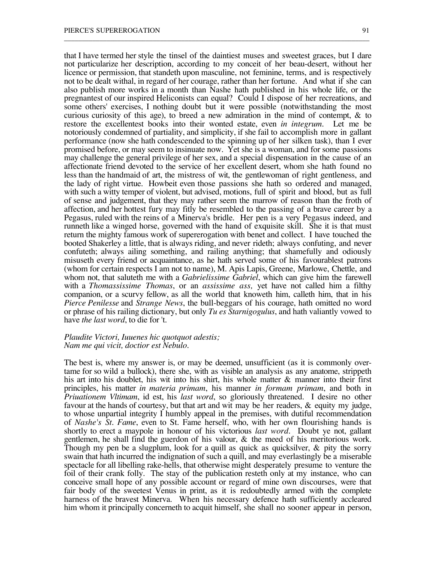that I have termed her style the tinsel of the daintiest muses and sweetest graces, but I dare not particularize her description, according to my conceit of her beau-desert, without her licence or permission, that standeth upon masculine, not feminine, terms, and is respectively not to be dealt withal, in regard of her courage, rather than her fortune. And what if she can also publish more works in a month than Nashe hath published in his whole life, or the pregnantest of our inspired Heliconists can equal? Could I dispose of her recreations, and some others' exercises, I nothing doubt but it were possible (notwithstanding the most curious curiosity of this age), to breed a new admiration in the mind of contempt, & to restore the excellentest books into their wonted estate, even *in integrum*. Let me be notoriously condemned of partiality, and simplicity, if she fail to accomplish more in gallant performance (now she hath condescended to the spinning up of her silken task), than I ever promised before, or may seem to insinuate now. Yet she is a woman, and for some passions may challenge the general privilege of her sex, and a special dispensation in the cause of an affectionate friend devoted to the service of her excellent desert, whom she hath found no less than the handmaid of art, the mistress of wit, the gentlewoman of right gentleness, and the lady of right virtue. Howbeit even those passions she hath so ordered and managed, with such a witty temper of violent, but advised, motions, full of spirit and blood, but as full of sense and judgement, that they may rather seem the marrow of reason than the froth of affection, and her hottest fury may fitly be resembled to the passing of a brave career by a Pegasus, ruled with the reins of a Minerva's bridle. Her pen is a very Pegasus indeed, and runneth like a winged horse, governed with the hand of exquisite skill. She it is that must return the mighty famous work of supererogation with benet and collect. I have touched the booted Shakerley a little, that is always riding, and never rideth; always confuting, and never confuteth; always ailing something, and railing anything; that shamefully and odiously misuseth every friend or acquaintance, as he hath served some of his favourablest patrons (whom for certain respects I am not to name), M. Apis Lapis, Greene, Marlowe, Chettle, and whom not, that saluteth me with a *Gabrielissime Gabriel*, which can give him the farewell with a *Thomassissime Thomas*, or an *assissime ass,* yet have not called him a filthy companion, or a scurvy fellow, as all the world that knoweth him, calleth him, that in his *Pierce Penilesse* and *Strange News*, the bull-beggars of his courage, hath omitted no word or phrase of his railing dictionary, but only *Tu es Starnigogulus*, and hath valiantly vowed to have *the last word*, to die for 't.

\_\_\_\_\_\_\_\_\_\_\_\_\_\_\_\_\_\_\_\_\_\_\_\_\_\_\_\_\_\_\_\_\_\_\_\_\_\_\_\_\_\_\_\_\_\_\_\_\_\_\_\_\_\_\_\_\_\_\_\_\_\_\_\_\_\_\_\_\_\_\_\_\_\_\_\_\_\_\_\_\_\_\_\_\_\_

## *Plaudite Victori, Iuuenes hic quotquot adestis; Nam me qui vicit, doctior est Nebulo.*

The best is, where my answer is, or may be deemed, unsufficient (as it is commonly overtame for so wild a bullock), there she, with as visible an analysis as any anatome, strippeth his art into his doublet, his wit into his shirt, his whole matter & manner into their first principles, his matter *in materia primam*, his manner *in formam primam*, and both in *Priuationem Vltimam*, id est, his *last word*, so gloriously threatened. I desire no other favour at the hands of courtesy, but that art and wit may be her readers, & equity my judge, to whose unpartial integrity I humbly appeal in the premises, with dutiful recommendation of *Nashe's St. Fame*, even to St. Fame herself, who, with her own flourishing hands is shortly to erect a maypole in honour of his victorious *last word*. Doubt ye not, gallant gentlemen, he shall find the guerdon of his valour, & the meed of his meritorious work. Though my pen be a slugplum, look for a quill as quick as quicksilver,  $\&$  pity the sorry swain that hath incurred the indignation of such a quill, and may everlastingly be a miserable spectacle for all libelling rake-hells, that otherwise might desperately presume to venture the foil of their crank folly. The stay of the publication resteth only at my instance, who can conceive small hope of any possible account or regard of mine own discourses, were that fair body of the sweetest Venus in print, as it is redoubtedly armed with the complete harness of the bravest Minerva. When his necessary defence hath sufficiently accleared him whom it principally concerneth to acquit himself, she shall no sooner appear in person,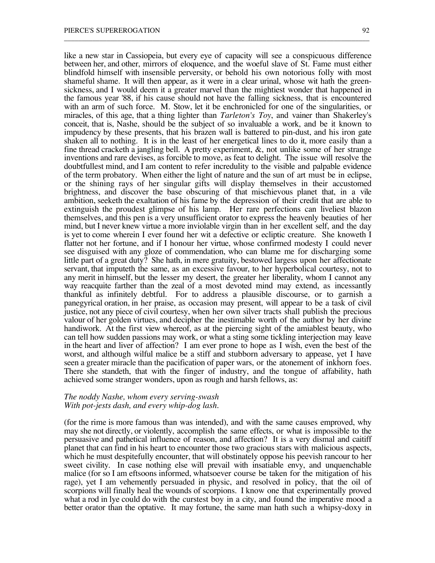like a new star in Cassiopeia, but every eye of capacity will see a conspicuous difference between her, and other, mirrors of eloquence, and the woeful slave of St. Fame must either blindfold himself with insensible perversity, or behold his own notorious folly with most shameful shame. It will then appear, as it were in a clear urinal, whose wit hath the greensickness, and I would deem it a greater marvel than the mightiest wonder that happened in the famous year '88, if his cause should not have the falling sickness, that is encountered with an arm of such force. M. Stow, let it be enchronicled for one of the singularities, or miracles, of this age, that a thing lighter than *Tarleton's Toy*, and vainer than Shakerley's conceit, that is, Nashe, should be the subject of so invaluable a work, and be it known to impudency by these presents, that his brazen wall is battered to pin-dust, and his iron gate shaken all to nothing. It is in the least of her energetical lines to do it, more easily than a fine thread cracketh a jangling bell. A pretty experiment, &, not unlike some of her strange inventions and rare devises, as forcible to move, as feat to delight. The issue will resolve the doubtfullest mind, and I am content to refer incredulity to the visible and palpable evidence of the term probatory. When either the light of nature and the sun of art must be in eclipse, or the shining rays of her singular gifts will display themselves in their accustomed brightness, and discover the base obscuring of that mischievous planet that, in a vile ambition, seeketh the exaltation of his fame by the depression of their credit that are able to extinguish the proudest glimpse of his lamp. Her rare perfections can liveliest blazon themselves, and this pen is a very unsufficient orator to express the heavenly beauties of her mind, but I never knew virtue a more inviolable virgin than in her excellent self, and the day is yet to come wherein I ever found her wit a defective or ecliptic creature. She knoweth I flatter not her fortune, and if I honour her virtue, whose confirmed modesty I could never see disguised with any gloze of commendation, who can blame me for discharging some little part of a great duty? She hath, in mere gratuity, bestowed largess upon her affectionate servant, that imputeth the same, as an excessive favour, to her hyperbolical courtesy, not to any merit in himself, but the lesser my desert, the greater her liberality, whom I cannot any way reacquite farther than the zeal of a most devoted mind may extend, as incessantly thankful as infinitely debtful. For to address a plausible discourse, or to garnish a panegyrical oration, in her praise, as occasion may present, will appear to be a task of civil justice, not any piece of civil courtesy, when her own silver tracts shall publish the precious valour of her golden virtues, and decipher the inestimable worth of the author by her divine handiwork. At the first view whereof, as at the piercing sight of the amiablest beauty, who can tell how sudden passions may work, or what a sting some tickling interjection may leave in the heart and liver of affection? I am ever prone to hope as I wish, even the best of the worst, and although wilful malice be a stiff and stubborn adversary to appease, yet I have seen a greater miracle than the pacification of paper wars, or the atonement of inkhorn foes. There she standeth, that with the finger of industry, and the tongue of affability, hath achieved some stranger wonders, upon as rough and harsh fellows, as:

\_\_\_\_\_\_\_\_\_\_\_\_\_\_\_\_\_\_\_\_\_\_\_\_\_\_\_\_\_\_\_\_\_\_\_\_\_\_\_\_\_\_\_\_\_\_\_\_\_\_\_\_\_\_\_\_\_\_\_\_\_\_\_\_\_\_\_\_\_\_\_\_\_\_\_\_\_\_\_\_\_\_\_\_\_\_

## *The noddy Nashe, whom every serving-swash With pot-jests dash, and every whip-dog lash.*

(for the rime is more famous than was intended), and with the same causes emproved, why may she not directly, or violently, accomplish the same effects, or what is impossible to the persuasive and pathetical influence of reason, and affection? It is a very dismal and caitiff planet that can find in his heart to encounter those two gracious stars with malicious aspects, which he must despitefully encounter, that will obstinately oppose his peevish rancour to her sweet civility. In case nothing else will prevail with insatiable envy, and unquenchable malice (for so I am eftsoons informed, whatsoever course be taken for the mitigation of his rage), yet I am vehemently persuaded in physic, and resolved in policy, that the oil of scorpions will finally heal the wounds of scorpions. I know one that experimentally proved what a rod in lye could do with the curstest boy in a city, and found the imperative mood a better orator than the optative. It may fortune, the same man hath such a whipsy-doxy in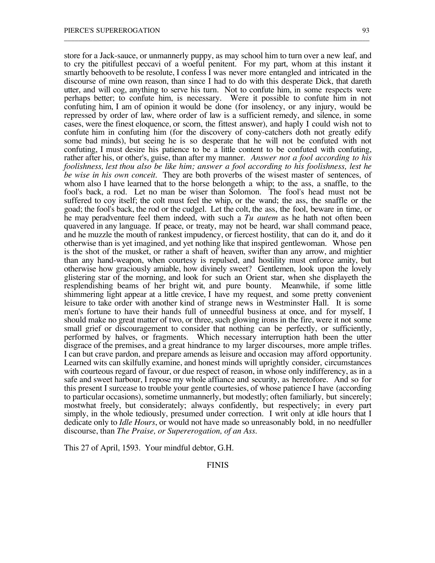store for a Jack-sauce, or unmannerly puppy, as may school him to turn over a new leaf, and to cry the pitifullest peccavi of a woeful penitent. For my part, whom at this instant it smartly behooveth to be resolute, I confess I was never more entangled and intricated in the discourse of mine own reason, than since I had to do with this desperate Dick, that dareth utter, and will cog, anything to serve his turn. Not to confute him, in some respects were perhaps better; to confute him, is necessary. Were it possible to confute him in not confuting him, I am of opinion it would be done (for insolency, or any injury, would be repressed by order of law, where order of law is a sufficient remedy, and silence, in some cases, were the finest eloquence, or scorn, the fittest answer), and haply I could wish not to confute him in confuting him (for the discovery of cony-catchers doth not greatly edify some bad minds), but seeing he is so desperate that he will not be confuted with not confuting, I must desire his patience to be a little content to be confuted with confuting, rather after his, or other's, guise, than after my manner. *Answer not a fool according to his foolishness, lest thou also be like him; answer a fool according to his foolishness, lest he be wise in his own conceit.* They are both proverbs of the wisest master of sentences, of whom also I have learned that to the horse belongeth a whip; to the ass, a snaffle, to the fool's back, a rod. Let no man be wiser than Solomon. The fool's head must not be suffered to coy itself; the colt must feel the whip, or the wand; the ass, the snaffle or the goad; the fool's back, the rod or the cudgel. Let the colt, the ass, the fool, beware in time, or he may peradventure feel them indeed, with such a *Tu autem* as he hath not often been quavered in any language. If peace, or treaty, may not be heard, war shall command peace, and he muzzle the mouth of rankest impudency, or fiercest hostility, that can do it, and do it otherwise than is yet imagined, and yet nothing like that inspired gentlewoman. Whose pen is the shot of the musket, or rather a shaft of heaven, swifter than any arrow, and mightier than any hand-weapon, when courtesy is repulsed, and hostility must enforce amity, but otherwise how graciously amiable, how divinely sweet? Gentlemen, look upon the lovely glistering star of the morning, and look for such an Orient star, when she displayeth the resplendishing beams of her bright wit, and pure bounty. Meanwhile, if some little shimmering light appear at a little crevice, I have my request, and some pretty convenient leisure to take order with another kind of strange news in Westminster Hall. It is some men's fortune to have their hands full of unneedful business at once, and for myself, I should make no great matter of two, or three, such glowing irons in the fire, were it not some small grief or discouragement to consider that nothing can be perfectly, or sufficiently, performed by halves, or fragments. Which necessary interruption hath been the utter disgrace of the premises, and a great hindrance to my larger discourses, more ample trifles. I can but crave pardon, and prepare amends as leisure and occasion may afford opportunity. Learned wits can skilfully examine, and honest minds will uprightly consider, circumstances with courteous regard of favour, or due respect of reason, in whose only indifferency, as in a safe and sweet harbour, I repose my whole affiance and security, as heretofore. And so for this present I surcease to trouble your gentle courtesies, of whose patience I have (according to particular occasions), sometime unmannerly, but modestly; often familiarly, but sincerely; mostwhat freely, but considerately; always confidently, but respectively; in every part simply, in the whole tediously, presumed under correction. I writ only at idle hours that I dedicate only to *Idle Hours*, or would not have made so unreasonably bold, in no needfuller discourse, than *The Praise, or Supererogation, of an Ass*.

\_\_\_\_\_\_\_\_\_\_\_\_\_\_\_\_\_\_\_\_\_\_\_\_\_\_\_\_\_\_\_\_\_\_\_\_\_\_\_\_\_\_\_\_\_\_\_\_\_\_\_\_\_\_\_\_\_\_\_\_\_\_\_\_\_\_\_\_\_\_\_\_\_\_\_\_\_\_\_\_\_\_\_\_\_\_

This 27 of April, 1593. Your mindful debtor, G.H.

FINIS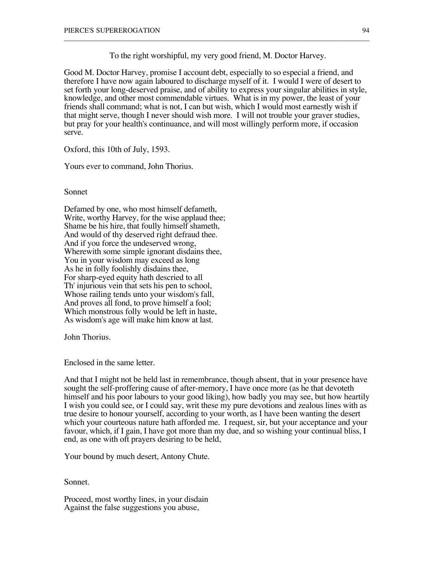To the right worshipful, my very good friend, M. Doctor Harvey.

\_\_\_\_\_\_\_\_\_\_\_\_\_\_\_\_\_\_\_\_\_\_\_\_\_\_\_\_\_\_\_\_\_\_\_\_\_\_\_\_\_\_\_\_\_\_\_\_\_\_\_\_\_\_\_\_\_\_\_\_\_\_\_\_\_\_\_\_\_\_\_\_\_\_\_\_\_\_\_\_\_\_\_\_\_\_

Good M. Doctor Harvey, promise I account debt, especially to so especial a friend, and therefore I have now again laboured to discharge myself of it. I would I were of desert to set forth your long-deserved praise, and of ability to express your singular abilities in style, knowledge, and other most commendable virtues. What is in my power, the least of your friends shall command; what is not, I can but wish, which I would most earnestly wish if that might serve, though I never should wish more. I will not trouble your graver studies, but pray for your health's continuance, and will most willingly perform more, if occasion serve.

Oxford, this 10th of July, 1593.

Yours ever to command, John Thorius.

Sonnet

Defamed by one, who most himself defameth, Write, worthy Harvey, for the wise applaud thee; Shame be his hire, that foully himself shameth, And would of thy deserved right defraud thee. And if you force the undeserved wrong, Wherewith some simple ignorant disdains thee, You in your wisdom may exceed as long As he in folly foolishly disdains thee, For sharp-eyed equity hath descried to all Th' injurious vein that sets his pen to school, Whose railing tends unto your wisdom's fall, And proves all fond, to prove himself a fool; Which monstrous folly would be left in haste, As wisdom's age will make him know at last.

John Thorius.

Enclosed in the same letter.

And that I might not be held last in remembrance, though absent, that in your presence have sought the self-proffering cause of after-memory, I have once more (as he that devoteth himself and his poor labours to your good liking), how badly you may see, but how heartily I wish you could see, or I could say, writ these my pure devotions and zealous lines with as true desire to honour yourself, according to your worth, as I have been wanting the desert which your courteous nature hath afforded me. I request, sir, but your acceptance and your favour, which, if I gain, I have got more than my due, and so wishing your continual bliss, I end, as one with oft prayers desiring to be held,

Your bound by much desert, Antony Chute.

Sonnet.

Proceed, most worthy lines, in your disdain Against the false suggestions you abuse,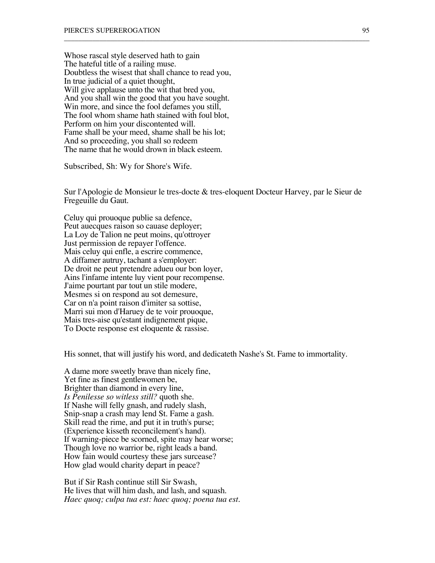Whose rascal style deserved hath to gain The hateful title of a railing muse. Doubtless the wisest that shall chance to read you, In true judicial of a quiet thought, Will give applause unto the wit that bred you, And you shall win the good that you have sought. Win more, and since the fool defames you still, The fool whom shame hath stained with foul blot, Perform on him your discontented will. Fame shall be your meed, shame shall be his lot; And so proceeding, you shall so redeem The name that he would drown in black esteem.

Subscribed, Sh: Wy for Shore's Wife.

Sur l'Apologie de Monsieur le tres-docte & tres-eloquent Docteur Harvey, par le Sieur de Fregeuille du Gaut.

\_\_\_\_\_\_\_\_\_\_\_\_\_\_\_\_\_\_\_\_\_\_\_\_\_\_\_\_\_\_\_\_\_\_\_\_\_\_\_\_\_\_\_\_\_\_\_\_\_\_\_\_\_\_\_\_\_\_\_\_\_\_\_\_\_\_\_\_\_\_\_\_\_\_\_\_\_\_\_\_\_\_\_\_\_\_

Celuy qui prouoque publie sa defence, Peut auecques raison so cauase deployer; La Loy de Talion ne peut moins, qu'ottroyer Just permission de repayer l'offence. Mais celuy qui enfle, a escrire commence, A diffamer autruy, tachant a s'employer: De droit ne peut pretendre adueu our bon loyer, Ains l'infame intente luy vient pour recompense. J'aime pourtant par tout un stile modere, Mesmes si on respond au sot demesure, Car on n'a point raison d'imiter sa sottise, Marri sui mon d'Haruey de te voir prouoque, Mais tres-aise qu'estant indignement pique, To Docte response est eloquente & rassise.

His sonnet, that will justify his word, and dedicateth Nashe's St. Fame to immortality.

A dame more sweetly brave than nicely fine, Yet fine as finest gentlewomen be, Brighter than diamond in every line, *Is Penilesse so witless still?* quoth she. If Nashe will felly gnash, and rudely slash, Snip-snap a crash may lend St. Fame a gash. Skill read the rime, and put it in truth's purse; (Experience kisseth reconcilement's hand). If warning-piece be scorned, spite may hear worse; Though love no warrior be, right leads a band. How fain would courtesy these jars surcease? How glad would charity depart in peace?

But if Sir Rash continue still Sir Swash, He lives that will him dash, and lash, and squash. *Haec quoq; culpa tua est: haec quoq; poena tua est.*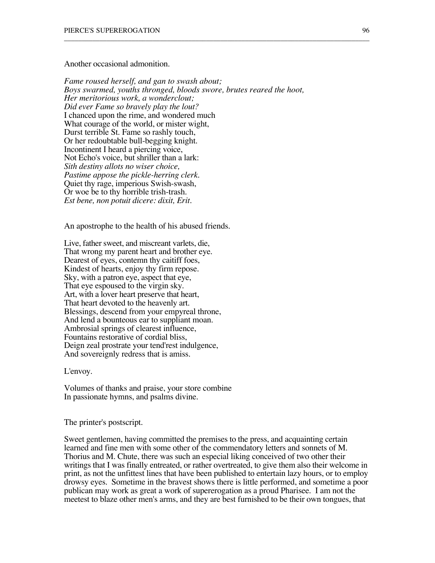#### Another occasional admonition.

*Fame roused herself, and gan to swash about; Boys swarmed, youths thronged, bloods swore, brutes reared the hoot, Her meritorious work, a wonderclout; Did ever Fame so bravely play the lout?* I chanced upon the rime, and wondered much What courage of the world, or mister wight, Durst terrible St. Fame so rashly touch, Or her redoubtable bull-begging knight. Incontinent I heard a piercing voice, Not Echo's voice, but shriller than a lark: *Sith destiny allots no wiser choice, Pastime appose the pickle-herring clerk.* Quiet thy rage, imperious Swish-swash, Or woe be to thy horrible trish-trash. *Est bene, non potuit dicere: dixit, Erit.*

\_\_\_\_\_\_\_\_\_\_\_\_\_\_\_\_\_\_\_\_\_\_\_\_\_\_\_\_\_\_\_\_\_\_\_\_\_\_\_\_\_\_\_\_\_\_\_\_\_\_\_\_\_\_\_\_\_\_\_\_\_\_\_\_\_\_\_\_\_\_\_\_\_\_\_\_\_\_\_\_\_\_\_\_\_\_

An apostrophe to the health of his abused friends.

Live, father sweet, and miscreant varlets, die, That wrong my parent heart and brother eye. Dearest of eyes, contemn thy caitiff foes, Kindest of hearts, enjoy thy firm repose. Sky, with a patron eye, aspect that eye, That eye espoused to the virgin sky. Art, with a lover heart preserve that heart, That heart devoted to the heavenly art. Blessings, descend from your empyreal throne, And lend a bounteous ear to suppliant moan. Ambrosial springs of clearest influence, Fountains restorative of cordial bliss, Deign zeal prostrate your tend'rest indulgence, And sovereignly redress that is amiss.

L'envoy.

Volumes of thanks and praise, your store combine In passionate hymns, and psalms divine.

### The printer's postscript.

Sweet gentlemen, having committed the premises to the press, and acquainting certain learned and fine men with some other of the commendatory letters and sonnets of M. Thorius and M. Chute, there was such an especial liking conceived of two other their writings that I was finally entreated, or rather overtreated, to give them also their welcome in print, as not the unfittest lines that have been published to entertain lazy hours, or to employ drowsy eyes. Sometime in the bravest shows there is little performed, and sometime a poor publican may work as great a work of supererogation as a proud Pharisee. I am not the meetest to blaze other men's arms, and they are best furnished to be their own tongues, that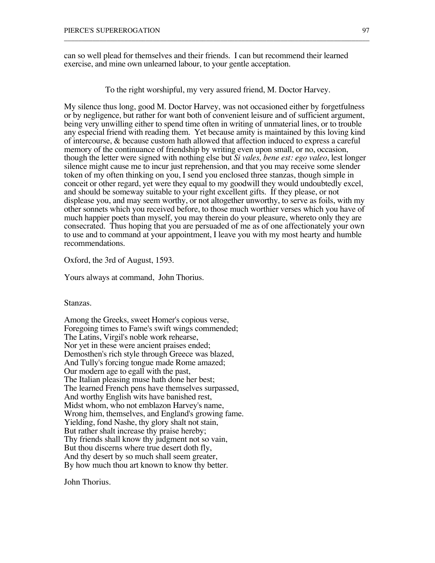can so well plead for themselves and their friends. I can but recommend their learned exercise, and mine own unlearned labour, to your gentle acceptation.

To the right worshipful, my very assured friend, M. Doctor Harvey.

\_\_\_\_\_\_\_\_\_\_\_\_\_\_\_\_\_\_\_\_\_\_\_\_\_\_\_\_\_\_\_\_\_\_\_\_\_\_\_\_\_\_\_\_\_\_\_\_\_\_\_\_\_\_\_\_\_\_\_\_\_\_\_\_\_\_\_\_\_\_\_\_\_\_\_\_\_\_\_\_\_\_\_\_\_\_

My silence thus long, good M. Doctor Harvey, was not occasioned either by forgetfulness or by negligence, but rather for want both of convenient leisure and of sufficient argument, being very unwilling either to spend time often in writing of unmaterial lines, or to trouble any especial friend with reading them. Yet because amity is maintained by this loving kind of intercourse, & because custom hath allowed that affection induced to express a careful memory of the continuance of friendship by writing even upon small, or no, occasion, though the letter were signed with nothing else but *Si vales, bene est: ego valeo*, lest longer silence might cause me to incur just reprehension, and that you may receive some slender token of my often thinking on you, I send you enclosed three stanzas, though simple in conceit or other regard, yet were they equal to my goodwill they would undoubtedly excel, and should be someway suitable to your right excellent gifts. If they please, or not displease you, and may seem worthy, or not altogether unworthy, to serve as foils, with my other sonnets which you received before, to those much worthier verses which you have of much happier poets than myself, you may therein do your pleasure, whereto only they are consecrated. Thus hoping that you are persuaded of me as of one affectionately your own to use and to command at your appointment, I leave you with my most hearty and humble recommendations.

### Oxford, the 3rd of August, 1593.

Yours always at command, John Thorius.

Stanzas.

Among the Greeks, sweet Homer's copious verse, Foregoing times to Fame's swift wings commended; The Latins, Virgil's noble work rehearse, Nor yet in these were ancient praises ended; Demosthen's rich style through Greece was blazed, And Tully's forcing tongue made Rome amazed; Our modern age to egall with the past, The Italian pleasing muse hath done her best; The learned French pens have themselves surpassed, And worthy English wits have banished rest, Midst whom, who not emblazon Harvey's name, Wrong him, themselves, and England's growing fame. Yielding, fond Nashe, thy glory shalt not stain, But rather shalt increase thy praise hereby; Thy friends shall know thy judgment not so vain, But thou discerns where true desert doth fly, And thy desert by so much shall seem greater, By how much thou art known to know thy better.

John Thorius.